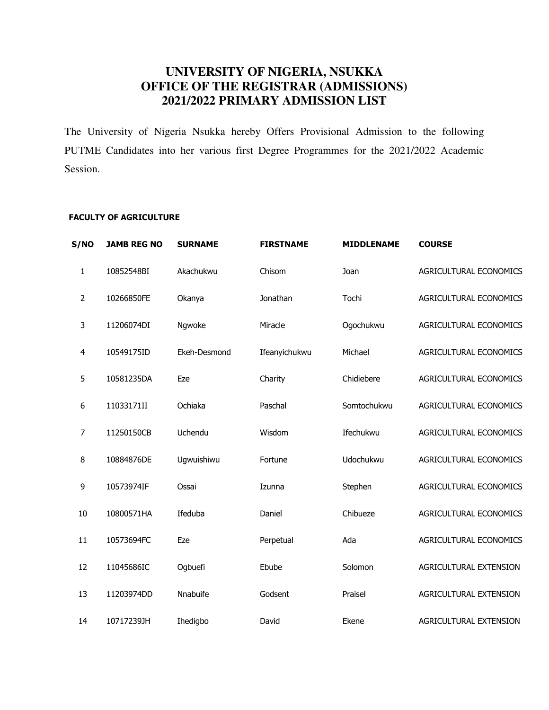# UNIVERSITY OF NIGERIA, NSUKKA OFFICE OF THE REGISTRAR (ADMISSIONS) 2021/2022 PRIMARY ADMISSION LIST

The University of Nigeria Nsukka hereby Offers Provisional Admission to the following PUTME Candidates into her various first Degree Programmes for the 2021/2022 Academic Session.

## **FACULTY OF AGRICULTURE**

| S/NO           | <b>JAMB REG NO</b> | <b>SURNAME</b> | <b>FIRSTNAME</b> | <b>MIDDLENAME</b> | <b>COURSE</b>          |
|----------------|--------------------|----------------|------------------|-------------------|------------------------|
| 1              | 10852548BI         | Akachukwu      | Chisom           | Joan              | AGRICULTURAL ECONOMICS |
| $\overline{2}$ | 10266850FE         | Okanya         | Jonathan         | Tochi             | AGRICULTURAL ECONOMICS |
| 3              | 11206074DI         | Ngwoke         | Miracle          | Ogochukwu         | AGRICULTURAL ECONOMICS |
| 4              | 10549175ID         | Ekeh-Desmond   | Ifeanyichukwu    | Michael           | AGRICULTURAL ECONOMICS |
| 5              | 10581235DA         | Eze            | Charity          | Chidiebere        | AGRICULTURAL ECONOMICS |
| 6              | 11033171II         | Ochiaka        | Paschal          | Somtochukwu       | AGRICULTURAL ECONOMICS |
| $\overline{7}$ | 11250150CB         | Uchendu        | Wisdom           | Ifechukwu         | AGRICULTURAL ECONOMICS |
| 8              | 10884876DE         | Ugwuishiwu     | Fortune          | Udochukwu         | AGRICULTURAL ECONOMICS |
| 9              | 10573974IF         | Ossai          | Izunna           | Stephen           | AGRICULTURAL ECONOMICS |
| 10             | 10800571HA         | Ifeduba        | Daniel           | Chibueze          | AGRICULTURAL ECONOMICS |
| 11             | 10573694FC         | Eze            | Perpetual        | Ada               | AGRICULTURAL ECONOMICS |
| 12             | 11045686IC         | Ogbuefi        | Ebube            | Solomon           | AGRICULTURAL EXTENSION |
| 13             | 11203974DD         | Nnabuife       | Godsent          | Praisel           | AGRICULTURAL EXTENSION |
| 14             | 10717239JH         | Ihedigbo       | David            | Ekene             | AGRICULTURAL EXTENSION |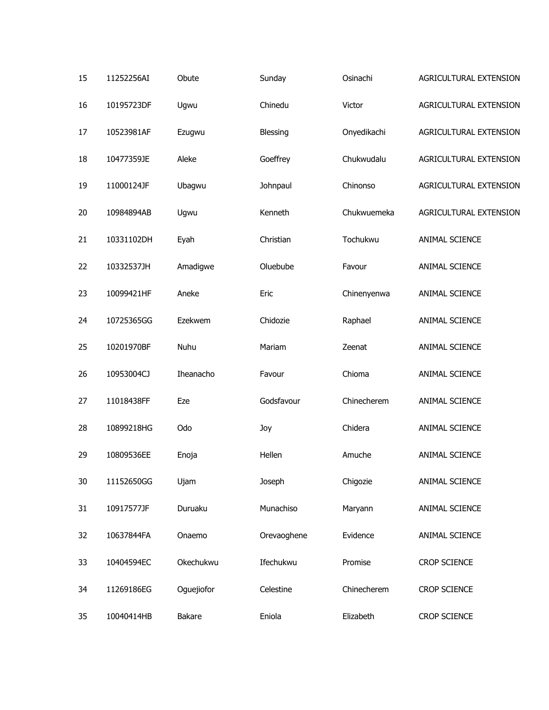| 15 | 11252256AI | Obute      | Sunday      | Osinachi    | AGRICULTURAL EXTENSION |
|----|------------|------------|-------------|-------------|------------------------|
| 16 | 10195723DF | Ugwu       | Chinedu     | Victor      | AGRICULTURAL EXTENSION |
| 17 | 10523981AF | Ezugwu     | Blessing    | Onyedikachi | AGRICULTURAL EXTENSION |
| 18 | 10477359JE | Aleke      | Goeffrey    | Chukwudalu  | AGRICULTURAL EXTENSION |
| 19 | 11000124JF | Ubagwu     | Johnpaul    | Chinonso    | AGRICULTURAL EXTENSION |
| 20 | 10984894AB | Ugwu       | Kenneth     | Chukwuemeka | AGRICULTURAL EXTENSION |
| 21 | 10331102DH | Eyah       | Christian   | Tochukwu    | ANIMAL SCIENCE         |
| 22 | 10332537JH | Amadigwe   | Oluebube    | Favour      | ANIMAL SCIENCE         |
| 23 | 10099421HF | Aneke      | Eric        | Chinenyenwa | ANIMAL SCIENCE         |
| 24 | 10725365GG | Ezekwem    | Chidozie    | Raphael     | ANIMAL SCIENCE         |
| 25 | 10201970BF | Nuhu       | Mariam      | Zeenat      | ANIMAL SCIENCE         |
| 26 | 10953004CJ | Iheanacho  | Favour      | Chioma      | ANIMAL SCIENCE         |
| 27 | 11018438FF | Eze        | Godsfavour  | Chinecherem | ANIMAL SCIENCE         |
| 28 | 10899218HG | Odo        | Joy         | Chidera     | ANIMAL SCIENCE         |
| 29 | 10809536EE | Enoja      | Hellen      | Amuche      | ANIMAL SCIENCE         |
| 30 | 11152650GG | Ujam       | Joseph      | Chigozie    | ANIMAL SCIENCE         |
| 31 | 10917577JF | Duruaku    | Munachiso   | Maryann     | ANIMAL SCIENCE         |
| 32 | 10637844FA | Onaemo     | Orevaoghene | Evidence    | ANIMAL SCIENCE         |
| 33 | 10404594EC | Okechukwu  | Ifechukwu   | Promise     | <b>CROP SCIENCE</b>    |
| 34 | 11269186EG | Oguejiofor | Celestine   | Chinecherem | <b>CROP SCIENCE</b>    |
| 35 | 10040414HB | Bakare     | Eniola      | Elizabeth   | <b>CROP SCIENCE</b>    |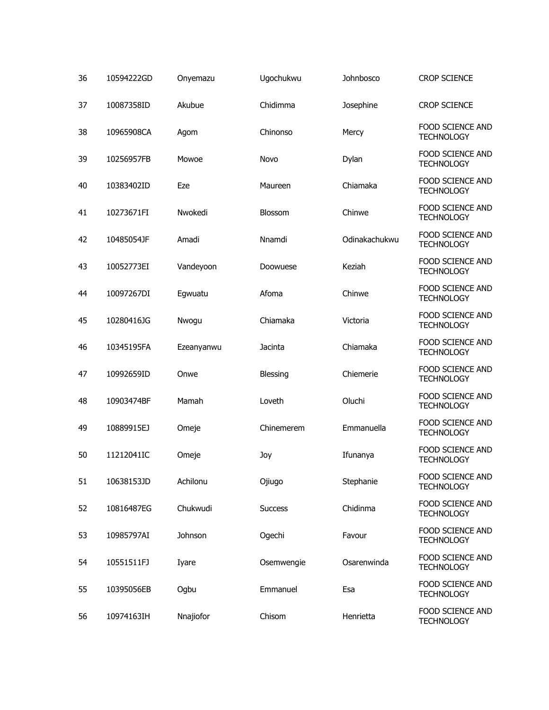| 36 | 10594222GD | Onyemazu   | Ugochukwu      | Johnbosco     | <b>CROP SCIENCE</b>                          |
|----|------------|------------|----------------|---------------|----------------------------------------------|
| 37 | 10087358ID | Akubue     | Chidimma       | Josephine     | <b>CROP SCIENCE</b>                          |
| 38 | 10965908CA | Agom       | Chinonso       | Mercy         | FOOD SCIENCE AND<br><b>TECHNOLOGY</b>        |
| 39 | 10256957FB | Mowoe      | Novo           | Dylan         | FOOD SCIENCE AND<br><b>TECHNOLOGY</b>        |
| 40 | 10383402ID | Eze        | Maureen        | Chiamaka      | FOOD SCIENCE AND<br><b>TECHNOLOGY</b>        |
| 41 | 10273671FI | Nwokedi    | <b>Blossom</b> | Chinwe        | FOOD SCIENCE AND<br><b>TECHNOLOGY</b>        |
| 42 | 10485054JF | Amadi      | Nnamdi         | Odinakachukwu | FOOD SCIENCE AND<br><b>TECHNOLOGY</b>        |
| 43 | 10052773EI | Vandeyoon  | Doowuese       | Keziah        | FOOD SCIENCE AND<br><b>TECHNOLOGY</b>        |
| 44 | 10097267DI | Egwuatu    | Afoma          | Chinwe        | FOOD SCIENCE AND<br><b>TECHNOLOGY</b>        |
| 45 | 10280416JG | Nwogu      | Chiamaka       | Victoria      | FOOD SCIENCE AND<br><b>TECHNOLOGY</b>        |
| 46 | 10345195FA | Ezeanyanwu | Jacinta        | Chiamaka      | FOOD SCIENCE AND<br><b>TECHNOLOGY</b>        |
| 47 | 10992659ID | Onwe       | Blessing       | Chiemerie     | FOOD SCIENCE AND<br><b>TECHNOLOGY</b>        |
| 48 | 10903474BF | Mamah      | Loveth         | Oluchi        | FOOD SCIENCE AND<br><b>TECHNOLOGY</b>        |
| 49 | 10889915EJ | Omeje      | Chinemerem     | Emmanuella    | FOOD SCIENCE AND<br><b>TECHNOLOGY</b>        |
| 50 | 11212041IC | Omeje      | Joy            | Ifunanya      | <b>FOOD SCIENCE AND</b><br><b>TECHNOLOGY</b> |
| 51 | 10638153JD | Achilonu   | Ojiugo         | Stephanie     | FOOD SCIENCE AND<br><b>TECHNOLOGY</b>        |
| 52 | 10816487EG | Chukwudi   | <b>Success</b> | Chidinma      | FOOD SCIENCE AND<br><b>TECHNOLOGY</b>        |
| 53 | 10985797AI | Johnson    | Ogechi         | Favour        | <b>FOOD SCIENCE AND</b><br><b>TECHNOLOGY</b> |
| 54 | 10551511FJ | Iyare      | Osemwengie     | Osarenwinda   | FOOD SCIENCE AND<br><b>TECHNOLOGY</b>        |
| 55 | 10395056EB | Ogbu       | Emmanuel       | Esa           | <b>FOOD SCIENCE AND</b><br><b>TECHNOLOGY</b> |
| 56 | 10974163IH | Nnajiofor  | Chisom         | Henrietta     | FOOD SCIENCE AND<br><b>TECHNOLOGY</b>        |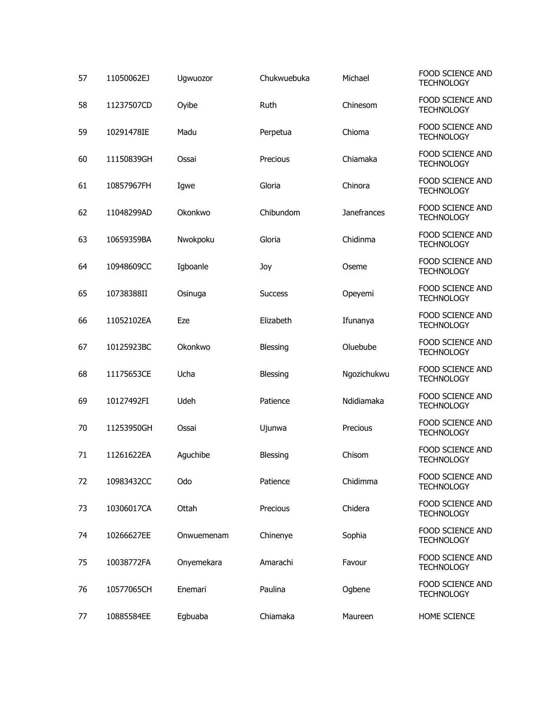| 57 | 11050062EJ | Ugwuozor   | Chukwuebuka    | Michael     | FOOD SCIENCE AND<br><b>TECHNOLOGY</b>        |
|----|------------|------------|----------------|-------------|----------------------------------------------|
| 58 | 11237507CD | Oyibe      | Ruth           | Chinesom    | FOOD SCIENCE AND<br><b>TECHNOLOGY</b>        |
| 59 | 10291478IE | Madu       | Perpetua       | Chioma      | <b>FOOD SCIENCE AND</b><br><b>TECHNOLOGY</b> |
| 60 | 11150839GH | Ossai      | Precious       | Chiamaka    | FOOD SCIENCE AND<br><b>TECHNOLOGY</b>        |
| 61 | 10857967FH | Igwe       | Gloria         | Chinora     | <b>FOOD SCIENCE AND</b><br><b>TECHNOLOGY</b> |
| 62 | 11048299AD | Okonkwo    | Chibundom      | Janefrances | FOOD SCIENCE AND<br><b>TECHNOLOGY</b>        |
| 63 | 10659359BA | Nwokpoku   | Gloria         | Chidinma    | FOOD SCIENCE AND<br><b>TECHNOLOGY</b>        |
| 64 | 10948609CC | Igboanle   | Joy            | Oseme       | <b>FOOD SCIENCE AND</b><br><b>TECHNOLOGY</b> |
| 65 | 10738388II | Osinuga    | <b>Success</b> | Opeyemi     | FOOD SCIENCE AND<br><b>TECHNOLOGY</b>        |
| 66 | 11052102EA | Eze        | Elizabeth      | Ifunanya    | FOOD SCIENCE AND<br><b>TECHNOLOGY</b>        |
| 67 | 10125923BC | Okonkwo    | Blessing       | Oluebube    | <b>FOOD SCIENCE AND</b><br><b>TECHNOLOGY</b> |
| 68 | 11175653CE | Ucha       | Blessing       | Ngozichukwu | FOOD SCIENCE AND<br><b>TECHNOLOGY</b>        |
| 69 | 10127492FI | Udeh       | Patience       | Ndidiamaka  | <b>FOOD SCIENCE AND</b><br><b>TECHNOLOGY</b> |
| 70 | 11253950GH | Ossai      | Ujunwa         | Precious    | FOOD SCIENCE AND<br><b>TECHNOLOGY</b>        |
| 71 | 11261622EA | Aquchibe   | Blessing       | Chisom      | FOOD SCIENCE AND<br><b>TECHNOLOGY</b>        |
| 72 | 10983432CC | Odo        | Patience       | Chidimma    | <b>FOOD SCIENCE AND</b><br><b>TECHNOLOGY</b> |
| 73 | 10306017CA | Ottah      | Precious       | Chidera     | FOOD SCIENCE AND<br><b>TECHNOLOGY</b>        |
| 74 | 10266627EE | Onwuemenam | Chinenye       | Sophia      | FOOD SCIENCE AND<br><b>TECHNOLOGY</b>        |
| 75 | 10038772FA | Onyemekara | Amarachi       | Favour      | FOOD SCIENCE AND<br><b>TECHNOLOGY</b>        |
| 76 | 10577065CH | Enemari    | Paulina        | Ogbene      | FOOD SCIENCE AND<br><b>TECHNOLOGY</b>        |
| 77 | 10885584EE | Egbuaba    | Chiamaka       | Maureen     | HOME SCIENCE                                 |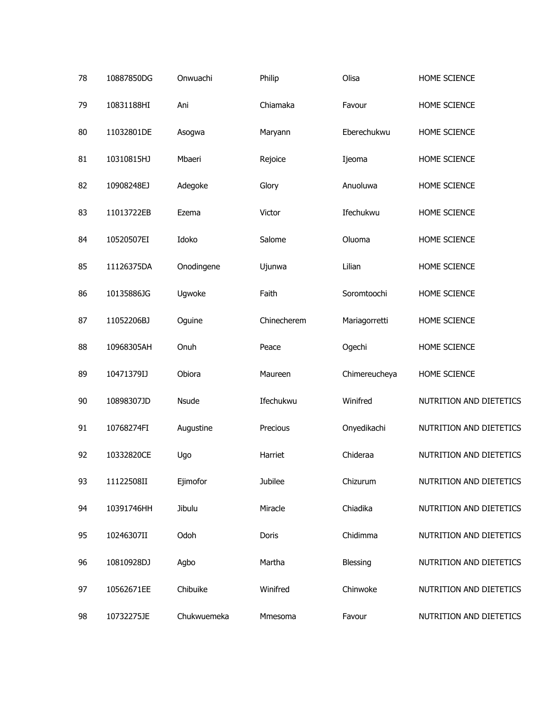| 78 | 10887850DG | Onwuachi    | Philip      | Olisa         | HOME SCIENCE            |
|----|------------|-------------|-------------|---------------|-------------------------|
| 79 | 10831188HI | Ani         | Chiamaka    | Favour        | HOME SCIENCE            |
| 80 | 11032801DE | Asogwa      | Maryann     | Eberechukwu   | HOME SCIENCE            |
| 81 | 10310815HJ | Mbaeri      | Rejoice     | Ijeoma        | HOME SCIENCE            |
| 82 | 10908248EJ | Adegoke     | Glory       | Anuoluwa      | HOME SCIENCE            |
| 83 | 11013722EB | Ezema       | Victor      | Ifechukwu     | HOME SCIENCE            |
| 84 | 10520507EI | Idoko       | Salome      | Oluoma        | HOME SCIENCE            |
| 85 | 11126375DA | Onodingene  | Ujunwa      | Lilian        | HOME SCIENCE            |
| 86 | 10135886JG | Ugwoke      | Faith       | Soromtoochi   | HOME SCIENCE            |
| 87 | 11052206BJ | Oguine      | Chinecherem | Mariagorretti | HOME SCIENCE            |
| 88 | 10968305AH | Onuh        | Peace       | Ogechi        | HOME SCIENCE            |
| 89 | 10471379IJ | Obiora      | Maureen     | Chimereucheya | HOME SCIENCE            |
| 90 | 10898307JD | Nsude       | Ifechukwu   | Winifred      | NUTRITION AND DIETETICS |
| 91 | 10768274FI | Augustine   | Precious    | Onyedikachi   | NUTRITION AND DIETETICS |
| 92 | 10332820CE | Ugo         | Harriet     | Chideraa      | NUTRITION AND DIETETICS |
| 93 | 11122508II | Ejimofor    | Jubilee     | Chizurum      | NUTRITION AND DIETETICS |
| 94 | 10391746HH | Jibulu      | Miracle     | Chiadika      | NUTRITION AND DIETETICS |
| 95 | 10246307II | Odoh        | Doris       | Chidimma      | NUTRITION AND DIETETICS |
| 96 | 10810928DJ | Agbo        | Martha      | Blessing      | NUTRITION AND DIETETICS |
| 97 | 10562671EE | Chibuike    | Winifred    | Chinwoke      | NUTRITION AND DIETETICS |
| 98 | 10732275JE | Chukwuemeka | Mmesoma     | Favour        | NUTRITION AND DIETETICS |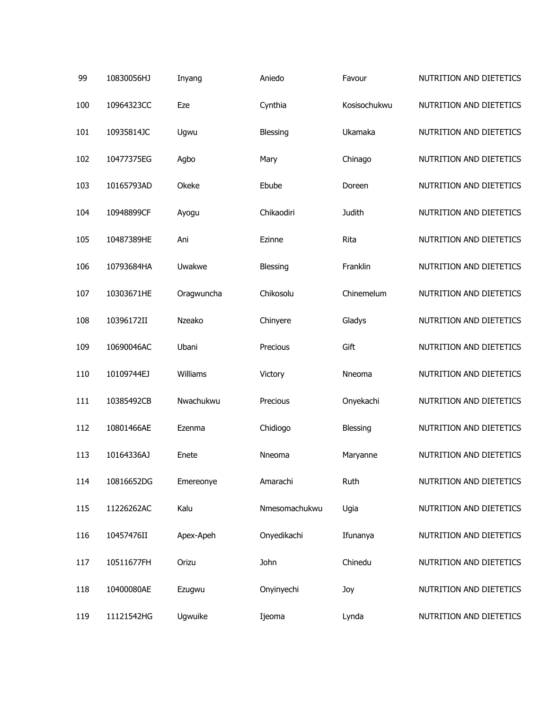| 99  | 10830056HJ | Inyang     | Aniedo        | Favour       | NUTRITION AND DIETETICS |
|-----|------------|------------|---------------|--------------|-------------------------|
| 100 | 10964323CC | Eze        | Cynthia       | Kosisochukwu | NUTRITION AND DIETETICS |
| 101 | 10935814JC | Ugwu       | Blessing      | Ukamaka      | NUTRITION AND DIETETICS |
| 102 | 10477375EG | Agbo       | Mary          | Chinago      | NUTRITION AND DIETETICS |
| 103 | 10165793AD | Okeke      | Ebube         | Doreen       | NUTRITION AND DIETETICS |
| 104 | 10948899CF | Ayogu      | Chikaodiri    | Judith       | NUTRITION AND DIETETICS |
| 105 | 10487389HE | Ani        | Ezinne        | Rita         | NUTRITION AND DIETETICS |
| 106 | 10793684HA | Uwakwe     | Blessing      | Franklin     | NUTRITION AND DIETETICS |
| 107 | 10303671HE | Oragwuncha | Chikosolu     | Chinemelum   | NUTRITION AND DIETETICS |
| 108 | 10396172II | Nzeako     | Chinyere      | Gladys       | NUTRITION AND DIETETICS |
| 109 | 10690046AC | Ubani      | Precious      | Gift         | NUTRITION AND DIETETICS |
| 110 | 10109744EJ | Williams   | Victory       | Nneoma       | NUTRITION AND DIETETICS |
| 111 | 10385492CB | Nwachukwu  | Precious      | Onyekachi    | NUTRITION AND DIETETICS |
| 112 | 10801466AE | Ezenma     | Chidiogo      | Blessing     | NUTRITION AND DIETETICS |
| 113 | 10164336AJ | Enete      | Nneoma        | Maryanne     | NUTRITION AND DIETETICS |
| 114 | 10816652DG | Emereonye  | Amarachi      | Ruth         | NUTRITION AND DIETETICS |
| 115 | 11226262AC | Kalu       | Nmesomachukwu | Ugia         | NUTRITION AND DIETETICS |
| 116 | 10457476II | Apex-Apeh  | Onyedikachi   | Ifunanya     | NUTRITION AND DIETETICS |
| 117 | 10511677FH | Orizu      | John          | Chinedu      | NUTRITION AND DIETETICS |
| 118 | 10400080AE | Ezugwu     | Onyinyechi    | Joy          | NUTRITION AND DIETETICS |
| 119 | 11121542HG | Ugwuike    | Ijeoma        | Lynda        | NUTRITION AND DIETETICS |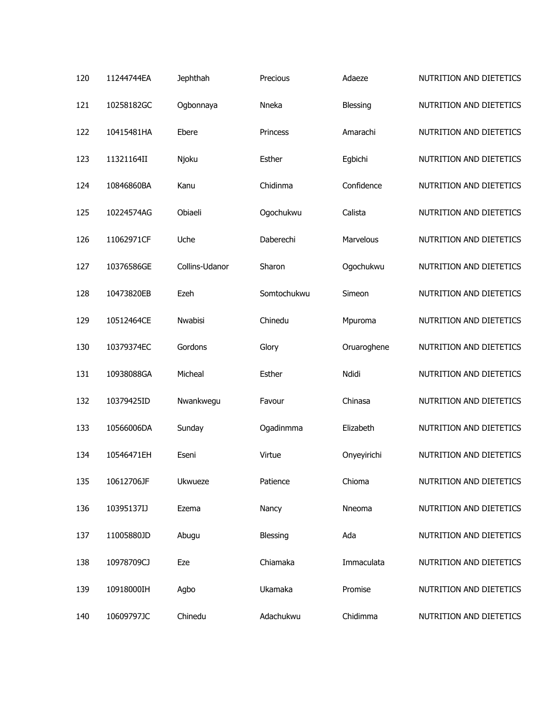| 120 | 11244744EA | Jephthah       | Precious    | Adaeze      | NUTRITION AND DIETETICS |
|-----|------------|----------------|-------------|-------------|-------------------------|
| 121 | 10258182GC | Ogbonnaya      | Nneka       | Blessing    | NUTRITION AND DIETETICS |
| 122 | 10415481HA | Ebere          | Princess    | Amarachi    | NUTRITION AND DIETETICS |
| 123 | 11321164II | Njoku          | Esther      | Egbichi     | NUTRITION AND DIETETICS |
| 124 | 10846860BA | Kanu           | Chidinma    | Confidence  | NUTRITION AND DIETETICS |
| 125 | 10224574AG | Obiaeli        | Ogochukwu   | Calista     | NUTRITION AND DIETETICS |
| 126 | 11062971CF | Uche           | Daberechi   | Marvelous   | NUTRITION AND DIETETICS |
| 127 | 10376586GE | Collins-Udanor | Sharon      | Ogochukwu   | NUTRITION AND DIETETICS |
| 128 | 10473820EB | Ezeh           | Somtochukwu | Simeon      | NUTRITION AND DIETETICS |
| 129 | 10512464CE | Nwabisi        | Chinedu     | Mpuroma     | NUTRITION AND DIETETICS |
| 130 | 10379374EC | Gordons        | Glory       | Oruaroghene | NUTRITION AND DIETETICS |
| 131 | 10938088GA | Micheal        | Esther      | Ndidi       | NUTRITION AND DIETETICS |
| 132 | 10379425ID | Nwankwegu      | Favour      | Chinasa     | NUTRITION AND DIETETICS |
| 133 | 10566006DA | Sunday         | Ogadinmma   | Elizabeth   | NUTRITION AND DIETETICS |
| 134 | 10546471EH | Eseni          | Virtue      | Onyeyirichi | NUTRITION AND DIETETICS |
| 135 | 10612706JF | Ukwueze        | Patience    | Chioma      | NUTRITION AND DIETETICS |
| 136 | 10395137IJ | Ezema          | Nancy       | Nneoma      | NUTRITION AND DIETETICS |
| 137 | 11005880JD | Abugu          | Blessing    | Ada         | NUTRITION AND DIETETICS |
| 138 | 10978709CJ | Eze            | Chiamaka    | Immaculata  | NUTRITION AND DIETETICS |
| 139 | 10918000IH | Agbo           | Ukamaka     | Promise     | NUTRITION AND DIETETICS |
| 140 | 10609797JC | Chinedu        | Adachukwu   | Chidimma    | NUTRITION AND DIETETICS |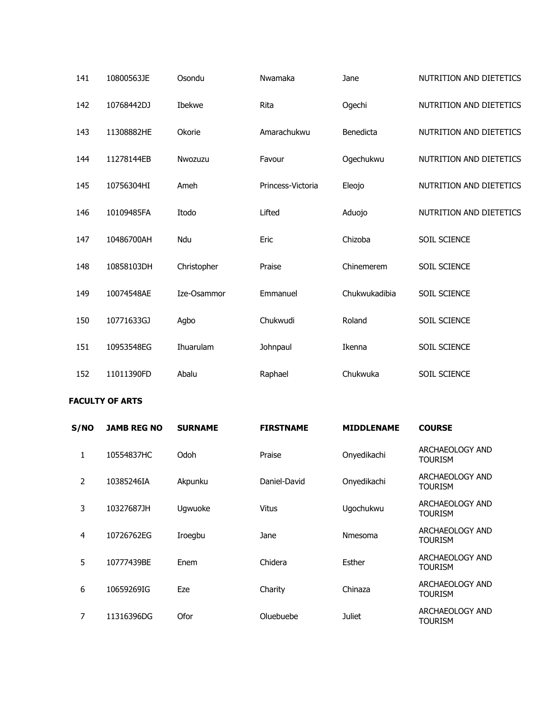| 141 | 10800563JE | Osondu      | Nwamaka           | Jane          | NUTRITION AND DIETETICS |
|-----|------------|-------------|-------------------|---------------|-------------------------|
| 142 | 10768442DJ | Ibekwe      | Rita              | Ogechi        | NUTRITION AND DIETETICS |
| 143 | 11308882HE | Okorie      | Amarachukwu       | Benedicta     | NUTRITION AND DIETETICS |
| 144 | 11278144EB | Nwozuzu     | Favour            | Ogechukwu     | NUTRITION AND DIETETICS |
| 145 | 10756304HI | Ameh        | Princess-Victoria | Eleojo        | NUTRITION AND DIETETICS |
| 146 | 10109485FA | Itodo       | Lifted            | Aduojo        | NUTRITION AND DIETETICS |
| 147 | 10486700AH | Ndu         | Eric              | Chizoba       | SOIL SCIENCE            |
| 148 | 10858103DH | Christopher | Praise            | Chinemerem    | SOIL SCIENCE            |
| 149 | 10074548AE | Ize-Osammor | Emmanuel          | Chukwukadibia | SOIL SCIENCE            |
| 150 | 10771633GJ | Agbo        | Chukwudi          | Roland        | SOIL SCIENCE            |
| 151 | 10953548EG | Ihuarulam   | Johnpaul          | Ikenna        | SOIL SCIENCE            |
| 152 | 11011390FD | Abalu       | Raphael           | Chukwuka      | SOIL SCIENCE            |

### **FACULTY OF ARTS**

| S/NO | <b>JAMB REG NO</b> | <b>SURNAME</b> | <b>FIRSTNAME</b> | <b>MIDDLENAME</b> | <b>COURSE</b>                     |
|------|--------------------|----------------|------------------|-------------------|-----------------------------------|
| 1    | 10554837HC         | Odoh           | Praise           | Onyedikachi       | ARCHAEOLOGY AND<br><b>TOURISM</b> |
| 2    | 10385246IA         | Akpunku        | Daniel-David     | Onyedikachi       | ARCHAEOLOGY AND<br><b>TOURISM</b> |
| 3    | 10327687JH         | Ugwuoke        | Vitus            | Ugochukwu         | ARCHAEOLOGY AND<br>Tourism        |
| 4    | 10726762EG         | Iroegbu        | Jane             | <b>Nmesoma</b>    | ARCHAEOLOGY AND<br>Tourism        |
| 5    | 10777439BE         | Enem           | Chidera          | Esther            | ARCHAEOLOGY AND<br>Tourism        |
| 6    | 10659269IG         | Eze            | Charity          | Chinaza           | ARCHAEOLOGY AND<br>Tourism        |
| 7    | 11316396DG         | Ofor           | Oluebuebe        | Juliet            | ARCHAEOLOGY AND<br><b>TOURISM</b> |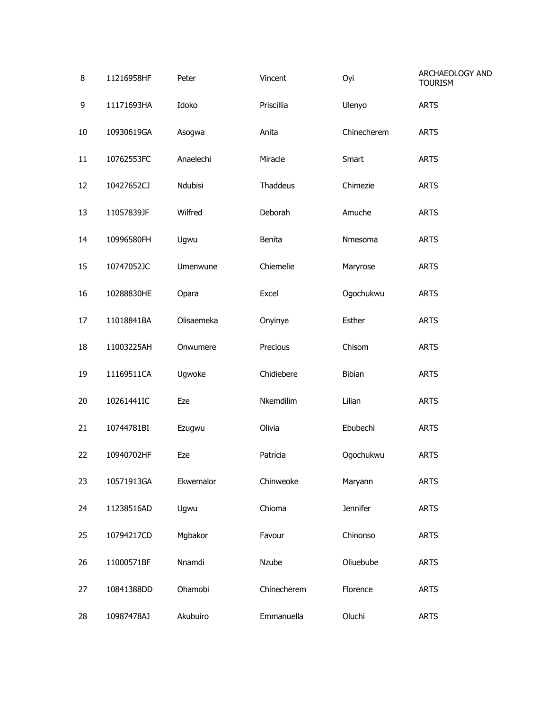| 8  | 11216958HF | Peter      | Vincent     | Oyi         | ARCHAEOLOGY AND<br><b>TOURISM</b> |
|----|------------|------------|-------------|-------------|-----------------------------------|
| 9  | 11171693HA | Idoko      | Priscillia  | Ulenyo      | <b>ARTS</b>                       |
| 10 | 10930619GA | Asogwa     | Anita       | Chinecherem | <b>ARTS</b>                       |
| 11 | 10762553FC | Anaelechi  | Miracle     | Smart       | <b>ARTS</b>                       |
| 12 | 10427652CJ | Ndubisi    | Thaddeus    | Chimezie    | <b>ARTS</b>                       |
| 13 | 11057839JF | Wilfred    | Deborah     | Amuche      | <b>ARTS</b>                       |
| 14 | 10996580FH | Ugwu       | Benita      | Nmesoma     | <b>ARTS</b>                       |
| 15 | 10747052JC | Umenwune   | Chiemelie   | Maryrose    | <b>ARTS</b>                       |
| 16 | 10288830HE | Opara      | Excel       | Ogochukwu   | <b>ARTS</b>                       |
| 17 | 11018841BA | Olisaemeka | Onyinye     | Esther      | <b>ARTS</b>                       |
| 18 | 11003225AH | Onwumere   | Precious    | Chisom      | <b>ARTS</b>                       |
| 19 | 11169511CA | Ugwoke     | Chidiebere  | Bibian      | <b>ARTS</b>                       |
| 20 | 10261441IC | Eze        | Nkemdilim   | Lilian      | <b>ARTS</b>                       |
| 21 | 10744781BI | Ezugwu     | Olivia      | Ebubechi    | <b>ARTS</b>                       |
| 22 | 10940702HF | Eze        | Patricia    | Ogochukwu   | <b>ARTS</b>                       |
| 23 | 10571913GA | Ekwemalor  | Chinweoke   | Maryann     | <b>ARTS</b>                       |
| 24 | 11238516AD | Ugwu       | Chioma      | Jennifer    | <b>ARTS</b>                       |
| 25 | 10794217CD | Mgbakor    | Favour      | Chinonso    | <b>ARTS</b>                       |
| 26 | 11000571BF | Nnamdi     | Nzube       | Oliuebube   | <b>ARTS</b>                       |
| 27 | 10841388DD | Ohamobi    | Chinecherem | Florence    | <b>ARTS</b>                       |
| 28 | 10987478AJ | Akubuiro   | Emmanuella  | Oluchi      | <b>ARTS</b>                       |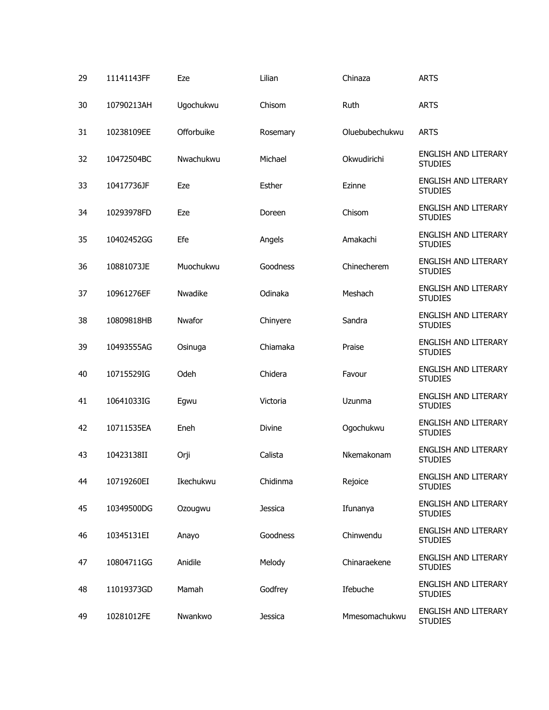| 29 | 11141143FF | Eze        | Lilian         | Chinaza        | <b>ARTS</b>                                   |
|----|------------|------------|----------------|----------------|-----------------------------------------------|
| 30 | 10790213AH | Ugochukwu  | Chisom         | <b>Ruth</b>    | <b>ARTS</b>                                   |
| 31 | 10238109EE | Offorbuike | Rosemary       | Oluebubechukwu | <b>ARTS</b>                                   |
| 32 | 10472504BC | Nwachukwu  | Michael        | Okwudirichi    | <b>ENGLISH AND LITERARY</b><br><b>STUDIES</b> |
| 33 | 10417736JF | Eze        | Esther         | Ezinne         | <b>ENGLISH AND LITERARY</b><br><b>STUDIES</b> |
| 34 | 10293978FD | Eze        | Doreen         | Chisom         | <b>ENGLISH AND LITERARY</b><br><b>STUDIES</b> |
| 35 | 10402452GG | Efe        | Angels         | Amakachi       | <b>ENGLISH AND LITERARY</b><br><b>STUDIES</b> |
| 36 | 10881073JE | Muochukwu  | Goodness       | Chinecherem    | <b>ENGLISH AND LITERARY</b><br><b>STUDIES</b> |
| 37 | 10961276EF | Nwadike    | Odinaka        | Meshach        | <b>ENGLISH AND LITERARY</b><br><b>STUDIES</b> |
| 38 | 10809818HB | Nwafor     | Chinyere       | Sandra         | <b>ENGLISH AND LITERARY</b><br><b>STUDIES</b> |
| 39 | 10493555AG | Osinuga    | Chiamaka       | Praise         | <b>ENGLISH AND LITERARY</b><br><b>STUDIES</b> |
| 40 | 10715529IG | Odeh       | Chidera        | Favour         | <b>ENGLISH AND LITERARY</b><br><b>STUDIES</b> |
| 41 | 10641033IG | Egwu       | Victoria       | Uzunma         | <b>ENGLISH AND LITERARY</b><br><b>STUDIES</b> |
| 42 | 10711535EA | Eneh       | Divine         | Ogochukwu      | <b>ENGLISH AND LITERARY</b><br><b>STUDIES</b> |
| 43 | 10423138II | Orji       | Calista        | Nkemakonam     | <b>ENGLISH AND LITERARY</b><br><b>STUDIES</b> |
| 44 | 10719260EI | Ikechukwu  | Chidinma       | Rejoice        | ENGLISH AND LITERARY<br><b>STUDIES</b>        |
| 45 | 10349500DG | Ozougwu    | <b>Jessica</b> | Ifunanya       | ENGLISH AND LITERARY<br><b>STUDIES</b>        |
| 46 | 10345131EI | Anayo      | Goodness       | Chinwendu      | <b>ENGLISH AND LITERARY</b><br><b>STUDIES</b> |
| 47 | 10804711GG | Anidile    | Melody         | Chinaraekene   | ENGLISH AND LITERARY<br><b>STUDIES</b>        |
| 48 | 11019373GD | Mamah      | Godfrey        | Ifebuche       | <b>ENGLISH AND LITERARY</b><br><b>STUDIES</b> |
| 49 | 10281012FE | Nwankwo    | <b>Jessica</b> | Mmesomachukwu  | ENGLISH AND LITERARY<br><b>STUDIES</b>        |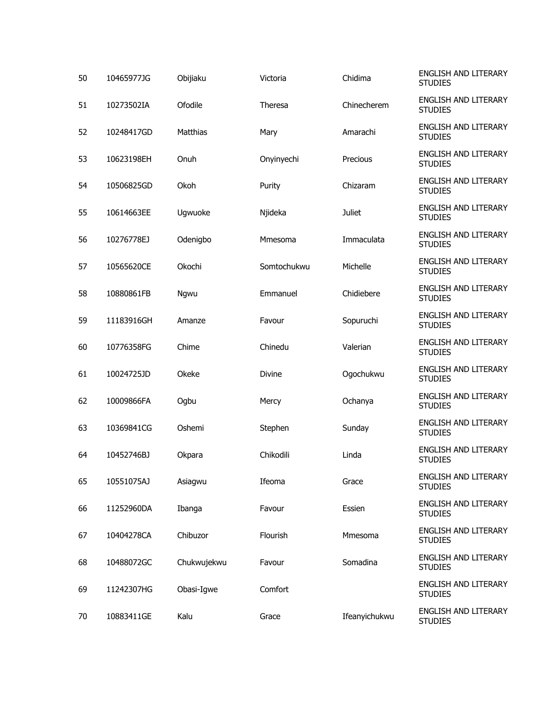| 50 | 10465977JG | Obijiaku    | Victoria      | Chidima       | ENGLISH AND LITERARY<br><b>STUDIES</b>        |
|----|------------|-------------|---------------|---------------|-----------------------------------------------|
| 51 | 10273502IA | Ofodile     | Theresa       | Chinecherem   | ENGLISH AND LITERARY<br><b>STUDIES</b>        |
| 52 | 10248417GD | Matthias    | Mary          | Amarachi      | ENGLISH AND LITERARY<br><b>STUDIES</b>        |
| 53 | 10623198EH | Onuh        | Onyinyechi    | Precious      | <b>ENGLISH AND LITERARY</b><br><b>STUDIES</b> |
| 54 | 10506825GD | Okoh        | Purity        | Chizaram      | <b>ENGLISH AND LITERARY</b><br><b>STUDIES</b> |
| 55 | 10614663EE | Ugwuoke     | Njideka       | <b>Juliet</b> | <b>ENGLISH AND LITERARY</b><br><b>STUDIES</b> |
| 56 | 10276778EJ | Odenigbo    | Mmesoma       | Immaculata    | <b>ENGLISH AND LITERARY</b><br><b>STUDIES</b> |
| 57 | 10565620CE | Okochi      | Somtochukwu   | Michelle      | ENGLISH AND LITERARY<br><b>STUDIES</b>        |
| 58 | 10880861FB | Ngwu        | Emmanuel      | Chidiebere    | ENGLISH AND LITERARY<br><b>STUDIES</b>        |
| 59 | 11183916GH | Amanze      | Favour        | Sopuruchi     | <b>ENGLISH AND LITERARY</b><br><b>STUDIES</b> |
| 60 | 10776358FG | Chime       | Chinedu       | Valerian      | <b>ENGLISH AND LITERARY</b><br><b>STUDIES</b> |
| 61 | 10024725JD | Okeke       | <b>Divine</b> | Ogochukwu     | <b>ENGLISH AND LITERARY</b><br><b>STUDIES</b> |
| 62 | 10009866FA | Ogbu        | Mercy         | Ochanya       | <b>ENGLISH AND LITERARY</b><br><b>STUDIES</b> |
| 63 | 10369841CG | Oshemi      | Stephen       | Sunday        | <b>ENGLISH AND LITERARY</b><br><b>STUDIES</b> |
| 64 | 10452746BJ | Okpara      | Chikodili     | Linda         | ENGLISH AND LITERARY<br><b>STUDIES</b>        |
| 65 | 10551075AJ | Asiagwu     | Ifeoma        | Grace         | ENGLISH AND LITERARY<br><b>STUDIES</b>        |
| 66 | 11252960DA | Ibanga      | Favour        | Essien        | ENGLISH AND LITERARY<br><b>STUDIES</b>        |
| 67 | 10404278CA | Chibuzor    | Flourish      | Mmesoma       | ENGLISH AND LITERARY<br><b>STUDIES</b>        |
| 68 | 10488072GC | Chukwujekwu | Favour        | Somadina      | ENGLISH AND LITERARY<br><b>STUDIES</b>        |
| 69 | 11242307HG | Obasi-Igwe  | Comfort       |               | ENGLISH AND LITERARY<br><b>STUDIES</b>        |
| 70 | 10883411GE | Kalu        | Grace         | Ifeanyichukwu | ENGLISH AND LITERARY<br><b>STUDIES</b>        |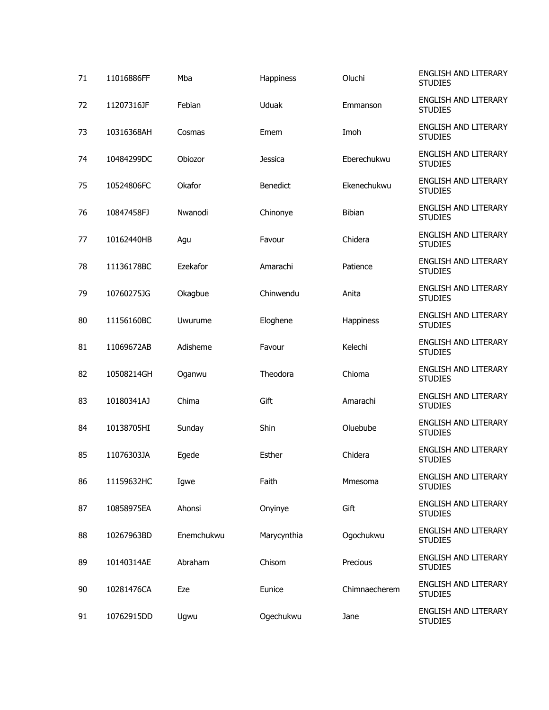| 71 | 11016886FF | Mba        | Happiness       | Oluchi        | ENGLISH AND LITERARY<br><b>STUDIES</b>        |
|----|------------|------------|-----------------|---------------|-----------------------------------------------|
| 72 | 11207316JF | Febian     | Uduak           | Emmanson      | ENGLISH AND LITERARY<br><b>STUDIES</b>        |
| 73 | 10316368AH | Cosmas     | Emem            | Imoh          | ENGLISH AND LITERARY<br><b>STUDIES</b>        |
| 74 | 10484299DC | Obiozor    | Jessica         | Eberechukwu   | ENGLISH AND LITERARY<br><b>STUDIES</b>        |
| 75 | 10524806FC | Okafor     | <b>Benedict</b> | Ekenechukwu   | <b>ENGLISH AND LITERARY</b><br><b>STUDIES</b> |
| 76 | 10847458FJ | Nwanodi    | Chinonye        | Bibian        | ENGLISH AND LITERARY<br><b>STUDIES</b>        |
| 77 | 10162440HB | Agu        | Favour          | Chidera       | ENGLISH AND LITERARY<br><b>STUDIES</b>        |
| 78 | 11136178BC | Ezekafor   | Amarachi        | Patience      | ENGLISH AND LITERARY<br><b>STUDIES</b>        |
| 79 | 10760275JG | Okagbue    | Chinwendu       | Anita         | ENGLISH AND LITERARY<br><b>STUDIES</b>        |
| 80 | 11156160BC | Uwurume    | Eloghene        | Happiness     | ENGLISH AND LITERARY<br><b>STUDIES</b>        |
| 81 | 11069672AB | Adisheme   | Favour          | Kelechi       | ENGLISH AND LITERARY<br><b>STUDIES</b>        |
| 82 | 10508214GH | Oganwu     | Theodora        | Chioma        | ENGLISH AND LITERARY<br><b>STUDIES</b>        |
| 83 | 10180341AJ | Chima      | Gift            | Amarachi      | ENGLISH AND LITERARY<br><b>STUDIES</b>        |
| 84 | 10138705HI | Sunday     | Shin            | Oluebube      | ENGLISH AND LITERARY<br><b>STUDIES</b>        |
| 85 | 11076303JA | Egede      | Esther          | Chidera       | ENGLISH AND LITERARY<br><b>STUDIES</b>        |
| 86 | 11159632HC | Igwe       | Faith           | Mmesoma       | ENGLISH AND LITERARY<br><b>STUDIES</b>        |
| 87 | 10858975EA | Ahonsi     | Onyinye         | Gift          | ENGLISH AND LITERARY<br><b>STUDIES</b>        |
| 88 | 10267963BD | Enemchukwu | Marycynthia     | Ogochukwu     | ENGLISH AND LITERARY<br><b>STUDIES</b>        |
| 89 | 10140314AE | Abraham    | Chisom          | Precious      | ENGLISH AND LITERARY<br><b>STUDIES</b>        |
| 90 | 10281476CA | Eze        | Eunice          | Chimnaecherem | ENGLISH AND LITERARY<br><b>STUDIES</b>        |
| 91 | 10762915DD | Ugwu       | Ogechukwu       | Jane          | ENGLISH AND LITERARY<br><b>STUDIES</b>        |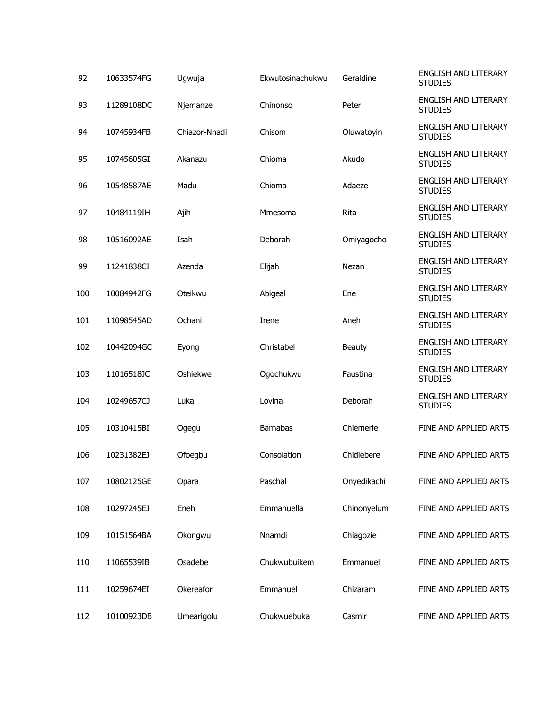| 92  | 10633574FG | Ugwuja        | Ekwutosinachukwu | Geraldine   | ENGLISH AND LITERARY<br><b>STUDIES</b>        |
|-----|------------|---------------|------------------|-------------|-----------------------------------------------|
| 93  | 11289108DC | Njemanze      | Chinonso         | Peter       | <b>ENGLISH AND LITERARY</b><br><b>STUDIES</b> |
| 94  | 10745934FB | Chiazor-Nnadi | Chisom           | Oluwatoyin  | <b>ENGLISH AND LITERARY</b><br><b>STUDIES</b> |
| 95  | 10745605GI | Akanazu       | Chioma           | Akudo       | <b>ENGLISH AND LITERARY</b><br><b>STUDIES</b> |
| 96  | 10548587AE | Madu          | Chioma           | Adaeze      | <b>ENGLISH AND LITERARY</b><br><b>STUDIES</b> |
| 97  | 10484119IH | Ajih          | Mmesoma          | Rita        | <b>ENGLISH AND LITERARY</b><br><b>STUDIES</b> |
| 98  | 10516092AE | Isah          | Deborah          | Omiyagocho  | <b>ENGLISH AND LITERARY</b><br><b>STUDIES</b> |
| 99  | 11241838CI | Azenda        | Elijah           | Nezan       | <b>ENGLISH AND LITERARY</b><br><b>STUDIES</b> |
| 100 | 10084942FG | Oteikwu       | Abigeal          | Ene         | <b>ENGLISH AND LITERARY</b><br><b>STUDIES</b> |
| 101 | 11098545AD | Ochani        | Irene            | Aneh        | <b>ENGLISH AND LITERARY</b><br><b>STUDIES</b> |
| 102 | 10442094GC | Eyong         | Christabel       | Beauty      | <b>ENGLISH AND LITERARY</b><br><b>STUDIES</b> |
| 103 | 11016518JC | Oshiekwe      | Ogochukwu        | Faustina    | <b>ENGLISH AND LITERARY</b><br><b>STUDIES</b> |
| 104 | 10249657CJ | Luka          | Lovina           | Deborah     | <b>ENGLISH AND LITERARY</b><br><b>STUDIES</b> |
| 105 | 10310415BI | Ogegu         | <b>Barnabas</b>  | Chiemerie   | FINE AND APPLIED ARTS                         |
| 106 | 10231382EJ | Ofoegbu       | Consolation      | Chidiebere  | FINE AND APPLIED ARTS                         |
| 107 | 10802125GE | Opara         | Paschal          | Onyedikachi | FINE AND APPLIED ARTS                         |
| 108 | 10297245EJ | Eneh          | Emmanuella       | Chinonyelum | FINE AND APPLIED ARTS                         |
| 109 | 10151564BA | Okongwu       | Nnamdi           | Chiagozie   | FINE AND APPLIED ARTS                         |
| 110 | 11065539IB | Osadebe       | Chukwubuikem     | Emmanuel    | FINE AND APPLIED ARTS                         |
| 111 | 10259674EI | Okereafor     | Emmanuel         | Chizaram    | FINE AND APPLIED ARTS                         |
| 112 | 10100923DB | Umearigolu    | Chukwuebuka      | Casmir      | FINE AND APPLIED ARTS                         |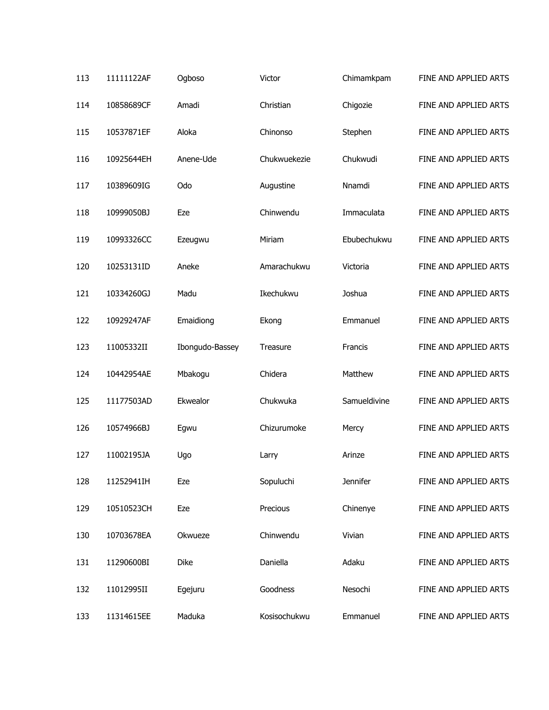| 113 | 11111122AF | Ogboso          | Victor       | Chimamkpam      | FINE AND APPLIED ARTS |
|-----|------------|-----------------|--------------|-----------------|-----------------------|
| 114 | 10858689CF | Amadi           | Christian    | Chigozie        | FINE AND APPLIED ARTS |
| 115 | 10537871EF | Aloka           | Chinonso     | Stephen         | FINE AND APPLIED ARTS |
| 116 | 10925644EH | Anene-Ude       | Chukwuekezie | Chukwudi        | FINE AND APPLIED ARTS |
| 117 | 10389609IG | Odo             | Augustine    | Nnamdi          | FINE AND APPLIED ARTS |
| 118 | 10999050BJ | Eze             | Chinwendu    | Immaculata      | FINE AND APPLIED ARTS |
| 119 | 10993326CC | Ezeugwu         | Miriam       | Ebubechukwu     | FINE AND APPLIED ARTS |
| 120 | 10253131ID | Aneke           | Amarachukwu  | Victoria        | FINE AND APPLIED ARTS |
| 121 | 10334260GJ | Madu            | Ikechukwu    | Joshua          | FINE AND APPLIED ARTS |
| 122 | 10929247AF | Emaidiong       | Ekong        | Emmanuel        | FINE AND APPLIED ARTS |
| 123 | 11005332II | Ibongudo-Bassey | Treasure     | Francis         | FINE AND APPLIED ARTS |
| 124 | 10442954AE | Mbakogu         | Chidera      | Matthew         | FINE AND APPLIED ARTS |
| 125 | 11177503AD | Ekwealor        | Chukwuka     | Samueldivine    | FINE AND APPLIED ARTS |
| 126 | 10574966BJ | Egwu            | Chizurumoke  | Mercy           | FINE AND APPLIED ARTS |
| 127 | 11002195JA | Ugo             | Larry        | Arinze          | FINE AND APPLIED ARTS |
| 128 | 11252941IH | Eze             | Sopuluchi    | <b>Jennifer</b> | FINE AND APPLIED ARTS |
| 129 | 10510523CH | Eze             | Precious     | Chinenye        | FINE AND APPLIED ARTS |
| 130 | 10703678EA | Okwueze         | Chinwendu    | Vivian          | FINE AND APPLIED ARTS |
| 131 | 11290600BI | Dike            | Daniella     | Adaku           | FINE AND APPLIED ARTS |
| 132 | 11012995II | Egejuru         | Goodness     | Nesochi         | FINE AND APPLIED ARTS |
| 133 | 11314615EE | Maduka          | Kosisochukwu | Emmanuel        | FINE AND APPLIED ARTS |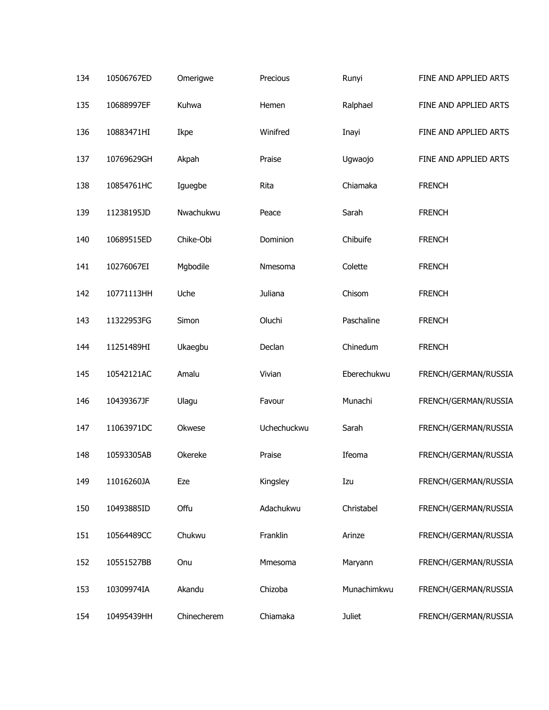| 134 | 10506767ED | Omerigwe    | Precious    | Runyi         | FINE AND APPLIED ARTS |
|-----|------------|-------------|-------------|---------------|-----------------------|
| 135 | 10688997EF | Kuhwa       | Hemen       | Ralphael      | FINE AND APPLIED ARTS |
| 136 | 10883471HI | Ikpe        | Winifred    | Inayi         | FINE AND APPLIED ARTS |
| 137 | 10769629GH | Akpah       | Praise      | Ugwaojo       | FINE AND APPLIED ARTS |
| 138 | 10854761HC | Iguegbe     | Rita        | Chiamaka      | <b>FRENCH</b>         |
| 139 | 11238195JD | Nwachukwu   | Peace       | Sarah         | <b>FRENCH</b>         |
| 140 | 10689515ED | Chike-Obi   | Dominion    | Chibuife      | <b>FRENCH</b>         |
| 141 | 10276067EI | Mgbodile    | Nmesoma     | Colette       | <b>FRENCH</b>         |
| 142 | 10771113HH | Uche        | Juliana     | Chisom        | <b>FRENCH</b>         |
| 143 | 11322953FG | Simon       | Oluchi      | Paschaline    | <b>FRENCH</b>         |
| 144 | 11251489HI | Ukaegbu     | Declan      | Chinedum      | <b>FRENCH</b>         |
| 145 | 10542121AC | Amalu       | Vivian      | Eberechukwu   | FRENCH/GERMAN/RUSSIA  |
| 146 | 10439367JF | Ulagu       | Favour      | Munachi       | FRENCH/GERMAN/RUSSIA  |
| 147 | 11063971DC | Okwese      | Uchechuckwu | Sarah         | FRENCH/GERMAN/RUSSIA  |
| 148 | 10593305AB | Okereke     | Praise      | Ifeoma        | FRENCH/GERMAN/RUSSIA  |
| 149 | 11016260JA | Eze         | Kingsley    | Izu           | FRENCH/GERMAN/RUSSIA  |
| 150 | 10493885ID | Offu        | Adachukwu   | Christabel    | FRENCH/GERMAN/RUSSIA  |
| 151 | 10564489CC | Chukwu      | Franklin    | Arinze        | FRENCH/GERMAN/RUSSIA  |
| 152 | 10551527BB | Onu         | Mmesoma     | Maryann       | FRENCH/GERMAN/RUSSIA  |
| 153 | 10309974IA | Akandu      | Chizoba     | Munachimkwu   | FRENCH/GERMAN/RUSSIA  |
| 154 | 10495439HH | Chinecherem | Chiamaka    | <b>Juliet</b> | FRENCH/GERMAN/RUSSIA  |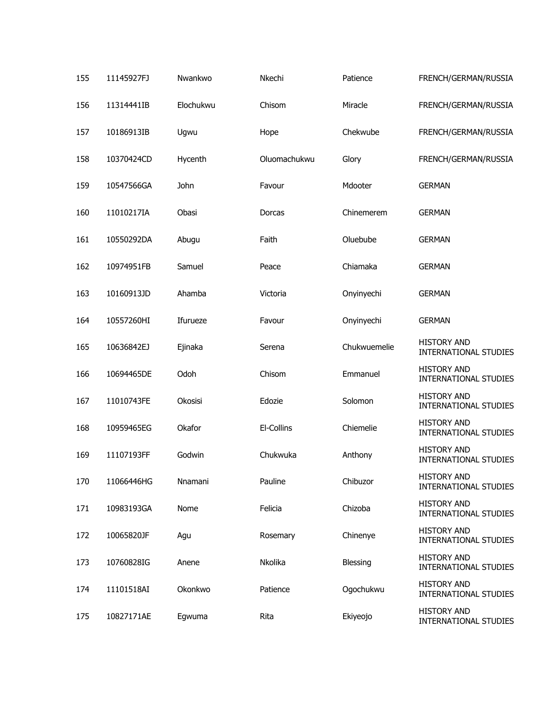| 155 | 11145927FJ | Nwankwo   | Nkechi       | Patience     | FRENCH/GERMAN/RUSSIA                               |
|-----|------------|-----------|--------------|--------------|----------------------------------------------------|
| 156 | 11314441IB | Elochukwu | Chisom       | Miracle      | FRENCH/GERMAN/RUSSIA                               |
| 157 | 10186913IB | Ugwu      | Hope         | Chekwube     | FRENCH/GERMAN/RUSSIA                               |
| 158 | 10370424CD | Hycenth   | Oluomachukwu | Glory        | FRENCH/GERMAN/RUSSIA                               |
| 159 | 10547566GA | John      | Favour       | Mdooter      | <b>GERMAN</b>                                      |
| 160 | 11010217IA | Obasi     | Dorcas       | Chinemerem   | <b>GERMAN</b>                                      |
| 161 | 10550292DA | Abugu     | Faith        | Oluebube     | <b>GERMAN</b>                                      |
| 162 | 10974951FB | Samuel    | Peace        | Chiamaka     | <b>GERMAN</b>                                      |
| 163 | 10160913JD | Ahamba    | Victoria     | Onyinyechi   | <b>GERMAN</b>                                      |
| 164 | 10557260HI | Ifurueze  | Favour       | Onyinyechi   | <b>GERMAN</b>                                      |
| 165 | 10636842EJ | Ejinaka   | Serena       | Chukwuemelie | <b>HISTORY AND</b><br>INTERNATIONAL STUDIES        |
| 166 | 10694465DE | Odoh      | Chisom       | Emmanuel     | <b>HISTORY AND</b><br><b>INTERNATIONAL STUDIES</b> |
| 167 | 11010743FE | Okosisi   | Edozie       | Solomon      | <b>HISTORY AND</b><br>INTERNATIONAL STUDIES        |
| 168 | 10959465EG | Okafor    | El-Collins   | Chiemelie    | <b>HISTORY AND</b><br>INTERNATIONAL STUDIES        |
| 169 | 11107193FF | Godwin    | Chukwuka     | Anthony      | <b>HISTORY AND</b><br><b>INTERNATIONAL STUDIES</b> |
| 170 | 11066446HG | Nnamani   | Pauline      | Chibuzor     | <b>HISTORY AND</b><br><b>INTERNATIONAL STUDIES</b> |
| 171 | 10983193GA | Nome      | Felicia      | Chizoba      | <b>HISTORY AND</b><br><b>INTERNATIONAL STUDIES</b> |
| 172 | 10065820JF | Agu       | Rosemary     | Chinenye     | <b>HISTORY AND</b><br><b>INTERNATIONAL STUDIES</b> |
| 173 | 10760828IG | Anene     | Nkolika      | Blessing     | <b>HISTORY AND</b><br><b>INTERNATIONAL STUDIES</b> |
| 174 | 11101518AI | Okonkwo   | Patience     | Ogochukwu    | <b>HISTORY AND</b><br><b>INTERNATIONAL STUDIES</b> |
| 175 | 10827171AE | Egwuma    | Rita         | Ekiyeojo     | <b>HISTORY AND</b><br>INTERNATIONAL STUDIES        |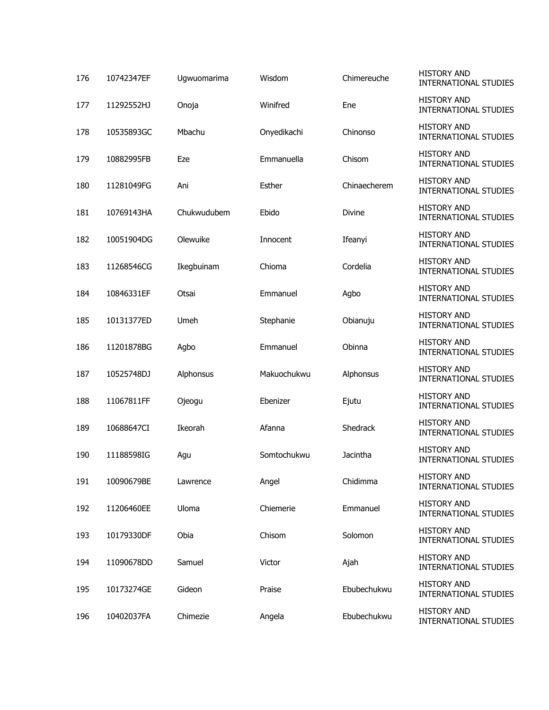| 176 | 10742347EF | Ugwuomarima | Wisdom      | Chimereuche     | <b>HISTORY AND</b><br><b>INTERNATIONAL STUDIES</b> |
|-----|------------|-------------|-------------|-----------------|----------------------------------------------------|
| 177 | 11292552HJ | Onoja       | Winifred    | Ene             | <b>HISTORY AND</b><br><b>INTERNATIONAL STUDIES</b> |
| 178 | 10535893GC | Mbachu      | Onyedikachi | Chinonso        | <b>HISTORY AND</b><br><b>INTERNATIONAL STUDIES</b> |
| 179 | 10882995FB | Eze         | Emmanuella  | Chisom          | <b>HISTORY AND</b><br><b>INTERNATIONAL STUDIES</b> |
| 180 | 11281049FG | Ani         | Esther      | Chinaecherem    | <b>HISTORY AND</b><br><b>INTERNATIONAL STUDIES</b> |
| 181 | 10769143HA | Chukwudubem | Ebido       | <b>Divine</b>   | <b>HISTORY AND</b><br><b>INTERNATIONAL STUDIES</b> |
| 182 | 10051904DG | Olewuike    | Innocent    | Ifeanyi         | <b>HISTORY AND</b><br><b>INTERNATIONAL STUDIES</b> |
| 183 | 11268546CG | Ikegbuinam  | Chioma      | Cordelia        | <b>HISTORY AND</b><br><b>INTERNATIONAL STUDIES</b> |
| 184 | 10846331EF | Otsai       | Emmanuel    | Agbo            | <b>HISTORY AND</b><br><b>INTERNATIONAL STUDIES</b> |
| 185 | 10131377ED | Umeh        | Stephanie   | Obianuju        | <b>HISTORY AND</b><br><b>INTERNATIONAL STUDIES</b> |
| 186 | 11201878BG | Agbo        | Emmanuel    | Obinna          | <b>HISTORY AND</b><br><b>INTERNATIONAL STUDIES</b> |
| 187 | 10525748DJ | Alphonsus   | Makuochukwu | Alphonsus       | <b>HISTORY AND</b><br><b>INTERNATIONAL STUDIES</b> |
| 188 | 11067811FF | Ojeogu      | Ebenizer    | Ejutu           | <b>HISTORY AND</b><br><b>INTERNATIONAL STUDIES</b> |
| 189 | 10688647CI | Ikeorah     | Afanna      | <b>Shedrack</b> | <b>HISTORY AND</b><br><b>INTERNATIONAL STUDIES</b> |
| 190 | 11188598IG | Agu         | Somtochukwu | Jacintha        | <b>HISTORY AND</b><br><b>INTERNATIONAL STUDIES</b> |
| 191 | 10090679BE | Lawrence    | Angel       | Chidimma        | <b>HISTORY AND</b><br><b>INTERNATIONAL STUDIES</b> |
| 192 | 11206460EE | Uloma       | Chiemerie   | Emmanuel        | <b>HISTORY AND</b><br><b>INTERNATIONAL STUDIES</b> |
| 193 | 10179330DF | Obia        | Chisom      | Solomon         | <b>HISTORY AND</b><br>INTERNATIONAL STUDIES        |
| 194 | 11090678DD | Samuel      | Victor      | Ajah            | <b>HISTORY AND</b><br><b>INTERNATIONAL STUDIES</b> |
| 195 | 10173274GE | Gideon      | Praise      | Ebubechukwu     | <b>HISTORY AND</b><br>INTERNATIONAL STUDIES        |
| 196 | 10402037FA | Chimezie    | Angela      | Ebubechukwu     | <b>HISTORY AND</b><br>INTERNATIONAL STUDIES        |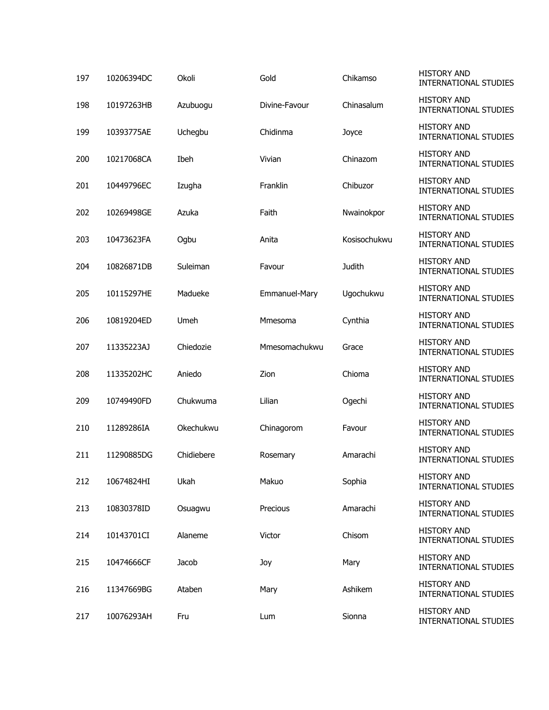| 197 | 10206394DC | Okoli      | Gold          | Chikamso     | <b>HISTORY AND</b><br><b>INTERNATIONAL STUDIES</b> |
|-----|------------|------------|---------------|--------------|----------------------------------------------------|
| 198 | 10197263HB | Azubuogu   | Divine-Favour | Chinasalum   | <b>HISTORY AND</b><br><b>INTERNATIONAL STUDIES</b> |
| 199 | 10393775AE | Uchegbu    | Chidinma      | Joyce        | <b>HISTORY AND</b><br><b>INTERNATIONAL STUDIES</b> |
| 200 | 10217068CA | Ibeh       | Vivian        | Chinazom     | <b>HISTORY AND</b><br><b>INTERNATIONAL STUDIES</b> |
| 201 | 10449796EC | Izugha     | Franklin      | Chibuzor     | <b>HISTORY AND</b><br><b>INTERNATIONAL STUDIES</b> |
| 202 | 10269498GE | Azuka      | Faith         | Nwainokpor   | <b>HISTORY AND</b><br><b>INTERNATIONAL STUDIES</b> |
| 203 | 10473623FA | Ogbu       | Anita         | Kosisochukwu | <b>HISTORY AND</b><br><b>INTERNATIONAL STUDIES</b> |
| 204 | 10826871DB | Suleiman   | Favour        | Judith       | <b>HISTORY AND</b><br><b>INTERNATIONAL STUDIES</b> |
| 205 | 10115297HE | Madueke    | Emmanuel-Mary | Ugochukwu    | <b>HISTORY AND</b><br><b>INTERNATIONAL STUDIES</b> |
| 206 | 10819204ED | Umeh       | Mmesoma       | Cynthia      | <b>HISTORY AND</b><br><b>INTERNATIONAL STUDIES</b> |
| 207 | 11335223AJ | Chiedozie  | Mmesomachukwu | Grace        | <b>HISTORY AND</b><br><b>INTERNATIONAL STUDIES</b> |
| 208 | 11335202HC | Aniedo     | Zion          | Chioma       | <b>HISTORY AND</b><br><b>INTERNATIONAL STUDIES</b> |
| 209 | 10749490FD | Chukwuma   | Lilian        | Ogechi       | <b>HISTORY AND</b><br><b>INTERNATIONAL STUDIES</b> |
| 210 | 11289286IA | Okechukwu  | Chinagorom    | Favour       | <b>HISTORY AND</b><br><b>INTERNATIONAL STUDIES</b> |
| 211 | 11290885DG | Chidiebere | Rosemary      | Amarachi     | <b>HISTORY AND</b><br><b>INTERNATIONAL STUDIES</b> |
| 212 | 10674824HI | Ukah       | Makuo         | Sophia       | <b>HISTORY AND</b><br><b>INTERNATIONAL STUDIES</b> |
| 213 | 10830378ID | Osuagwu    | Precious      | Amarachi     | <b>HISTORY AND</b><br><b>INTERNATIONAL STUDIES</b> |
| 214 | 10143701CI | Alaneme    | Victor        | Chisom       | <b>HISTORY AND</b><br>INTERNATIONAL STUDIES        |
| 215 | 10474666CF | Jacob      | Joy           | Mary         | <b>HISTORY AND</b><br><b>INTERNATIONAL STUDIES</b> |
| 216 | 11347669BG | Ataben     | Mary          | Ashikem      | <b>HISTORY AND</b><br>INTERNATIONAL STUDIES        |
| 217 | 10076293AH | Fru        | Lum           | Sionna       | <b>HISTORY AND</b><br>INTERNATIONAL STUDIES        |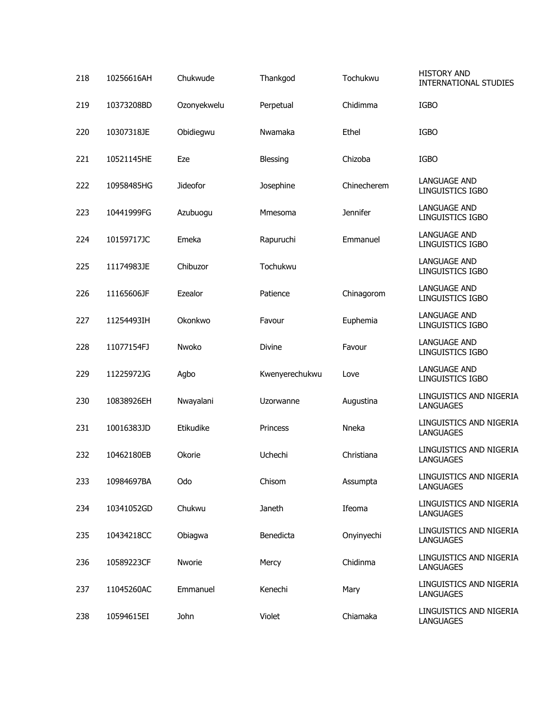| 218 | 10256616AH | Chukwude        | Thankgod        | Tochukwu        | <b>HISTORY AND</b><br><b>INTERNATIONAL STUDIES</b> |
|-----|------------|-----------------|-----------------|-----------------|----------------------------------------------------|
| 219 | 10373208BD | Ozonyekwelu     | Perpetual       | Chidimma        | <b>IGBO</b>                                        |
| 220 | 10307318JE | Obidiegwu       | Nwamaka         | Ethel           | <b>IGBO</b>                                        |
| 221 | 10521145HE | Eze             | <b>Blessing</b> | Chizoba         | <b>IGBO</b>                                        |
| 222 | 10958485HG | <b>Jideofor</b> | Josephine       | Chinecherem     | <b>LANGUAGE AND</b><br>LINGUISTICS IGBO            |
| 223 | 10441999FG | Azubuogu        | Mmesoma         | <b>Jennifer</b> | <b>LANGUAGE AND</b><br>LINGUISTICS IGBO            |
| 224 | 10159717JC | Emeka           | Rapuruchi       | Emmanuel        | <b>LANGUAGE AND</b><br>LINGUISTICS IGBO            |
| 225 | 11174983JE | Chibuzor        | Tochukwu        |                 | <b>LANGUAGE AND</b><br>LINGUISTICS IGBO            |
| 226 | 11165606JF | Ezealor         | Patience        | Chinagorom      | <b>LANGUAGE AND</b><br>LINGUISTICS IGBO            |
| 227 | 11254493IH | Okonkwo         | Favour          | Euphemia        | <b>LANGUAGE AND</b><br>LINGUISTICS IGBO            |
| 228 | 11077154FJ | Nwoko           | Divine          | Favour          | <b>LANGUAGE AND</b><br>LINGUISTICS IGBO            |
| 229 | 11225972JG | Agbo            | Kwenyerechukwu  | Love            | <b>LANGUAGE AND</b><br>LINGUISTICS IGBO            |
| 230 | 10838926EH | Nwayalani       | Uzorwanne       | Augustina       | LINGUISTICS AND NIGERIA<br><b>LANGUAGES</b>        |
| 231 | 10016383JD | Etikudike       | Princess        | Nneka           | LINGUISTICS AND NIGERIA<br><b>LANGUAGES</b>        |
| 232 | 10462180EB | Okorie          | Uchechi         | Christiana      | LINGUISTICS AND NIGERIA<br><b>LANGUAGES</b>        |
| 233 | 10984697BA | Odo             | Chisom          | Assumpta        | LINGUISTICS AND NIGERIA<br><b>LANGUAGES</b>        |
| 234 | 10341052GD | Chukwu          | Janeth          | Ifeoma          | LINGUISTICS AND NIGERIA<br><b>LANGUAGES</b>        |
| 235 | 10434218CC | Obiagwa         | Benedicta       | Onyinyechi      | LINGUISTICS AND NIGERIA<br><b>LANGUAGES</b>        |
| 236 | 10589223CF | Nworie          | Mercy           | Chidinma        | LINGUISTICS AND NIGERIA<br><b>LANGUAGES</b>        |
| 237 | 11045260AC | Emmanuel        | Kenechi         | Mary            | LINGUISTICS AND NIGERIA<br><b>LANGUAGES</b>        |
| 238 | 10594615EI | John            | Violet          | Chiamaka        | LINGUISTICS AND NIGERIA<br>LANGUAGES               |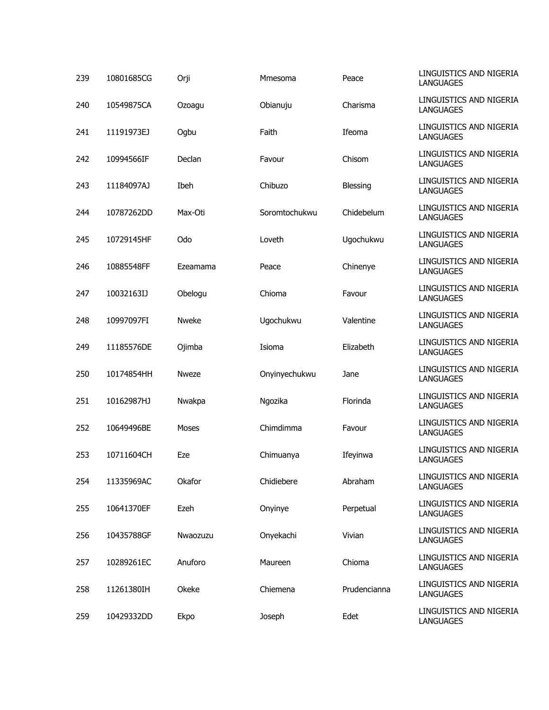| 239 | 10801685CG | Orji         | Mmesoma       | Peace        | LINGUISTICS AND NIGERIA<br><b>LANGUAGES</b> |
|-----|------------|--------------|---------------|--------------|---------------------------------------------|
| 240 | 10549875CA | Ozoagu       | Obianuju      | Charisma     | LINGUISTICS AND NIGERIA<br><b>LANGUAGES</b> |
| 241 | 11191973EJ | Ogbu         | Faith         | Ifeoma       | LINGUISTICS AND NIGERIA<br><b>LANGUAGES</b> |
| 242 | 10994566IF | Declan       | Favour        | Chisom       | LINGUISTICS AND NIGERIA<br><b>LANGUAGES</b> |
| 243 | 11184097AJ | Ibeh         | Chibuzo       | Blessing     | LINGUISTICS AND NIGERIA<br><b>LANGUAGES</b> |
| 244 | 10787262DD | Max-Oti      | Soromtochukwu | Chidebelum   | LINGUISTICS AND NIGERIA<br><b>LANGUAGES</b> |
| 245 | 10729145HF | Odo          | Loveth        | Ugochukwu    | LINGUISTICS AND NIGERIA<br><b>LANGUAGES</b> |
| 246 | 10885548FF | Ezeamama     | Peace         | Chinenye     | LINGUISTICS AND NIGERIA<br><b>LANGUAGES</b> |
| 247 | 10032163IJ | Obelogu      | Chioma        | Favour       | LINGUISTICS AND NIGERIA<br><b>LANGUAGES</b> |
| 248 | 10997097FI | <b>Nweke</b> | Ugochukwu     | Valentine    | LINGUISTICS AND NIGERIA<br><b>LANGUAGES</b> |
| 249 | 11185576DE | Ojimba       | Isioma        | Elizabeth    | LINGUISTICS AND NIGERIA<br><b>LANGUAGES</b> |
| 250 | 10174854HH | <b>Nweze</b> | Onyinyechukwu | Jane         | LINGUISTICS AND NIGERIA<br><b>LANGUAGES</b> |
| 251 | 10162987HJ | Nwakpa       | Ngozika       | Florinda     | LINGUISTICS AND NIGERIA<br><b>LANGUAGES</b> |
| 252 | 10649496BE | <b>Moses</b> | Chimdimma     | Favour       | LINGUISTICS AND NIGERIA<br><b>LANGUAGES</b> |
| 253 | 10711604CH | Eze          | Chimuanya     | Ifeyinwa     | LINGUISTICS AND NIGERIA<br><b>LANGUAGES</b> |
| 254 | 11335969AC | Okafor       | Chidiebere    | Abraham      | LINGUISTICS AND NIGERIA<br><b>LANGUAGES</b> |
| 255 | 10641370EF | Ezeh         | Onyinye       | Perpetual    | LINGUISTICS AND NIGERIA<br><b>LANGUAGES</b> |
| 256 | 10435788GF | Nwaozuzu     | Onyekachi     | Vivian       | LINGUISTICS AND NIGERIA<br><b>LANGUAGES</b> |
| 257 | 10289261EC | Anuforo      | Maureen       | Chioma       | LINGUISTICS AND NIGERIA<br><b>LANGUAGES</b> |
| 258 | 11261380IH | Okeke        | Chiemena      | Prudencianna | LINGUISTICS AND NIGERIA<br><b>LANGUAGES</b> |
| 259 | 10429332DD | Ekpo         | Joseph        | Edet         | LINGUISTICS AND NIGERIA<br><b>LANGUAGES</b> |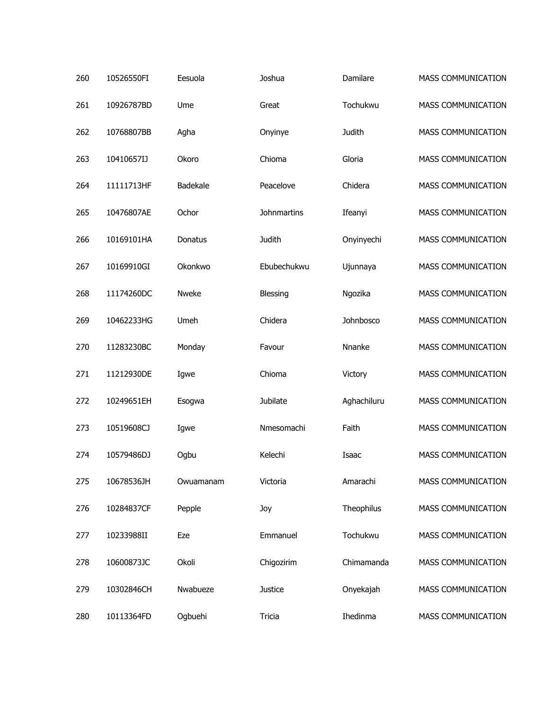| 260 | 10526550FI | Eesuola         | Joshua             | Damilare      | <b>MASS COMMUNICATION</b> |
|-----|------------|-----------------|--------------------|---------------|---------------------------|
| 261 | 10926787BD | Ume             | Great              | Tochukwu      | MASS COMMUNICATION        |
| 262 | 10768807BB | Agha            | Onyinye            | <b>Judith</b> | MASS COMMUNICATION        |
| 263 | 10410657IJ | Okoro           | Chioma             | Gloria        | MASS COMMUNICATION        |
| 264 | 11111713HF | <b>Badekale</b> | Peacelove          | Chidera       | MASS COMMUNICATION        |
| 265 | 10476807AE | Ochor           | <b>Johnmartins</b> | Ifeanyi       | MASS COMMUNICATION        |
| 266 | 10169101HA | Donatus         | Judith             | Onyinyechi    | MASS COMMUNICATION        |
| 267 | 10169910GI | Okonkwo         | Ebubechukwu        | Ujunnaya      | MASS COMMUNICATION        |
| 268 | 11174260DC | Nweke           | Blessing           | Ngozika       | MASS COMMUNICATION        |
| 269 | 10462233HG | Umeh            | Chidera            | Johnbosco     | MASS COMMUNICATION        |
| 270 | 11283230BC | Monday          | Favour             | Nnanke        | MASS COMMUNICATION        |
| 271 | 11212930DE | Igwe            | Chioma             | Victory       | MASS COMMUNICATION        |
| 272 | 10249651EH | Esogwa          | Jubilate           | Aghachiluru   | MASS COMMUNICATION        |
| 273 | 10519608CJ | Igwe            | Nmesomachi         | Faith         | MASS COMMUNICATION        |
| 274 | 10579486DJ | Ogbu            | Kelechi            | Isaac         | MASS COMMUNICATION        |
| 275 | 10678536JH | Owuamanam       | Victoria           | Amarachi      | MASS COMMUNICATION        |
| 276 | 10284837CF | Pepple          | Joy                | Theophilus    | MASS COMMUNICATION        |
| 277 | 10233988II | Eze             | Emmanuel           | Tochukwu      | <b>MASS COMMUNICATION</b> |
| 278 | 10600873JC | Okoli           | Chigozirim         | Chimamanda    | MASS COMMUNICATION        |
| 279 | 10302846CH | Nwabueze        | <b>Justice</b>     | Onyekajah     | MASS COMMUNICATION        |
| 280 | 10113364FD | Ogbuehi         | Tricia             | Ihedinma      | MASS COMMUNICATION        |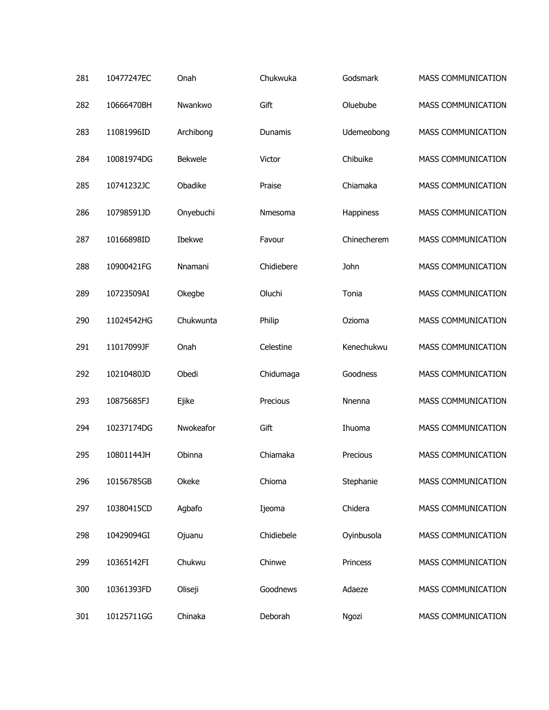| 281 | 10477247EC | Onah      | Chukwuka   | Godsmark    | <b>MASS COMMUNICATION</b> |
|-----|------------|-----------|------------|-------------|---------------------------|
| 282 | 10666470BH | Nwankwo   | Gift       | Oluebube    | <b>MASS COMMUNICATION</b> |
| 283 | 11081996ID | Archibong | Dunamis    | Udemeobong  | MASS COMMUNICATION        |
| 284 | 10081974DG | Bekwele   | Victor     | Chibuike    | MASS COMMUNICATION        |
| 285 | 10741232JC | Obadike   | Praise     | Chiamaka    | MASS COMMUNICATION        |
| 286 | 10798591JD | Onyebuchi | Nmesoma    | Happiness   | MASS COMMUNICATION        |
| 287 | 10166898ID | Ibekwe    | Favour     | Chinecherem | MASS COMMUNICATION        |
| 288 | 10900421FG | Nnamani   | Chidiebere | John        | MASS COMMUNICATION        |
| 289 | 10723509AI | Okegbe    | Oluchi     | Tonia       | MASS COMMUNICATION        |
| 290 | 11024542HG | Chukwunta | Philip     | Ozioma      | MASS COMMUNICATION        |
| 291 | 11017099JF | Onah      | Celestine  | Kenechukwu  | MASS COMMUNICATION        |
| 292 | 10210480JD | Obedi     | Chidumaga  | Goodness    | MASS COMMUNICATION        |
| 293 | 10875685FJ | Ejike     | Precious   | Nnenna      | MASS COMMUNICATION        |
| 294 | 10237174DG | Nwokeafor | Gift       | Ihuoma      | MASS COMMUNICATION        |
| 295 | 10801144JH | Obinna    | Chiamaka   | Precious    | <b>MASS COMMUNICATION</b> |
| 296 | 10156785GB | Okeke     | Chioma     | Stephanie   | <b>MASS COMMUNICATION</b> |
| 297 | 10380415CD | Agbafo    | Ijeoma     | Chidera     | MASS COMMUNICATION        |
| 298 | 10429094GI | Ojuanu    | Chidiebele | Oyinbusola  | MASS COMMUNICATION        |
| 299 | 10365142FI | Chukwu    | Chinwe     | Princess    | MASS COMMUNICATION        |
| 300 | 10361393FD | Oliseji   | Goodnews   | Adaeze      | <b>MASS COMMUNICATION</b> |
| 301 | 10125711GG | Chinaka   | Deborah    | Ngozi       | MASS COMMUNICATION        |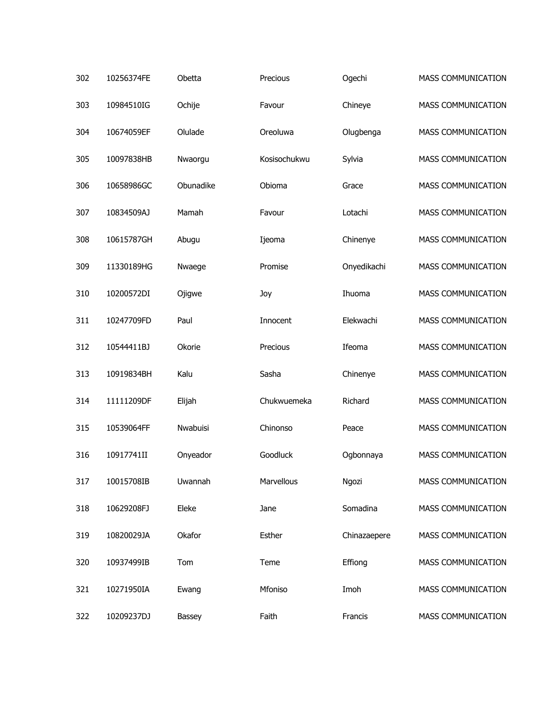| 302 | 10256374FE | Obetta    | Precious     | Ogechi       | <b>MASS COMMUNICATION</b> |
|-----|------------|-----------|--------------|--------------|---------------------------|
| 303 | 10984510IG | Ochije    | Favour       | Chineye      | MASS COMMUNICATION        |
| 304 | 10674059EF | Olulade   | Oreoluwa     | Olugbenga    | MASS COMMUNICATION        |
| 305 | 10097838HB | Nwaorgu   | Kosisochukwu | Sylvia       | MASS COMMUNICATION        |
| 306 | 10658986GC | Obunadike | Obioma       | Grace        | MASS COMMUNICATION        |
| 307 | 10834509AJ | Mamah     | Favour       | Lotachi      | MASS COMMUNICATION        |
| 308 | 10615787GH | Abugu     | Ijeoma       | Chinenye     | MASS COMMUNICATION        |
| 309 | 11330189HG | Nwaege    | Promise      | Onyedikachi  | MASS COMMUNICATION        |
| 310 | 10200572DI | Ojigwe    | Joy          | Ihuoma       | MASS COMMUNICATION        |
| 311 | 10247709FD | Paul      | Innocent     | Elekwachi    | MASS COMMUNICATION        |
| 312 | 10544411BJ | Okorie    | Precious     | Ifeoma       | MASS COMMUNICATION        |
| 313 | 10919834BH | Kalu      | Sasha        | Chinenye     | MASS COMMUNICATION        |
| 314 | 11111209DF | Elijah    | Chukwuemeka  | Richard      | MASS COMMUNICATION        |
| 315 | 10539064FF | Nwabuisi  | Chinonso     | Peace        | MASS COMMUNICATION        |
| 316 | 10917741II | Onyeador  | Goodluck     | Ogbonnaya    | <b>MASS COMMUNICATION</b> |
| 317 | 10015708IB | Uwannah   | Marvellous   | Ngozi        | MASS COMMUNICATION        |
| 318 | 10629208FJ | Eleke     | Jane         | Somadina     | MASS COMMUNICATION        |
| 319 | 10820029JA | Okafor    | Esther       | Chinazaepere | <b>MASS COMMUNICATION</b> |
| 320 | 10937499IB | Tom       | Teme         | Effiong      | MASS COMMUNICATION        |
| 321 | 10271950IA | Ewang     | Mfoniso      | Imoh         | MASS COMMUNICATION        |
| 322 | 10209237DJ | Bassey    | Faith        | Francis      | MASS COMMUNICATION        |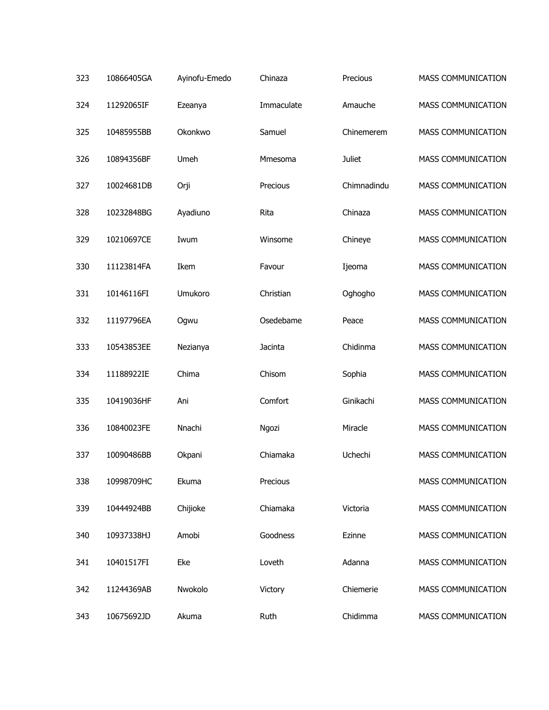| 323 | 10866405GA | Ayinofu-Emedo | Chinaza    | Precious      | <b>MASS COMMUNICATION</b> |
|-----|------------|---------------|------------|---------------|---------------------------|
| 324 | 11292065IF | Ezeanya       | Immaculate | Amauche       | <b>MASS COMMUNICATION</b> |
| 325 | 10485955BB | Okonkwo       | Samuel     | Chinemerem    | MASS COMMUNICATION        |
| 326 | 10894356BF | Umeh          | Mmesoma    | <b>Juliet</b> | MASS COMMUNICATION        |
| 327 | 10024681DB | Orji          | Precious   | Chimnadindu   | MASS COMMUNICATION        |
| 328 | 10232848BG | Ayadiuno      | Rita       | Chinaza       | MASS COMMUNICATION        |
| 329 | 10210697CE | Iwum          | Winsome    | Chineye       | MASS COMMUNICATION        |
| 330 | 11123814FA | Ikem          | Favour     | Ijeoma        | MASS COMMUNICATION        |
| 331 | 10146116FI | Umukoro       | Christian  | Oghogho       | MASS COMMUNICATION        |
| 332 | 11197796EA | Ogwu          | Osedebame  | Peace         | MASS COMMUNICATION        |
| 333 | 10543853EE | Nezianya      | Jacinta    | Chidinma      | MASS COMMUNICATION        |
| 334 | 11188922IE | Chima         | Chisom     | Sophia        | MASS COMMUNICATION        |
| 335 | 10419036HF | Ani           | Comfort    | Ginikachi     | MASS COMMUNICATION        |
| 336 | 10840023FE | Nnachi        | Ngozi      | Miracle       | MASS COMMUNICATION        |
| 337 | 10090486BB | Okpani        | Chiamaka   | Uchechi       | <b>MASS COMMUNICATION</b> |
| 338 | 10998709HC | Ekuma         | Precious   |               | <b>MASS COMMUNICATION</b> |
| 339 | 10444924BB | Chijioke      | Chiamaka   | Victoria      | MASS COMMUNICATION        |
| 340 | 10937338HJ | Amobi         | Goodness   | Ezinne        | MASS COMMUNICATION        |
| 341 | 10401517FI | Eke           | Loveth     | Adanna        | MASS COMMUNICATION        |
| 342 | 11244369AB | Nwokolo       | Victory    | Chiemerie     | <b>MASS COMMUNICATION</b> |
| 343 | 10675692JD | Akuma         | Ruth       | Chidimma      | MASS COMMUNICATION        |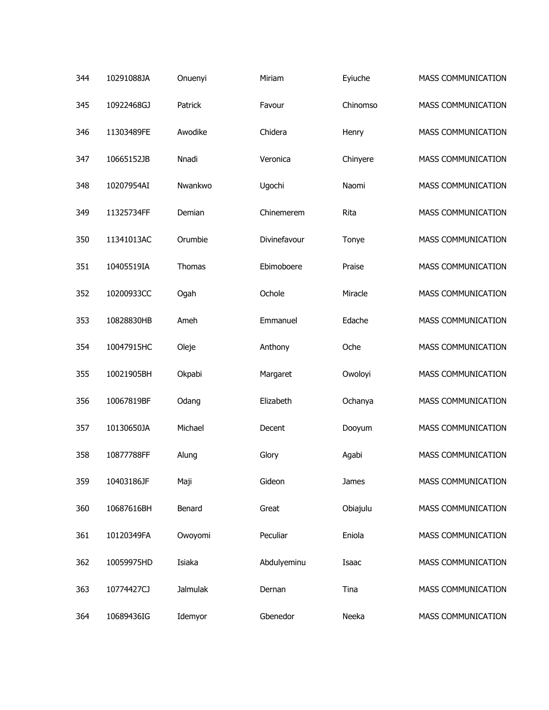| 344 | 10291088JA | Onuenyi  | Miriam       | Eyiuche  | <b>MASS COMMUNICATION</b> |
|-----|------------|----------|--------------|----------|---------------------------|
| 345 | 10922468GJ | Patrick  | Favour       | Chinomso | MASS COMMUNICATION        |
| 346 | 11303489FE | Awodike  | Chidera      | Henry    | MASS COMMUNICATION        |
| 347 | 10665152JB | Nnadi    | Veronica     | Chinyere | MASS COMMUNICATION        |
| 348 | 10207954AI | Nwankwo  | Ugochi       | Naomi    | MASS COMMUNICATION        |
| 349 | 11325734FF | Demian   | Chinemerem   | Rita     | MASS COMMUNICATION        |
| 350 | 11341013AC | Orumbie  | Divinefavour | Tonye    | MASS COMMUNICATION        |
| 351 | 10405519IA | Thomas   | Ebimoboere   | Praise   | MASS COMMUNICATION        |
| 352 | 10200933CC | Ogah     | Ochole       | Miracle  | MASS COMMUNICATION        |
| 353 | 10828830HB | Ameh     | Emmanuel     | Edache   | MASS COMMUNICATION        |
| 354 | 10047915HC | Oleje    | Anthony      | Oche     | MASS COMMUNICATION        |
| 355 | 10021905BH | Okpabi   | Margaret     | Owoloyi  | MASS COMMUNICATION        |
| 356 | 10067819BF | Odang    | Elizabeth    | Ochanya  | MASS COMMUNICATION        |
| 357 | 10130650JA | Michael  | Decent       | Dooyum   | MASS COMMUNICATION        |
| 358 | 10877788FF | Alung    | Glory        | Agabi    | MASS COMMUNICATION        |
| 359 | 10403186JF | Maji     | Gideon       | James    | MASS COMMUNICATION        |
| 360 | 10687616BH | Benard   | Great        | Obiajulu | MASS COMMUNICATION        |
| 361 | 10120349FA | Owoyomi  | Peculiar     | Eniola   | MASS COMMUNICATION        |
| 362 | 10059975HD | Isiaka   | Abdulyeminu  | Isaac    | MASS COMMUNICATION        |
| 363 | 10774427CJ | Jalmulak | Dernan       | Tina     | MASS COMMUNICATION        |
| 364 | 10689436IG | Idemyor  | Gbenedor     | Neeka    | MASS COMMUNICATION        |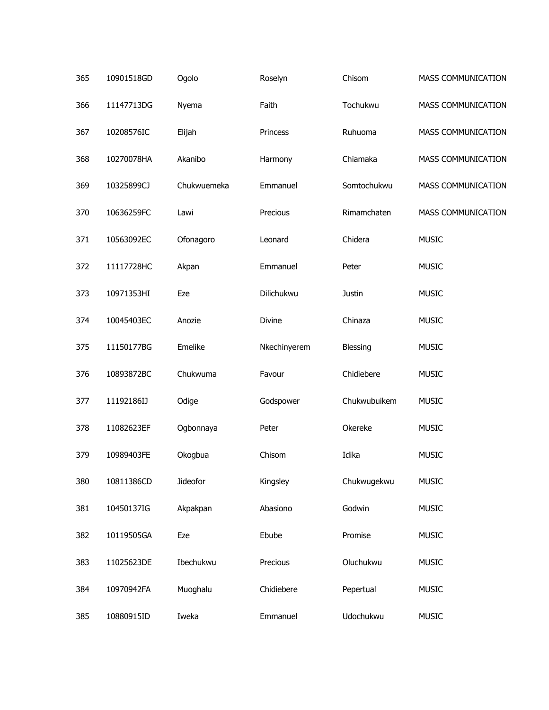| 365 | 10901518GD | Ogolo       | Roselyn      | Chisom       | MASS COMMUNICATION |
|-----|------------|-------------|--------------|--------------|--------------------|
| 366 | 11147713DG | Nyema       | Faith        | Tochukwu     | MASS COMMUNICATION |
| 367 | 10208576IC | Elijah      | Princess     | Ruhuoma      | MASS COMMUNICATION |
| 368 | 10270078HA | Akanibo     | Harmony      | Chiamaka     | MASS COMMUNICATION |
| 369 | 10325899CJ | Chukwuemeka | Emmanuel     | Somtochukwu  | MASS COMMUNICATION |
| 370 | 10636259FC | Lawi        | Precious     | Rimamchaten  | MASS COMMUNICATION |
| 371 | 10563092EC | Ofonagoro   | Leonard      | Chidera      | <b>MUSIC</b>       |
| 372 | 11117728HC | Akpan       | Emmanuel     | Peter        | <b>MUSIC</b>       |
| 373 | 10971353HI | Eze         | Dilichukwu   | Justin       | <b>MUSIC</b>       |
| 374 | 10045403EC | Anozie      | Divine       | Chinaza      | <b>MUSIC</b>       |
| 375 | 11150177BG | Emelike     | Nkechinyerem | Blessing     | <b>MUSIC</b>       |
| 376 | 10893872BC | Chukwuma    | Favour       | Chidiebere   | <b>MUSIC</b>       |
| 377 | 11192186IJ | Odige       | Godspower    | Chukwubuikem | <b>MUSIC</b>       |
| 378 | 11082623EF | Ogbonnaya   | Peter        | Okereke      | <b>MUSIC</b>       |
| 379 | 10989403FE | Okogbua     | Chisom       | Idika        | <b>MUSIC</b>       |
| 380 | 10811386CD | Jideofor    | Kingsley     | Chukwugekwu  | <b>MUSIC</b>       |
| 381 | 10450137IG | Akpakpan    | Abasiono     | Godwin       | <b>MUSIC</b>       |
| 382 | 10119505GA | Eze         | Ebube        | Promise      | <b>MUSIC</b>       |
| 383 | 11025623DE | Ibechukwu   | Precious     | Oluchukwu    | <b>MUSIC</b>       |
| 384 | 10970942FA | Muoghalu    | Chidiebere   | Pepertual    | <b>MUSIC</b>       |
| 385 | 10880915ID | Iweka       | Emmanuel     | Udochukwu    | <b>MUSIC</b>       |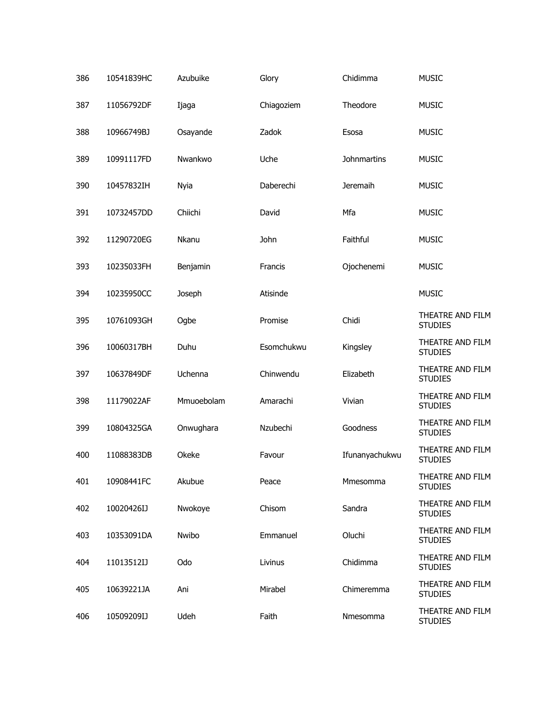| 386 | 10541839HC | Azubuike   | Glory      | Chidimma           | <b>MUSIC</b>                       |
|-----|------------|------------|------------|--------------------|------------------------------------|
| 387 | 11056792DF | Ijaga      | Chiagoziem | Theodore           | <b>MUSIC</b>                       |
| 388 | 10966749BJ | Osayande   | Zadok      | Esosa              | <b>MUSIC</b>                       |
| 389 | 10991117FD | Nwankwo    | Uche       | <b>Johnmartins</b> | <b>MUSIC</b>                       |
| 390 | 10457832IH | Nyia       | Daberechi  | Jeremaih           | <b>MUSIC</b>                       |
| 391 | 10732457DD | Chiichi    | David      | Mfa                | <b>MUSIC</b>                       |
| 392 | 11290720EG | Nkanu      | John       | Faithful           | <b>MUSIC</b>                       |
| 393 | 10235033FH | Benjamin   | Francis    | Ojochenemi         | <b>MUSIC</b>                       |
| 394 | 10235950CC | Joseph     | Atisinde   |                    | <b>MUSIC</b>                       |
| 395 | 10761093GH | Ogbe       | Promise    | Chidi              | THEATRE AND FILM<br><b>STUDIES</b> |
| 396 | 10060317BH | Duhu       | Esomchukwu | Kingsley           | THEATRE AND FILM<br><b>STUDIES</b> |
| 397 | 10637849DF | Uchenna    | Chinwendu  | Elizabeth          | THEATRE AND FILM<br><b>STUDIES</b> |
| 398 | 11179022AF | Mmuoebolam | Amarachi   | Vivian             | THEATRE AND FILM<br><b>STUDIES</b> |
| 399 | 10804325GA | Onwughara  | Nzubechi   | Goodness           | THEATRE AND FILM<br><b>STUDIES</b> |
| 400 | 11088383DB | Okeke      | Favour     | Ifunanyachukwu     | THEATRE AND FILM<br><b>STUDIES</b> |
| 401 | 10908441FC | Akubue     | Peace      | Mmesomma           | THEATRE AND FILM<br><b>STUDIES</b> |
| 402 | 10020426IJ | Nwokoye    | Chisom     | Sandra             | THEATRE AND FILM<br><b>STUDIES</b> |
| 403 | 10353091DA | Nwibo      | Emmanuel   | Oluchi             | THEATRE AND FILM<br><b>STUDIES</b> |
| 404 | 11013512IJ | Odo        | Livinus    | Chidimma           | THEATRE AND FILM<br><b>STUDIES</b> |
| 405 | 10639221JA | Ani        | Mirabel    | Chimeremma         | THEATRE AND FILM<br><b>STUDIES</b> |
| 406 | 10509209IJ | Udeh       | Faith      | Nmesomma           | THEATRE AND FILM<br><b>STUDIES</b> |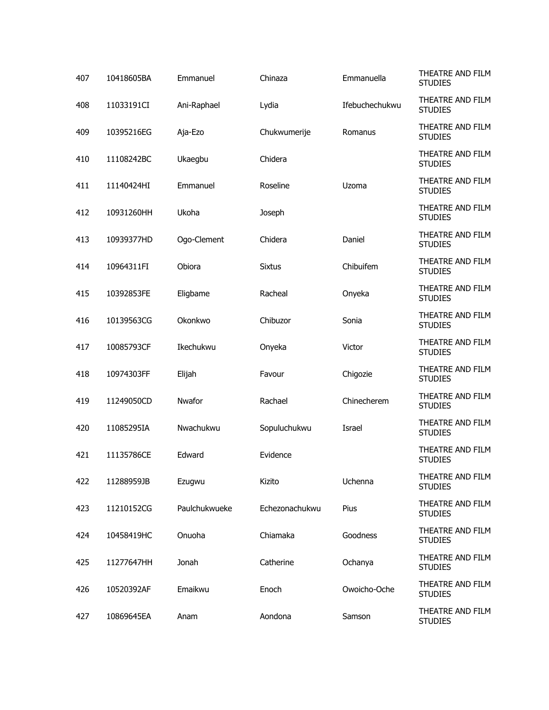| 407 | 10418605BA | Emmanuel      | Chinaza        | Emmanuella     | THEATRE AND FILM<br><b>STUDIES</b> |
|-----|------------|---------------|----------------|----------------|------------------------------------|
| 408 | 11033191CI | Ani-Raphael   | Lydia          | Ifebuchechukwu | THEATRE AND FILM<br><b>STUDIES</b> |
| 409 | 10395216EG | Aja-Ezo       | Chukwumerije   | Romanus        | THEATRE AND FILM<br><b>STUDIES</b> |
| 410 | 11108242BC | Ukaegbu       | Chidera        |                | THEATRE AND FILM<br><b>STUDIES</b> |
| 411 | 11140424HI | Emmanuel      | Roseline       | Uzoma          | THEATRE AND FILM<br><b>STUDIES</b> |
| 412 | 10931260HH | Ukoha         | Joseph         |                | THEATRE AND FILM<br><b>STUDIES</b> |
| 413 | 10939377HD | Ogo-Clement   | Chidera        | Daniel         | THEATRE AND FILM<br><b>STUDIES</b> |
| 414 | 10964311FI | Obiora        | <b>Sixtus</b>  | Chibuifem      | THEATRE AND FILM<br><b>STUDIES</b> |
| 415 | 10392853FE | Eligbame      | Racheal        | Onyeka         | THEATRE AND FILM<br><b>STUDIES</b> |
| 416 | 10139563CG | Okonkwo       | Chibuzor       | Sonia          | THEATRE AND FILM<br><b>STUDIES</b> |
| 417 | 10085793CF | Ikechukwu     | Onyeka         | Victor         | THEATRE AND FILM<br><b>STUDIES</b> |
| 418 | 10974303FF | Elijah        | Favour         | Chigozie       | THEATRE AND FILM<br><b>STUDIES</b> |
| 419 | 11249050CD | Nwafor        | Rachael        | Chinecherem    | THEATRE AND FILM<br><b>STUDIES</b> |
| 420 | 11085295IA | Nwachukwu     | Sopuluchukwu   | Israel         | THEATRE AND FILM<br><b>STUDIES</b> |
| 421 | 11135786CE | Edward        | Evidence       |                | THEATRE AND FILM<br><b>STUDIES</b> |
| 422 | 11288959JB | Ezugwu        | Kizito         | Uchenna        | THEATRE AND FILM<br><b>STUDIES</b> |
| 423 | 11210152CG | Paulchukwueke | Echezonachukwu | Pius           | THEATRE AND FILM<br><b>STUDIES</b> |
| 424 | 10458419HC | Onuoha        | Chiamaka       | Goodness       | THEATRE AND FILM<br><b>STUDIES</b> |
| 425 | 11277647HH | Jonah         | Catherine      | Ochanya        | THEATRE AND FILM<br><b>STUDIES</b> |
| 426 | 10520392AF | Emaikwu       | Enoch          | Owoicho-Oche   | THEATRE AND FILM<br><b>STUDIES</b> |
| 427 | 10869645EA | Anam          | Aondona        | Samson         | THEATRE AND FILM<br><b>STUDIES</b> |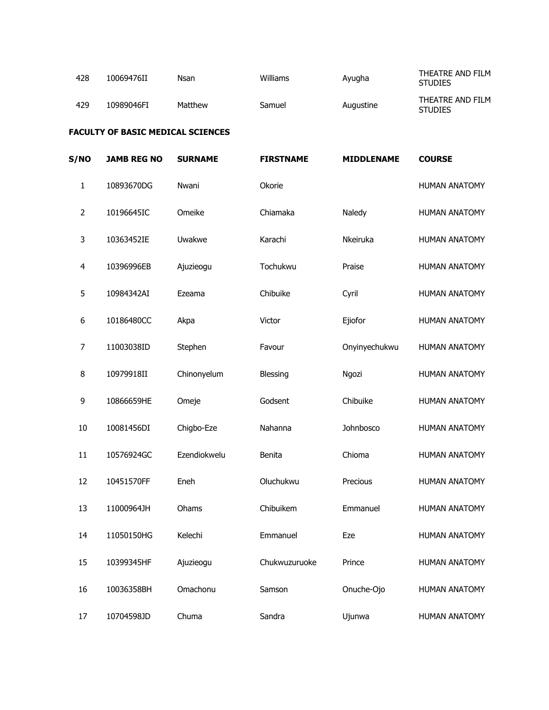| 428 | 10069476II | Nsan    | Williams | Ayugha    | THEATRE AND FILM<br><b>STUDIES</b> |
|-----|------------|---------|----------|-----------|------------------------------------|
| 429 | 10989046FI | Matthew | Samuel   | Augustine | THEATRE AND FILM<br><b>STUDIES</b> |

#### **FACULTY OF BASIC MEDICAL SCIENCES**

| <b>S/NO</b>             | <b>JAMB REG NO</b> | <b>SURNAME</b> | <b>FIRSTNAME</b> | <b>MIDDLENAME</b> | <b>COURSE</b>        |
|-------------------------|--------------------|----------------|------------------|-------------------|----------------------|
| $\mathbf{1}$            | 10893670DG         | Nwani          | Okorie           |                   | <b>HUMAN ANATOMY</b> |
| $\overline{2}$          | 10196645IC         | Omeike         | Chiamaka         | Naledy            | <b>HUMAN ANATOMY</b> |
| 3                       | 10363452IE         | Uwakwe         | Karachi          | Nkeiruka          | <b>HUMAN ANATOMY</b> |
| $\overline{\mathbf{4}}$ | 10396996EB         | Ajuzieogu      | Tochukwu         | Praise            | <b>HUMAN ANATOMY</b> |
| 5                       | 10984342AI         | Ezeama         | Chibuike         | Cyril             | <b>HUMAN ANATOMY</b> |
| 6                       | 10186480CC         | Akpa           | Victor           | Ejiofor           | <b>HUMAN ANATOMY</b> |
| $\overline{7}$          | 11003038ID         | Stephen        | Favour           | Onyinyechukwu     | <b>HUMAN ANATOMY</b> |
| 8                       | 10979918II         | Chinonyelum    | Blessing         | Ngozi             | <b>HUMAN ANATOMY</b> |
| 9                       | 10866659HE         | Omeje          | Godsent          | Chibuike          | <b>HUMAN ANATOMY</b> |
| 10                      | 10081456DI         | Chigbo-Eze     | Nahanna          | Johnbosco         | <b>HUMAN ANATOMY</b> |
| 11                      | 10576924GC         | Ezendiokwelu   | Benita           | Chioma            | <b>HUMAN ANATOMY</b> |
| 12                      | 10451570FF         | Eneh           | Oluchukwu        | Precious          | <b>HUMAN ANATOMY</b> |
| 13                      | 11000964JH         | Ohams          | Chibuikem        | Emmanuel          | <b>HUMAN ANATOMY</b> |
| 14                      | 11050150HG         | Kelechi        | Emmanuel         | Eze               | <b>HUMAN ANATOMY</b> |
| 15                      | 10399345HF         | Ajuzieogu      | Chukwuzuruoke    | Prince            | <b>HUMAN ANATOMY</b> |
| 16                      | 10036358BH         | Omachonu       | Samson           | Onuche-Ojo        | <b>HUMAN ANATOMY</b> |
| 17                      | 10704598JD         | Chuma          | Sandra           | Ujunwa            | <b>HUMAN ANATOMY</b> |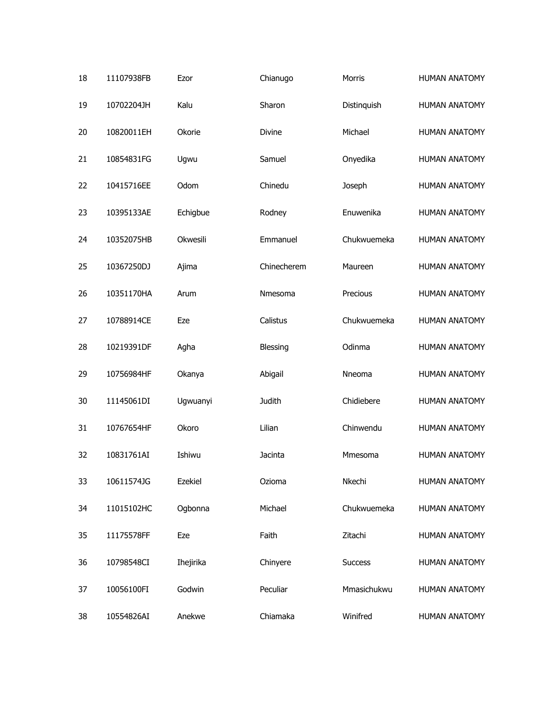| 18 | 11107938FB | Ezor      | Chianugo    | <b>Morris</b>  | <b>HUMAN ANATOMY</b> |
|----|------------|-----------|-------------|----------------|----------------------|
| 19 | 10702204JH | Kalu      | Sharon      | Distinguish    | <b>HUMAN ANATOMY</b> |
| 20 | 10820011EH | Okorie    | Divine      | Michael        | <b>HUMAN ANATOMY</b> |
| 21 | 10854831FG | Ugwu      | Samuel      | Onyedika       | <b>HUMAN ANATOMY</b> |
| 22 | 10415716EE | Odom      | Chinedu     | Joseph         | <b>HUMAN ANATOMY</b> |
| 23 | 10395133AE | Echigbue  | Rodney      | Enuwenika      | <b>HUMAN ANATOMY</b> |
| 24 | 10352075HB | Okwesili  | Emmanuel    | Chukwuemeka    | <b>HUMAN ANATOMY</b> |
| 25 | 10367250DJ | Ajima     | Chinecherem | Maureen        | <b>HUMAN ANATOMY</b> |
| 26 | 10351170HA | Arum      | Nmesoma     | Precious       | <b>HUMAN ANATOMY</b> |
| 27 | 10788914CE | Eze       | Calistus    | Chukwuemeka    | <b>HUMAN ANATOMY</b> |
| 28 | 10219391DF | Agha      | Blessing    | Odinma         | <b>HUMAN ANATOMY</b> |
| 29 | 10756984HF | Okanya    | Abigail     | Nneoma         | <b>HUMAN ANATOMY</b> |
| 30 | 11145061DI | Ugwuanyi  | Judith      | Chidiebere     | <b>HUMAN ANATOMY</b> |
| 31 | 10767654HF | Okoro     | Lilian      | Chinwendu      | <b>HUMAN ANATOMY</b> |
| 32 | 10831761AI | Ishiwu    | Jacinta     | Mmesoma        | <b>HUMAN ANATOMY</b> |
| 33 | 10611574JG | Ezekiel   | Ozioma      | Nkechi         | <b>HUMAN ANATOMY</b> |
| 34 | 11015102HC | Ogbonna   | Michael     | Chukwuemeka    | <b>HUMAN ANATOMY</b> |
| 35 | 11175578FF | Eze       | Faith       | Zitachi        | <b>HUMAN ANATOMY</b> |
| 36 | 10798548CI | Ihejirika | Chinyere    | <b>Success</b> | <b>HUMAN ANATOMY</b> |
| 37 | 10056100FI | Godwin    | Peculiar    | Mmasichukwu    | <b>HUMAN ANATOMY</b> |
| 38 | 10554826AI | Anekwe    | Chiamaka    | Winifred       | <b>HUMAN ANATOMY</b> |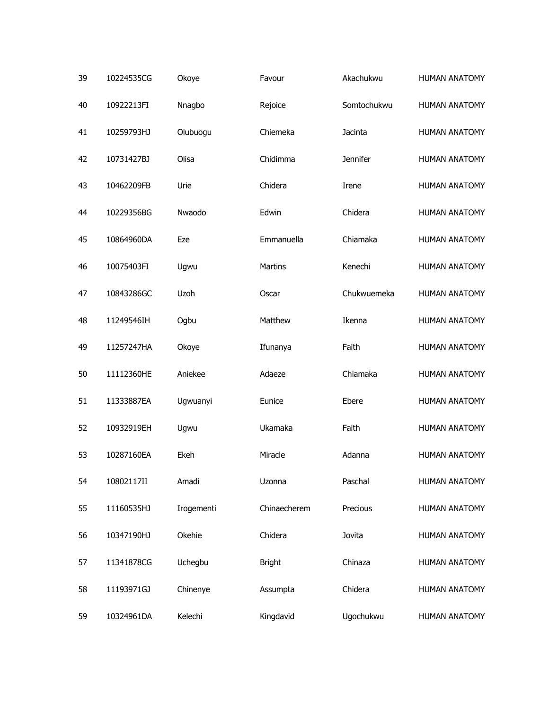| 39 | 10224535CG | Okoye       | Favour        | Akachukwu   | <b>HUMAN ANATOMY</b> |
|----|------------|-------------|---------------|-------------|----------------------|
| 40 | 10922213FI | Nnagbo      | Rejoice       | Somtochukwu | <b>HUMAN ANATOMY</b> |
| 41 | 10259793HJ | Olubuogu    | Chiemeka      | Jacinta     | <b>HUMAN ANATOMY</b> |
| 42 | 10731427BJ | Olisa       | Chidimma      | Jennifer    | <b>HUMAN ANATOMY</b> |
| 43 | 10462209FB | Urie        | Chidera       | Irene       | <b>HUMAN ANATOMY</b> |
| 44 | 10229356BG | Nwaodo      | Edwin         | Chidera     | <b>HUMAN ANATOMY</b> |
| 45 | 10864960DA | Eze         | Emmanuella    | Chiamaka    | <b>HUMAN ANATOMY</b> |
| 46 | 10075403FI | Ugwu        | Martins       | Kenechi     | <b>HUMAN ANATOMY</b> |
| 47 | 10843286GC | <b>Uzoh</b> | Oscar         | Chukwuemeka | <b>HUMAN ANATOMY</b> |
| 48 | 11249546IH | Ogbu        | Matthew       | Ikenna      | <b>HUMAN ANATOMY</b> |
| 49 | 11257247HA | Okoye       | Ifunanya      | Faith       | <b>HUMAN ANATOMY</b> |
| 50 | 11112360HE | Aniekee     | Adaeze        | Chiamaka    | <b>HUMAN ANATOMY</b> |
| 51 | 11333887EA | Ugwuanyi    | Eunice        | Ebere       | <b>HUMAN ANATOMY</b> |
| 52 | 10932919EH | Ugwu        | Ukamaka       | Faith       | <b>HUMAN ANATOMY</b> |
| 53 | 10287160EA | Ekeh        | Miracle       | Adanna      | <b>HUMAN ANATOMY</b> |
| 54 | 10802117II | Amadi       | Uzonna        | Paschal     | <b>HUMAN ANATOMY</b> |
| 55 | 11160535HJ | Irogementi  | Chinaecherem  | Precious    | <b>HUMAN ANATOMY</b> |
| 56 | 10347190HJ | Okehie      | Chidera       | Jovita      | <b>HUMAN ANATOMY</b> |
| 57 | 11341878CG | Uchegbu     | <b>Bright</b> | Chinaza     | <b>HUMAN ANATOMY</b> |
| 58 | 11193971GJ | Chinenye    | Assumpta      | Chidera     | <b>HUMAN ANATOMY</b> |
| 59 | 10324961DA | Kelechi     | Kingdavid     | Ugochukwu   | <b>HUMAN ANATOMY</b> |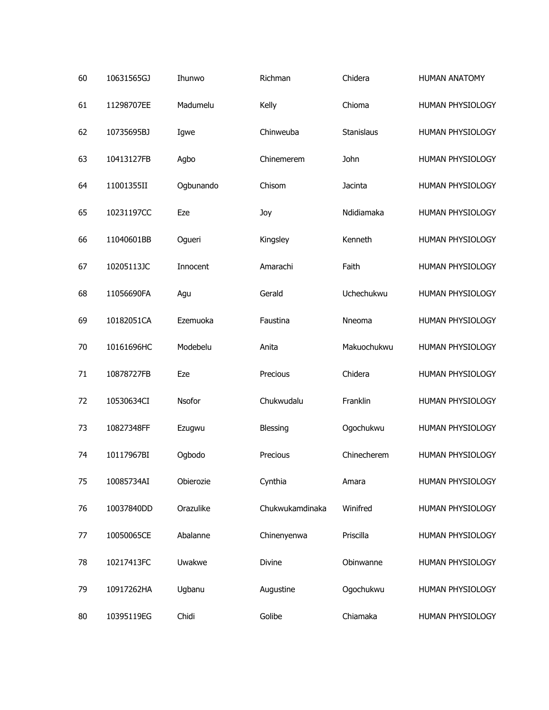| 60 | 10631565GJ | Ihunwo    | Richman         | Chidera     | <b>HUMAN ANATOMY</b> |
|----|------------|-----------|-----------------|-------------|----------------------|
| 61 | 11298707EE | Madumelu  | Kelly           | Chioma      | HUMAN PHYSIOLOGY     |
| 62 | 10735695BJ | Igwe      | Chinweuba       | Stanislaus  | HUMAN PHYSIOLOGY     |
| 63 | 10413127FB | Agbo      | Chinemerem      | John        | HUMAN PHYSIOLOGY     |
| 64 | 11001355II | Ogbunando | Chisom          | Jacinta     | HUMAN PHYSIOLOGY     |
| 65 | 10231197CC | Eze       | Joy             | Ndidiamaka  | HUMAN PHYSIOLOGY     |
| 66 | 11040601BB | Ogueri    | Kingsley        | Kenneth     | HUMAN PHYSIOLOGY     |
| 67 | 10205113JC | Innocent  | Amarachi        | Faith       | HUMAN PHYSIOLOGY     |
| 68 | 11056690FA | Agu       | Gerald          | Uchechukwu  | HUMAN PHYSIOLOGY     |
| 69 | 10182051CA | Ezemuoka  | Faustina        | Nneoma      | HUMAN PHYSIOLOGY     |
| 70 | 10161696HC | Modebelu  | Anita           | Makuochukwu | HUMAN PHYSIOLOGY     |
| 71 | 10878727FB | Eze       | Precious        | Chidera     | HUMAN PHYSIOLOGY     |
| 72 | 10530634CI | Nsofor    | Chukwudalu      | Franklin    | HUMAN PHYSIOLOGY     |
| 73 | 10827348FF | Ezugwu    | <b>Blessing</b> | Ogochukwu   | HUMAN PHYSIOLOGY     |
| 74 | 10117967BI | Ogbodo    | Precious        | Chinecherem | HUMAN PHYSIOLOGY     |
| 75 | 10085734AI | Obierozie | Cynthia         | Amara       | HUMAN PHYSIOLOGY     |
| 76 | 10037840DD | Orazulike | Chukwukamdinaka | Winifred    | HUMAN PHYSIOLOGY     |
| 77 | 10050065CE | Abalanne  | Chinenyenwa     | Priscilla   | HUMAN PHYSIOLOGY     |
| 78 | 10217413FC | Uwakwe    | Divine          | Obinwanne   | HUMAN PHYSIOLOGY     |
| 79 | 10917262HA | Ugbanu    | Augustine       | Ogochukwu   | HUMAN PHYSIOLOGY     |
| 80 | 10395119EG | Chidi     | Golibe          | Chiamaka    | HUMAN PHYSIOLOGY     |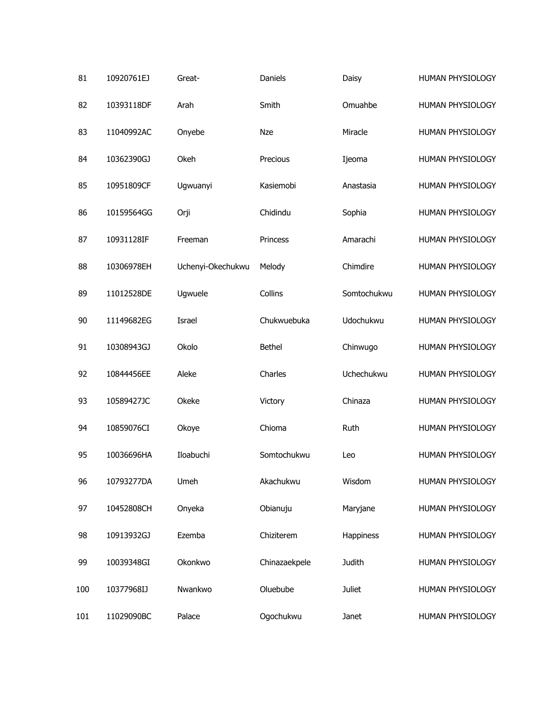| 81  | 10920761EJ | Great-            | Daniels       | Daisy         | HUMAN PHYSIOLOGY |
|-----|------------|-------------------|---------------|---------------|------------------|
| 82  | 10393118DF | Arah              | Smith         | Omuahbe       | HUMAN PHYSIOLOGY |
| 83  | 11040992AC | Onyebe            | <b>Nze</b>    | Miracle       | HUMAN PHYSIOLOGY |
| 84  | 10362390GJ | Okeh              | Precious      | Ijeoma        | HUMAN PHYSIOLOGY |
| 85  | 10951809CF | Ugwuanyi          | Kasiemobi     | Anastasia     | HUMAN PHYSIOLOGY |
| 86  | 10159564GG | Orji              | Chidindu      | Sophia        | HUMAN PHYSIOLOGY |
| 87  | 10931128IF | Freeman           | Princess      | Amarachi      | HUMAN PHYSIOLOGY |
| 88  | 10306978EH | Uchenyi-Okechukwu | Melody        | Chimdire      | HUMAN PHYSIOLOGY |
| 89  | 11012528DE | Ugwuele           | Collins       | Somtochukwu   | HUMAN PHYSIOLOGY |
| 90  | 11149682EG | Israel            | Chukwuebuka   | Udochukwu     | HUMAN PHYSIOLOGY |
| 91  | 10308943GJ | Okolo             | <b>Bethel</b> | Chinwugo      | HUMAN PHYSIOLOGY |
| 92  | 10844456EE | Aleke             | Charles       | Uchechukwu    | HUMAN PHYSIOLOGY |
| 93  | 10589427JC | Okeke             | Victory       | Chinaza       | HUMAN PHYSIOLOGY |
| 94  | 10859076CI | Okoye             | Chioma        | Ruth          | HUMAN PHYSIOLOGY |
| 95  | 10036696HA | Iloabuchi         | Somtochukwu   | Leo           | HUMAN PHYSIOLOGY |
| 96  | 10793277DA | Umeh              | Akachukwu     | Wisdom        | HUMAN PHYSIOLOGY |
| 97  | 10452808CH | Onyeka            | Obianuju      | Maryjane      | HUMAN PHYSIOLOGY |
| 98  | 10913932GJ | Ezemba            | Chiziterem    | Happiness     | HUMAN PHYSIOLOGY |
| 99  | 10039348GI | Okonkwo           | Chinazaekpele | Judith        | HUMAN PHYSIOLOGY |
| 100 | 10377968IJ | Nwankwo           | Oluebube      | <b>Juliet</b> | HUMAN PHYSIOLOGY |
| 101 | 11029090BC | Palace            | Ogochukwu     | Janet         | HUMAN PHYSIOLOGY |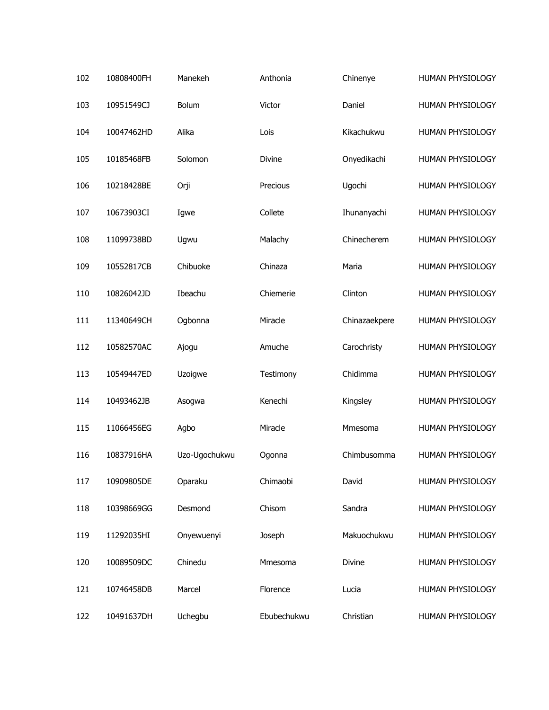| 102 | 10808400FH | Manekeh       | Anthonia    | Chinenye      | HUMAN PHYSIOLOGY |
|-----|------------|---------------|-------------|---------------|------------------|
| 103 | 10951549CJ | Bolum         | Victor      | Daniel        | HUMAN PHYSIOLOGY |
| 104 | 10047462HD | Alika         | Lois        | Kikachukwu    | HUMAN PHYSIOLOGY |
| 105 | 10185468FB | Solomon       | Divine      | Onyedikachi   | HUMAN PHYSIOLOGY |
| 106 | 10218428BE | Orji          | Precious    | Ugochi        | HUMAN PHYSIOLOGY |
| 107 | 10673903CI | Igwe          | Collete     | Ihunanyachi   | HUMAN PHYSIOLOGY |
| 108 | 11099738BD | Ugwu          | Malachy     | Chinecherem   | HUMAN PHYSIOLOGY |
| 109 | 10552817CB | Chibuoke      | Chinaza     | Maria         | HUMAN PHYSIOLOGY |
| 110 | 10826042JD | Ibeachu       | Chiemerie   | Clinton       | HUMAN PHYSIOLOGY |
| 111 | 11340649CH | Ogbonna       | Miracle     | Chinazaekpere | HUMAN PHYSIOLOGY |
| 112 | 10582570AC | Ajogu         | Amuche      | Carochristy   | HUMAN PHYSIOLOGY |
| 113 | 10549447ED | Uzoigwe       | Testimony   | Chidimma      | HUMAN PHYSIOLOGY |
| 114 | 10493462JB | Asogwa        | Kenechi     | Kingsley      | HUMAN PHYSIOLOGY |
| 115 | 11066456EG | Agbo          | Miracle     | Mmesoma       | HUMAN PHYSIOLOGY |
| 116 | 10837916HA | Uzo-Ugochukwu | Ogonna      | Chimbusomma   | HUMAN PHYSIOLOGY |
| 117 | 10909805DE | Oparaku       | Chimaobi    | David         | HUMAN PHYSIOLOGY |
| 118 | 10398669GG | Desmond       | Chisom      | Sandra        | HUMAN PHYSIOLOGY |
| 119 | 11292035HI | Onyewuenyi    | Joseph      | Makuochukwu   | HUMAN PHYSIOLOGY |
| 120 | 10089509DC | Chinedu       | Mmesoma     | Divine        | HUMAN PHYSIOLOGY |
| 121 | 10746458DB | Marcel        | Florence    | Lucia         | HUMAN PHYSIOLOGY |
| 122 | 10491637DH | Uchegbu       | Ebubechukwu | Christian     | HUMAN PHYSIOLOGY |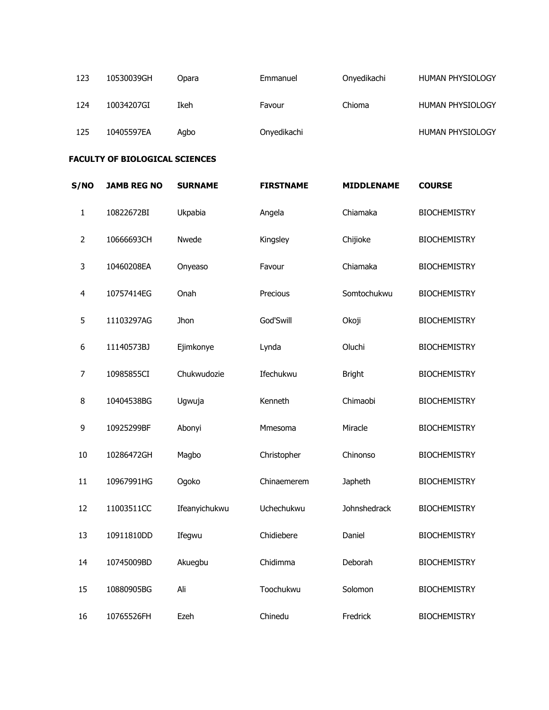| 123 | 10530039GH | Opara | Emmanuel    | Onyedikachi | HUMAN PHYSIOLOGY |
|-----|------------|-------|-------------|-------------|------------------|
| 124 | 10034207GI | Ikeh  | Favour      | Chioma      | HUMAN PHYSIOLOGY |
| 125 | 10405597EA | Agbo  | Onyedikachi |             | HUMAN PHYSIOLOGY |

## **FACULTY OF BIOLOGICAL SCIENCES**

| <b>S/NO</b>    | <b>JAMB REG NO</b> | <b>SURNAME</b> | <b>FIRSTNAME</b> | <b>MIDDLENAME</b> | <b>COURSE</b>       |
|----------------|--------------------|----------------|------------------|-------------------|---------------------|
| $\mathbf{1}$   | 10822672BI         | Ukpabia        | Angela           | Chiamaka          | <b>BIOCHEMISTRY</b> |
| $\overline{2}$ | 10666693CH         | Nwede          | Kingsley         | Chijioke          | <b>BIOCHEMISTRY</b> |
| 3              | 10460208EA         | Onyeaso        | Favour           | Chiamaka          | <b>BIOCHEMISTRY</b> |
| $\overline{4}$ | 10757414EG         | Onah           | Precious         | Somtochukwu       | <b>BIOCHEMISTRY</b> |
| 5              | 11103297AG         | Jhon           | God'Swill        | Okoji             | <b>BIOCHEMISTRY</b> |
| 6              | 11140573BJ         | Ejimkonye      | Lynda            | Oluchi            | <b>BIOCHEMISTRY</b> |
| $\overline{7}$ | 10985855CI         | Chukwudozie    | Ifechukwu        | <b>Bright</b>     | <b>BIOCHEMISTRY</b> |
| 8              | 10404538BG         | Ugwuja         | Kenneth          | Chimaobi          | <b>BIOCHEMISTRY</b> |
| 9              | 10925299BF         | Abonyi         | Mmesoma          | Miracle           | <b>BIOCHEMISTRY</b> |
| 10             | 10286472GH         | Magbo          | Christopher      | Chinonso          | <b>BIOCHEMISTRY</b> |
| 11             | 10967991HG         | Ogoko          | Chinaemerem      | Japheth           | <b>BIOCHEMISTRY</b> |
| 12             | 11003511CC         | Ifeanyichukwu  | Uchechukwu       | Johnshedrack      | <b>BIOCHEMISTRY</b> |
| 13             | 10911810DD         | Ifegwu         | Chidiebere       | Daniel            | <b>BIOCHEMISTRY</b> |
| 14             | 10745009BD         | Akuegbu        | Chidimma         | Deborah           | <b>BIOCHEMISTRY</b> |
| 15             | 10880905BG         | Ali            | Toochukwu        | Solomon           | <b>BIOCHEMISTRY</b> |
| 16             | 10765526FH         | Ezeh           | Chinedu          | Fredrick          | <b>BIOCHEMISTRY</b> |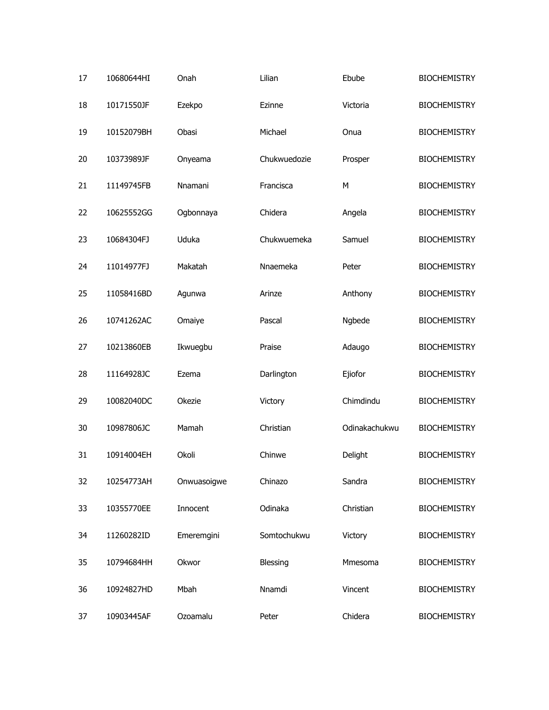| 17 | 10680644HI | Onah        | Lilian       | Ebube         | <b>BIOCHEMISTRY</b> |
|----|------------|-------------|--------------|---------------|---------------------|
| 18 | 10171550JF | Ezekpo      | Ezinne       | Victoria      | <b>BIOCHEMISTRY</b> |
| 19 | 10152079BH | Obasi       | Michael      | Onua          | <b>BIOCHEMISTRY</b> |
| 20 | 10373989JF | Onyeama     | Chukwuedozie | Prosper       | <b>BIOCHEMISTRY</b> |
| 21 | 11149745FB | Nnamani     | Francisca    | М             | <b>BIOCHEMISTRY</b> |
| 22 | 10625552GG | Ogbonnaya   | Chidera      | Angela        | <b>BIOCHEMISTRY</b> |
| 23 | 10684304FJ | Uduka       | Chukwuemeka  | Samuel        | <b>BIOCHEMISTRY</b> |
| 24 | 11014977FJ | Makatah     | Nnaemeka     | Peter         | <b>BIOCHEMISTRY</b> |
| 25 | 11058416BD | Agunwa      | Arinze       | Anthony       | <b>BIOCHEMISTRY</b> |
| 26 | 10741262AC | Omaiye      | Pascal       | Ngbede        | <b>BIOCHEMISTRY</b> |
| 27 | 10213860EB | Ikwuegbu    | Praise       | Adaugo        | <b>BIOCHEMISTRY</b> |
| 28 | 11164928JC | Ezema       | Darlington   | Ejiofor       | <b>BIOCHEMISTRY</b> |
| 29 | 10082040DC | Okezie      | Victory      | Chimdindu     | <b>BIOCHEMISTRY</b> |
| 30 | 10987806JC | Mamah       | Christian    | Odinakachukwu | <b>BIOCHEMISTRY</b> |
| 31 | 10914004EH | Okoli       | Chinwe       | Delight       | <b>BIOCHEMISTRY</b> |
| 32 | 10254773AH | Onwuasoigwe | Chinazo      | Sandra        | <b>BIOCHEMISTRY</b> |
| 33 | 10355770EE | Innocent    | Odinaka      | Christian     | <b>BIOCHEMISTRY</b> |
| 34 | 11260282ID | Emeremgini  | Somtochukwu  | Victory       | <b>BIOCHEMISTRY</b> |
| 35 | 10794684HH | Okwor       | Blessing     | Mmesoma       | <b>BIOCHEMISTRY</b> |
| 36 | 10924827HD | Mbah        | Nnamdi       | Vincent       | <b>BIOCHEMISTRY</b> |
| 37 | 10903445AF | Ozoamalu    | Peter        | Chidera       | <b>BIOCHEMISTRY</b> |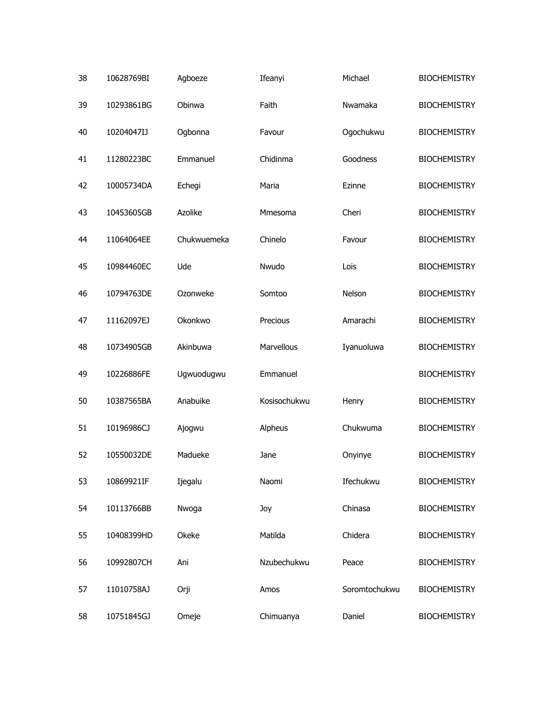| 38 | 10628769BI | Agboeze     | Ifeanyi      | Michael       | <b>BIOCHEMISTRY</b> |
|----|------------|-------------|--------------|---------------|---------------------|
| 39 | 10293861BG | Obinwa      | Faith        | Nwamaka       | <b>BIOCHEMISTRY</b> |
| 40 | 10204047IJ | Ogbonna     | Favour       | Ogochukwu     | <b>BIOCHEMISTRY</b> |
| 41 | 11280223BC | Emmanuel    | Chidinma     | Goodness      | <b>BIOCHEMISTRY</b> |
| 42 | 10005734DA | Echegi      | Maria        | Ezinne        | <b>BIOCHEMISTRY</b> |
| 43 | 10453605GB | Azolike     | Mmesoma      | Cheri         | <b>BIOCHEMISTRY</b> |
| 44 | 11064064EE | Chukwuemeka | Chinelo      | Favour        | <b>BIOCHEMISTRY</b> |
| 45 | 10984460EC | Ude         | Nwudo        | Lois          | <b>BIOCHEMISTRY</b> |
| 46 | 10794763DE | Ozonweke    | Somtoo       | Nelson        | <b>BIOCHEMISTRY</b> |
| 47 | 11162097EJ | Okonkwo     | Precious     | Amarachi      | <b>BIOCHEMISTRY</b> |
| 48 | 10734905GB | Akinbuwa    | Marvellous   | Iyanuoluwa    | <b>BIOCHEMISTRY</b> |
| 49 | 10226886FE | Ugwuodugwu  | Emmanuel     |               | <b>BIOCHEMISTRY</b> |
| 50 | 10387565BA | Anabuike    | Kosisochukwu | Henry         | <b>BIOCHEMISTRY</b> |
| 51 | 10196986CJ | Ajogwu      | Alpheus      | Chukwuma      | <b>BIOCHEMISTRY</b> |
| 52 | 10550032DE | Madueke     | Jane         | Onyinye       | <b>BIOCHEMISTRY</b> |
| 53 | 10869921IF | Ijegalu     | Naomi        | Ifechukwu     | <b>BIOCHEMISTRY</b> |
| 54 | 10113766BB | Nwoga       | Joy          | Chinasa       | <b>BIOCHEMISTRY</b> |
| 55 | 10408399HD | Okeke       | Matilda      | Chidera       | <b>BIOCHEMISTRY</b> |
| 56 | 10992807CH | Ani         | Nzubechukwu  | Peace         | <b>BIOCHEMISTRY</b> |
| 57 | 11010758AJ | Orji        | Amos         | Soromtochukwu | <b>BIOCHEMISTRY</b> |
| 58 | 10751845GJ | Omeje       | Chimuanya    | Daniel        | <b>BIOCHEMISTRY</b> |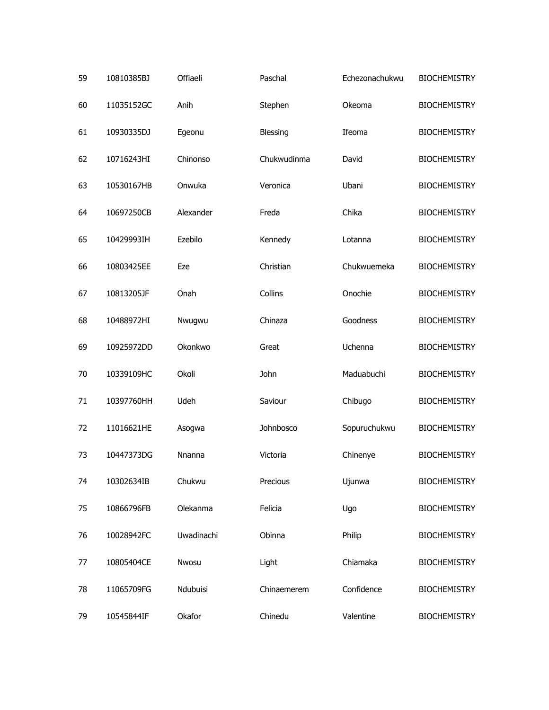| 59 | 10810385BJ | Offiaeli      | Paschal     | Echezonachukwu | <b>BIOCHEMISTRY</b> |
|----|------------|---------------|-------------|----------------|---------------------|
| 60 | 11035152GC | Anih          | Stephen     | Okeoma         | <b>BIOCHEMISTRY</b> |
| 61 | 10930335DJ | Egeonu        | Blessing    | Ifeoma         | <b>BIOCHEMISTRY</b> |
| 62 | 10716243HI | Chinonso      | Chukwudinma | David          | <b>BIOCHEMISTRY</b> |
| 63 | 10530167HB | Onwuka        | Veronica    | Ubani          | <b>BIOCHEMISTRY</b> |
| 64 | 10697250CB | Alexander     | Freda       | Chika          | <b>BIOCHEMISTRY</b> |
| 65 | 10429993IH | Ezebilo       | Kennedy     | Lotanna        | <b>BIOCHEMISTRY</b> |
| 66 | 10803425EE | Eze           | Christian   | Chukwuemeka    | <b>BIOCHEMISTRY</b> |
| 67 | 10813205JF | Onah          | Collins     | Onochie        | <b>BIOCHEMISTRY</b> |
| 68 | 10488972HI | Nwugwu        | Chinaza     | Goodness       | <b>BIOCHEMISTRY</b> |
| 69 | 10925972DD | Okonkwo       | Great       | Uchenna        | <b>BIOCHEMISTRY</b> |
| 70 | 10339109HC | Okoli         | John        | Maduabuchi     | <b>BIOCHEMISTRY</b> |
| 71 | 10397760HH | Udeh          | Saviour     | Chibugo        | <b>BIOCHEMISTRY</b> |
| 72 | 11016621HE | Asogwa        | Johnbosco   | Sopuruchukwu   | <b>BIOCHEMISTRY</b> |
| 73 | 10447373DG | <b>Nnanna</b> | Victoria    | Chinenye       | <b>BIOCHEMISTRY</b> |
| 74 | 10302634IB | Chukwu        | Precious    | Ujunwa         | <b>BIOCHEMISTRY</b> |
| 75 | 10866796FB | Olekanma      | Felicia     | Ugo            | <b>BIOCHEMISTRY</b> |
| 76 | 10028942FC | Uwadinachi    | Obinna      | Philip         | <b>BIOCHEMISTRY</b> |
| 77 | 10805404CE | Nwosu         | Light       | Chiamaka       | <b>BIOCHEMISTRY</b> |
| 78 | 11065709FG | Ndubuisi      | Chinaemerem | Confidence     | <b>BIOCHEMISTRY</b> |
| 79 | 10545844IF | Okafor        | Chinedu     | Valentine      | <b>BIOCHEMISTRY</b> |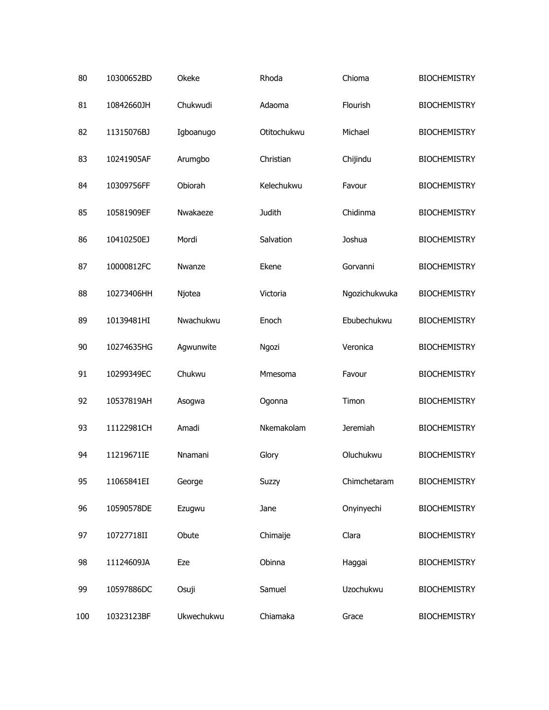| 80  | 10300652BD | Okeke      | Rhoda       | Chioma          | <b>BIOCHEMISTRY</b> |
|-----|------------|------------|-------------|-----------------|---------------------|
| 81  | 10842660JH | Chukwudi   | Adaoma      | Flourish        | <b>BIOCHEMISTRY</b> |
| 82  | 11315076BJ | Igboanugo  | Otitochukwu | Michael         | <b>BIOCHEMISTRY</b> |
| 83  | 10241905AF | Arumgbo    | Christian   | Chijindu        | <b>BIOCHEMISTRY</b> |
| 84  | 10309756FF | Obiorah    | Kelechukwu  | Favour          | <b>BIOCHEMISTRY</b> |
| 85  | 10581909EF | Nwakaeze   | Judith      | Chidinma        | <b>BIOCHEMISTRY</b> |
| 86  | 10410250EJ | Mordi      | Salvation   | Joshua          | <b>BIOCHEMISTRY</b> |
| 87  | 10000812FC | Nwanze     | Ekene       | Gorvanni        | <b>BIOCHEMISTRY</b> |
| 88  | 10273406HH | Njotea     | Victoria    | Ngozichukwuka   | <b>BIOCHEMISTRY</b> |
| 89  | 10139481HI | Nwachukwu  | Enoch       | Ebubechukwu     | <b>BIOCHEMISTRY</b> |
| 90  | 10274635HG | Agwunwite  | Ngozi       | Veronica        | <b>BIOCHEMISTRY</b> |
| 91  | 10299349EC | Chukwu     | Mmesoma     | Favour          | <b>BIOCHEMISTRY</b> |
| 92  | 10537819AH | Asogwa     | Ogonna      | Timon           | <b>BIOCHEMISTRY</b> |
| 93  | 11122981CH | Amadi      | Nkemakolam  | <b>Jeremiah</b> | <b>BIOCHEMISTRY</b> |
| 94  | 11219671IE | Nnamani    | Glory       | Oluchukwu       | <b>BIOCHEMISTRY</b> |
| 95  | 11065841EI | George     | Suzzy       | Chimchetaram    | <b>BIOCHEMISTRY</b> |
| 96  | 10590578DE | Ezugwu     | Jane        | Onyinyechi      | <b>BIOCHEMISTRY</b> |
| 97  | 10727718II | Obute      | Chimaije    | Clara           | <b>BIOCHEMISTRY</b> |
| 98  | 11124609JA | Eze        | Obinna      | Haggai          | <b>BIOCHEMISTRY</b> |
| 99  | 10597886DC | Osuji      | Samuel      | Uzochukwu       | <b>BIOCHEMISTRY</b> |
| 100 | 10323123BF | Ukwechukwu | Chiamaka    | Grace           | <b>BIOCHEMISTRY</b> |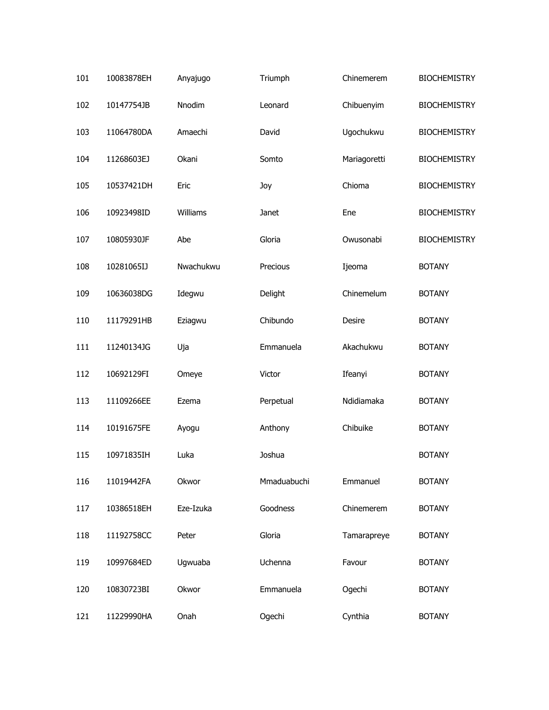| 101 | 10083878EH | Anyajugo  | Triumph     | Chinemerem   | <b>BIOCHEMISTRY</b> |
|-----|------------|-----------|-------------|--------------|---------------------|
| 102 | 10147754JB | Nnodim    | Leonard     | Chibuenyim   | <b>BIOCHEMISTRY</b> |
| 103 | 11064780DA | Amaechi   | David       | Ugochukwu    | <b>BIOCHEMISTRY</b> |
| 104 | 11268603EJ | Okani     | Somto       | Mariagoretti | <b>BIOCHEMISTRY</b> |
| 105 | 10537421DH | Eric      | Joy         | Chioma       | <b>BIOCHEMISTRY</b> |
| 106 | 10923498ID | Williams  | Janet       | Ene          | <b>BIOCHEMISTRY</b> |
| 107 | 10805930JF | Abe       | Gloria      | Owusonabi    | <b>BIOCHEMISTRY</b> |
| 108 | 10281065IJ | Nwachukwu | Precious    | Ijeoma       | <b>BOTANY</b>       |
| 109 | 10636038DG | Idegwu    | Delight     | Chinemelum   | <b>BOTANY</b>       |
| 110 | 11179291HB | Eziagwu   | Chibundo    | Desire       | <b>BOTANY</b>       |
| 111 | 11240134JG | Uja       | Emmanuela   | Akachukwu    | <b>BOTANY</b>       |
| 112 | 10692129FI | Omeye     | Victor      | Ifeanyi      | <b>BOTANY</b>       |
| 113 | 11109266EE | Ezema     | Perpetual   | Ndidiamaka   | <b>BOTANY</b>       |
| 114 | 10191675FE | Ayogu     | Anthony     | Chibuike     | <b>BOTANY</b>       |
| 115 | 10971835IH | Luka      | Joshua      |              | <b>BOTANY</b>       |
| 116 | 11019442FA | Okwor     | Mmaduabuchi | Emmanuel     | <b>BOTANY</b>       |
| 117 | 10386518EH | Eze-Izuka | Goodness    | Chinemerem   | <b>BOTANY</b>       |
| 118 | 11192758CC | Peter     | Gloria      | Tamarapreye  | <b>BOTANY</b>       |
| 119 | 10997684ED | Ugwuaba   | Uchenna     | Favour       | <b>BOTANY</b>       |
| 120 | 10830723BI | Okwor     | Emmanuela   | Ogechi       | <b>BOTANY</b>       |
| 121 | 11229990HA | Onah      | Ogechi      | Cynthia      | <b>BOTANY</b>       |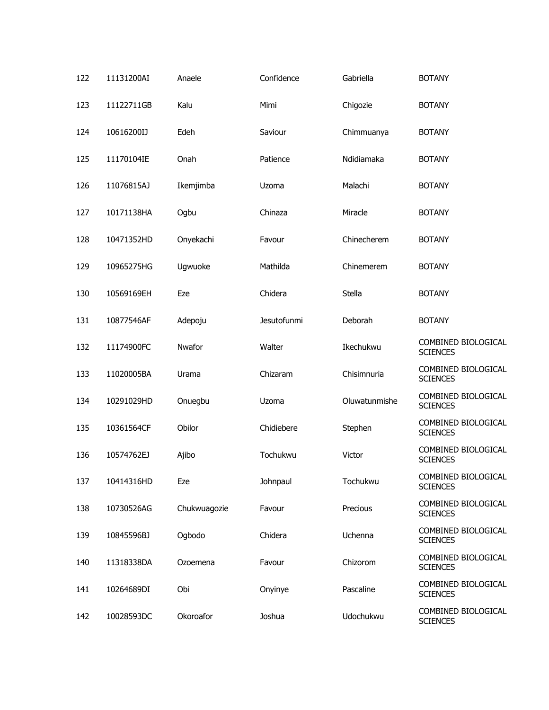| 122 | 11131200AI | Anaele       | Confidence  | Gabriella     | <b>BOTANY</b>                          |
|-----|------------|--------------|-------------|---------------|----------------------------------------|
| 123 | 11122711GB | Kalu         | Mimi        | Chigozie      | <b>BOTANY</b>                          |
| 124 | 10616200IJ | Edeh         | Saviour     | Chimmuanya    | <b>BOTANY</b>                          |
| 125 | 11170104IE | Onah         | Patience    | Ndidiamaka    | <b>BOTANY</b>                          |
| 126 | 11076815AJ | Ikemjimba    | Uzoma       | Malachi       | <b>BOTANY</b>                          |
| 127 | 10171138HA | Ogbu         | Chinaza     | Miracle       | <b>BOTANY</b>                          |
| 128 | 10471352HD | Onyekachi    | Favour      | Chinecherem   | <b>BOTANY</b>                          |
| 129 | 10965275HG | Ugwuoke      | Mathilda    | Chinemerem    | <b>BOTANY</b>                          |
| 130 | 10569169EH | Eze          | Chidera     | Stella        | <b>BOTANY</b>                          |
| 131 | 10877546AF | Adepoju      | Jesutofunmi | Deborah       | <b>BOTANY</b>                          |
| 132 | 11174900FC | Nwafor       | Walter      | Ikechukwu     | COMBINED BIOLOGICAL<br><b>SCIENCES</b> |
| 133 | 11020005BA | Urama        | Chizaram    | Chisimnuria   | COMBINED BIOLOGICAL<br><b>SCIENCES</b> |
| 134 | 10291029HD | Onuegbu      | Uzoma       | Oluwatunmishe | COMBINED BIOLOGICAL<br><b>SCIENCES</b> |
| 135 | 10361564CF | Obilor       | Chidiebere  | Stephen       | COMBINED BIOLOGICAL<br><b>SCIENCES</b> |
| 136 | 10574762EJ | Ajibo        | Tochukwu    | Victor        | COMBINED BIOLOGICAL<br><b>SCIENCES</b> |
| 137 | 10414316HD | Eze          | Johnpaul    | Tochukwu      | COMBINED BIOLOGICAL<br><b>SCIENCES</b> |
| 138 | 10730526AG | Chukwuagozie | Favour      | Precious      | COMBINED BIOLOGICAL<br><b>SCIENCES</b> |
| 139 | 10845596BJ | Ogbodo       | Chidera     | Uchenna       | COMBINED BIOLOGICAL<br><b>SCIENCES</b> |
| 140 | 11318338DA | Ozoemena     | Favour      | Chizorom      | COMBINED BIOLOGICAL<br><b>SCIENCES</b> |
| 141 | 10264689DI | Obi          | Onyinye     | Pascaline     | COMBINED BIOLOGICAL<br><b>SCIENCES</b> |
| 142 | 10028593DC | Okoroafor    | Joshua      | Udochukwu     | COMBINED BIOLOGICAL<br><b>SCIENCES</b> |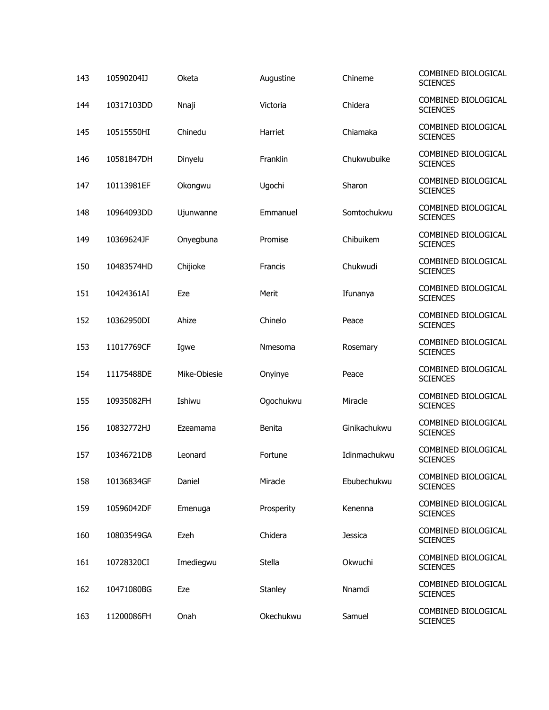| 143 | 10590204IJ | Oketa        | Augustine  | Chineme        | COMBINED BIOLOGICAL<br><b>SCIENCES</b> |
|-----|------------|--------------|------------|----------------|----------------------------------------|
| 144 | 10317103DD | Nnaji        | Victoria   | Chidera        | COMBINED BIOLOGICAL<br><b>SCIENCES</b> |
| 145 | 10515550HI | Chinedu      | Harriet    | Chiamaka       | COMBINED BIOLOGICAL<br><b>SCIENCES</b> |
| 146 | 10581847DH | Dinyelu      | Franklin   | Chukwubuike    | COMBINED BIOLOGICAL<br><b>SCIENCES</b> |
| 147 | 10113981EF | Okongwu      | Ugochi     | Sharon         | COMBINED BIOLOGICAL<br><b>SCIENCES</b> |
| 148 | 10964093DD | Ujunwanne    | Emmanuel   | Somtochukwu    | COMBINED BIOLOGICAL<br><b>SCIENCES</b> |
| 149 | 10369624JF | Onyegbuna    | Promise    | Chibuikem      | COMBINED BIOLOGICAL<br><b>SCIENCES</b> |
| 150 | 10483574HD | Chijioke     | Francis    | Chukwudi       | COMBINED BIOLOGICAL<br><b>SCIENCES</b> |
| 151 | 10424361AI | Eze          | Merit      | Ifunanya       | COMBINED BIOLOGICAL<br><b>SCIENCES</b> |
| 152 | 10362950DI | Ahize        | Chinelo    | Peace          | COMBINED BIOLOGICAL<br><b>SCIENCES</b> |
| 153 | 11017769CF | Igwe         | Nmesoma    | Rosemary       | COMBINED BIOLOGICAL<br><b>SCIENCES</b> |
| 154 | 11175488DE | Mike-Obiesie | Onyinye    | Peace          | COMBINED BIOLOGICAL<br><b>SCIENCES</b> |
| 155 | 10935082FH | Ishiwu       | Ogochukwu  | Miracle        | COMBINED BIOLOGICAL<br><b>SCIENCES</b> |
| 156 | 10832772HJ | Ezeamama     | Benita     | Ginikachukwu   | COMBINED BIOLOGICAL<br><b>SCIENCES</b> |
| 157 | 10346721DB | Leonard      | Fortune    | Idinmachukwu   | COMBINED BIOLOGICAL<br><b>SCIENCES</b> |
| 158 | 10136834GF | Daniel       | Miracle    | Ebubechukwu    | COMBINED BIOLOGICAL<br><b>SCIENCES</b> |
| 159 | 10596042DF | Emenuga      | Prosperity | Kenenna        | COMBINED BIOLOGICAL<br><b>SCIENCES</b> |
| 160 | 10803549GA | Ezeh         | Chidera    | <b>Jessica</b> | COMBINED BIOLOGICAL<br><b>SCIENCES</b> |
| 161 | 10728320CI | Imediegwu    | Stella     | Okwuchi        | COMBINED BIOLOGICAL<br><b>SCIENCES</b> |
| 162 | 10471080BG | Eze          | Stanley    | Nnamdi         | COMBINED BIOLOGICAL<br><b>SCIENCES</b> |
| 163 | 11200086FH | Onah         | Okechukwu  | Samuel         | COMBINED BIOLOGICAL<br><b>SCIENCES</b> |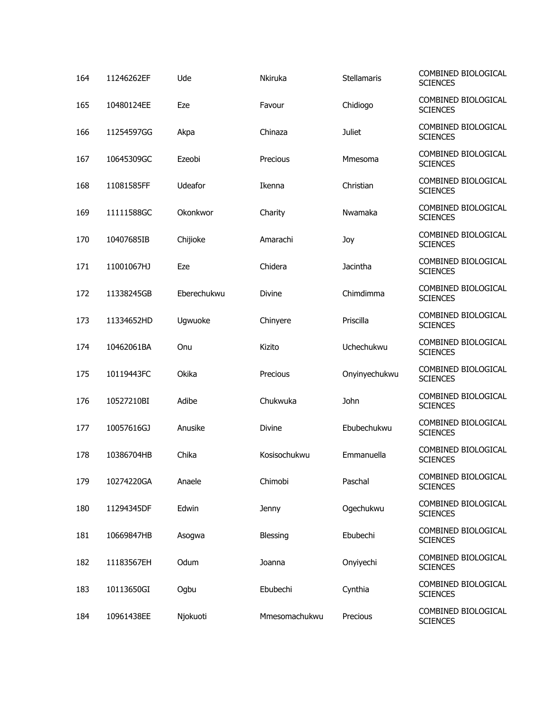| 164 | 11246262EF | Ude         | Nkiruka       | Stellamaris   | COMBINED BIOLOGICAL<br><b>SCIENCES</b> |
|-----|------------|-------------|---------------|---------------|----------------------------------------|
| 165 | 10480124EE | Eze         | Favour        | Chidiogo      | COMBINED BIOLOGICAL<br><b>SCIENCES</b> |
| 166 | 11254597GG | Akpa        | Chinaza       | <b>Juliet</b> | COMBINED BIOLOGICAL<br><b>SCIENCES</b> |
| 167 | 10645309GC | Ezeobi      | Precious      | Mmesoma       | COMBINED BIOLOGICAL<br><b>SCIENCES</b> |
| 168 | 11081585FF | Udeafor     | Ikenna        | Christian     | COMBINED BIOLOGICAL<br><b>SCIENCES</b> |
| 169 | 11111588GC | Okonkwor    | Charity       | Nwamaka       | COMBINED BIOLOGICAL<br><b>SCIENCES</b> |
| 170 | 10407685IB | Chijioke    | Amarachi      | Joy           | COMBINED BIOLOGICAL<br><b>SCIENCES</b> |
| 171 | 11001067HJ | Eze         | Chidera       | Jacintha      | COMBINED BIOLOGICAL<br><b>SCIENCES</b> |
| 172 | 11338245GB | Eberechukwu | <b>Divine</b> | Chimdimma     | COMBINED BIOLOGICAL<br><b>SCIENCES</b> |
| 173 | 11334652HD | Ugwuoke     | Chinyere      | Priscilla     | COMBINED BIOLOGICAL<br><b>SCIENCES</b> |
| 174 | 10462061BA | Onu         | Kizito        | Uchechukwu    | COMBINED BIOLOGICAL<br><b>SCIENCES</b> |
| 175 | 10119443FC | Okika       | Precious      | Onyinyechukwu | COMBINED BIOLOGICAL<br><b>SCIENCES</b> |
| 176 | 10527210BI | Adibe       | Chukwuka      | John          | COMBINED BIOLOGICAL<br><b>SCIENCES</b> |
| 177 | 10057616GJ | Anusike     | <b>Divine</b> | Ebubechukwu   | COMBINED BIOLOGICAL<br><b>SCIENCES</b> |
| 178 | 10386704HB | Chika       | Kosisochukwu  | Emmanuella    | COMBINED BIOLOGICAL<br><b>SCIENCES</b> |
| 179 | 10274220GA | Anaele      | Chimobi       | Paschal       | COMBINED BIOLOGICAL<br><b>SCIENCES</b> |
| 180 | 11294345DF | Edwin       | Jenny         | Ogechukwu     | COMBINED BIOLOGICAL<br><b>SCIENCES</b> |
| 181 | 10669847HB | Asogwa      | Blessing      | Ebubechi      | COMBINED BIOLOGICAL<br><b>SCIENCES</b> |
| 182 | 11183567EH | Odum        | Joanna        | Onyiyechi     | COMBINED BIOLOGICAL<br><b>SCIENCES</b> |
| 183 | 10113650GI | Ogbu        | Ebubechi      | Cynthia       | COMBINED BIOLOGICAL<br><b>SCIENCES</b> |
| 184 | 10961438EE | Njokuoti    | Mmesomachukwu | Precious      | COMBINED BIOLOGICAL<br><b>SCIENCES</b> |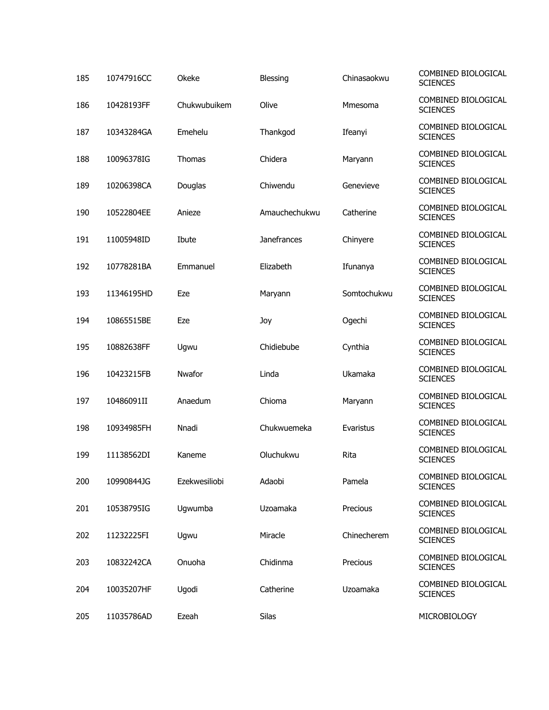| 185 | 10747916CC | Okeke         | Blessing           | Chinasaokwu | COMBINED BIOLOGICAL<br><b>SCIENCES</b> |
|-----|------------|---------------|--------------------|-------------|----------------------------------------|
| 186 | 10428193FF | Chukwubuikem  | Olive              | Mmesoma     | COMBINED BIOLOGICAL<br><b>SCIENCES</b> |
| 187 | 10343284GA | Emehelu       | Thankgod           | Ifeanyi     | COMBINED BIOLOGICAL<br><b>SCIENCES</b> |
| 188 | 10096378IG | <b>Thomas</b> | Chidera            | Maryann     | COMBINED BIOLOGICAL<br><b>SCIENCES</b> |
| 189 | 10206398CA | Douglas       | Chiwendu           | Genevieve   | COMBINED BIOLOGICAL<br><b>SCIENCES</b> |
| 190 | 10522804EE | Anieze        | Amauchechukwu      | Catherine   | COMBINED BIOLOGICAL<br><b>SCIENCES</b> |
| 191 | 11005948ID | Ibute         | <b>Janefrances</b> | Chinyere    | COMBINED BIOLOGICAL<br><b>SCIENCES</b> |
| 192 | 10778281BA | Emmanuel      | Elizabeth          | Ifunanya    | COMBINED BIOLOGICAL<br><b>SCIENCES</b> |
| 193 | 11346195HD | Eze           | Maryann            | Somtochukwu | COMBINED BIOLOGICAL<br><b>SCIENCES</b> |
| 194 | 10865515BE | Eze           | Joy                | Ogechi      | COMBINED BIOLOGICAL<br><b>SCIENCES</b> |
| 195 | 10882638FF | Ugwu          | Chidiebube         | Cynthia     | COMBINED BIOLOGICAL<br><b>SCIENCES</b> |
| 196 | 10423215FB | Nwafor        | Linda              | Ukamaka     | COMBINED BIOLOGICAL<br><b>SCIENCES</b> |
| 197 | 10486091II | Anaedum       | Chioma             | Maryann     | COMBINED BIOLOGICAL<br><b>SCIENCES</b> |
| 198 | 10934985FH | Nnadi         | Chukwuemeka        | Evaristus   | COMBINED BIOLOGICAL<br><b>SCIENCES</b> |
| 199 | 11138562DI | Kaneme        | Oluchukwu          | Rita        | COMBINED BIOLOGICAL<br><b>SCIENCES</b> |
| 200 | 10990844JG | Ezekwesiliobi | Adaobi             | Pamela      | COMBINED BIOLOGICAL<br><b>SCIENCES</b> |
| 201 | 10538795IG | Ugwumba       | Uzoamaka           | Precious    | COMBINED BIOLOGICAL<br><b>SCIENCES</b> |
| 202 | 11232225FI | Ugwu          | Miracle            | Chinecherem | COMBINED BIOLOGICAL<br><b>SCIENCES</b> |
| 203 | 10832242CA | Onuoha        | Chidinma           | Precious    | COMBINED BIOLOGICAL<br><b>SCIENCES</b> |
| 204 | 10035207HF | Ugodi         | Catherine          | Uzoamaka    | COMBINED BIOLOGICAL<br><b>SCIENCES</b> |
| 205 | 11035786AD | Ezeah         | Silas              |             | MICROBIOLOGY                           |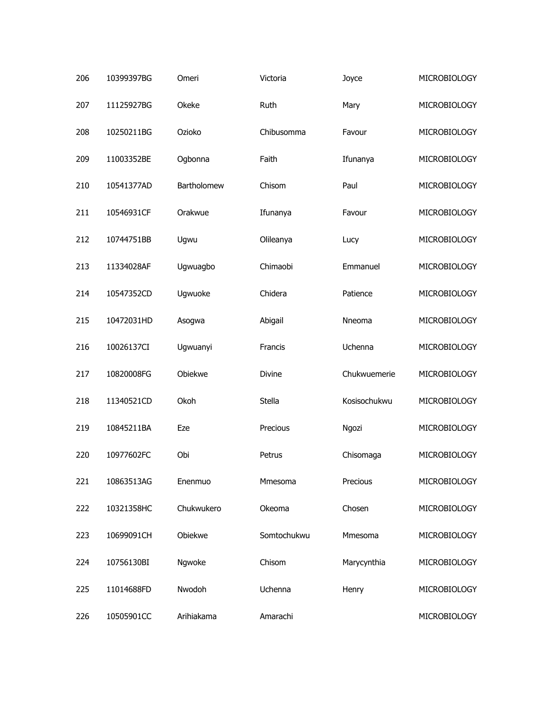| 206 | 10399397BG | Omeri       | Victoria    | Joyce        | MICROBIOLOGY        |
|-----|------------|-------------|-------------|--------------|---------------------|
| 207 | 11125927BG | Okeke       | Ruth        | Mary         | MICROBIOLOGY        |
| 208 | 10250211BG | Ozioko      | Chibusomma  | Favour       | MICROBIOLOGY        |
| 209 | 11003352BE | Ogbonna     | Faith       | Ifunanya     | MICROBIOLOGY        |
| 210 | 10541377AD | Bartholomew | Chisom      | Paul         | MICROBIOLOGY        |
| 211 | 10546931CF | Orakwue     | Ifunanya    | Favour       | MICROBIOLOGY        |
| 212 | 10744751BB | Ugwu        | Olileanya   | Lucy         | MICROBIOLOGY        |
| 213 | 11334028AF | Ugwuagbo    | Chimaobi    | Emmanuel     | <b>MICROBIOLOGY</b> |
| 214 | 10547352CD | Ugwuoke     | Chidera     | Patience     | MICROBIOLOGY        |
| 215 | 10472031HD | Asogwa      | Abigail     | Nneoma       | MICROBIOLOGY        |
| 216 | 10026137CI | Ugwuanyi    | Francis     | Uchenna      | MICROBIOLOGY        |
| 217 | 10820008FG | Obiekwe     | Divine      | Chukwuemerie | MICROBIOLOGY        |
| 218 | 11340521CD | Okoh        | Stella      | Kosisochukwu | MICROBIOLOGY        |
| 219 | 10845211BA | Eze         | Precious    | Ngozi        | MICROBIOLOGY        |
| 220 | 10977602FC | Obi         | Petrus      | Chisomaga    | MICROBIOLOGY        |
| 221 | 10863513AG | Enenmuo     | Mmesoma     | Precious     | MICROBIOLOGY        |
| 222 | 10321358HC | Chukwukero  | Okeoma      | Chosen       | MICROBIOLOGY        |
| 223 | 10699091CH | Obiekwe     | Somtochukwu | Mmesoma      | MICROBIOLOGY        |
| 224 | 10756130BI | Ngwoke      | Chisom      | Marycynthia  | MICROBIOLOGY        |
| 225 | 11014688FD | Nwodoh      | Uchenna     | Henry        | MICROBIOLOGY        |
| 226 | 10505901CC | Arihiakama  | Amarachi    |              | MICROBIOLOGY        |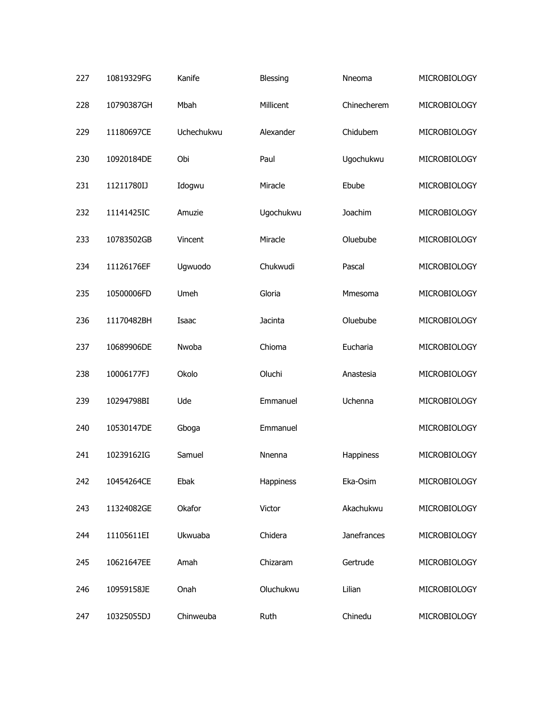| 227 | 10819329FG | Kanife     | Blessing  | Nneoma      | MICROBIOLOGY |
|-----|------------|------------|-----------|-------------|--------------|
| 228 | 10790387GH | Mbah       | Millicent | Chinecherem | MICROBIOLOGY |
| 229 | 11180697CE | Uchechukwu | Alexander | Chidubem    | MICROBIOLOGY |
| 230 | 10920184DE | Obi        | Paul      | Ugochukwu   | MICROBIOLOGY |
| 231 | 11211780IJ | Idogwu     | Miracle   | Ebube       | MICROBIOLOGY |
| 232 | 11141425IC | Amuzie     | Ugochukwu | Joachim     | MICROBIOLOGY |
| 233 | 10783502GB | Vincent    | Miracle   | Oluebube    | MICROBIOLOGY |
| 234 | 11126176EF | Ugwuodo    | Chukwudi  | Pascal      | MICROBIOLOGY |
| 235 | 10500006FD | Umeh       | Gloria    | Mmesoma     | MICROBIOLOGY |
| 236 | 11170482BH | Isaac      | Jacinta   | Oluebube    | MICROBIOLOGY |
| 237 | 10689906DE | Nwoba      | Chioma    | Eucharia    | MICROBIOLOGY |
| 238 | 10006177FJ | Okolo      | Oluchi    | Anastesia   | MICROBIOLOGY |
| 239 | 10294798BI | Ude        | Emmanuel  | Uchenna     | MICROBIOLOGY |
| 240 | 10530147DE | Gboga      | Emmanuel  |             | MICROBIOLOGY |
| 241 | 10239162IG | Samuel     | Nnenna    | Happiness   | MICROBIOLOGY |
| 242 | 10454264CE | Ebak       | Happiness | Eka-Osim    | MICROBIOLOGY |
| 243 | 11324082GE | Okafor     | Victor    | Akachukwu   | MICROBIOLOGY |
| 244 | 11105611EI | Ukwuaba    | Chidera   | Janefrances | MICROBIOLOGY |
| 245 | 10621647EE | Amah       | Chizaram  | Gertrude    | MICROBIOLOGY |
| 246 | 10959158JE | Onah       | Oluchukwu | Lilian      | MICROBIOLOGY |
| 247 | 10325055DJ | Chinweuba  | Ruth      | Chinedu     | MICROBIOLOGY |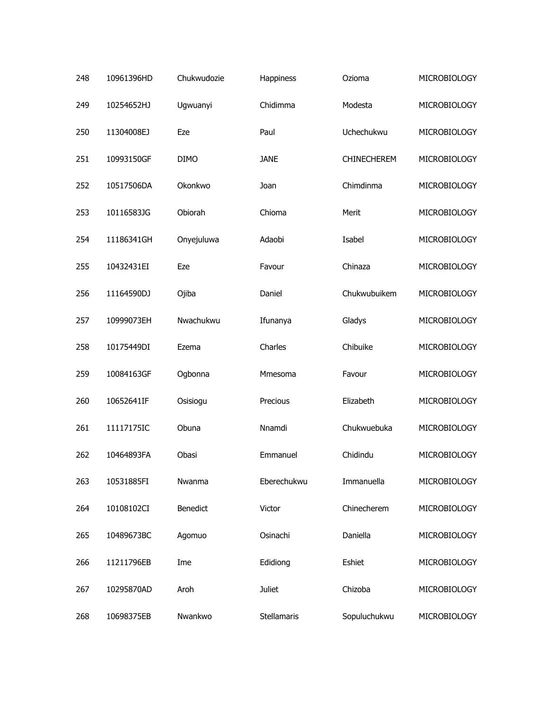| 248 | 10961396HD | Chukwudozie | Happiness     | Ozioma       | MICROBIOLOGY |
|-----|------------|-------------|---------------|--------------|--------------|
| 249 | 10254652HJ | Ugwuanyi    | Chidimma      | Modesta      | MICROBIOLOGY |
| 250 | 11304008EJ | Eze         | Paul          | Uchechukwu   | MICROBIOLOGY |
| 251 | 10993150GF | <b>DIMO</b> | <b>JANE</b>   | CHINECHEREM  | MICROBIOLOGY |
| 252 | 10517506DA | Okonkwo     | Joan          | Chimdinma    | MICROBIOLOGY |
| 253 | 10116583JG | Obiorah     | Chioma        | Merit        | MICROBIOLOGY |
| 254 | 11186341GH | Onyejuluwa  | Adaobi        | Isabel       | MICROBIOLOGY |
| 255 | 10432431EI | Eze         | Favour        | Chinaza      | MICROBIOLOGY |
| 256 | 11164590DJ | Ojiba       | Daniel        | Chukwubuikem | MICROBIOLOGY |
| 257 | 10999073EH | Nwachukwu   | Ifunanya      | Gladys       | MICROBIOLOGY |
| 258 | 10175449DI | Ezema       | Charles       | Chibuike     | MICROBIOLOGY |
| 259 | 10084163GF | Ogbonna     | Mmesoma       | Favour       | MICROBIOLOGY |
| 260 | 10652641IF | Osisiogu    | Precious      | Elizabeth    | MICROBIOLOGY |
| 261 | 11117175IC | Obuna       | Nnamdi        | Chukwuebuka  | MICROBIOLOGY |
| 262 | 10464893FA | Obasi       | Emmanuel      | Chidindu     | MICROBIOLOGY |
| 263 | 10531885FI | Nwanma      | Eberechukwu   | Immanuella   | MICROBIOLOGY |
| 264 | 10108102CI | Benedict    | Victor        | Chinecherem  | MICROBIOLOGY |
| 265 | 10489673BC | Agomuo      | Osinachi      | Daniella     | MICROBIOLOGY |
| 266 | 11211796EB | Ime         | Edidiong      | Eshiet       | MICROBIOLOGY |
| 267 | 10295870AD | Aroh        | <b>Juliet</b> | Chizoba      | MICROBIOLOGY |
| 268 | 10698375EB | Nwankwo     | Stellamaris   | Sopuluchukwu | MICROBIOLOGY |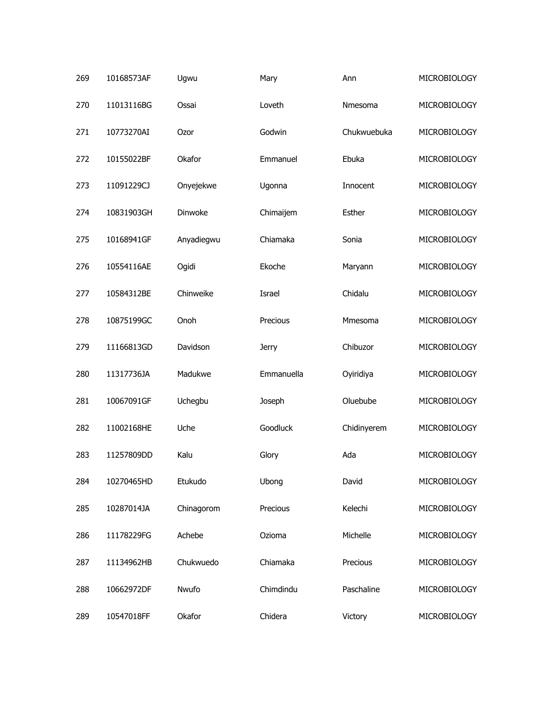| 269 | 10168573AF | Ugwu       | Mary         | Ann         | <b>MICROBIOLOGY</b> |
|-----|------------|------------|--------------|-------------|---------------------|
| 270 | 11013116BG | Ossai      | Loveth       | Nmesoma     | MICROBIOLOGY        |
| 271 | 10773270AI | Ozor       | Godwin       | Chukwuebuka | MICROBIOLOGY        |
| 272 | 10155022BF | Okafor     | Emmanuel     | Ebuka       | MICROBIOLOGY        |
| 273 | 11091229CJ | Onyejekwe  | Ugonna       | Innocent    | MICROBIOLOGY        |
| 274 | 10831903GH | Dinwoke    | Chimaijem    | Esther      | MICROBIOLOGY        |
| 275 | 10168941GF | Anyadiegwu | Chiamaka     | Sonia       | MICROBIOLOGY        |
| 276 | 10554116AE | Ogidi      | Ekoche       | Maryann     | MICROBIOLOGY        |
| 277 | 10584312BE | Chinweike  | Israel       | Chidalu     | MICROBIOLOGY        |
| 278 | 10875199GC | Onoh       | Precious     | Mmesoma     | MICROBIOLOGY        |
| 279 | 11166813GD | Davidson   | <b>Jerry</b> | Chibuzor    | MICROBIOLOGY        |
| 280 | 11317736JA | Madukwe    | Emmanuella   | Oyiridiya   | MICROBIOLOGY        |
| 281 | 10067091GF | Uchegbu    | Joseph       | Oluebube    | MICROBIOLOGY        |
| 282 | 11002168HE | Uche       | Goodluck     | Chidinyerem | MICROBIOLOGY        |
| 283 | 11257809DD | Kalu       | Glory        | Ada         | MICROBIOLOGY        |
| 284 | 10270465HD | Etukudo    | Ubong        | David       | MICROBIOLOGY        |
| 285 | 10287014JA | Chinagorom | Precious     | Kelechi     | MICROBIOLOGY        |
| 286 | 11178229FG | Achebe     | Ozioma       | Michelle    | MICROBIOLOGY        |
| 287 | 11134962HB | Chukwuedo  | Chiamaka     | Precious    | MICROBIOLOGY        |
| 288 | 10662972DF | Nwufo      | Chimdindu    | Paschaline  | MICROBIOLOGY        |
| 289 | 10547018FF | Okafor     | Chidera      | Victory     | MICROBIOLOGY        |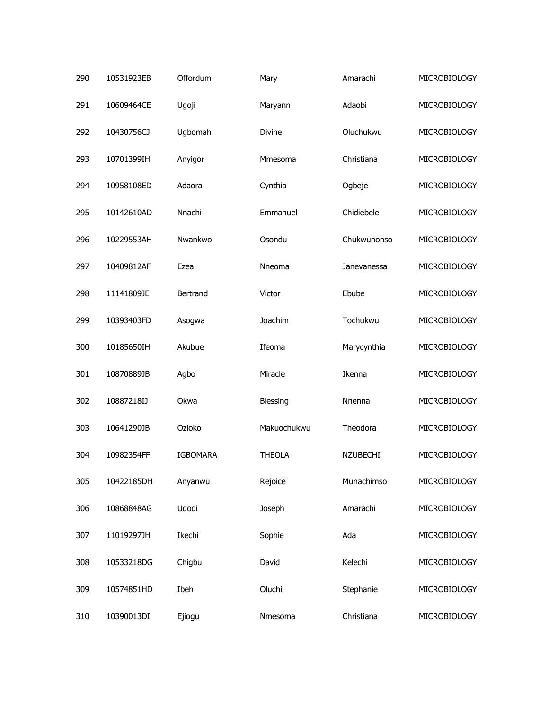| 290 | 10531923EB | Offordum        | Mary          | Amarachi        | MICROBIOLOGY |
|-----|------------|-----------------|---------------|-----------------|--------------|
| 291 | 10609464CE | Ugoji           | Maryann       | Adaobi          | MICROBIOLOGY |
| 292 | 10430756CJ | Ugbomah         | Divine        | Oluchukwu       | MICROBIOLOGY |
| 293 | 10701399IH | Anyigor         | Mmesoma       | Christiana      | MICROBIOLOGY |
| 294 | 10958108ED | Adaora          | Cynthia       | Ogbeje          | MICROBIOLOGY |
| 295 | 10142610AD | Nnachi          | Emmanuel      | Chidiebele      | MICROBIOLOGY |
| 296 | 10229553AH | Nwankwo         | Osondu        | Chukwunonso     | MICROBIOLOGY |
| 297 | 10409812AF | Ezea            | Nneoma        | Janevanessa     | MICROBIOLOGY |
| 298 | 11141809JE | Bertrand        | Victor        | Ebube           | MICROBIOLOGY |
| 299 | 10393403FD | Asogwa          | Joachim       | Tochukwu        | MICROBIOLOGY |
| 300 | 10185650IH | Akubue          | Ifeoma        | Marycynthia     | MICROBIOLOGY |
| 301 | 10870889JB | Agbo            | Miracle       | Ikenna          | MICROBIOLOGY |
| 302 | 10887218IJ | Okwa            | Blessing      | Nnenna          | MICROBIOLOGY |
| 303 | 10641290JB | Ozioko          | Makuochukwu   | Theodora        | MICROBIOLOGY |
| 304 | 10982354FF | <b>IGBOMARA</b> | <b>THEOLA</b> | <b>NZUBECHI</b> | MICROBIOLOGY |
| 305 | 10422185DH | Anyanwu         | Rejoice       | Munachimso      | MICROBIOLOGY |
| 306 | 10868848AG | Udodi           | Joseph        | Amarachi        | MICROBIOLOGY |
| 307 | 11019297JH | Ikechi          | Sophie        | Ada             | MICROBIOLOGY |
| 308 | 10533218DG | Chigbu          | David         | Kelechi         | MICROBIOLOGY |
| 309 | 10574851HD | Ibeh            | Oluchi        | Stephanie       | MICROBIOLOGY |
| 310 | 10390013DI | Ejiogu          | Nmesoma       | Christiana      | MICROBIOLOGY |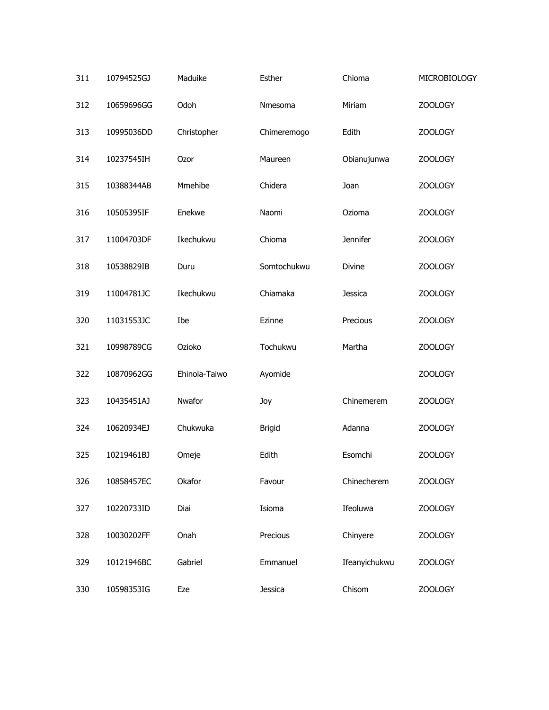| 311 | 10794525GJ | Maduike       | Esther         | Chioma          | MICROBIOLOGY |
|-----|------------|---------------|----------------|-----------------|--------------|
| 312 | 10659696GG | Odoh          | Nmesoma        | Miriam          | ZOOLOGY      |
| 313 | 10995036DD | Christopher   | Chimeremogo    | Edith           | ZOOLOGY      |
| 314 | 10237545IH | Ozor          | Maureen        | Obianujunwa     | ZOOLOGY      |
| 315 | 10388344AB | Mmehibe       | Chidera        | Joan            | ZOOLOGY      |
| 316 | 10505395IF | Enekwe        | Naomi          | Ozioma          | ZOOLOGY      |
| 317 | 11004703DF | Ikechukwu     | Chioma         | <b>Jennifer</b> | ZOOLOGY      |
| 318 | 10538829IB | Duru          | Somtochukwu    | Divine          | ZOOLOGY      |
| 319 | 11004781JC | Ikechukwu     | Chiamaka       | Jessica         | ZOOLOGY      |
| 320 | 11031553JC | Ibe           | Ezinne         | Precious        | ZOOLOGY      |
| 321 | 10998789CG | Ozioko        | Tochukwu       | Martha          | ZOOLOGY      |
| 322 | 10870962GG | Ehinola-Taiwo | Ayomide        |                 | ZOOLOGY      |
| 323 | 10435451AJ | Nwafor        | Joy            | Chinemerem      | ZOOLOGY      |
| 324 | 10620934EJ | Chukwuka      | <b>Brigid</b>  | Adanna          | ZOOLOGY      |
| 325 | 10219461BJ | Omeje         | Edith          | Esomchi         | ZOOLOGY      |
| 326 | 10858457EC | Okafor        | Favour         | Chinecherem     | ZOOLOGY      |
| 327 | 10220733ID | Diai          | Isioma         | Ifeoluwa        | ZOOLOGY      |
| 328 | 10030202FF | Onah          | Precious       | Chinyere        | ZOOLOGY      |
| 329 | 10121946BC | Gabriel       | Emmanuel       | Ifeanyichukwu   | ZOOLOGY      |
| 330 | 10598353IG | Eze           | <b>Jessica</b> | Chisom          | ZOOLOGY      |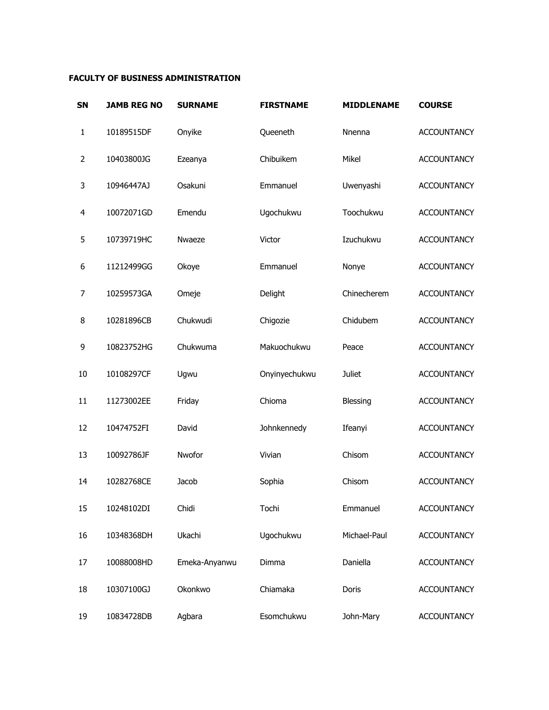## **FACULTY OF BUSINESS ADMINISTRATION**

| <b>SN</b> | <b>JAMB REG NO</b> | <b>SURNAME</b> | <b>FIRSTNAME</b> | <b>MIDDLENAME</b> | <b>COURSE</b>      |
|-----------|--------------------|----------------|------------------|-------------------|--------------------|
| 1         | 10189515DF         | Onyike         | Queeneth         | Nnenna            | <b>ACCOUNTANCY</b> |
| 2         | 10403800JG         | Ezeanya        | Chibuikem        | Mikel             | <b>ACCOUNTANCY</b> |
| 3         | 10946447AJ         | Osakuni        | Emmanuel         | Uwenyashi         | <b>ACCOUNTANCY</b> |
| 4         | 10072071GD         | Emendu         | Ugochukwu        | Toochukwu         | <b>ACCOUNTANCY</b> |
| 5         | 10739719HC         | Nwaeze         | Victor           | Izuchukwu         | <b>ACCOUNTANCY</b> |
| 6         | 11212499GG         | Okoye          | Emmanuel         | Nonye             | <b>ACCOUNTANCY</b> |
| 7         | 10259573GA         | Omeje          | Delight          | Chinecherem       | <b>ACCOUNTANCY</b> |
| 8         | 10281896CB         | Chukwudi       | Chigozie         | Chidubem          | <b>ACCOUNTANCY</b> |
| 9         | 10823752HG         | Chukwuma       | Makuochukwu      | Peace             | <b>ACCOUNTANCY</b> |
| 10        | 10108297CF         | Ugwu           | Onyinyechukwu    | <b>Juliet</b>     | <b>ACCOUNTANCY</b> |
| 11        | 11273002EE         | Friday         | Chioma           | Blessing          | <b>ACCOUNTANCY</b> |
| 12        | 10474752FI         | David          | Johnkennedy      | Ifeanyi           | <b>ACCOUNTANCY</b> |
| 13        | 10092786JF         | Nwofor         | Vivian           | Chisom            | <b>ACCOUNTANCY</b> |
| 14        | 10282768CE         | Jacob          | Sophia           | Chisom            | <b>ACCOUNTANCY</b> |
| 15        | 10248102DI         | Chidi          | Tochi            | Emmanuel          | <b>ACCOUNTANCY</b> |
| 16        | 10348368DH         | Ukachi         | Ugochukwu        | Michael-Paul      | <b>ACCOUNTANCY</b> |
| 17        | 10088008HD         | Emeka-Anyanwu  | Dimma            | Daniella          | <b>ACCOUNTANCY</b> |
| 18        | 10307100GJ         | Okonkwo        | Chiamaka         | Doris             | <b>ACCOUNTANCY</b> |
| 19        | 10834728DB         | Agbara         | Esomchukwu       | John-Mary         | <b>ACCOUNTANCY</b> |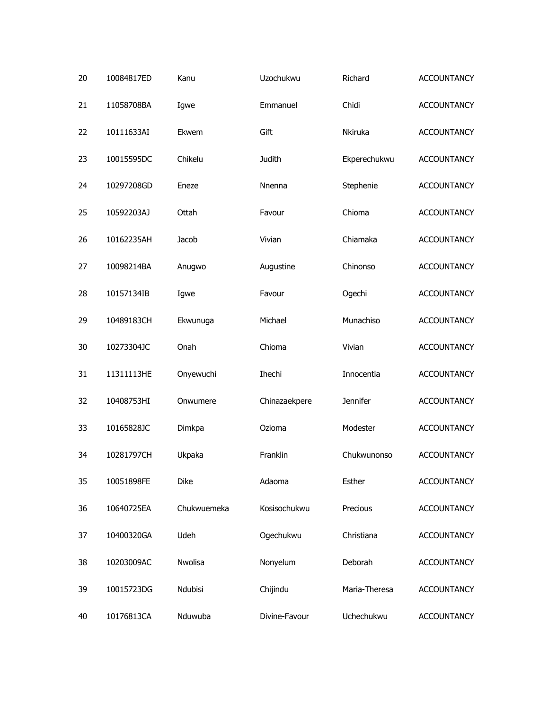| 20 | 10084817ED | Kanu        | Uzochukwu     | Richard         | <b>ACCOUNTANCY</b> |
|----|------------|-------------|---------------|-----------------|--------------------|
| 21 | 11058708BA | Igwe        | Emmanuel      | Chidi           | <b>ACCOUNTANCY</b> |
| 22 | 10111633AI | Ekwem       | Gift          | Nkiruka         | <b>ACCOUNTANCY</b> |
| 23 | 10015595DC | Chikelu     | <b>Judith</b> | Ekperechukwu    | <b>ACCOUNTANCY</b> |
| 24 | 10297208GD | Eneze       | Nnenna        | Stephenie       | <b>ACCOUNTANCY</b> |
| 25 | 10592203AJ | Ottah       | Favour        | Chioma          | <b>ACCOUNTANCY</b> |
| 26 | 10162235AH | Jacob       | Vivian        | Chiamaka        | <b>ACCOUNTANCY</b> |
| 27 | 10098214BA | Anugwo      | Augustine     | Chinonso        | <b>ACCOUNTANCY</b> |
| 28 | 10157134IB | Igwe        | Favour        | Ogechi          | <b>ACCOUNTANCY</b> |
| 29 | 10489183CH | Ekwunuga    | Michael       | Munachiso       | <b>ACCOUNTANCY</b> |
| 30 | 10273304JC | Onah        | Chioma        | Vivian          | <b>ACCOUNTANCY</b> |
| 31 | 11311113HE | Onyewuchi   | Ihechi        | Innocentia      | <b>ACCOUNTANCY</b> |
| 32 | 10408753HI | Onwumere    | Chinazaekpere | <b>Jennifer</b> | <b>ACCOUNTANCY</b> |
| 33 | 10165828JC | Dimkpa      | Ozioma        | Modester        | <b>ACCOUNTANCY</b> |
| 34 | 10281797CH | Ukpaka      | Franklin      | Chukwunonso     | <b>ACCOUNTANCY</b> |
| 35 | 10051898FE | Dike        | Adaoma        | Esther          | <b>ACCOUNTANCY</b> |
| 36 | 10640725EA | Chukwuemeka | Kosisochukwu  | Precious        | <b>ACCOUNTANCY</b> |
| 37 | 10400320GA | Udeh        | Ogechukwu     | Christiana      | <b>ACCOUNTANCY</b> |
| 38 | 10203009AC | Nwolisa     | Nonyelum      | Deborah         | <b>ACCOUNTANCY</b> |
| 39 | 10015723DG | Ndubisi     | Chijindu      | Maria-Theresa   | <b>ACCOUNTANCY</b> |
| 40 | 10176813CA | Nduwuba     | Divine-Favour | Uchechukwu      | <b>ACCOUNTANCY</b> |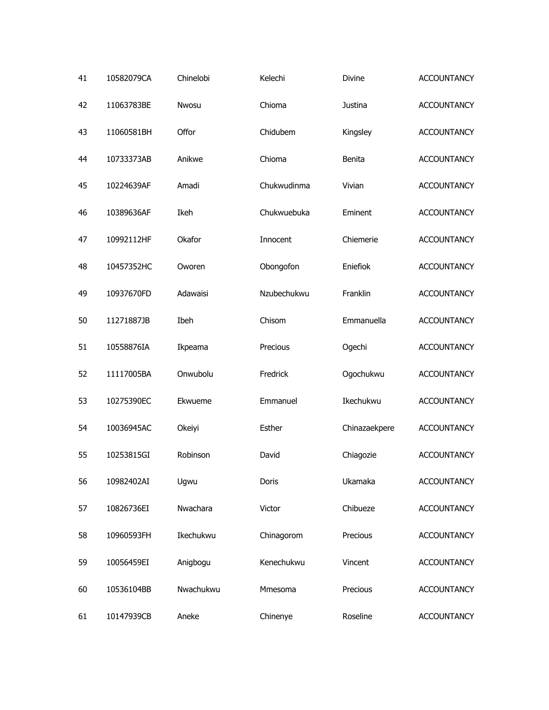| 41 | 10582079CA | Chinelobi | Kelechi     | Divine        | <b>ACCOUNTANCY</b> |
|----|------------|-----------|-------------|---------------|--------------------|
| 42 | 11063783BE | Nwosu     | Chioma      | Justina       | <b>ACCOUNTANCY</b> |
| 43 | 11060581BH | Offor     | Chidubem    | Kingsley      | <b>ACCOUNTANCY</b> |
| 44 | 10733373AB | Anikwe    | Chioma      | Benita        | <b>ACCOUNTANCY</b> |
| 45 | 10224639AF | Amadi     | Chukwudinma | Vivian        | <b>ACCOUNTANCY</b> |
| 46 | 10389636AF | Ikeh      | Chukwuebuka | Eminent       | <b>ACCOUNTANCY</b> |
| 47 | 10992112HF | Okafor    | Innocent    | Chiemerie     | <b>ACCOUNTANCY</b> |
| 48 | 10457352HC | Oworen    | Obongofon   | Eniefiok      | <b>ACCOUNTANCY</b> |
| 49 | 10937670FD | Adawaisi  | Nzubechukwu | Franklin      | <b>ACCOUNTANCY</b> |
| 50 | 11271887JB | Ibeh      | Chisom      | Emmanuella    | <b>ACCOUNTANCY</b> |
| 51 | 10558876IA | Ikpeama   | Precious    | Ogechi        | <b>ACCOUNTANCY</b> |
| 52 | 11117005BA | Onwubolu  | Fredrick    | Ogochukwu     | <b>ACCOUNTANCY</b> |
| 53 | 10275390EC | Ekwueme   | Emmanuel    | Ikechukwu     | <b>ACCOUNTANCY</b> |
| 54 | 10036945AC | Okeiyi    | Esther      | Chinazaekpere | <b>ACCOUNTANCY</b> |
| 55 | 10253815GI | Robinson  | David       | Chiagozie     | <b>ACCOUNTANCY</b> |
| 56 | 10982402AI | Ugwu      | Doris       | Ukamaka       | <b>ACCOUNTANCY</b> |
| 57 | 10826736EI | Nwachara  | Victor      | Chibueze      | <b>ACCOUNTANCY</b> |
| 58 | 10960593FH | Ikechukwu | Chinagorom  | Precious      | <b>ACCOUNTANCY</b> |
| 59 | 10056459EI | Anigbogu  | Kenechukwu  | Vincent       | <b>ACCOUNTANCY</b> |
| 60 | 10536104BB | Nwachukwu | Mmesoma     | Precious      | <b>ACCOUNTANCY</b> |
| 61 | 10147939CB | Aneke     | Chinenye    | Roseline      | <b>ACCOUNTANCY</b> |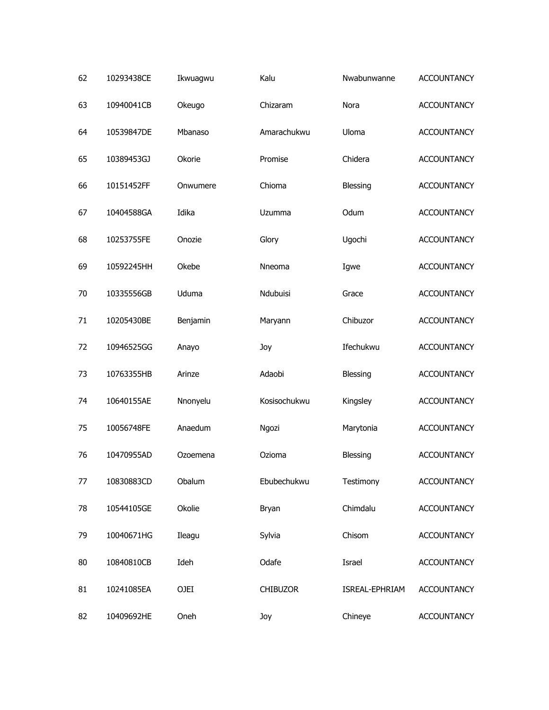| 62 | 10293438CE | Ikwuagwu | Kalu            | Nwabunwanne    | <b>ACCOUNTANCY</b> |
|----|------------|----------|-----------------|----------------|--------------------|
| 63 | 10940041CB | Okeugo   | Chizaram        | Nora           | <b>ACCOUNTANCY</b> |
| 64 | 10539847DE | Mbanaso  | Amarachukwu     | Uloma          | <b>ACCOUNTANCY</b> |
| 65 | 10389453GJ | Okorie   | Promise         | Chidera        | <b>ACCOUNTANCY</b> |
| 66 | 10151452FF | Onwumere | Chioma          | Blessing       | <b>ACCOUNTANCY</b> |
| 67 | 10404588GA | Idika    | Uzumma          | Odum           | <b>ACCOUNTANCY</b> |
| 68 | 10253755FE | Onozie   | Glory           | Ugochi         | <b>ACCOUNTANCY</b> |
| 69 | 10592245HH | Okebe    | Nneoma          | Igwe           | <b>ACCOUNTANCY</b> |
| 70 | 10335556GB | Uduma    | Ndubuisi        | Grace          | <b>ACCOUNTANCY</b> |
| 71 | 10205430BE | Benjamin | Maryann         | Chibuzor       | <b>ACCOUNTANCY</b> |
| 72 | 10946525GG | Anayo    | Joy             | Ifechukwu      | <b>ACCOUNTANCY</b> |
| 73 | 10763355HB | Arinze   | Adaobi          | Blessing       | <b>ACCOUNTANCY</b> |
| 74 | 10640155AE | Nnonyelu | Kosisochukwu    | Kingsley       | <b>ACCOUNTANCY</b> |
| 75 | 10056748FE | Anaedum  | Ngozi           | Marytonia      | <b>ACCOUNTANCY</b> |
| 76 | 10470955AD | Ozoemena | Ozioma          | Blessing       | <b>ACCOUNTANCY</b> |
| 77 | 10830883CD | Obalum   | Ebubechukwu     | Testimony      | <b>ACCOUNTANCY</b> |
| 78 | 10544105GE | Okolie   | Bryan           | Chimdalu       | <b>ACCOUNTANCY</b> |
| 79 | 10040671HG | Ileagu   | Sylvia          | Chisom         | <b>ACCOUNTANCY</b> |
| 80 | 10840810CB | Ideh     | Odafe           | Israel         | <b>ACCOUNTANCY</b> |
| 81 | 10241085EA | OJEI     | <b>CHIBUZOR</b> | ISREAL-EPHRIAM | <b>ACCOUNTANCY</b> |
| 82 | 10409692HE | Oneh     | Joy             | Chineye        | <b>ACCOUNTANCY</b> |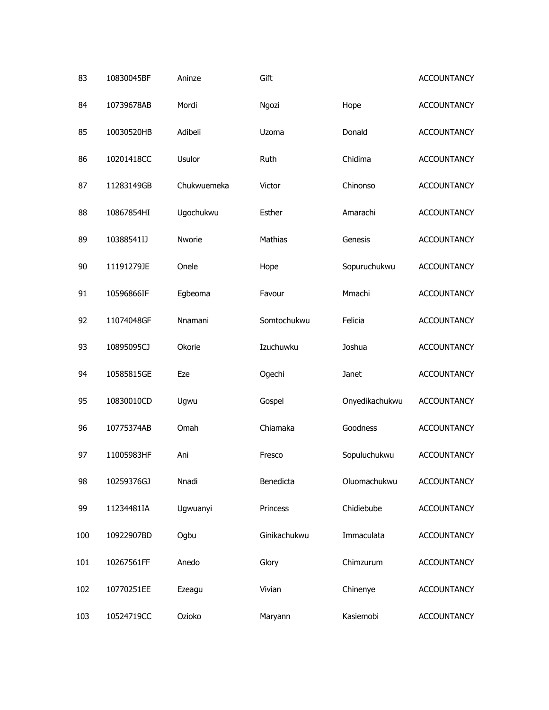| 83  | 10830045BF | Aninze      | Gift         |                | <b>ACCOUNTANCY</b> |
|-----|------------|-------------|--------------|----------------|--------------------|
| 84  | 10739678AB | Mordi       | Ngozi        | Hope           | <b>ACCOUNTANCY</b> |
| 85  | 10030520HB | Adibeli     | Uzoma        | Donald         | <b>ACCOUNTANCY</b> |
| 86  | 10201418CC | Usulor      | Ruth         | Chidima        | <b>ACCOUNTANCY</b> |
| 87  | 11283149GB | Chukwuemeka | Victor       | Chinonso       | <b>ACCOUNTANCY</b> |
| 88  | 10867854HI | Ugochukwu   | Esther       | Amarachi       | <b>ACCOUNTANCY</b> |
| 89  | 10388541IJ | Nworie      | Mathias      | Genesis        | <b>ACCOUNTANCY</b> |
| 90  | 11191279JE | Onele       | Hope         | Sopuruchukwu   | <b>ACCOUNTANCY</b> |
| 91  | 10596866IF | Egbeoma     | Favour       | Mmachi         | <b>ACCOUNTANCY</b> |
| 92  | 11074048GF | Nnamani     | Somtochukwu  | Felicia        | <b>ACCOUNTANCY</b> |
| 93  | 10895095CJ | Okorie      | Izuchuwku    | Joshua         | <b>ACCOUNTANCY</b> |
| 94  | 10585815GE | Eze         | Ogechi       | Janet          | <b>ACCOUNTANCY</b> |
| 95  | 10830010CD | Ugwu        | Gospel       | Onyedikachukwu | <b>ACCOUNTANCY</b> |
| 96  | 10775374AB | Omah        | Chiamaka     | Goodness       | <b>ACCOUNTANCY</b> |
| 97  | 11005983HF | Ani         | Fresco       | Sopuluchukwu   | <b>ACCOUNTANCY</b> |
| 98  | 10259376GJ | Nnadi       | Benedicta    | Oluomachukwu   | <b>ACCOUNTANCY</b> |
| 99  | 11234481IA | Ugwuanyi    | Princess     | Chidiebube     | <b>ACCOUNTANCY</b> |
| 100 | 10922907BD | Ogbu        | Ginikachukwu | Immaculata     | <b>ACCOUNTANCY</b> |
| 101 | 10267561FF | Anedo       | Glory        | Chimzurum      | <b>ACCOUNTANCY</b> |
| 102 | 10770251EE | Ezeagu      | Vivian       | Chinenye       | <b>ACCOUNTANCY</b> |
| 103 | 10524719CC | Ozioko      | Maryann      | Kasiemobi      | <b>ACCOUNTANCY</b> |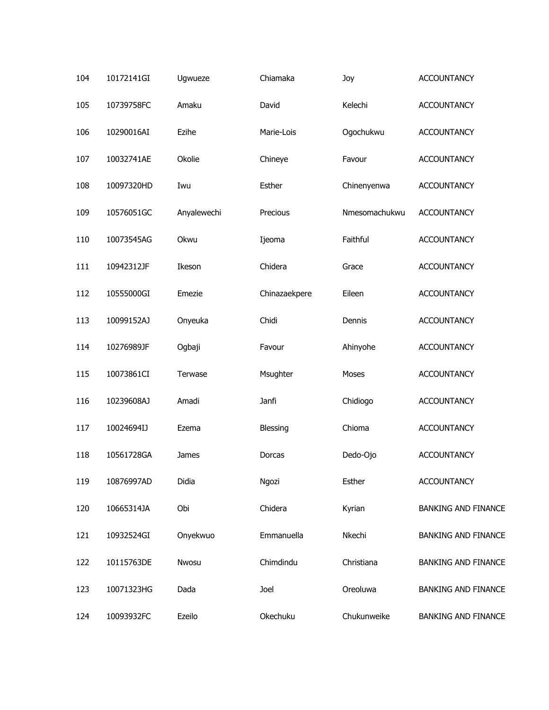| 104 | 10172141GI | Ugwueze     | Chiamaka      | Joy           | <b>ACCOUNTANCY</b>         |
|-----|------------|-------------|---------------|---------------|----------------------------|
| 105 | 10739758FC | Amaku       | David         | Kelechi       | <b>ACCOUNTANCY</b>         |
| 106 | 10290016AI | Ezihe       | Marie-Lois    | Ogochukwu     | <b>ACCOUNTANCY</b>         |
| 107 | 10032741AE | Okolie      | Chineye       | Favour        | <b>ACCOUNTANCY</b>         |
| 108 | 10097320HD | Iwu         | Esther        | Chinenyenwa   | ACCOUNTANCY                |
| 109 | 10576051GC | Anyalewechi | Precious      | Nmesomachukwu | <b>ACCOUNTANCY</b>         |
| 110 | 10073545AG | Okwu        | Ijeoma        | Faithful      | <b>ACCOUNTANCY</b>         |
| 111 | 10942312JF | Ikeson      | Chidera       | Grace         | <b>ACCOUNTANCY</b>         |
| 112 | 10555000GI | Emezie      | Chinazaekpere | Eileen        | <b>ACCOUNTANCY</b>         |
| 113 | 10099152AJ | Onyeuka     | Chidi         | Dennis        | <b>ACCOUNTANCY</b>         |
| 114 | 10276989JF | Ogbaji      | Favour        | Ahinyohe      | <b>ACCOUNTANCY</b>         |
| 115 | 10073861CI | Terwase     | Msughter      | Moses         | <b>ACCOUNTANCY</b>         |
| 116 | 10239608AJ | Amadi       | Janfi         | Chidiogo      | <b>ACCOUNTANCY</b>         |
| 117 | 10024694IJ | Ezema       | Blessing      | Chioma        | <b>ACCOUNTANCY</b>         |
| 118 | 10561728GA | James       | Dorcas        | Dedo-Ojo      | <b>ACCOUNTANCY</b>         |
| 119 | 10876997AD | Didia       | Ngozi         | Esther        | <b>ACCOUNTANCY</b>         |
| 120 | 10665314JA | Obi         | Chidera       | Kyrian        | <b>BANKING AND FINANCE</b> |
| 121 | 10932524GI | Onyekwuo    | Emmanuella    | Nkechi        | <b>BANKING AND FINANCE</b> |
| 122 | 10115763DE | Nwosu       | Chimdindu     | Christiana    | <b>BANKING AND FINANCE</b> |
| 123 | 10071323HG | Dada        | Joel          | Oreoluwa      | <b>BANKING AND FINANCE</b> |
| 124 | 10093932FC | Ezeilo      | Okechuku      | Chukunweike   | <b>BANKING AND FINANCE</b> |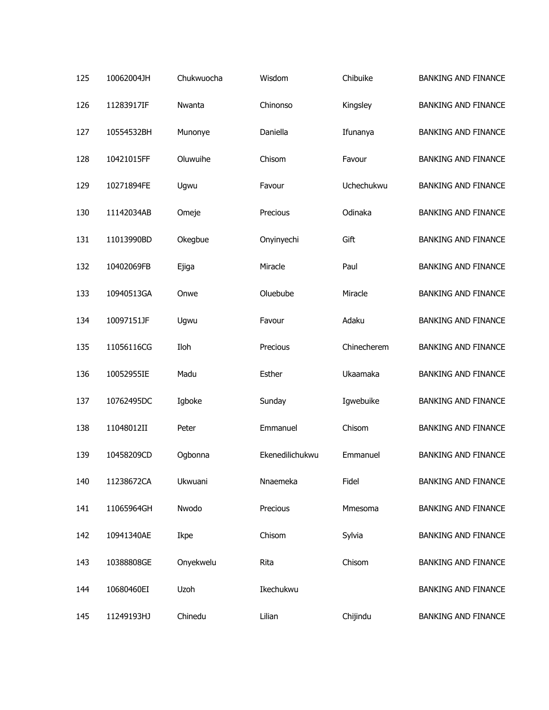| 125 | 10062004JH | Chukwuocha | Wisdom          | Chibuike    | <b>BANKING AND FINANCE</b> |
|-----|------------|------------|-----------------|-------------|----------------------------|
| 126 | 11283917IF | Nwanta     | Chinonso        | Kingsley    | <b>BANKING AND FINANCE</b> |
| 127 | 10554532BH | Munonye    | Daniella        | Ifunanya    | <b>BANKING AND FINANCE</b> |
| 128 | 10421015FF | Oluwuihe   | Chisom          | Favour      | <b>BANKING AND FINANCE</b> |
| 129 | 10271894FE | Ugwu       | Favour          | Uchechukwu  | <b>BANKING AND FINANCE</b> |
| 130 | 11142034AB | Omeje      | Precious        | Odinaka     | <b>BANKING AND FINANCE</b> |
| 131 | 11013990BD | Okegbue    | Onyinyechi      | Gift        | <b>BANKING AND FINANCE</b> |
| 132 | 10402069FB | Ejiga      | Miracle         | Paul        | <b>BANKING AND FINANCE</b> |
| 133 | 10940513GA | Onwe       | Oluebube        | Miracle     | <b>BANKING AND FINANCE</b> |
| 134 | 10097151JF | Ugwu       | Favour          | Adaku       | <b>BANKING AND FINANCE</b> |
| 135 | 11056116CG | Iloh       | Precious        | Chinecherem | <b>BANKING AND FINANCE</b> |
| 136 | 10052955IE | Madu       | Esther          | Ukaamaka    | <b>BANKING AND FINANCE</b> |
| 137 | 10762495DC | Igboke     | Sunday          | Igwebuike   | <b>BANKING AND FINANCE</b> |
| 138 | 11048012II | Peter      | Emmanuel        | Chisom      | <b>BANKING AND FINANCE</b> |
| 139 | 10458209CD | Ogbonna    | Ekenedilichukwu | Emmanuel    | <b>BANKING AND FINANCE</b> |
| 140 | 11238672CA | Ukwuani    | Nnaemeka        | Fidel       | <b>BANKING AND FINANCE</b> |
| 141 | 11065964GH | Nwodo      | Precious        | Mmesoma     | <b>BANKING AND FINANCE</b> |
| 142 | 10941340AE | Ikpe       | Chisom          | Sylvia      | <b>BANKING AND FINANCE</b> |
| 143 | 10388808GE | Onyekwelu  | Rita            | Chisom      | <b>BANKING AND FINANCE</b> |
| 144 | 10680460EI | Uzoh       | Ikechukwu       |             | <b>BANKING AND FINANCE</b> |
| 145 | 11249193HJ | Chinedu    | Lilian          | Chijindu    | <b>BANKING AND FINANCE</b> |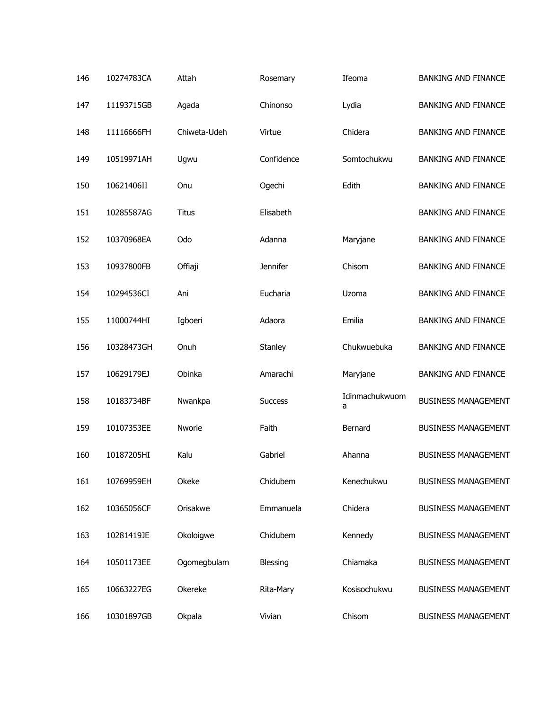| 146 | 10274783CA | Attah        | Rosemary        | Ifeoma              | <b>BANKING AND FINANCE</b> |
|-----|------------|--------------|-----------------|---------------------|----------------------------|
| 147 | 11193715GB | Agada        | Chinonso        | Lydia               | <b>BANKING AND FINANCE</b> |
| 148 | 11116666FH | Chiweta-Udeh | Virtue          | Chidera             | <b>BANKING AND FINANCE</b> |
| 149 | 10519971AH | Ugwu         | Confidence      | Somtochukwu         | <b>BANKING AND FINANCE</b> |
| 150 | 10621406II | Onu          | Ogechi          | Edith               | <b>BANKING AND FINANCE</b> |
| 151 | 10285587AG | <b>Titus</b> | Elisabeth       |                     | <b>BANKING AND FINANCE</b> |
| 152 | 10370968EA | Odo          | Adanna          | Maryjane            | <b>BANKING AND FINANCE</b> |
| 153 | 10937800FB | Offiaji      | <b>Jennifer</b> | Chisom              | <b>BANKING AND FINANCE</b> |
| 154 | 10294536CI | Ani          | Eucharia        | Uzoma               | <b>BANKING AND FINANCE</b> |
| 155 | 11000744HI | Igboeri      | Adaora          | Emilia              | <b>BANKING AND FINANCE</b> |
| 156 | 10328473GH | Onuh         | Stanley         | Chukwuebuka         | <b>BANKING AND FINANCE</b> |
| 157 | 10629179EJ | Obinka       | Amarachi        | Maryjane            | <b>BANKING AND FINANCE</b> |
| 158 | 10183734BF | Nwankpa      | <b>Success</b>  | Idinmachukwuom<br>а | <b>BUSINESS MANAGEMENT</b> |
| 159 | 10107353EE | Nworie       | Faith           | Bernard             | <b>BUSINESS MANAGEMENT</b> |
| 160 | 10187205HI | Kalu         | Gabriel         | Ahanna              | <b>BUSINESS MANAGEMENT</b> |
| 161 | 10769959EH | Okeke        | Chidubem        | Kenechukwu          | <b>BUSINESS MANAGEMENT</b> |
| 162 | 10365056CF | Orisakwe     | Emmanuela       | Chidera             | <b>BUSINESS MANAGEMENT</b> |
| 163 | 10281419JE | Okoloigwe    | Chidubem        | Kennedy             | <b>BUSINESS MANAGEMENT</b> |
| 164 | 10501173EE | Ogomegbulam  | Blessing        | Chiamaka            | <b>BUSINESS MANAGEMENT</b> |
| 165 | 10663227EG | Okereke      | Rita-Mary       | Kosisochukwu        | <b>BUSINESS MANAGEMENT</b> |
| 166 | 10301897GB | Okpala       | Vivian          | Chisom              | <b>BUSINESS MANAGEMENT</b> |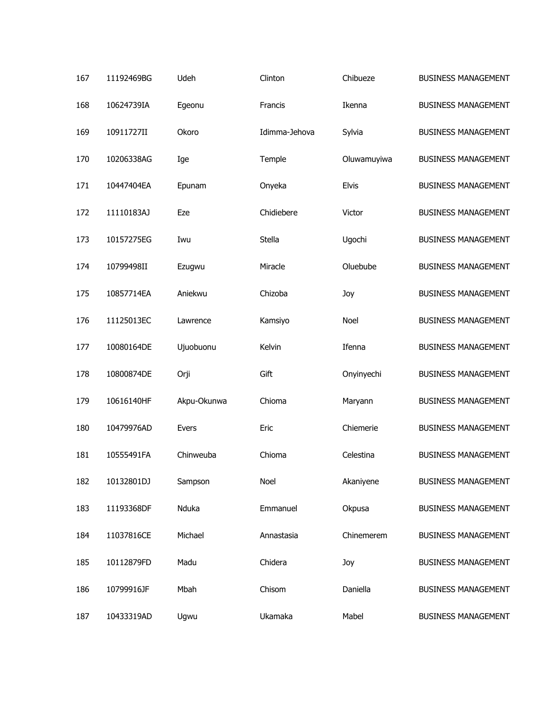| 167 | 11192469BG | Udeh        | Clinton       | Chibueze     | <b>BUSINESS MANAGEMENT</b> |
|-----|------------|-------------|---------------|--------------|----------------------------|
| 168 | 10624739IA | Egeonu      | Francis       | Ikenna       | <b>BUSINESS MANAGEMENT</b> |
| 169 | 10911727II | Okoro       | Idimma-Jehova | Sylvia       | <b>BUSINESS MANAGEMENT</b> |
| 170 | 10206338AG | Ige         | Temple        | Oluwamuyiwa  | <b>BUSINESS MANAGEMENT</b> |
| 171 | 10447404EA | Epunam      | Onyeka        | <b>Elvis</b> | <b>BUSINESS MANAGEMENT</b> |
| 172 | 11110183AJ | Eze         | Chidiebere    | Victor       | <b>BUSINESS MANAGEMENT</b> |
| 173 | 10157275EG | Iwu         | Stella        | Ugochi       | <b>BUSINESS MANAGEMENT</b> |
| 174 | 10799498II | Ezugwu      | Miracle       | Oluebube     | <b>BUSINESS MANAGEMENT</b> |
| 175 | 10857714EA | Aniekwu     | Chizoba       | Joy          | <b>BUSINESS MANAGEMENT</b> |
| 176 | 11125013EC | Lawrence    | Kamsiyo       | Noel         | <b>BUSINESS MANAGEMENT</b> |
| 177 | 10080164DE | Ujuobuonu   | Kelvin        | Ifenna       | <b>BUSINESS MANAGEMENT</b> |
| 178 | 10800874DE | Orji        | Gift          | Onyinyechi   | <b>BUSINESS MANAGEMENT</b> |
| 179 | 10616140HF | Akpu-Okunwa | Chioma        | Maryann      | <b>BUSINESS MANAGEMENT</b> |
| 180 | 10479976AD | Evers       | Eric          | Chiemerie    | <b>BUSINESS MANAGEMENT</b> |
| 181 | 10555491FA | Chinweuba   | Chioma        | Celestina    | <b>BUSINESS MANAGEMENT</b> |
| 182 | 10132801DJ | Sampson     | Noel          | Akaniyene    | <b>BUSINESS MANAGEMENT</b> |
| 183 | 11193368DF | Nduka       | Emmanuel      | Okpusa       | <b>BUSINESS MANAGEMENT</b> |
| 184 | 11037816CE | Michael     | Annastasia    | Chinemerem   | <b>BUSINESS MANAGEMENT</b> |
| 185 | 10112879FD | Madu        | Chidera       | Joy          | <b>BUSINESS MANAGEMENT</b> |
| 186 | 10799916JF | Mbah        | Chisom        | Daniella     | <b>BUSINESS MANAGEMENT</b> |
| 187 | 10433319AD | Ugwu        | Ukamaka       | Mabel        | <b>BUSINESS MANAGEMENT</b> |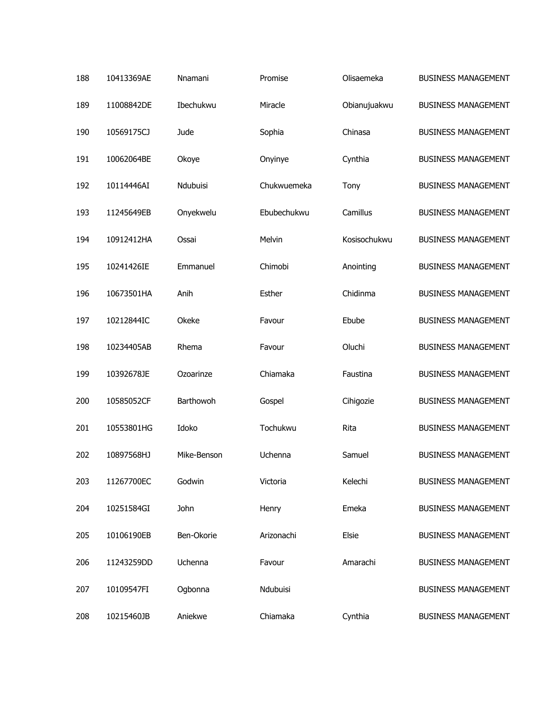| 188 | 10413369AE | Nnamani     | Promise     | Olisaemeka   | <b>BUSINESS MANAGEMENT</b> |
|-----|------------|-------------|-------------|--------------|----------------------------|
| 189 | 11008842DE | Ibechukwu   | Miracle     | Obianujuakwu | <b>BUSINESS MANAGEMENT</b> |
| 190 | 10569175CJ | Jude        | Sophia      | Chinasa      | <b>BUSINESS MANAGEMENT</b> |
| 191 | 10062064BE | Okoye       | Onyinye     | Cynthia      | <b>BUSINESS MANAGEMENT</b> |
| 192 | 10114446AI | Ndubuisi    | Chukwuemeka | Tony         | <b>BUSINESS MANAGEMENT</b> |
| 193 | 11245649EB | Onyekwelu   | Ebubechukwu | Camillus     | <b>BUSINESS MANAGEMENT</b> |
| 194 | 10912412HA | Ossai       | Melvin      | Kosisochukwu | <b>BUSINESS MANAGEMENT</b> |
| 195 | 10241426IE | Emmanuel    | Chimobi     | Anointing    | <b>BUSINESS MANAGEMENT</b> |
| 196 | 10673501HA | Anih        | Esther      | Chidinma     | <b>BUSINESS MANAGEMENT</b> |
| 197 | 10212844IC | Okeke       | Favour      | Ebube        | <b>BUSINESS MANAGEMENT</b> |
| 198 | 10234405AB | Rhema       | Favour      | Oluchi       | <b>BUSINESS MANAGEMENT</b> |
| 199 | 10392678JE | Ozoarinze   | Chiamaka    | Faustina     | <b>BUSINESS MANAGEMENT</b> |
| 200 | 10585052CF | Barthowoh   | Gospel      | Cihigozie    | <b>BUSINESS MANAGEMENT</b> |
| 201 | 10553801HG | Idoko       | Tochukwu    | Rita         | <b>BUSINESS MANAGEMENT</b> |
| 202 | 10897568HJ | Mike-Benson | Uchenna     | Samuel       | <b>BUSINESS MANAGEMENT</b> |
| 203 | 11267700EC | Godwin      | Victoria    | Kelechi      | <b>BUSINESS MANAGEMENT</b> |
| 204 | 10251584GI | John        | Henry       | Emeka        | <b>BUSINESS MANAGEMENT</b> |
| 205 | 10106190EB | Ben-Okorie  | Arizonachi  | Elsie        | <b>BUSINESS MANAGEMENT</b> |
| 206 | 11243259DD | Uchenna     | Favour      | Amarachi     | <b>BUSINESS MANAGEMENT</b> |
| 207 | 10109547FI | Ogbonna     | Ndubuisi    |              | <b>BUSINESS MANAGEMENT</b> |
| 208 | 10215460JB | Aniekwe     | Chiamaka    | Cynthia      | <b>BUSINESS MANAGEMENT</b> |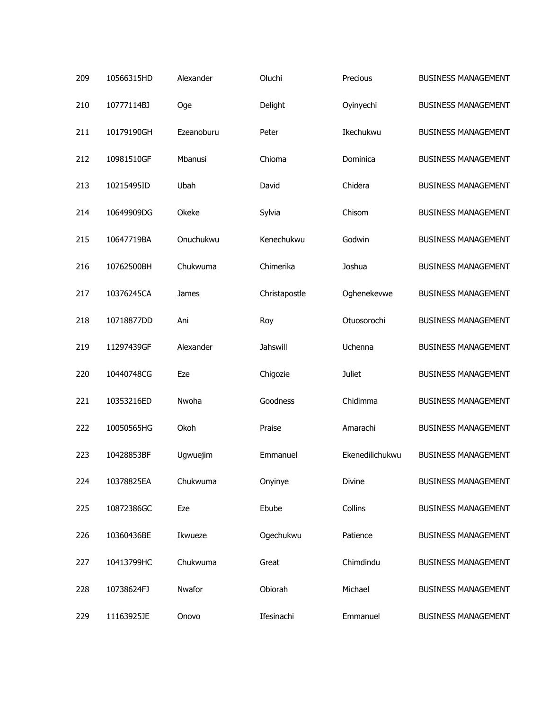| 209 | 10566315HD | Alexander  | Oluchi        | Precious        | <b>BUSINESS MANAGEMENT</b> |
|-----|------------|------------|---------------|-----------------|----------------------------|
| 210 | 10777114BJ | Oge        | Delight       | Oyinyechi       | <b>BUSINESS MANAGEMENT</b> |
| 211 | 10179190GH | Ezeanoburu | Peter         | Ikechukwu       | <b>BUSINESS MANAGEMENT</b> |
| 212 | 10981510GF | Mbanusi    | Chioma        | Dominica        | <b>BUSINESS MANAGEMENT</b> |
| 213 | 10215495ID | Ubah       | David         | Chidera         | <b>BUSINESS MANAGEMENT</b> |
| 214 | 10649909DG | Okeke      | Sylvia        | Chisom          | <b>BUSINESS MANAGEMENT</b> |
| 215 | 10647719BA | Onuchukwu  | Kenechukwu    | Godwin          | <b>BUSINESS MANAGEMENT</b> |
| 216 | 10762500BH | Chukwuma   | Chimerika     | Joshua          | <b>BUSINESS MANAGEMENT</b> |
| 217 | 10376245CA | James      | Christapostle | Oghenekevwe     | <b>BUSINESS MANAGEMENT</b> |
| 218 | 10718877DD | Ani        | Roy           | Otuosorochi     | <b>BUSINESS MANAGEMENT</b> |
| 219 | 11297439GF | Alexander  | Jahswill      | Uchenna         | <b>BUSINESS MANAGEMENT</b> |
| 220 | 10440748CG | Eze        | Chigozie      | <b>Juliet</b>   | <b>BUSINESS MANAGEMENT</b> |
| 221 | 10353216ED | Nwoha      | Goodness      | Chidimma        | <b>BUSINESS MANAGEMENT</b> |
| 222 | 10050565HG | Okoh       | Praise        | Amarachi        | <b>BUSINESS MANAGEMENT</b> |
| 223 | 10428853BF | Ugwuejim   | Emmanuel      | Ekenedilichukwu | <b>BUSINESS MANAGEMENT</b> |
| 224 | 10378825EA | Chukwuma   | Onyinye       | Divine          | <b>BUSINESS MANAGEMENT</b> |
| 225 | 10872386GC | Eze        | Ebube         | Collins         | <b>BUSINESS MANAGEMENT</b> |
| 226 | 10360436BE | Ikwueze    | Ogechukwu     | Patience        | <b>BUSINESS MANAGEMENT</b> |
| 227 | 10413799HC | Chukwuma   | Great         | Chimdindu       | <b>BUSINESS MANAGEMENT</b> |
| 228 | 10738624FJ | Nwafor     | Obiorah       | Michael         | <b>BUSINESS MANAGEMENT</b> |
| 229 | 11163925JE | Onovo      | Ifesinachi    | Emmanuel        | <b>BUSINESS MANAGEMENT</b> |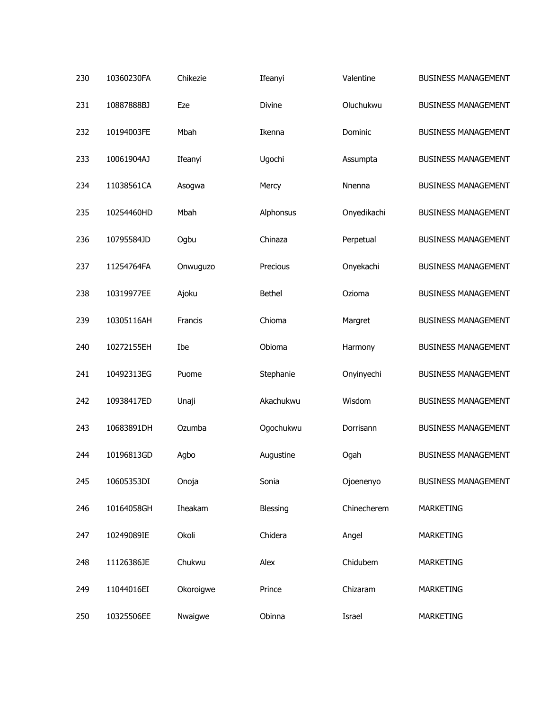| 230 | 10360230FA | Chikezie  | Ifeanyi       | Valentine   | <b>BUSINESS MANAGEMENT</b> |
|-----|------------|-----------|---------------|-------------|----------------------------|
| 231 | 10887888BJ | Eze       | Divine        | Oluchukwu   | <b>BUSINESS MANAGEMENT</b> |
| 232 | 10194003FE | Mbah      | Ikenna        | Dominic     | <b>BUSINESS MANAGEMENT</b> |
| 233 | 10061904AJ | Ifeanyi   | Ugochi        | Assumpta    | <b>BUSINESS MANAGEMENT</b> |
| 234 | 11038561CA | Asogwa    | Mercy         | Nnenna      | <b>BUSINESS MANAGEMENT</b> |
| 235 | 10254460HD | Mbah      | Alphonsus     | Onyedikachi | <b>BUSINESS MANAGEMENT</b> |
| 236 | 10795584JD | Ogbu      | Chinaza       | Perpetual   | <b>BUSINESS MANAGEMENT</b> |
| 237 | 11254764FA | Onwuguzo  | Precious      | Onyekachi   | <b>BUSINESS MANAGEMENT</b> |
| 238 | 10319977EE | Ajoku     | <b>Bethel</b> | Ozioma      | <b>BUSINESS MANAGEMENT</b> |
| 239 | 10305116AH | Francis   | Chioma        | Margret     | <b>BUSINESS MANAGEMENT</b> |
| 240 | 10272155EH | Ibe       | Obioma        | Harmony     | <b>BUSINESS MANAGEMENT</b> |
| 241 | 10492313EG | Puome     | Stephanie     | Onyinyechi  | <b>BUSINESS MANAGEMENT</b> |
| 242 | 10938417ED | Unaji     | Akachukwu     | Wisdom      | <b>BUSINESS MANAGEMENT</b> |
| 243 | 10683891DH | Ozumba    | Ogochukwu     | Dorrisann   | <b>BUSINESS MANAGEMENT</b> |
| 244 | 10196813GD | Agbo      | Augustine     | Ogah        | <b>BUSINESS MANAGEMENT</b> |
| 245 | 10605353DI | Onoja     | Sonia         | Ojoenenyo   | <b>BUSINESS MANAGEMENT</b> |
| 246 | 10164058GH | Iheakam   | Blessing      | Chinecherem | <b>MARKETING</b>           |
| 247 | 10249089IE | Okoli     | Chidera       | Angel       | MARKETING                  |
| 248 | 11126386JE | Chukwu    | Alex          | Chidubem    | <b>MARKETING</b>           |
| 249 | 11044016EI | Okoroigwe | Prince        | Chizaram    | MARKETING                  |
| 250 | 10325506EE | Nwaigwe   | Obinna        | Israel      | <b>MARKETING</b>           |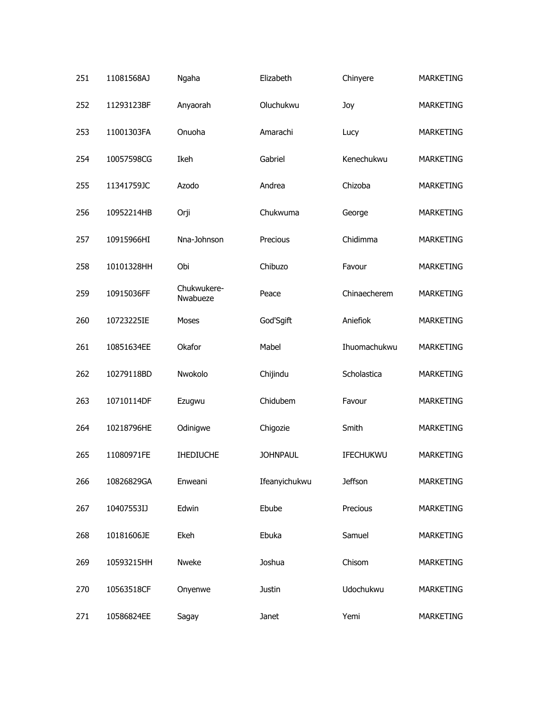| 251 | 11081568AJ | Ngaha                   | Elizabeth       | Chinyere       | <b>MARKETING</b> |
|-----|------------|-------------------------|-----------------|----------------|------------------|
| 252 | 11293123BF | Anyaorah                | Oluchukwu       | Joy            | <b>MARKETING</b> |
| 253 | 11001303FA | Onuoha                  | Amarachi        | Lucy           | <b>MARKETING</b> |
| 254 | 10057598CG | Ikeh                    | Gabriel         | Kenechukwu     | <b>MARKETING</b> |
| 255 | 11341759JC | Azodo                   | Andrea          | Chizoba        | <b>MARKETING</b> |
| 256 | 10952214HB | Orji                    | Chukwuma        | George         | <b>MARKETING</b> |
| 257 | 10915966HI | Nna-Johnson             | Precious        | Chidimma       | <b>MARKETING</b> |
| 258 | 10101328HH | Obi                     | Chibuzo         | Favour         | <b>MARKETING</b> |
| 259 | 10915036FF | Chukwukere-<br>Nwabueze | Peace           | Chinaecherem   | <b>MARKETING</b> |
| 260 | 10723225IE | Moses                   | God'Sgift       | Aniefiok       | <b>MARKETING</b> |
| 261 | 10851634EE | Okafor                  | Mabel           | Ihuomachukwu   | <b>MARKETING</b> |
| 262 | 10279118BD | Nwokolo                 | Chijindu        | Scholastica    | <b>MARKETING</b> |
| 263 | 10710114DF | Ezugwu                  | Chidubem        | Favour         | <b>MARKETING</b> |
| 264 | 10218796HE | Odinigwe                | Chigozie        | Smith          | <b>MARKETING</b> |
| 265 | 11080971FE | <b>IHEDIUCHE</b>        | <b>JOHNPAUL</b> | IFECHUKWU      | <b>MARKETING</b> |
| 266 | 10826829GA | Enweani                 | Ifeanyichukwu   | <b>Jeffson</b> | <b>MARKETING</b> |
| 267 | 10407553IJ | Edwin                   | Ebube           | Precious       | MARKETING        |
| 268 | 10181606JE | Ekeh                    | Ebuka           | Samuel         | <b>MARKETING</b> |
| 269 | 10593215HH | Nweke                   | Joshua          | Chisom         | MARKETING        |
| 270 | 10563518CF | Onyenwe                 | Justin          | Udochukwu      | <b>MARKETING</b> |
| 271 | 10586824EE | Sagay                   | Janet           | Yemi           | MARKETING        |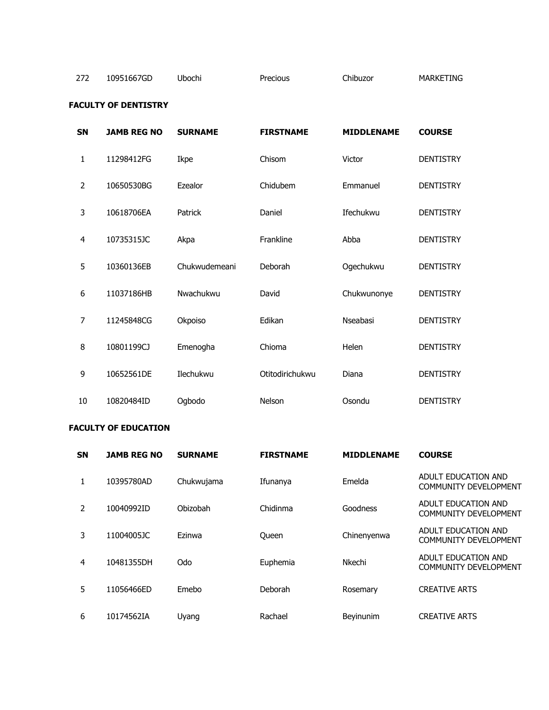## 272 10951667GD Ubochi Precious Chibuzor MARKETING

## **FACULTY OF DENTISTRY**

| <b>SN</b>      | <b>JAMB REG NO</b> | <b>SURNAME</b> | <b>FIRSTNAME</b> | <b>MIDDLENAME</b> | <b>COURSE</b>    |
|----------------|--------------------|----------------|------------------|-------------------|------------------|
| 1              | 11298412FG         | Ikpe           | Chisom           | Victor            | <b>DENTISTRY</b> |
| $\overline{2}$ | 10650530BG         | Ezealor        | Chidubem         | Emmanuel          | <b>DENTISTRY</b> |
| 3              | 10618706EA         | Patrick        | Daniel           | Ifechukwu         | <b>DENTISTRY</b> |
| $\overline{4}$ | 10735315JC         | Akpa           | Frankline        | Abba              | <b>DENTISTRY</b> |
| 5              | 10360136EB         | Chukwudemeani  | Deborah          | Ogechukwu         | <b>DENTISTRY</b> |
| 6              | 11037186HB         | Nwachukwu      | David            | Chukwunonye       | <b>DENTISTRY</b> |
| 7              | 11245848CG         | Okpoiso        | Edikan           | Nseabasi          | <b>DENTISTRY</b> |
| 8              | 10801199CJ         | Emenogha       | Chioma           | <b>Helen</b>      | <b>DENTISTRY</b> |
| 9              | 10652561DE         | Ilechukwu      | Otitodirichukwu  | Diana             | <b>DENTISTRY</b> |
| 10             | 10820484ID         | Ogbodo         | Nelson           | Osondu            | <b>DENTISTRY</b> |

## **FACULTY OF EDUCATION**

| <b>SN</b>      | <b>JAMB REG NO</b> | <b>SURNAME</b> | <b>FIRSTNAME</b> | <b>MIDDLENAME</b> | <b>COURSE</b>                                       |
|----------------|--------------------|----------------|------------------|-------------------|-----------------------------------------------------|
|                | 10395780AD         | Chukwujama     | Ifunanya         | Emelda            | ADULT EDUCATION AND<br>COMMUNITY DEVELOPMENT        |
| $\overline{2}$ | 10040992ID         | Obizobah       | Chidinma         | Goodness          | ADULT EDUCATION AND<br><b>COMMUNITY DEVELOPMENT</b> |
| 3              | 11004005JC         | Ezinwa         | Queen            | Chinenyenwa       | ADULT EDUCATION AND<br><b>COMMUNITY DEVELOPMENT</b> |
| 4              | 10481355DH         | Odo            | Euphemia         | Nkechi            | ADULT EDUCATION AND<br><b>COMMUNITY DEVELOPMENT</b> |
| 5              | 11056466ED         | Emebo          | Deborah          | Rosemary          | <b>CREATIVE ARTS</b>                                |
| 6              | 10174562IA         | Uyang          | Rachael          | <b>Bevinunim</b>  | <b>CREATIVE ARTS</b>                                |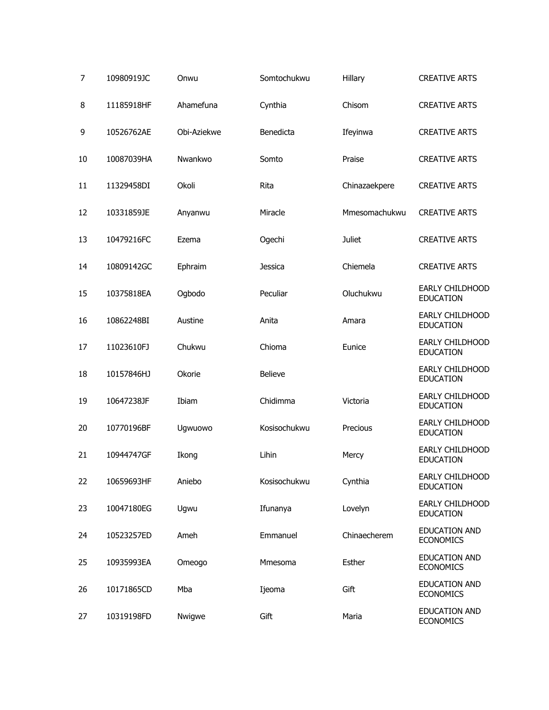| 7  | 10980919JC | Onwu        | Somtochukwu    | Hillary       | <b>CREATIVE ARTS</b>                     |
|----|------------|-------------|----------------|---------------|------------------------------------------|
| 8  | 11185918HF | Ahamefuna   | Cynthia        | Chisom        | <b>CREATIVE ARTS</b>                     |
| 9  | 10526762AE | Obi-Aziekwe | Benedicta      | Ifeyinwa      | <b>CREATIVE ARTS</b>                     |
| 10 | 10087039HA | Nwankwo     | Somto          | Praise        | <b>CREATIVE ARTS</b>                     |
| 11 | 11329458DI | Okoli       | Rita           | Chinazaekpere | <b>CREATIVE ARTS</b>                     |
| 12 | 10331859JE | Anyanwu     | Miracle        | Mmesomachukwu | <b>CREATIVE ARTS</b>                     |
| 13 | 10479216FC | Ezema       | Ogechi         | <b>Juliet</b> | <b>CREATIVE ARTS</b>                     |
| 14 | 10809142GC | Ephraim     | Jessica        | Chiemela      | <b>CREATIVE ARTS</b>                     |
| 15 | 10375818EA | Ogbodo      | Peculiar       | Oluchukwu     | EARLY CHILDHOOD<br><b>EDUCATION</b>      |
| 16 | 10862248BI | Austine     | Anita          | Amara         | EARLY CHILDHOOD<br><b>EDUCATION</b>      |
| 17 | 11023610FJ | Chukwu      | Chioma         | Eunice        | EARLY CHILDHOOD<br><b>EDUCATION</b>      |
| 18 | 10157846HJ | Okorie      | <b>Believe</b> |               | EARLY CHILDHOOD<br><b>EDUCATION</b>      |
| 19 | 10647238JF | Ibiam       | Chidimma       | Victoria      | EARLY CHILDHOOD<br><b>EDUCATION</b>      |
| 20 | 10770196BF | Ugwuowo     | Kosisochukwu   | Precious      | EARLY CHILDHOOD<br><b>EDUCATION</b>      |
| 21 | 10944747GF | Ikong       | Lihin          | Mercy         | EARLY CHILDHOOD<br><b>EDUCATION</b>      |
| 22 | 10659693HF | Aniebo      | Kosisochukwu   | Cynthia       | EARLY CHILDHOOD<br><b>EDUCATION</b>      |
| 23 | 10047180EG | Ugwu        | Ifunanya       | Lovelyn       | EARLY CHILDHOOD<br><b>EDUCATION</b>      |
| 24 | 10523257ED | Ameh        | Emmanuel       | Chinaecherem  | <b>EDUCATION AND</b><br><b>ECONOMICS</b> |
| 25 | 10935993EA | Omeogo      | Mmesoma        | Esther        | <b>EDUCATION AND</b><br><b>ECONOMICS</b> |
| 26 | 10171865CD | Mba         | Ijeoma         | Gift          | <b>EDUCATION AND</b><br><b>ECONOMICS</b> |
| 27 | 10319198FD | Nwigwe      | Gift           | Maria         | <b>EDUCATION AND</b><br><b>ECONOMICS</b> |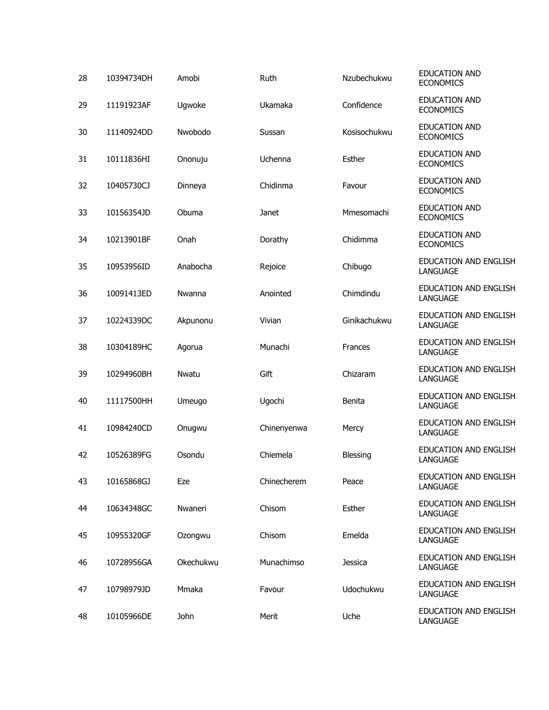| 28 | 10394734DH | Amobi     | Ruth        | Nzubechukwu    | <b>EDUCATION AND</b><br><b>ECONOMICS</b> |
|----|------------|-----------|-------------|----------------|------------------------------------------|
| 29 | 11191923AF | Ugwoke    | Ukamaka     | Confidence     | <b>EDUCATION AND</b><br><b>ECONOMICS</b> |
| 30 | 11140924DD | Nwobodo   | Sussan      | Kosisochukwu   | <b>EDUCATION AND</b><br><b>ECONOMICS</b> |
| 31 | 10111836HI | Ononuju   | Uchenna     | <b>Esther</b>  | <b>EDUCATION AND</b><br><b>ECONOMICS</b> |
| 32 | 10405730CJ | Dinneya   | Chidinma    | Favour         | <b>EDUCATION AND</b><br><b>ECONOMICS</b> |
| 33 | 10156354JD | Obuma     | Janet       | Mmesomachi     | <b>EDUCATION AND</b><br><b>ECONOMICS</b> |
| 34 | 10213901BF | Onah      | Dorathy     | Chidimma       | <b>EDUCATION AND</b><br><b>ECONOMICS</b> |
| 35 | 10953956ID | Anabocha  | Rejoice     | Chibugo        | <b>EDUCATION AND ENGLISH</b><br>LANGUAGE |
| 36 | 10091413ED | Nwanna    | Anointed    | Chimdindu      | EDUCATION AND ENGLISH<br>LANGUAGE        |
| 37 | 10224339DC | Akpunonu  | Vivian      | Ginikachukwu   | <b>EDUCATION AND ENGLISH</b><br>LANGUAGE |
| 38 | 10304189HC | Agorua    | Munachi     | <b>Frances</b> | EDUCATION AND ENGLISH<br>LANGUAGE        |
| 39 | 10294960BH | Nwatu     | Gift        | Chizaram       | <b>EDUCATION AND ENGLISH</b><br>LANGUAGE |
| 40 | 11117500HH | Umeugo    | Ugochi      | Benita         | EDUCATION AND ENGLISH<br>LANGUAGE        |
| 41 | 10984240CD | Onugwu    | Chinenyenwa | Mercy          | <b>EDUCATION AND ENGLISH</b><br>LANGUAGE |
| 42 | 10526389FG | Osondu    | Chiemela    | Blessing       | EDUCATION AND ENGLISH<br>LANGUAGE        |
| 43 | 10165868GJ | Eze       | Chinecherem | Peace          | EDUCATION AND ENGLISH<br>LANGUAGE        |
| 44 | 10634348GC | Nwaneri   | Chisom      | <b>Esther</b>  | EDUCATION AND ENGLISH<br>LANGUAGE        |
| 45 | 10955320GF | Ozongwu   | Chisom      | Emelda         | EDUCATION AND ENGLISH<br>LANGUAGE        |
| 46 | 10728956GA | Okechukwu | Munachimso  | Jessica        | EDUCATION AND ENGLISH<br>LANGUAGE        |
| 47 | 10798979JD | Mmaka     | Favour      | Udochukwu      | EDUCATION AND ENGLISH<br>LANGUAGE        |
| 48 | 10105966DE | John      | Merit       | Uche           | EDUCATION AND ENGLISH<br>LANGUAGE        |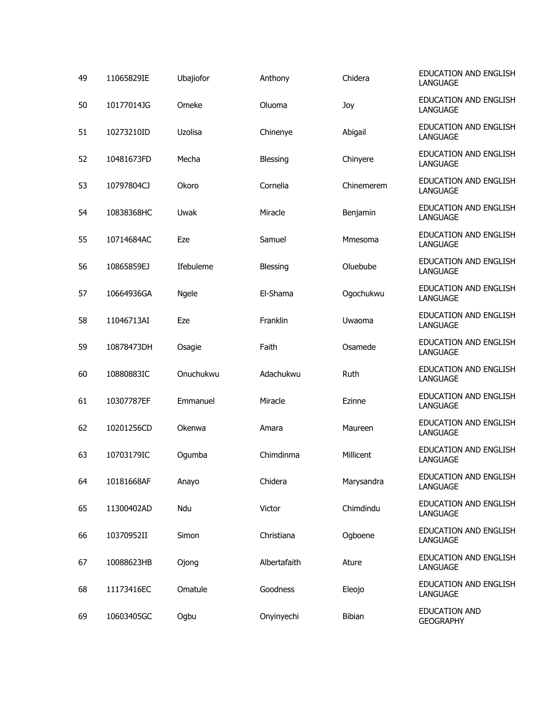| 49 | 11065829IE | Ubajiofor | Anthony         | Chidera    | <b>EDUCATION AND ENGLISH</b><br><b>LANGUAGE</b> |
|----|------------|-----------|-----------------|------------|-------------------------------------------------|
| 50 | 10177014JG | Omeke     | Oluoma          | Joy        | EDUCATION AND ENGLISH<br><b>LANGUAGE</b>        |
| 51 | 10273210ID | Uzolisa   | Chinenye        | Abigail    | <b>EDUCATION AND ENGLISH</b><br>LANGUAGE        |
| 52 | 10481673FD | Mecha     | <b>Blessing</b> | Chinyere   | EDUCATION AND ENGLISH<br>LANGUAGE               |
| 53 | 10797804CJ | Okoro     | Cornelia        | Chinemerem | <b>EDUCATION AND ENGLISH</b><br>LANGUAGE        |
| 54 | 10838368HC | Uwak      | Miracle         | Benjamin   | EDUCATION AND ENGLISH<br>LANGUAGE               |
| 55 | 10714684AC | Eze       | Samuel          | Mmesoma    | EDUCATION AND ENGLISH<br>LANGUAGE               |
| 56 | 10865859EJ | Ifebuleme | <b>Blessing</b> | Oluebube   | EDUCATION AND ENGLISH<br>LANGUAGE               |
| 57 | 10664936GA | Ngele     | El-Shama        | Ogochukwu  | EDUCATION AND ENGLISH<br><b>LANGUAGE</b>        |
| 58 | 11046713AI | Eze       | Franklin        | Uwaoma     | EDUCATION AND ENGLISH<br>LANGUAGE               |
| 59 | 10878473DH | Osagie    | Faith           | Osamede    | EDUCATION AND ENGLISH<br>LANGUAGE               |
| 60 | 10880883IC | Onuchukwu | Adachukwu       | Ruth       | EDUCATION AND ENGLISH<br>LANGUAGE               |
| 61 | 10307787EF | Emmanuel  | Miracle         | Ezinne     | EDUCATION AND ENGLISH<br>LANGUAGE               |
| 62 | 10201256CD | Okenwa    | Amara           | Maureen    | EDUCATION AND ENGLISH<br>LANGUAGE               |
| 63 | 10703179IC | Ogumba    | Chimdinma       | Millicent  | EDUCATION AND ENGLISH<br><b>LANGUAGE</b>        |
| 64 | 10181668AF | Anayo     | Chidera         | Marysandra | <b>EDUCATION AND ENGLISH</b><br>LANGUAGE        |
| 65 | 11300402AD | Ndu       | Victor          | Chimdindu  | EDUCATION AND ENGLISH<br><b>LANGUAGE</b>        |
| 66 | 10370952II | Simon     | Christiana      | Ogboene    | EDUCATION AND ENGLISH<br>LANGUAGE               |
| 67 | 10088623HB | Ojong     | Albertafaith    | Ature      | EDUCATION AND ENGLISH<br>LANGUAGE               |
| 68 | 11173416EC | Omatule   | Goodness        | Eleojo     | EDUCATION AND ENGLISH<br>LANGUAGE               |
| 69 | 10603405GC | Ogbu      | Onyinyechi      | Bibian     | <b>EDUCATION AND</b><br><b>GEOGRAPHY</b>        |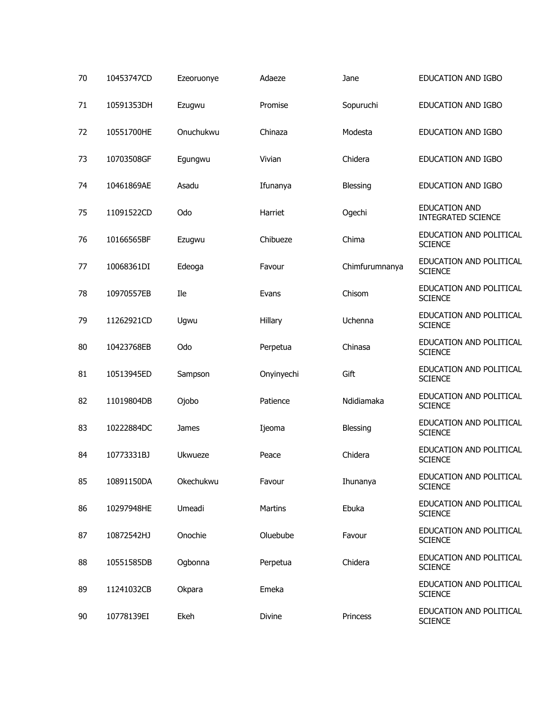| 70 | 10453747CD | Ezeoruonye | Adaeze     | Jane           | EDUCATION AND IGBO                                |
|----|------------|------------|------------|----------------|---------------------------------------------------|
| 71 | 10591353DH | Ezugwu     | Promise    | Sopuruchi      | EDUCATION AND IGBO                                |
| 72 | 10551700HE | Onuchukwu  | Chinaza    | Modesta        | EDUCATION AND IGBO                                |
| 73 | 10703508GF | Egungwu    | Vivian     | Chidera        | EDUCATION AND IGBO                                |
| 74 | 10461869AE | Asadu      | Ifunanya   | Blessing       | EDUCATION AND IGBO                                |
| 75 | 11091522CD | Odo        | Harriet    | Ogechi         | <b>EDUCATION AND</b><br><b>INTEGRATED SCIENCE</b> |
| 76 | 10166565BF | Ezugwu     | Chibueze   | Chima          | EDUCATION AND POLITICAL<br><b>SCIENCE</b>         |
| 77 | 10068361DI | Edeoga     | Favour     | Chimfurumnanya | EDUCATION AND POLITICAL<br><b>SCIENCE</b>         |
| 78 | 10970557EB | Ile        | Evans      | Chisom         | EDUCATION AND POLITICAL<br><b>SCIENCE</b>         |
| 79 | 11262921CD | Ugwu       | Hillary    | Uchenna        | EDUCATION AND POLITICAL<br><b>SCIENCE</b>         |
| 80 | 10423768EB | Odo        | Perpetua   | Chinasa        | EDUCATION AND POLITICAL<br><b>SCIENCE</b>         |
| 81 | 10513945ED | Sampson    | Onyinyechi | Gift           | EDUCATION AND POLITICAL<br><b>SCIENCE</b>         |
| 82 | 11019804DB | Ojobo      | Patience   | Ndidiamaka     | EDUCATION AND POLITICAL<br><b>SCIENCE</b>         |
| 83 | 10222884DC | James      | Ijeoma     | Blessing       | EDUCATION AND POLITICAL<br><b>SCIENCE</b>         |
| 84 | 10773331BJ | Ukwueze    | Peace      | Chidera        | EDUCATION AND POLITICAL<br><b>SCIENCE</b>         |
| 85 | 10891150DA | Okechukwu  | Favour     | Ihunanya       | EDUCATION AND POLITICAL<br><b>SCIENCE</b>         |
| 86 | 10297948HE | Umeadi     | Martins    | Ebuka          | EDUCATION AND POLITICAL<br><b>SCIENCE</b>         |
| 87 | 10872542HJ | Onochie    | Oluebube   | Favour         | EDUCATION AND POLITICAL<br><b>SCIENCE</b>         |
| 88 | 10551585DB | Ogbonna    | Perpetua   | Chidera        | EDUCATION AND POLITICAL<br><b>SCIENCE</b>         |
| 89 | 11241032CB | Okpara     | Emeka      |                | EDUCATION AND POLITICAL<br><b>SCIENCE</b>         |
| 90 | 10778139EI | Ekeh       | Divine     | Princess       | EDUCATION AND POLITICAL<br><b>SCIENCE</b>         |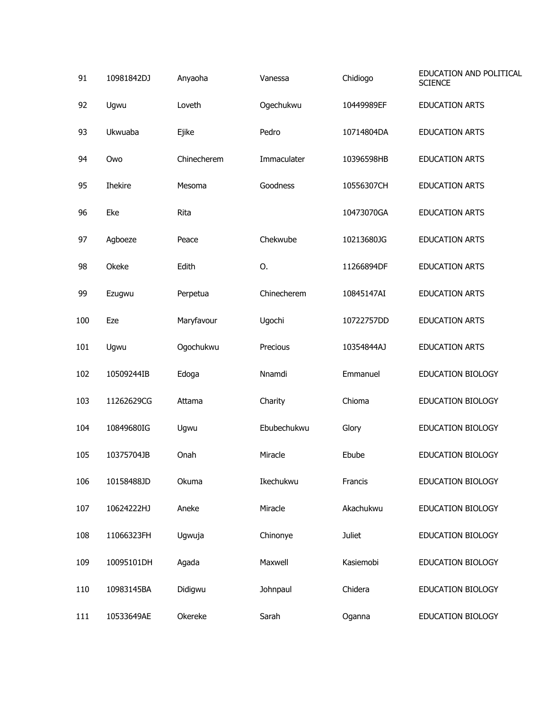| 91  | 10981842DJ     | Anyaoha     | Vanessa     | Chidiogo      | EDUCATION AND POLITICAL<br><b>SCIENCE</b> |
|-----|----------------|-------------|-------------|---------------|-------------------------------------------|
| 92  | Ugwu           | Loveth      | Ogechukwu   | 10449989EF    | <b>EDUCATION ARTS</b>                     |
| 93  | Ukwuaba        | Ejike       | Pedro       | 10714804DA    | <b>EDUCATION ARTS</b>                     |
| 94  | Owo            | Chinecherem | Immaculater | 10396598HB    | <b>EDUCATION ARTS</b>                     |
| 95  | <b>Ihekire</b> | Mesoma      | Goodness    | 10556307CH    | <b>EDUCATION ARTS</b>                     |
| 96  | Eke            | Rita        |             | 10473070GA    | <b>EDUCATION ARTS</b>                     |
| 97  | Agboeze        | Peace       | Chekwube    | 10213680JG    | <b>EDUCATION ARTS</b>                     |
| 98  | Okeke          | Edith       | 0.          | 11266894DF    | <b>EDUCATION ARTS</b>                     |
| 99  | Ezugwu         | Perpetua    | Chinecherem | 10845147AI    | <b>EDUCATION ARTS</b>                     |
| 100 | Eze            | Maryfavour  | Ugochi      | 10722757DD    | <b>EDUCATION ARTS</b>                     |
| 101 | Ugwu           | Ogochukwu   | Precious    | 10354844AJ    | <b>EDUCATION ARTS</b>                     |
| 102 | 10509244IB     | Edoga       | Nnamdi      | Emmanuel      | EDUCATION BIOLOGY                         |
| 103 | 11262629CG     | Attama      | Charity     | Chioma        | EDUCATION BIOLOGY                         |
| 104 | 10849680IG     | Ugwu        | Ebubechukwu | Glory         | EDUCATION BIOLOGY                         |
| 105 | 10375704JB     | Onah        | Miracle     | Ebube         | <b>EDUCATION BIOLOGY</b>                  |
| 106 | 10158488JD     | Okuma       | Ikechukwu   | Francis       | EDUCATION BIOLOGY                         |
| 107 | 10624222HJ     | Aneke       | Miracle     | Akachukwu     | EDUCATION BIOLOGY                         |
| 108 | 11066323FH     | Ugwuja      | Chinonye    | <b>Juliet</b> | EDUCATION BIOLOGY                         |
| 109 | 10095101DH     | Agada       | Maxwell     | Kasiemobi     | EDUCATION BIOLOGY                         |
| 110 | 10983145BA     | Didigwu     | Johnpaul    | Chidera       | EDUCATION BIOLOGY                         |
| 111 | 10533649AE     | Okereke     | Sarah       | Oganna        | EDUCATION BIOLOGY                         |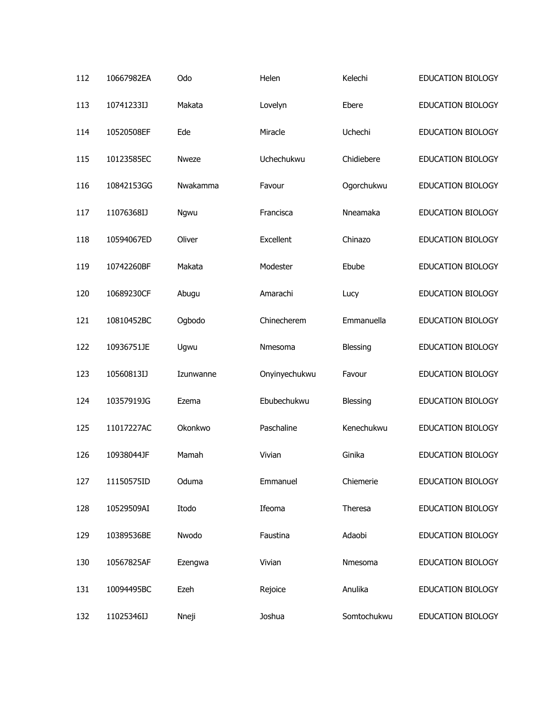| 112 | 10667982EA | Odo          | Helen         | Kelechi     | <b>EDUCATION BIOLOGY</b> |
|-----|------------|--------------|---------------|-------------|--------------------------|
| 113 | 10741233IJ | Makata       | Lovelyn       | Ebere       | EDUCATION BIOLOGY        |
| 114 | 10520508EF | Ede          | Miracle       | Uchechi     | EDUCATION BIOLOGY        |
| 115 | 10123585EC | <b>Nweze</b> | Uchechukwu    | Chidiebere  | EDUCATION BIOLOGY        |
| 116 | 10842153GG | Nwakamma     | Favour        | Ogorchukwu  | EDUCATION BIOLOGY        |
| 117 | 11076368IJ | Ngwu         | Francisca     | Nneamaka    | EDUCATION BIOLOGY        |
| 118 | 10594067ED | Oliver       | Excellent     | Chinazo     | EDUCATION BIOLOGY        |
| 119 | 10742260BF | Makata       | Modester      | Ebube       | EDUCATION BIOLOGY        |
| 120 | 10689230CF | Abugu        | Amarachi      | Lucy        | EDUCATION BIOLOGY        |
| 121 | 10810452BC | Ogbodo       | Chinecherem   | Emmanuella  | EDUCATION BIOLOGY        |
| 122 | 10936751JE | Ugwu         | Nmesoma       | Blessing    | EDUCATION BIOLOGY        |
| 123 | 10560813IJ | Izunwanne    | Onyinyechukwu | Favour      | EDUCATION BIOLOGY        |
| 124 | 10357919JG | Ezema        | Ebubechukwu   | Blessing    | EDUCATION BIOLOGY        |
| 125 | 11017227AC | Okonkwo      | Paschaline    | Kenechukwu  | EDUCATION BIOLOGY        |
| 126 | 10938044JF | Mamah        | Vivian        | Ginika      | EDUCATION BIOLOGY        |
| 127 | 11150575ID | Oduma        | Emmanuel      | Chiemerie   | EDUCATION BIOLOGY        |
| 128 | 10529509AI | Itodo        | Ifeoma        | Theresa     | EDUCATION BIOLOGY        |
| 129 | 10389536BE | Nwodo        | Faustina      | Adaobi      | EDUCATION BIOLOGY        |
| 130 | 10567825AF | Ezengwa      | Vivian        | Nmesoma     | EDUCATION BIOLOGY        |
| 131 | 10094495BC | Ezeh         | Rejoice       | Anulika     | EDUCATION BIOLOGY        |
| 132 | 11025346IJ | Nneji        | Joshua        | Somtochukwu | EDUCATION BIOLOGY        |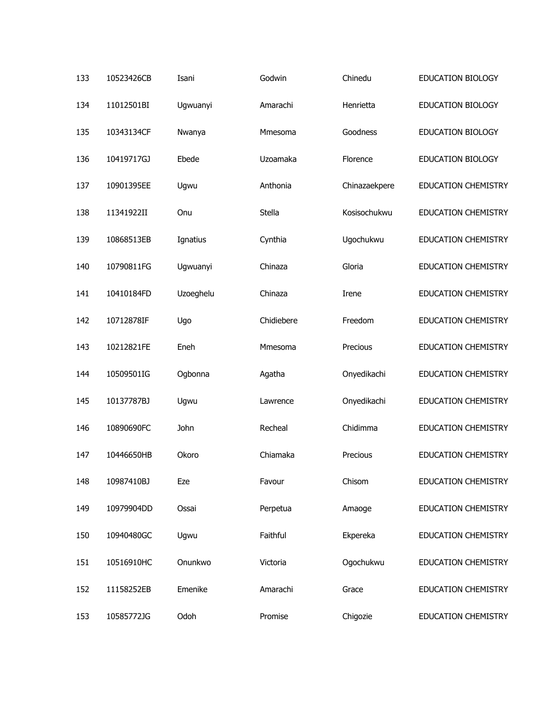| 133 | 10523426CB | Isani     | Godwin     | Chinedu       | <b>EDUCATION BIOLOGY</b>   |
|-----|------------|-----------|------------|---------------|----------------------------|
| 134 | 11012501BI | Ugwuanyi  | Amarachi   | Henrietta     | <b>EDUCATION BIOLOGY</b>   |
| 135 | 10343134CF | Nwanya    | Mmesoma    | Goodness      | EDUCATION BIOLOGY          |
| 136 | 10419717GJ | Ebede     | Uzoamaka   | Florence      | <b>EDUCATION BIOLOGY</b>   |
| 137 | 10901395EE | Ugwu      | Anthonia   | Chinazaekpere | <b>EDUCATION CHEMISTRY</b> |
| 138 | 11341922II | Onu       | Stella     | Kosisochukwu  | <b>EDUCATION CHEMISTRY</b> |
| 139 | 10868513EB | Ignatius  | Cynthia    | Ugochukwu     | <b>EDUCATION CHEMISTRY</b> |
| 140 | 10790811FG | Ugwuanyi  | Chinaza    | Gloria        | <b>EDUCATION CHEMISTRY</b> |
| 141 | 10410184FD | Uzoeghelu | Chinaza    | Irene         | <b>EDUCATION CHEMISTRY</b> |
| 142 | 10712878IF | Ugo       | Chidiebere | Freedom       | <b>EDUCATION CHEMISTRY</b> |
| 143 | 10212821FE | Eneh      | Mmesoma    | Precious      | <b>EDUCATION CHEMISTRY</b> |
| 144 | 10509501IG | Ogbonna   | Agatha     | Onyedikachi   | <b>EDUCATION CHEMISTRY</b> |
| 145 | 10137787BJ | Ugwu      | Lawrence   | Onyedikachi   | EDUCATION CHEMISTRY        |
| 146 | 10890690FC | John      | Recheal    | Chidimma      | <b>EDUCATION CHEMISTRY</b> |
| 147 | 10446650HB | Okoro     | Chiamaka   | Precious      | <b>EDUCATION CHEMISTRY</b> |
| 148 | 10987410BJ | Eze       | Favour     | Chisom        | <b>EDUCATION CHEMISTRY</b> |
| 149 | 10979904DD | Ossai     | Perpetua   | Amaoge        | <b>EDUCATION CHEMISTRY</b> |
| 150 | 10940480GC | Ugwu      | Faithful   | Ekpereka      | EDUCATION CHEMISTRY        |
| 151 | 10516910HC | Onunkwo   | Victoria   | Ogochukwu     | <b>EDUCATION CHEMISTRY</b> |
| 152 | 11158252EB | Emenike   | Amarachi   | Grace         | <b>EDUCATION CHEMISTRY</b> |
| 153 | 10585772JG | Odoh      | Promise    | Chigozie      | EDUCATION CHEMISTRY        |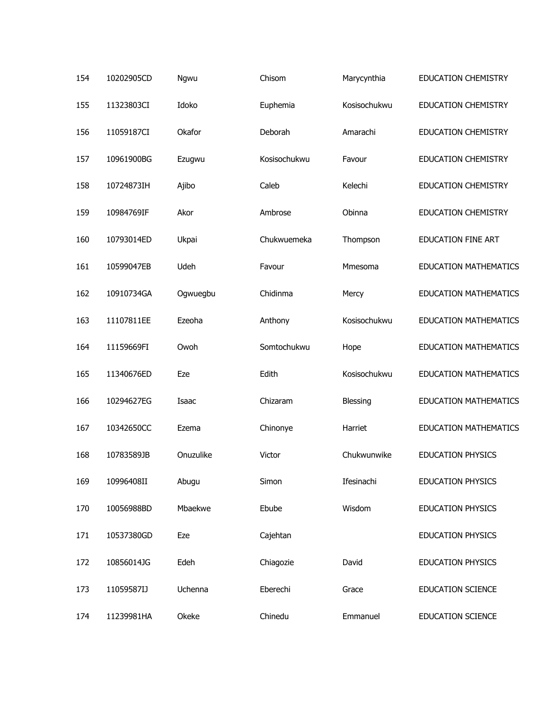| 154 | 10202905CD | Ngwu      | Chisom       | Marycynthia  | <b>EDUCATION CHEMISTRY</b>   |
|-----|------------|-----------|--------------|--------------|------------------------------|
| 155 | 11323803CI | Idoko     | Euphemia     | Kosisochukwu | <b>EDUCATION CHEMISTRY</b>   |
| 156 | 11059187CI | Okafor    | Deborah      | Amarachi     | <b>EDUCATION CHEMISTRY</b>   |
| 157 | 10961900BG | Ezugwu    | Kosisochukwu | Favour       | <b>EDUCATION CHEMISTRY</b>   |
| 158 | 10724873IH | Ajibo     | Caleb        | Kelechi      | <b>EDUCATION CHEMISTRY</b>   |
| 159 | 10984769IF | Akor      | Ambrose      | Obinna       | <b>EDUCATION CHEMISTRY</b>   |
| 160 | 10793014ED | Ukpai     | Chukwuemeka  | Thompson     | EDUCATION FINE ART           |
| 161 | 10599047EB | Udeh      | Favour       | Mmesoma      | <b>EDUCATION MATHEMATICS</b> |
| 162 | 10910734GA | Ogwuegbu  | Chidinma     | Mercy        | <b>EDUCATION MATHEMATICS</b> |
| 163 | 11107811EE | Ezeoha    | Anthony      | Kosisochukwu | <b>EDUCATION MATHEMATICS</b> |
| 164 | 11159669FI | Owoh      | Somtochukwu  | Hope         | <b>EDUCATION MATHEMATICS</b> |
| 165 | 11340676ED | Eze       | Edith        | Kosisochukwu | <b>EDUCATION MATHEMATICS</b> |
| 166 | 10294627EG | Isaac     | Chizaram     | Blessing     | <b>EDUCATION MATHEMATICS</b> |
| 167 | 10342650CC | Ezema     | Chinonye     | Harriet      | <b>EDUCATION MATHEMATICS</b> |
| 168 | 10783589JB | Onuzulike | Victor       | Chukwunwike  | <b>EDUCATION PHYSICS</b>     |
| 169 | 10996408II | Abugu     | Simon        | Ifesinachi   | <b>EDUCATION PHYSICS</b>     |
| 170 | 10056988BD | Mbaekwe   | Ebube        | Wisdom       | <b>EDUCATION PHYSICS</b>     |
| 171 | 10537380GD | Eze       | Cajehtan     |              | <b>EDUCATION PHYSICS</b>     |
| 172 | 10856014JG | Edeh      | Chiagozie    | David        | <b>EDUCATION PHYSICS</b>     |
| 173 | 11059587IJ | Uchenna   | Eberechi     | Grace        | <b>EDUCATION SCIENCE</b>     |
| 174 | 11239981HA | Okeke     | Chinedu      | Emmanuel     | <b>EDUCATION SCIENCE</b>     |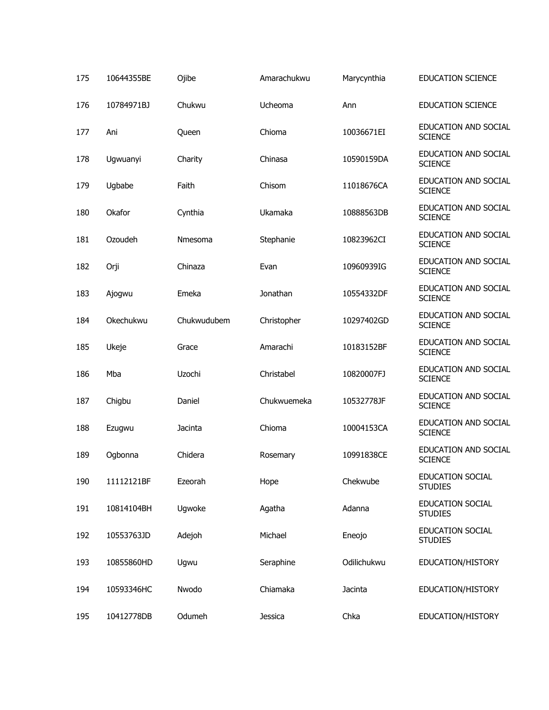| 175 | 10644355BE | Ojibe       | Amarachukwu    | Marycynthia | <b>EDUCATION SCIENCE</b>                  |
|-----|------------|-------------|----------------|-------------|-------------------------------------------|
| 176 | 10784971BJ | Chukwu      | Ucheoma        | Ann         | <b>EDUCATION SCIENCE</b>                  |
| 177 | Ani        | Queen       | Chioma         | 10036671EI  | EDUCATION AND SOCIAL<br><b>SCIENCE</b>    |
| 178 | Ugwuanyi   | Charity     | Chinasa        | 10590159DA  | EDUCATION AND SOCIAL<br><b>SCIENCE</b>    |
| 179 | Ugbabe     | Faith       | Chisom         | 11018676CA  | EDUCATION AND SOCIAL<br><b>SCIENCE</b>    |
| 180 | Okafor     | Cynthia     | Ukamaka        | 10888563DB  | EDUCATION AND SOCIAL<br><b>SCIENCE</b>    |
| 181 | Ozoudeh    | Nmesoma     | Stephanie      | 10823962CI  | EDUCATION AND SOCIAL<br><b>SCIENCE</b>    |
| 182 | Orji       | Chinaza     | Evan           | 10960939IG  | EDUCATION AND SOCIAL<br><b>SCIENCE</b>    |
| 183 | Ajogwu     | Emeka       | Jonathan       | 10554332DF  | EDUCATION AND SOCIAL<br><b>SCIENCE</b>    |
| 184 | Okechukwu  | Chukwudubem | Christopher    | 10297402GD  | EDUCATION AND SOCIAL<br><b>SCIENCE</b>    |
| 185 | Ukeje      | Grace       | Amarachi       | 10183152BF  | EDUCATION AND SOCIAL<br><b>SCIENCE</b>    |
| 186 | Mba        | Uzochi      | Christabel     | 10820007FJ  | EDUCATION AND SOCIAL<br><b>SCIENCE</b>    |
| 187 | Chigbu     | Daniel      | Chukwuemeka    | 10532778JF  | EDUCATION AND SOCIAL<br><b>SCIENCE</b>    |
| 188 | Ezugwu     | Jacinta     | Chioma         | 10004153CA  | EDUCATION AND SOCIAL<br><b>SCIENCE</b>    |
| 189 | Ogbonna    | Chidera     | Rosemary       | 10991838CE  | EDUCATION AND SOCIAL<br><b>SCIENCE</b>    |
| 190 | 11112121BF | Ezeorah     | Hope           | Chekwube    | EDUCATION SOCIAL<br><b>STUDIES</b>        |
| 191 | 10814104BH | Ugwoke      | Agatha         | Adanna      | <b>EDUCATION SOCIAL</b><br><b>STUDIES</b> |
| 192 | 10553763JD | Adejoh      | Michael        | Eneojo      | <b>EDUCATION SOCIAL</b><br><b>STUDIES</b> |
| 193 | 10855860HD | Ugwu        | Seraphine      | Odilichukwu | EDUCATION/HISTORY                         |
| 194 | 10593346HC | Nwodo       | Chiamaka       | Jacinta     | EDUCATION/HISTORY                         |
| 195 | 10412778DB | Odumeh      | <b>Jessica</b> | Chka        | EDUCATION/HISTORY                         |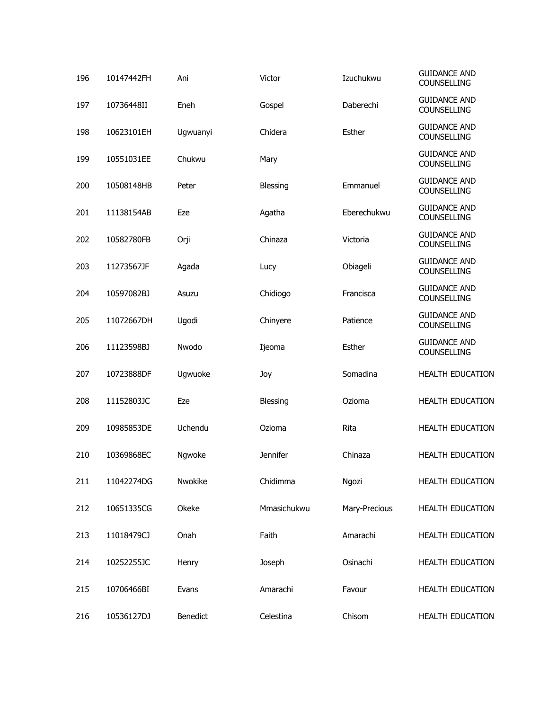| 196 | 10147442FH | Ani      | Victor          | Izuchukwu     | <b>GUIDANCE AND</b><br>COUNSELLING |
|-----|------------|----------|-----------------|---------------|------------------------------------|
| 197 | 10736448II | Eneh     | Gospel          | Daberechi     | <b>GUIDANCE AND</b><br>COUNSELLING |
| 198 | 10623101EH | Ugwuanyi | Chidera         | Esther        | <b>GUIDANCE AND</b><br>COUNSELLING |
| 199 | 10551031EE | Chukwu   | Mary            |               | <b>GUIDANCE AND</b><br>COUNSELLING |
| 200 | 10508148HB | Peter    | Blessing        | Emmanuel      | <b>GUIDANCE AND</b><br>COUNSELLING |
| 201 | 11138154AB | Eze      | Agatha          | Eberechukwu   | <b>GUIDANCE AND</b><br>COUNSELLING |
| 202 | 10582780FB | Orji     | Chinaza         | Victoria      | <b>GUIDANCE AND</b><br>COUNSELLING |
| 203 | 11273567JF | Agada    | Lucy            | Obiageli      | <b>GUIDANCE AND</b><br>COUNSELLING |
| 204 | 10597082BJ | Asuzu    | Chidiogo        | Francisca     | <b>GUIDANCE AND</b><br>COUNSELLING |
| 205 | 11072667DH | Ugodi    | Chinyere        | Patience      | <b>GUIDANCE AND</b><br>COUNSELLING |
| 206 | 11123598BJ | Nwodo    | Ijeoma          | Esther        | <b>GUIDANCE AND</b><br>COUNSELLING |
| 207 | 10723888DF | Ugwuoke  | Joy             | Somadina      | <b>HEALTH EDUCATION</b>            |
| 208 | 11152803JC | Eze      | Blessing        | Ozioma        | <b>HEALTH EDUCATION</b>            |
| 209 | 10985853DE | Uchendu  | Ozioma          | Rita          | HEALTH EDUCATION                   |
| 210 | 10369868EC | Ngwoke   | <b>Jennifer</b> | Chinaza       | <b>HEALTH EDUCATION</b>            |
| 211 | 11042274DG | Nwokike  | Chidimma        | Ngozi         | <b>HEALTH EDUCATION</b>            |
| 212 | 10651335CG | Okeke    | Mmasichukwu     | Mary-Precious | HEALTH EDUCATION                   |
| 213 | 11018479CJ | Onah     | Faith           | Amarachi      | <b>HEALTH EDUCATION</b>            |
| 214 | 10252255JC | Henry    | Joseph          | Osinachi      | <b>HEALTH EDUCATION</b>            |
| 215 | 10706466BI | Evans    | Amarachi        | Favour        | <b>HEALTH EDUCATION</b>            |
| 216 | 10536127DJ | Benedict | Celestina       | Chisom        | HEALTH EDUCATION                   |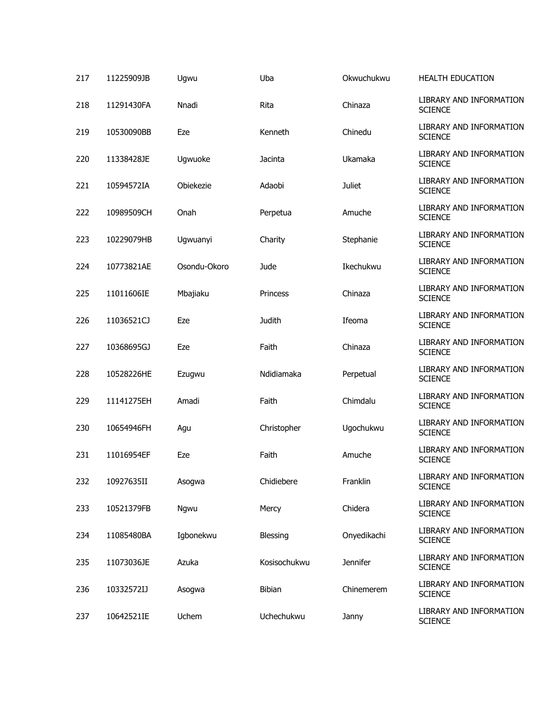| 217 | 11225909JB | Ugwu         | Uba           | Okwuchukwu      | <b>HEALTH EDUCATION</b>                   |
|-----|------------|--------------|---------------|-----------------|-------------------------------------------|
| 218 | 11291430FA | Nnadi        | Rita          | Chinaza         | LIBRARY AND INFORMATION<br><b>SCIENCE</b> |
| 219 | 10530090BB | Eze          | Kenneth       | Chinedu         | LIBRARY AND INFORMATION<br><b>SCIENCE</b> |
| 220 | 11338428JE | Ugwuoke      | Jacinta       | Ukamaka         | LIBRARY AND INFORMATION<br><b>SCIENCE</b> |
| 221 | 10594572IA | Obiekezie    | Adaobi        | <b>Juliet</b>   | LIBRARY AND INFORMATION<br><b>SCIENCE</b> |
| 222 | 10989509CH | Onah         | Perpetua      | Amuche          | LIBRARY AND INFORMATION<br><b>SCIENCE</b> |
| 223 | 10229079HB | Ugwuanyi     | Charity       | Stephanie       | LIBRARY AND INFORMATION<br><b>SCIENCE</b> |
| 224 | 10773821AE | Osondu-Okoro | Jude          | Ikechukwu       | LIBRARY AND INFORMATION<br><b>SCIENCE</b> |
| 225 | 11011606IE | Mbajiaku     | Princess      | Chinaza         | LIBRARY AND INFORMATION<br><b>SCIENCE</b> |
| 226 | 11036521CJ | Eze          | <b>Judith</b> | Ifeoma          | LIBRARY AND INFORMATION<br><b>SCIENCE</b> |
| 227 | 10368695GJ | Eze          | Faith         | Chinaza         | LIBRARY AND INFORMATION<br><b>SCIENCE</b> |
| 228 | 10528226HE | Ezugwu       | Ndidiamaka    | Perpetual       | LIBRARY AND INFORMATION<br><b>SCIENCE</b> |
| 229 | 11141275EH | Amadi        | Faith         | Chimdalu        | LIBRARY AND INFORMATION<br><b>SCIENCE</b> |
| 230 | 10654946FH | Agu          | Christopher   | Ugochukwu       | LIBRARY AND INFORMATION<br><b>SCIENCE</b> |
| 231 | 11016954EF | Eze          | Faith         | Amuche          | LIBRARY AND INFORMATION<br><b>SCIENCE</b> |
| 232 | 10927635II | Asogwa       | Chidiebere    | Franklin        | LIBRARY AND INFORMATION<br><b>SCIENCE</b> |
| 233 | 10521379FB | Ngwu         | Mercy         | Chidera         | LIBRARY AND INFORMATION<br><b>SCIENCE</b> |
| 234 | 11085480BA | Igbonekwu    | Blessing      | Onyedikachi     | LIBRARY AND INFORMATION<br><b>SCIENCE</b> |
| 235 | 11073036JE | Azuka        | Kosisochukwu  | <b>Jennifer</b> | LIBRARY AND INFORMATION<br><b>SCIENCE</b> |
| 236 | 10332572IJ | Asogwa       | <b>Bibian</b> | Chinemerem      | LIBRARY AND INFORMATION<br><b>SCIENCE</b> |
| 237 | 10642521IE | Uchem        | Uchechukwu    | Janny           | LIBRARY AND INFORMATION<br><b>SCIENCE</b> |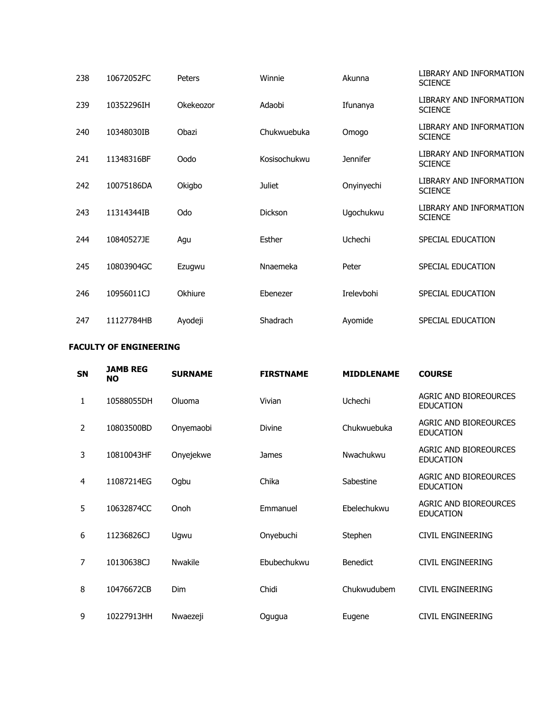| 238 | 10672052FC | Peters    | Winnie         | Akunna          | LIBRARY AND INFORMATION<br><b>SCIENCE</b> |
|-----|------------|-----------|----------------|-----------------|-------------------------------------------|
| 239 | 10352296IH | Okekeozor | Adaobi         | Ifunanya        | LIBRARY AND INFORMATION<br><b>SCIENCE</b> |
| 240 | 10348030IB | Obazi     | Chukwuebuka    | Omogo           | LIBRARY AND INFORMATION<br><b>SCIENCE</b> |
| 241 | 11348316BF | Oodo      | Kosisochukwu   | <b>Jennifer</b> | LIBRARY AND INFORMATION<br><b>SCIENCE</b> |
| 242 | 10075186DA | Okigbo    | <b>Juliet</b>  | Onyinyechi      | LIBRARY AND INFORMATION<br><b>SCIENCE</b> |
| 243 | 11314344IB | Odo       | <b>Dickson</b> | Ugochukwu       | LIBRARY AND INFORMATION<br><b>SCIENCE</b> |
| 244 | 10840527JE | Agu       | Esther         | Uchechi         | SPECIAL EDUCATION                         |
| 245 | 10803904GC | Ezugwu    | Nnaemeka       | Peter           | SPECIAL EDUCATION                         |
| 246 | 10956011CJ | Okhiure   | Ebenezer       | Irelevbohi      | SPECIAL EDUCATION                         |
| 247 | 11127784HB | Ayodeji   | Shadrach       | Ayomide         | SPECIAL EDUCATION                         |

## **FACULTY OF ENGINEERING**

| <b>SN</b>      | <b>JAMB REG</b><br><b>NO</b> | <b>SURNAME</b> | <b>FIRSTNAME</b> | <b>MIDDLENAME</b> | <b>COURSE</b>                                    |
|----------------|------------------------------|----------------|------------------|-------------------|--------------------------------------------------|
| 1              | 10588055DH                   | Oluoma         | Vivian           | Uchechi           | AGRIC AND BIOREOURCES<br><b>EDUCATION</b>        |
| $\overline{2}$ | 10803500BD                   | Onyemaobi      | <b>Divine</b>    | Chukwuebuka       | AGRIC AND BIOREOURCES<br><b>EDUCATION</b>        |
| 3              | 10810043HF                   | Onyejekwe      | James            | Nwachukwu         | <b>AGRIC AND BIOREOURCES</b><br><b>EDUCATION</b> |
| 4              | 11087214EG                   | Ogbu           | Chika            | Sabestine         | AGRIC AND BIOREOURCES<br><b>EDUCATION</b>        |
| 5              | 10632874CC                   | Onoh           | Emmanuel         | Ebelechukwu       | AGRIC AND BIOREOURCES<br><b>EDUCATION</b>        |
| 6              | 11236826CJ                   | Ugwu           | Onyebuchi        | Stephen           | CIVIL ENGINEERING                                |
| 7              | 10130638CJ                   | <b>Nwakile</b> | Ebubechukwu      | <b>Benedict</b>   | <b>CIVIL ENGINEERING</b>                         |
| 8              | 10476672CB                   | <b>Dim</b>     | Chidi            | Chukwudubem       | <b>CIVIL ENGINEERING</b>                         |
| 9              | 10227913HH                   | Nwaezeji       | Ogugua           | Eugene            | CIVIL ENGINEERING                                |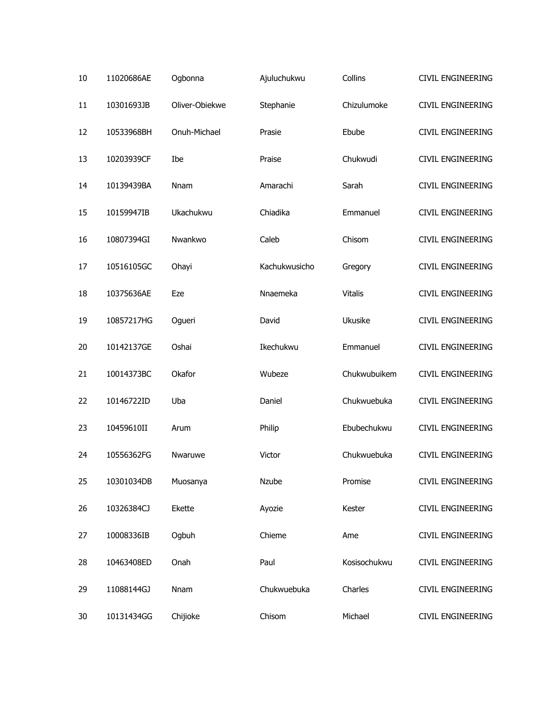| 10 | 11020686AE | Ogbonna        | Ajuluchukwu   | Collins        | CIVIL ENGINEERING        |
|----|------------|----------------|---------------|----------------|--------------------------|
| 11 | 10301693JB | Oliver-Obiekwe | Stephanie     | Chizulumoke    | <b>CIVIL ENGINEERING</b> |
| 12 | 10533968BH | Onuh-Michael   | Prasie        | Ebube          | <b>CIVIL ENGINEERING</b> |
| 13 | 10203939CF | Ibe            | Praise        | Chukwudi       | <b>CIVIL ENGINEERING</b> |
| 14 | 10139439BA | Nnam           | Amarachi      | Sarah          | <b>CIVIL ENGINEERING</b> |
| 15 | 10159947IB | Ukachukwu      | Chiadika      | Emmanuel       | CIVIL ENGINEERING        |
| 16 | 10807394GI | Nwankwo        | Caleb         | Chisom         | CIVIL ENGINEERING        |
| 17 | 10516105GC | Ohayi          | Kachukwusicho | Gregory        | CIVIL ENGINEERING        |
| 18 | 10375636AE | Eze            | Nnaemeka      | <b>Vitalis</b> | CIVIL ENGINEERING        |
| 19 | 10857217HG | Ogueri         | David         | Ukusike        | <b>CIVIL ENGINEERING</b> |
| 20 | 10142137GE | Oshai          | Ikechukwu     | Emmanuel       | CIVIL ENGINEERING        |
| 21 | 10014373BC | Okafor         | Wubeze        | Chukwubuikem   | CIVIL ENGINEERING        |
| 22 | 10146722ID | Uba            | Daniel        | Chukwuebuka    | CIVIL ENGINEERING        |
| 23 | 10459610II | Arum           | Philip        | Ebubechukwu    | CIVIL ENGINEERING        |
| 24 | 10556362FG | Nwaruwe        | Victor        | Chukwuebuka    | <b>CIVIL ENGINEERING</b> |
| 25 | 10301034DB | Muosanya       | Nzube         | Promise        | CIVIL ENGINEERING        |
| 26 | 10326384CJ | Ekette         | Ayozie        | Kester         | <b>CIVIL ENGINEERING</b> |
| 27 | 10008336IB | Ogbuh          | Chieme        | Ame            | CIVIL ENGINEERING        |
| 28 | 10463408ED | Onah           | Paul          | Kosisochukwu   | <b>CIVIL ENGINEERING</b> |
| 29 | 11088144GJ | Nnam           | Chukwuebuka   | Charles        | CIVIL ENGINEERING        |
| 30 | 10131434GG | Chijioke       | Chisom        | Michael        | CIVIL ENGINEERING        |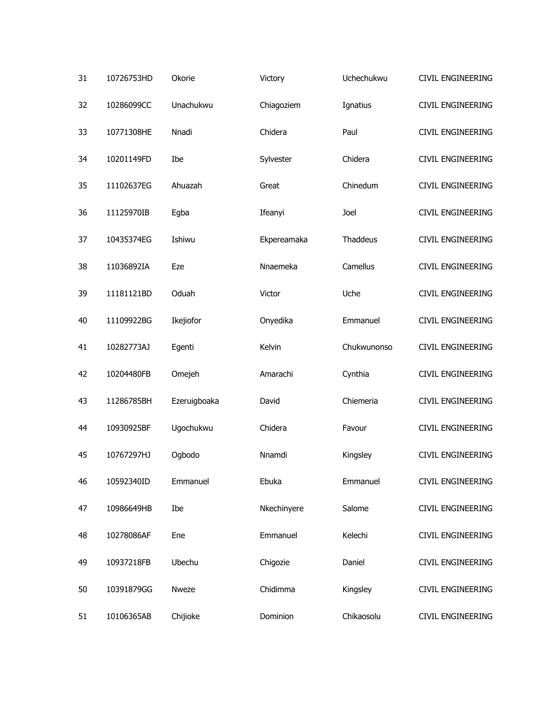| 31 | 10726753HD | Okorie       | Victory     | Uchechukwu  | <b>CIVIL ENGINEERING</b> |
|----|------------|--------------|-------------|-------------|--------------------------|
| 32 | 10286099CC | Unachukwu    | Chiagoziem  | Ignatius    | <b>CIVIL ENGINEERING</b> |
| 33 | 10771308HE | Nnadi        | Chidera     | Paul        | CIVIL ENGINEERING        |
| 34 | 10201149FD | Ibe          | Sylvester   | Chidera     | <b>CIVIL ENGINEERING</b> |
| 35 | 11102637EG | Ahuazah      | Great       | Chinedum    | CIVIL ENGINEERING        |
| 36 | 11125970IB | Egba         | Ifeanyi     | Joel        | <b>CIVIL ENGINEERING</b> |
| 37 | 10435374EG | Ishiwu       | Ekpereamaka | Thaddeus    | CIVIL ENGINEERING        |
| 38 | 11036892IA | Eze          | Nnaemeka    | Camellus    | CIVIL ENGINEERING        |
| 39 | 11181121BD | Oduah        | Victor      | Uche        | CIVIL ENGINEERING        |
| 40 | 11109922BG | Ikejiofor    | Onyedika    | Emmanuel    | CIVIL ENGINEERING        |
| 41 | 10282773AJ | Egenti       | Kelvin      | Chukwunonso | CIVIL ENGINEERING        |
| 42 | 10204480FB | Omejeh       | Amarachi    | Cynthia     | CIVIL ENGINEERING        |
| 43 | 11286785BH | Ezeruigboaka | David       | Chiemeria   | CIVIL ENGINEERING        |
| 44 | 10930925BF | Ugochukwu    | Chidera     | Favour      | CIVIL ENGINEERING        |
| 45 | 10767297HJ | Ogbodo       | Nnamdi      | Kingsley    | CIVIL ENGINEERING        |
| 46 | 10592340ID | Emmanuel     | Ebuka       | Emmanuel    | CIVIL ENGINEERING        |
| 47 | 10986649HB | Ibe          | Nkechinyere | Salome      | CIVIL ENGINEERING        |
| 48 | 10278086AF | Ene          | Emmanuel    | Kelechi     | CIVIL ENGINEERING        |
| 49 | 10937218FB | Ubechu       | Chigozie    | Daniel      | CIVIL ENGINEERING        |
| 50 | 10391879GG | Nweze        | Chidimma    | Kingsley    | CIVIL ENGINEERING        |
| 51 | 10106365AB | Chijioke     | Dominion    | Chikaosolu  | CIVIL ENGINEERING        |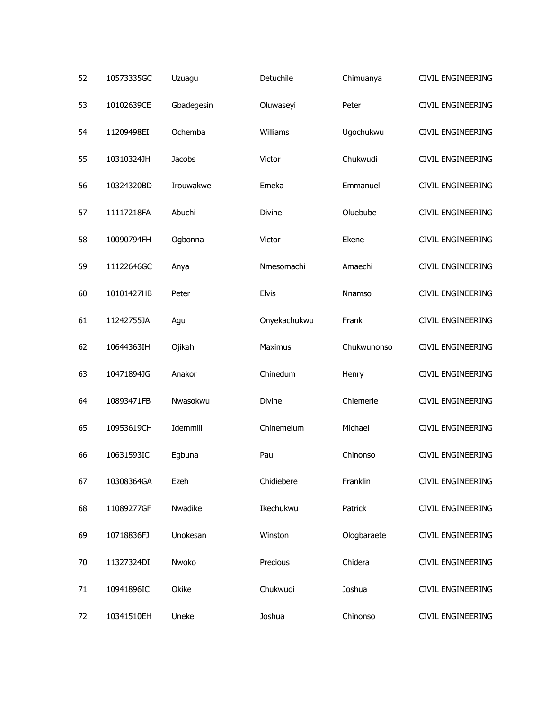| 52 | 10573335GC | Uzuagu     | Detuchile    | Chimuanya   | CIVIL ENGINEERING        |
|----|------------|------------|--------------|-------------|--------------------------|
| 53 | 10102639CE | Gbadegesin | Oluwaseyi    | Peter       | <b>CIVIL ENGINEERING</b> |
| 54 | 11209498EI | Ochemba    | Williams     | Ugochukwu   | CIVIL ENGINEERING        |
| 55 | 10310324JH | Jacobs     | Victor       | Chukwudi    | <b>CIVIL ENGINEERING</b> |
| 56 | 10324320BD | Irouwakwe  | Emeka        | Emmanuel    | CIVIL ENGINEERING        |
| 57 | 11117218FA | Abuchi     | Divine       | Oluebube    | <b>CIVIL ENGINEERING</b> |
| 58 | 10090794FH | Ogbonna    | Victor       | Ekene       | CIVIL ENGINEERING        |
| 59 | 11122646GC | Anya       | Nmesomachi   | Amaechi     | <b>CIVIL ENGINEERING</b> |
| 60 | 10101427HB | Peter      | <b>Elvis</b> | Nnamso      | CIVIL ENGINEERING        |
| 61 | 11242755JA | Agu        | Onyekachukwu | Frank       | CIVIL ENGINEERING        |
| 62 | 10644363IH | Ojikah     | Maximus      | Chukwunonso | CIVIL ENGINEERING        |
| 63 | 10471894JG | Anakor     | Chinedum     | Henry       | CIVIL ENGINEERING        |
| 64 | 10893471FB | Nwasokwu   | Divine       | Chiemerie   | CIVIL ENGINEERING        |
| 65 | 10953619CH | Idemmili   | Chinemelum   | Michael     | CIVIL ENGINEERING        |
| 66 | 10631593IC | Egbuna     | Paul         | Chinonso    | <b>CIVIL ENGINEERING</b> |
| 67 | 10308364GA | Ezeh       | Chidiebere   | Franklin    | CIVIL ENGINEERING        |
| 68 | 11089277GF | Nwadike    | Ikechukwu    | Patrick     | <b>CIVIL ENGINEERING</b> |
| 69 | 10718836FJ | Unokesan   | Winston      | Ologbaraete | CIVIL ENGINEERING        |
| 70 | 11327324DI | Nwoko      | Precious     | Chidera     | <b>CIVIL ENGINEERING</b> |
| 71 | 10941896IC | Okike      | Chukwudi     | Joshua      | CIVIL ENGINEERING        |
| 72 | 10341510EH | Uneke      | Joshua       | Chinonso    | CIVIL ENGINEERING        |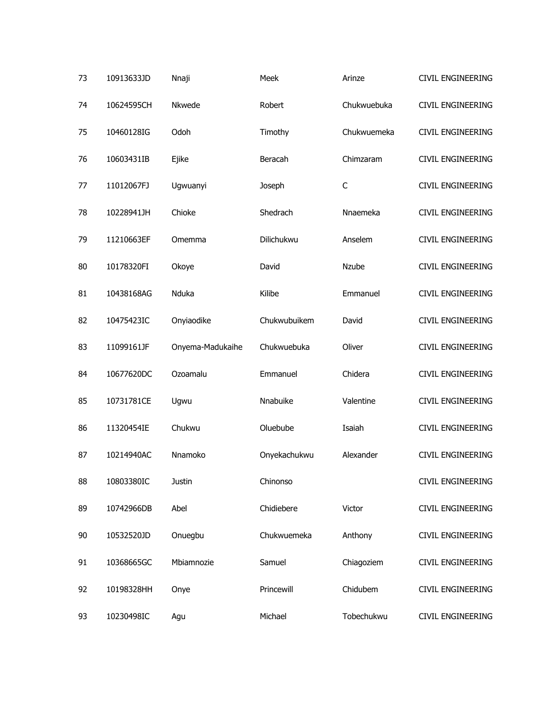| 73 | 10913633JD | Nnaji            | Meek         | Arinze       | <b>CIVIL ENGINEERING</b> |
|----|------------|------------------|--------------|--------------|--------------------------|
| 74 | 10624595CH | Nkwede           | Robert       | Chukwuebuka  | <b>CIVIL ENGINEERING</b> |
| 75 | 10460128IG | Odoh             | Timothy      | Chukwuemeka  | CIVIL ENGINEERING        |
| 76 | 10603431IB | Ejike            | Beracah      | Chimzaram    | <b>CIVIL ENGINEERING</b> |
| 77 | 11012067FJ | Ugwuanyi         | Joseph       | $\mathsf{C}$ | CIVIL ENGINEERING        |
| 78 | 10228941JH | Chioke           | Shedrach     | Nnaemeka     | <b>CIVIL ENGINEERING</b> |
| 79 | 11210663EF | Omemma           | Dilichukwu   | Anselem      | CIVIL ENGINEERING        |
| 80 | 10178320FI | Okoye            | David        | <b>Nzube</b> | <b>CIVIL ENGINEERING</b> |
| 81 | 10438168AG | Nduka            | Kilibe       | Emmanuel     | CIVIL ENGINEERING        |
| 82 | 10475423IC | Onyiaodike       | Chukwubuikem | David        | <b>CIVIL ENGINEERING</b> |
| 83 | 11099161JF | Onyema-Madukaihe | Chukwuebuka  | Oliver       | CIVIL ENGINEERING        |
| 84 | 10677620DC | Ozoamalu         | Emmanuel     | Chidera      | <b>CIVIL ENGINEERING</b> |
| 85 | 10731781CE | Ugwu             | Nnabuike     | Valentine    | CIVIL ENGINEERING        |
| 86 | 11320454IE | Chukwu           | Oluebube     | Isaiah       | CIVIL ENGINEERING        |
| 87 | 10214940AC | Nnamoko          | Onyekachukwu | Alexander    | <b>CIVIL ENGINEERING</b> |
| 88 | 10803380IC | Justin           | Chinonso     |              | CIVIL ENGINEERING        |
| 89 | 10742966DB | Abel             | Chidiebere   | Victor       | <b>CIVIL ENGINEERING</b> |
| 90 | 10532520JD | Onuegbu          | Chukwuemeka  | Anthony      | <b>CIVIL ENGINEERING</b> |
| 91 | 10368665GC | Mbiamnozie       | Samuel       | Chiagoziem   | <b>CIVIL ENGINEERING</b> |
| 92 | 10198328HH | Onye             | Princewill   | Chidubem     | <b>CIVIL ENGINEERING</b> |
| 93 | 10230498IC | Agu              | Michael      | Tobechukwu   | CIVIL ENGINEERING        |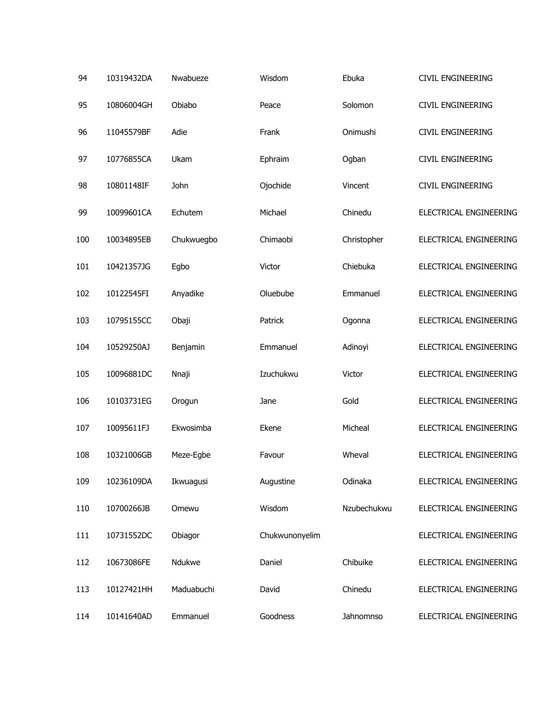| 94  | 10319432DA | Nwabueze   | Wisdom         | Ebuka       | CIVIL ENGINEERING        |
|-----|------------|------------|----------------|-------------|--------------------------|
| 95  | 10806004GH | Obiabo     | Peace          | Solomon     | <b>CIVIL ENGINEERING</b> |
| 96  | 11045579BF | Adie       | Frank          | Onimushi    | <b>CIVIL ENGINEERING</b> |
| 97  | 10776855CA | Ukam       | Ephraim        | Ogban       | CIVIL ENGINEERING        |
| 98  | 10801148IF | John       | Ojochide       | Vincent     | CIVIL ENGINEERING        |
| 99  | 10099601CA | Echutem    | Michael        | Chinedu     | ELECTRICAL ENGINEERING   |
| 100 | 10034895EB | Chukwuegbo | Chimaobi       | Christopher | ELECTRICAL ENGINEERING   |
| 101 | 10421357JG | Egbo       | Victor         | Chiebuka    | ELECTRICAL ENGINEERING   |
| 102 | 10122545FI | Anyadike   | Oluebube       | Emmanuel    | ELECTRICAL ENGINEERING   |
| 103 | 10795155CC | Obaji      | Patrick        | Ogonna      | ELECTRICAL ENGINEERING   |
| 104 | 10529250AJ | Benjamin   | Emmanuel       | Adinoyi     | ELECTRICAL ENGINEERING   |
| 105 | 10096881DC | Nnaji      | Izuchukwu      | Victor      | ELECTRICAL ENGINEERING   |
| 106 | 10103731EG | Orogun     | Jane           | Gold        | ELECTRICAL ENGINEERING   |
| 107 | 10095611FJ | Ekwosimba  | Ekene          | Micheal     | ELECTRICAL ENGINEERING   |
| 108 | 10321006GB | Meze-Egbe  | Favour         | Wheval      | ELECTRICAL ENGINEERING   |
| 109 | 10236109DA | Ikwuagusi  | Augustine      | Odinaka     | ELECTRICAL ENGINEERING   |
| 110 | 10700266JB | Omewu      | Wisdom         | Nzubechukwu | ELECTRICAL ENGINEERING   |
| 111 | 10731552DC | Obiagor    | Chukwunonyelim |             | ELECTRICAL ENGINEERING   |
| 112 | 10673086FE | Ndukwe     | Daniel         | Chibuike    | ELECTRICAL ENGINEERING   |
| 113 | 10127421HH | Maduabuchi | David          | Chinedu     | ELECTRICAL ENGINEERING   |
| 114 | 10141640AD | Emmanuel   | Goodness       | Jahnomnso   | ELECTRICAL ENGINEERING   |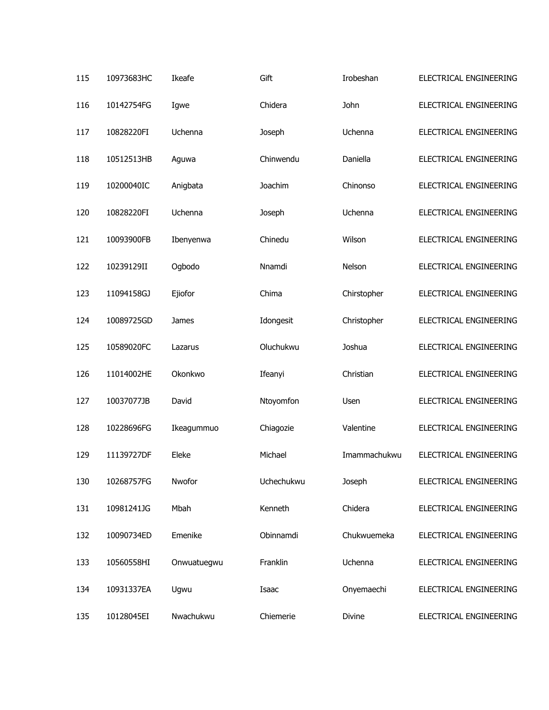| 115 | 10973683HC | Ikeafe      | Gift       | Irobeshan    | ELECTRICAL ENGINEERING |
|-----|------------|-------------|------------|--------------|------------------------|
| 116 | 10142754FG | Igwe        | Chidera    | John         | ELECTRICAL ENGINEERING |
| 117 | 10828220FI | Uchenna     | Joseph     | Uchenna      | ELECTRICAL ENGINEERING |
| 118 | 10512513HB | Aguwa       | Chinwendu  | Daniella     | ELECTRICAL ENGINEERING |
| 119 | 10200040IC | Anigbata    | Joachim    | Chinonso     | ELECTRICAL ENGINEERING |
| 120 | 10828220FI | Uchenna     | Joseph     | Uchenna      | ELECTRICAL ENGINEERING |
| 121 | 10093900FB | Ibenyenwa   | Chinedu    | Wilson       | ELECTRICAL ENGINEERING |
| 122 | 10239129II | Ogbodo      | Nnamdi     | Nelson       | ELECTRICAL ENGINEERING |
| 123 | 11094158GJ | Ejiofor     | Chima      | Chirstopher  | ELECTRICAL ENGINEERING |
| 124 | 10089725GD | James       | Idongesit  | Christopher  | ELECTRICAL ENGINEERING |
| 125 | 10589020FC | Lazarus     | Oluchukwu  | Joshua       | ELECTRICAL ENGINEERING |
| 126 | 11014002HE | Okonkwo     | Ifeanyi    | Christian    | ELECTRICAL ENGINEERING |
| 127 | 10037077JB | David       | Ntoyomfon  | Usen         | ELECTRICAL ENGINEERING |
| 128 | 10228696FG | Ikeagummuo  | Chiagozie  | Valentine    | ELECTRICAL ENGINEERING |
| 129 | 11139727DF | Eleke       | Michael    | Imammachukwu | ELECTRICAL ENGINEERING |
| 130 | 10268757FG | Nwofor      | Uchechukwu | Joseph       | ELECTRICAL ENGINEERING |
| 131 | 10981241JG | Mbah        | Kenneth    | Chidera      | ELECTRICAL ENGINEERING |
| 132 | 10090734ED | Emenike     | Obinnamdi  | Chukwuemeka  | ELECTRICAL ENGINEERING |
| 133 | 10560558HI | Onwuatuegwu | Franklin   | Uchenna      | ELECTRICAL ENGINEERING |
| 134 | 10931337EA | Ugwu        | Isaac      | Onyemaechi   | ELECTRICAL ENGINEERING |
| 135 | 10128045EI | Nwachukwu   | Chiemerie  | Divine       | ELECTRICAL ENGINEERING |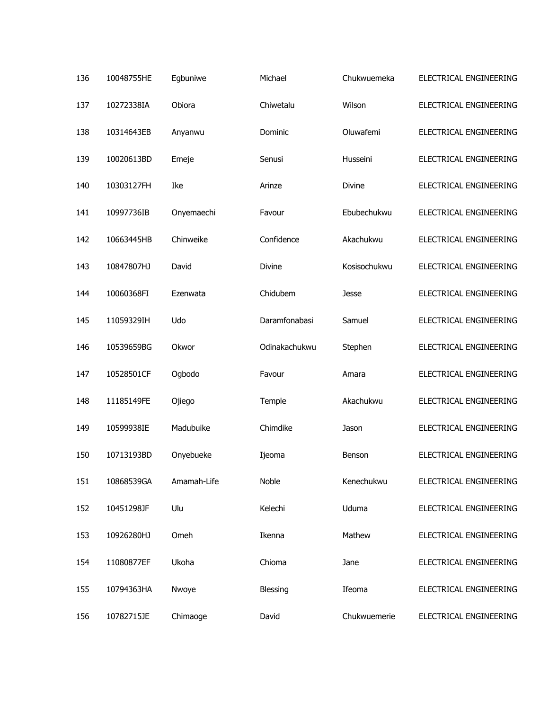| 136 | 10048755HE | Egbuniwe    | Michael       | Chukwuemeka  | ELECTRICAL ENGINEERING |
|-----|------------|-------------|---------------|--------------|------------------------|
| 137 | 10272338IA | Obiora      | Chiwetalu     | Wilson       | ELECTRICAL ENGINEERING |
| 138 | 10314643EB | Anyanwu     | Dominic       | Oluwafemi    | ELECTRICAL ENGINEERING |
| 139 | 10020613BD | Emeje       | Senusi        | Husseini     | ELECTRICAL ENGINEERING |
| 140 | 10303127FH | Ike         | Arinze        | Divine       | ELECTRICAL ENGINEERING |
| 141 | 10997736IB | Onyemaechi  | Favour        | Ebubechukwu  | ELECTRICAL ENGINEERING |
| 142 | 10663445HB | Chinweike   | Confidence    | Akachukwu    | ELECTRICAL ENGINEERING |
| 143 | 10847807HJ | David       | <b>Divine</b> | Kosisochukwu | ELECTRICAL ENGINEERING |
| 144 | 10060368FI | Ezenwata    | Chidubem      | Jesse        | ELECTRICAL ENGINEERING |
| 145 | 11059329IH | Udo         | Daramfonabasi | Samuel       | ELECTRICAL ENGINEERING |
| 146 | 10539659BG | Okwor       | Odinakachukwu | Stephen      | ELECTRICAL ENGINEERING |
| 147 | 10528501CF | Ogbodo      | Favour        | Amara        | ELECTRICAL ENGINEERING |
| 148 | 11185149FE | Ojiego      | Temple        | Akachukwu    | ELECTRICAL ENGINEERING |
| 149 | 10599938IE | Madubuike   | Chimdike      | Jason        | ELECTRICAL ENGINEERING |
| 150 | 10713193BD | Onyebueke   | Ijeoma        | Benson       | ELECTRICAL ENGINEERING |
| 151 | 10868539GA | Amamah-Life | Noble         | Kenechukwu   | ELECTRICAL ENGINEERING |
| 152 | 10451298JF | Ulu         | Kelechi       | Uduma        | ELECTRICAL ENGINEERING |
| 153 | 10926280HJ | Omeh        | Ikenna        | Mathew       | ELECTRICAL ENGINEERING |
| 154 | 11080877EF | Ukoha       | Chioma        | Jane         | ELECTRICAL ENGINEERING |
| 155 | 10794363HA | Nwoye       | Blessing      | Ifeoma       | ELECTRICAL ENGINEERING |
| 156 | 10782715JE | Chimaoge    | David         | Chukwuemerie | ELECTRICAL ENGINEERING |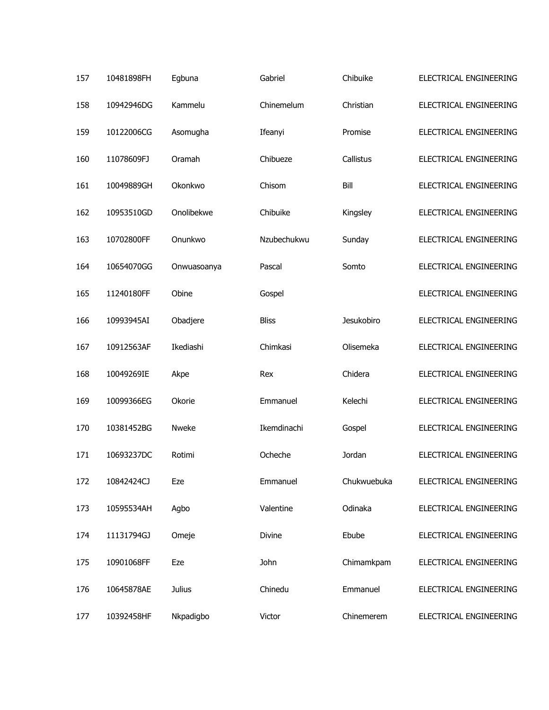| 157 | 10481898FH | Egbuna        | Gabriel      | Chibuike    | ELECTRICAL ENGINEERING |
|-----|------------|---------------|--------------|-------------|------------------------|
| 158 | 10942946DG | Kammelu       | Chinemelum   | Christian   | ELECTRICAL ENGINEERING |
| 159 | 10122006CG | Asomugha      | Ifeanyi      | Promise     | ELECTRICAL ENGINEERING |
| 160 | 11078609FJ | Oramah        | Chibueze     | Callistus   | ELECTRICAL ENGINEERING |
| 161 | 10049889GH | Okonkwo       | Chisom       | Bill        | ELECTRICAL ENGINEERING |
| 162 | 10953510GD | Onolibekwe    | Chibuike     | Kingsley    | ELECTRICAL ENGINEERING |
| 163 | 10702800FF | Onunkwo       | Nzubechukwu  | Sunday      | ELECTRICAL ENGINEERING |
| 164 | 10654070GG | Onwuasoanya   | Pascal       | Somto       | ELECTRICAL ENGINEERING |
| 165 | 11240180FF | Obine         | Gospel       |             | ELECTRICAL ENGINEERING |
| 166 | 10993945AI | Obadjere      | <b>Bliss</b> | Jesukobiro  | ELECTRICAL ENGINEERING |
| 167 | 10912563AF | Ikediashi     | Chimkasi     | Olisemeka   | ELECTRICAL ENGINEERING |
| 168 | 10049269IE | Akpe          | Rex          | Chidera     | ELECTRICAL ENGINEERING |
| 169 | 10099366EG | Okorie        | Emmanuel     | Kelechi     | ELECTRICAL ENGINEERING |
| 170 | 10381452BG | Nweke         | Ikemdinachi  | Gospel      | ELECTRICAL ENGINEERING |
| 171 | 10693237DC | Rotimi        | Ocheche      | Jordan      | ELECTRICAL ENGINEERING |
| 172 | 10842424CJ | Eze           | Emmanuel     | Chukwuebuka | ELECTRICAL ENGINEERING |
| 173 | 10595534AH | Agbo          | Valentine    | Odinaka     | ELECTRICAL ENGINEERING |
| 174 | 11131794GJ | Omeje         | Divine       | Ebube       | ELECTRICAL ENGINEERING |
| 175 | 10901068FF | Eze           | John         | Chimamkpam  | ELECTRICAL ENGINEERING |
| 176 | 10645878AE | <b>Julius</b> | Chinedu      | Emmanuel    | ELECTRICAL ENGINEERING |
| 177 | 10392458HF | Nkpadigbo     | Victor       | Chinemerem  | ELECTRICAL ENGINEERING |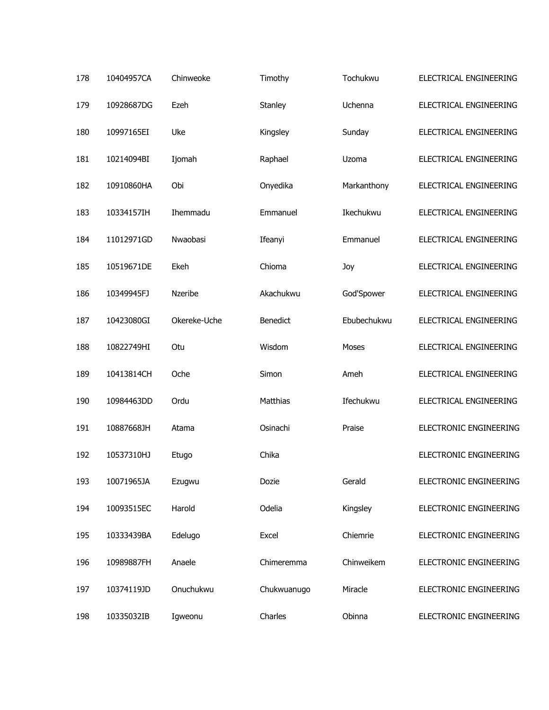| 178 | 10404957CA | Chinweoke    | Timothy         | Tochukwu    | ELECTRICAL ENGINEERING        |
|-----|------------|--------------|-----------------|-------------|-------------------------------|
| 179 | 10928687DG | Ezeh         | Stanley         | Uchenna     | ELECTRICAL ENGINEERING        |
| 180 | 10997165EI | Uke          | Kingsley        | Sunday      | ELECTRICAL ENGINEERING        |
| 181 | 10214094BI | Ijomah       | Raphael         | Uzoma       | ELECTRICAL ENGINEERING        |
| 182 | 10910860HA | Obi          | Onyedika        | Markanthony | ELECTRICAL ENGINEERING        |
| 183 | 10334157IH | Ihemmadu     | Emmanuel        | Ikechukwu   | ELECTRICAL ENGINEERING        |
| 184 | 11012971GD | Nwaobasi     | Ifeanyi         | Emmanuel    | ELECTRICAL ENGINEERING        |
| 185 | 10519671DE | Ekeh         | Chioma          | Joy         | ELECTRICAL ENGINEERING        |
| 186 | 10349945FJ | Nzeribe      | Akachukwu       | God'Spower  | ELECTRICAL ENGINEERING        |
| 187 | 10423080GI | Okereke-Uche | <b>Benedict</b> | Ebubechukwu | ELECTRICAL ENGINEERING        |
| 188 | 10822749HI | Otu          | Wisdom          | Moses       | ELECTRICAL ENGINEERING        |
| 189 | 10413814CH | Oche         | Simon           | Ameh        | ELECTRICAL ENGINEERING        |
| 190 | 10984463DD | Ordu         | Matthias        | Ifechukwu   | ELECTRICAL ENGINEERING        |
| 191 | 10887668JH | Atama        | Osinachi        | Praise      | ELECTRONIC ENGINEERING        |
| 192 | 10537310HJ | Etugo        | Chika           |             | <b>ELECTRONIC ENGINEERING</b> |
| 193 | 10071965JA | Ezugwu       | Dozie           | Gerald      | ELECTRONIC ENGINEERING        |
| 194 | 10093515EC | Harold       | Odelia          | Kingsley    | ELECTRONIC ENGINEERING        |
| 195 | 10333439BA | Edelugo      | Excel           | Chiemrie    | ELECTRONIC ENGINEERING        |
| 196 | 10989887FH | Anaele       | Chimeremma      | Chinweikem  | ELECTRONIC ENGINEERING        |
| 197 | 10374119JD | Onuchukwu    | Chukwuanugo     | Miracle     | ELECTRONIC ENGINEERING        |
| 198 | 10335032IB | Igweonu      | Charles         | Obinna      | ELECTRONIC ENGINEERING        |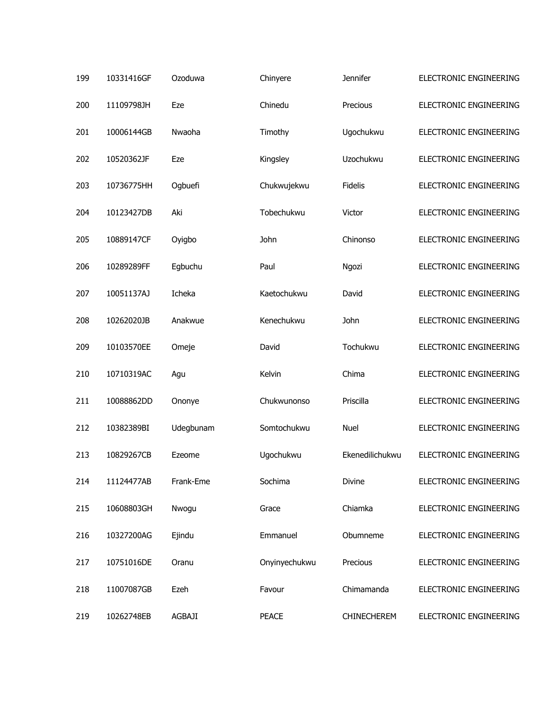| 199 | 10331416GF | Ozoduwa       | Chinyere      | <b>Jennifer</b>    | ELECTRONIC ENGINEERING |
|-----|------------|---------------|---------------|--------------------|------------------------|
| 200 | 11109798JH | Eze           | Chinedu       | Precious           | ELECTRONIC ENGINEERING |
| 201 | 10006144GB | Nwaoha        | Timothy       | Ugochukwu          | ELECTRONIC ENGINEERING |
| 202 | 10520362JF | Eze           | Kingsley      | Uzochukwu          | ELECTRONIC ENGINEERING |
| 203 | 10736775HH | Ogbuefi       | Chukwujekwu   | <b>Fidelis</b>     | ELECTRONIC ENGINEERING |
| 204 | 10123427DB | Aki           | Tobechukwu    | Victor             | ELECTRONIC ENGINEERING |
| 205 | 10889147CF | Oyigbo        | John          | Chinonso           | ELECTRONIC ENGINEERING |
| 206 | 10289289FF | Egbuchu       | Paul          | Ngozi              | ELECTRONIC ENGINEERING |
| 207 | 10051137AJ | Icheka        | Kaetochukwu   | David              | ELECTRONIC ENGINEERING |
| 208 | 10262020JB | Anakwue       | Kenechukwu    | John               | ELECTRONIC ENGINEERING |
| 209 | 10103570EE | Omeje         | David         | Tochukwu           | ELECTRONIC ENGINEERING |
| 210 | 10710319AC | Agu           | Kelvin        | Chima              | ELECTRONIC ENGINEERING |
| 211 | 10088862DD | Ononye        | Chukwunonso   | Priscilla          | ELECTRONIC ENGINEERING |
| 212 | 10382389BI | Udegbunam     | Somtochukwu   | <b>Nuel</b>        | ELECTRONIC ENGINEERING |
| 213 | 10829267CB | Ezeome        | Ugochukwu     | Ekenedilichukwu    | ELECTRONIC ENGINEERING |
| 214 | 11124477AB | Frank-Eme     | Sochima       | Divine             | ELECTRONIC ENGINEERING |
| 215 | 10608803GH | Nwogu         | Grace         | Chiamka            | ELECTRONIC ENGINEERING |
| 216 | 10327200AG | Ejindu        | Emmanuel      | Obumneme           | ELECTRONIC ENGINEERING |
| 217 | 10751016DE | Oranu         | Onyinyechukwu | Precious           | ELECTRONIC ENGINEERING |
| 218 | 11007087GB | Ezeh          | Favour        | Chimamanda         | ELECTRONIC ENGINEERING |
| 219 | 10262748EB | <b>AGBAJI</b> | <b>PEACE</b>  | <b>CHINECHEREM</b> | ELECTRONIC ENGINEERING |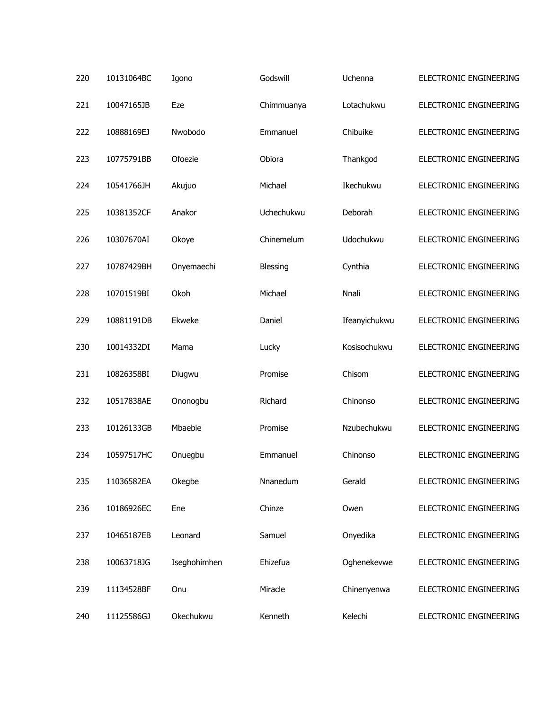| 220 | 10131064BC | Igono        | Godswill   | Uchenna       | ELECTRONIC ENGINEERING |
|-----|------------|--------------|------------|---------------|------------------------|
| 221 | 10047165JB | Eze          | Chimmuanya | Lotachukwu    | ELECTRONIC ENGINEERING |
| 222 | 10888169EJ | Nwobodo      | Emmanuel   | Chibuike      | ELECTRONIC ENGINEERING |
| 223 | 10775791BB | Ofoezie      | Obiora     | Thankgod      | ELECTRONIC ENGINEERING |
| 224 | 10541766JH | Akujuo       | Michael    | Ikechukwu     | ELECTRONIC ENGINEERING |
| 225 | 10381352CF | Anakor       | Uchechukwu | Deborah       | ELECTRONIC ENGINEERING |
| 226 | 10307670AI | Okoye        | Chinemelum | Udochukwu     | ELECTRONIC ENGINEERING |
| 227 | 10787429BH | Onyemaechi   | Blessing   | Cynthia       | ELECTRONIC ENGINEERING |
| 228 | 10701519BI | Okoh         | Michael    | Nnali         | ELECTRONIC ENGINEERING |
| 229 | 10881191DB | Ekweke       | Daniel     | Ifeanyichukwu | ELECTRONIC ENGINEERING |
| 230 | 10014332DI | Mama         | Lucky      | Kosisochukwu  | ELECTRONIC ENGINEERING |
| 231 | 10826358BI | Diugwu       | Promise    | Chisom        | ELECTRONIC ENGINEERING |
| 232 | 10517838AE | Ononogbu     | Richard    | Chinonso      | ELECTRONIC ENGINEERING |
| 233 | 10126133GB | Mbaebie      | Promise    | Nzubechukwu   | ELECTRONIC ENGINEERING |
| 234 | 10597517HC | Onuegbu      | Emmanuel   | Chinonso      | ELECTRONIC ENGINEERING |
| 235 | 11036582EA | Okegbe       | Nnanedum   | Gerald        | ELECTRONIC ENGINEERING |
| 236 | 10186926EC | Ene          | Chinze     | Owen          | ELECTRONIC ENGINEERING |
| 237 | 10465187EB | Leonard      | Samuel     | Onyedika      | ELECTRONIC ENGINEERING |
| 238 | 10063718JG | Iseghohimhen | Ehizefua   | Oghenekevwe   | ELECTRONIC ENGINEERING |
| 239 | 11134528BF | Onu          | Miracle    | Chinenyenwa   | ELECTRONIC ENGINEERING |
| 240 | 11125586GJ | Okechukwu    | Kenneth    | Kelechi       | ELECTRONIC ENGINEERING |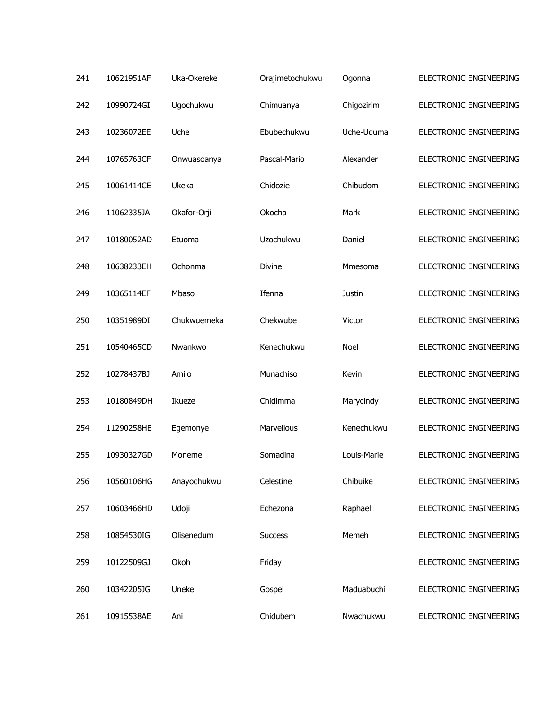| 241 | 10621951AF | Uka-Okereke | Orajimetochukwu | Ogonna        | ELECTRONIC ENGINEERING |
|-----|------------|-------------|-----------------|---------------|------------------------|
| 242 | 10990724GI | Ugochukwu   | Chimuanya       | Chigozirim    | ELECTRONIC ENGINEERING |
| 243 | 10236072EE | Uche        | Ebubechukwu     | Uche-Uduma    | ELECTRONIC ENGINEERING |
| 244 | 10765763CF | Onwuasoanya | Pascal-Mario    | Alexander     | ELECTRONIC ENGINEERING |
| 245 | 10061414CE | Ukeka       | Chidozie        | Chibudom      | ELECTRONIC ENGINEERING |
| 246 | 11062335JA | Okafor-Orji | Okocha          | Mark          | ELECTRONIC ENGINEERING |
| 247 | 10180052AD | Etuoma      | Uzochukwu       | Daniel        | ELECTRONIC ENGINEERING |
| 248 | 10638233EH | Ochonma     | <b>Divine</b>   | Mmesoma       | ELECTRONIC ENGINEERING |
| 249 | 10365114EF | Mbaso       | Ifenna          | <b>Justin</b> | ELECTRONIC ENGINEERING |
| 250 | 10351989DI | Chukwuemeka | Chekwube        | Victor        | ELECTRONIC ENGINEERING |
| 251 | 10540465CD | Nwankwo     | Kenechukwu      | Noel          | ELECTRONIC ENGINEERING |
| 252 | 10278437BJ | Amilo       | Munachiso       | Kevin         | ELECTRONIC ENGINEERING |
| 253 | 10180849DH | Ikueze      | Chidimma        | Marycindy     | ELECTRONIC ENGINEERING |
| 254 | 11290258HE | Egemonye    | Marvellous      | Kenechukwu    | ELECTRONIC ENGINEERING |
| 255 | 10930327GD | Moneme      | Somadina        | Louis-Marie   | ELECTRONIC ENGINEERING |
| 256 | 10560106HG | Anayochukwu | Celestine       | Chibuike      | ELECTRONIC ENGINEERING |
| 257 | 10603466HD | Udoji       | Echezona        | Raphael       | ELECTRONIC ENGINEERING |
| 258 | 10854530IG | Olisenedum  | <b>Success</b>  | Memeh         | ELECTRONIC ENGINEERING |
| 259 | 10122509GJ | Okoh        | Friday          |               | ELECTRONIC ENGINEERING |
| 260 | 10342205JG | Uneke       | Gospel          | Maduabuchi    | ELECTRONIC ENGINEERING |
| 261 | 10915538AE | Ani         | Chidubem        | Nwachukwu     | ELECTRONIC ENGINEERING |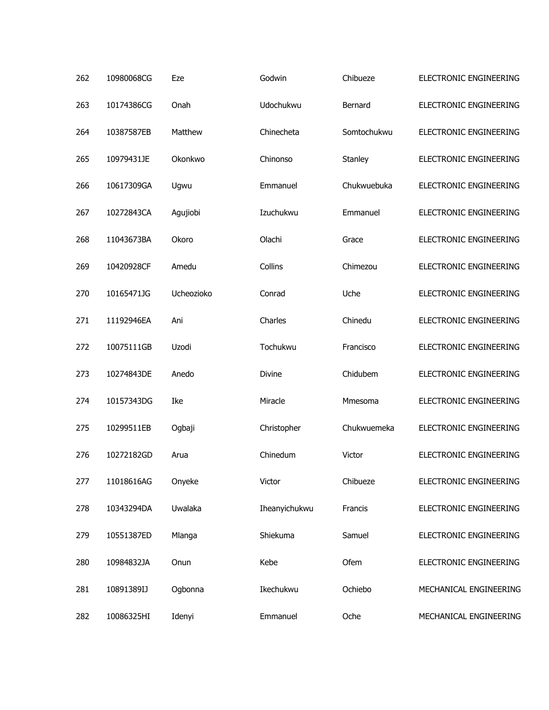| 262 | 10980068CG | Eze        | Godwin        | Chibueze    | ELECTRONIC ENGINEERING |
|-----|------------|------------|---------------|-------------|------------------------|
| 263 | 10174386CG | Onah       | Udochukwu     | Bernard     | ELECTRONIC ENGINEERING |
| 264 | 10387587EB | Matthew    | Chinecheta    | Somtochukwu | ELECTRONIC ENGINEERING |
| 265 | 10979431JE | Okonkwo    | Chinonso      | Stanley     | ELECTRONIC ENGINEERING |
| 266 | 10617309GA | Ugwu       | Emmanuel      | Chukwuebuka | ELECTRONIC ENGINEERING |
| 267 | 10272843CA | Agujiobi   | Izuchukwu     | Emmanuel    | ELECTRONIC ENGINEERING |
| 268 | 11043673BA | Okoro      | Olachi        | Grace       | ELECTRONIC ENGINEERING |
| 269 | 10420928CF | Amedu      | Collins       | Chimezou    | ELECTRONIC ENGINEERING |
| 270 | 10165471JG | Ucheozioko | Conrad        | Uche        | ELECTRONIC ENGINEERING |
| 271 | 11192946EA | Ani        | Charles       | Chinedu     | ELECTRONIC ENGINEERING |
| 272 | 10075111GB | Uzodi      | Tochukwu      | Francisco   | ELECTRONIC ENGINEERING |
| 273 | 10274843DE | Anedo      | Divine        | Chidubem    | ELECTRONIC ENGINEERING |
| 274 | 10157343DG | Ike        | Miracle       | Mmesoma     | ELECTRONIC ENGINEERING |
| 275 | 10299511EB | Ogbaji     | Christopher   | Chukwuemeka | ELECTRONIC ENGINEERING |
| 276 | 10272182GD | Arua       | Chinedum      | Victor      | ELECTRONIC ENGINEERING |
| 277 | 11018616AG | Onyeke     | Victor        | Chibueze    | ELECTRONIC ENGINEERING |
| 278 | 10343294DA | Uwalaka    | Iheanyichukwu | Francis     | ELECTRONIC ENGINEERING |
| 279 | 10551387ED | Mlanga     | Shiekuma      | Samuel      | ELECTRONIC ENGINEERING |
| 280 | 10984832JA | Onun       | Kebe          | Ofem        | ELECTRONIC ENGINEERING |
| 281 | 10891389IJ | Ogbonna    | Ikechukwu     | Ochiebo     | MECHANICAL ENGINEERING |
| 282 | 10086325HI | Idenyi     | Emmanuel      | Oche        | MECHANICAL ENGINEERING |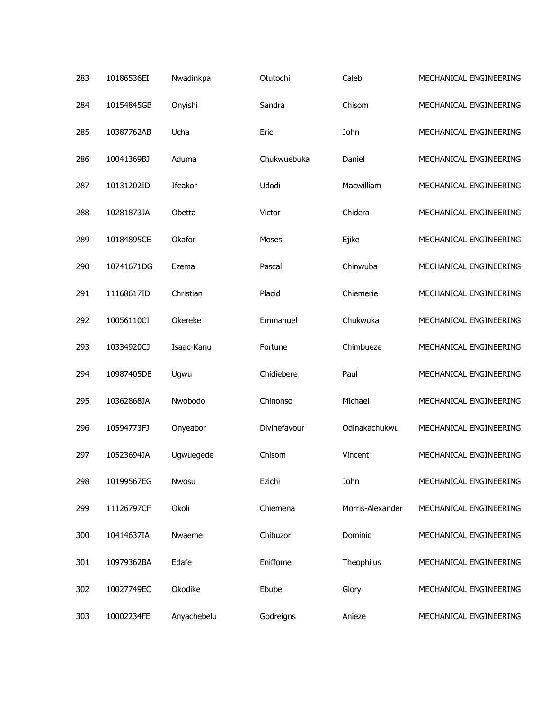| 283 | 10186536EI | Nwadinkpa   | Otutochi     | Caleb            | MECHANICAL ENGINEERING |
|-----|------------|-------------|--------------|------------------|------------------------|
| 284 | 10154845GB | Onyishi     | Sandra       | Chisom           | MECHANICAL ENGINEERING |
| 285 | 10387762AB | Ucha        | Eric         | John             | MECHANICAL ENGINEERING |
| 286 | 10041369BJ | Aduma       | Chukwuebuka  | Daniel           | MECHANICAL ENGINEERING |
| 287 | 10131202ID | Ifeakor     | Udodi        | Macwilliam       | MECHANICAL ENGINEERING |
| 288 | 10281873JA | Obetta      | Victor       | Chidera          | MECHANICAL ENGINEERING |
| 289 | 10184895CE | Okafor      | Moses        | Ejike            | MECHANICAL ENGINEERING |
| 290 | 10741671DG | Ezema       | Pascal       | Chinwuba         | MECHANICAL ENGINEERING |
| 291 | 11168617ID | Christian   | Placid       | Chiemerie        | MECHANICAL ENGINEERING |
| 292 | 10056110CI | Okereke     | Emmanuel     | Chukwuka         | MECHANICAL ENGINEERING |
| 293 | 10334920CJ | Isaac-Kanu  | Fortune      | Chimbueze        | MECHANICAL ENGINEERING |
| 294 | 10987405DE | Ugwu        | Chidiebere   | Paul             | MECHANICAL ENGINEERING |
| 295 | 10362868JA | Nwobodo     | Chinonso     | Michael          | MECHANICAL ENGINEERING |
| 296 | 10594773FJ | Onyeabor    | Divinefavour | Odinakachukwu    | MECHANICAL ENGINEERING |
| 297 | 10523694JA | Ugwuegede   | Chisom       | Vincent          | MECHANICAL ENGINEERING |
| 298 | 10199567EG | Nwosu       | Ezichi       | John             | MECHANICAL ENGINEERING |
| 299 | 11126797CF | Okoli       | Chiemena     | Morris-Alexander | MECHANICAL ENGINEERING |
| 300 | 10414637IA | Nwaeme      | Chibuzor     | Dominic          | MECHANICAL ENGINEERING |
| 301 | 10979362BA | Edafe       | Eniffome     | Theophilus       | MECHANICAL ENGINEERING |
| 302 | 10027749EC | Okodike     | Ebube        | Glory            | MECHANICAL ENGINEERING |
| 303 | 10002234FE | Anyachebelu | Godreigns    | Anieze           | MECHANICAL ENGINEERING |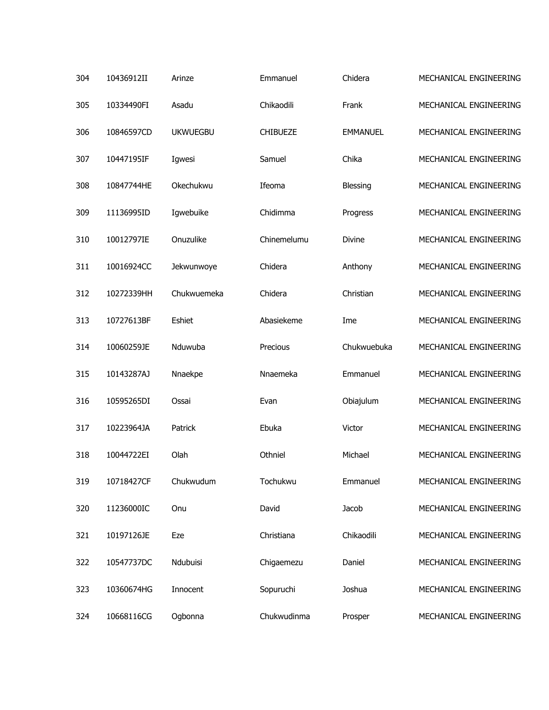| 304 | 10436912II | Arinze          | Emmanuel        | Chidera         | MECHANICAL ENGINEERING |
|-----|------------|-----------------|-----------------|-----------------|------------------------|
| 305 | 10334490FI | Asadu           | Chikaodili      | Frank           | MECHANICAL ENGINEERING |
| 306 | 10846597CD | <b>UKWUEGBU</b> | <b>CHIBUEZE</b> | <b>EMMANUEL</b> | MECHANICAL ENGINEERING |
| 307 | 10447195IF | Igwesi          | Samuel          | Chika           | MECHANICAL ENGINEERING |
| 308 | 10847744HE | Okechukwu       | Ifeoma          | Blessing        | MECHANICAL ENGINEERING |
| 309 | 11136995ID | Igwebuike       | Chidimma        | Progress        | MECHANICAL ENGINEERING |
| 310 | 10012797IE | Onuzulike       | Chinemelumu     | Divine          | MECHANICAL ENGINEERING |
| 311 | 10016924CC | Jekwunwoye      | Chidera         | Anthony         | MECHANICAL ENGINEERING |
| 312 | 10272339HH | Chukwuemeka     | Chidera         | Christian       | MECHANICAL ENGINEERING |
| 313 | 10727613BF | Eshiet          | Abasiekeme      | Ime             | MECHANICAL ENGINEERING |
| 314 | 10060259JE | Nduwuba         | Precious        | Chukwuebuka     | MECHANICAL ENGINEERING |
| 315 | 10143287AJ | Nnaekpe         | Nnaemeka        | Emmanuel        | MECHANICAL ENGINEERING |
| 316 | 10595265DI | Ossai           | Evan            | Obiajulum       | MECHANICAL ENGINEERING |
| 317 | 10223964JA | Patrick         | Ebuka           | Victor          | MECHANICAL ENGINEERING |
| 318 | 10044722EI | Olah            | Othniel         | Michael         | MECHANICAL ENGINEERING |
| 319 | 10718427CF | Chukwudum       | Tochukwu        | Emmanuel        | MECHANICAL ENGINEERING |
| 320 | 11236000IC | Onu             | David           | Jacob           | MECHANICAL ENGINEERING |
| 321 | 10197126JE | Eze             | Christiana      | Chikaodili      | MECHANICAL ENGINEERING |
| 322 | 10547737DC | Ndubuisi        | Chigaemezu      | Daniel          | MECHANICAL ENGINEERING |
| 323 | 10360674HG | Innocent        | Sopuruchi       | Joshua          | MECHANICAL ENGINEERING |
| 324 | 10668116CG | Ogbonna         | Chukwudinma     | Prosper         | MECHANICAL ENGINEERING |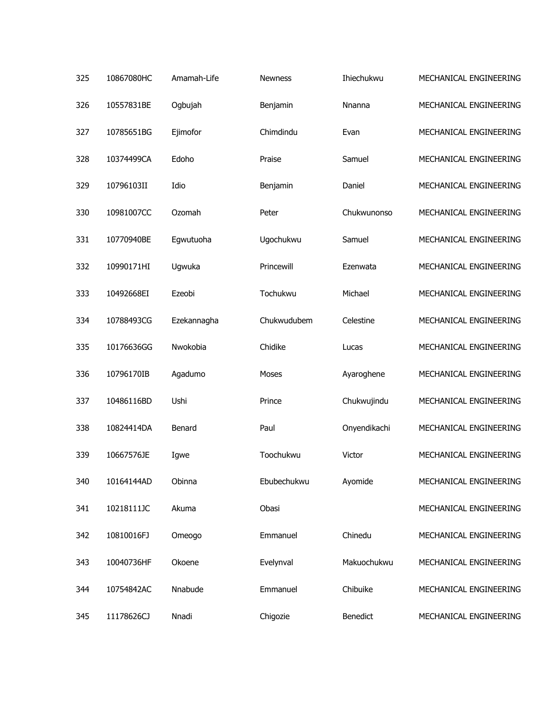| 325 | 10867080HC | Amamah-Life | <b>Newness</b> | Ihiechukwu   | MECHANICAL ENGINEERING |
|-----|------------|-------------|----------------|--------------|------------------------|
| 326 | 10557831BE | Ogbujah     | Benjamin       | Nnanna       | MECHANICAL ENGINEERING |
| 327 | 10785651BG | Ejimofor    | Chimdindu      | Evan         | MECHANICAL ENGINEERING |
| 328 | 10374499CA | Edoho       | Praise         | Samuel       | MECHANICAL ENGINEERING |
| 329 | 10796103II | Idio        | Benjamin       | Daniel       | MECHANICAL ENGINEERING |
| 330 | 10981007CC | Ozomah      | Peter          | Chukwunonso  | MECHANICAL ENGINEERING |
| 331 | 10770940BE | Egwutuoha   | Ugochukwu      | Samuel       | MECHANICAL ENGINEERING |
| 332 | 10990171HI | Ugwuka      | Princewill     | Ezenwata     | MECHANICAL ENGINEERING |
| 333 | 10492668EI | Ezeobi      | Tochukwu       | Michael      | MECHANICAL ENGINEERING |
| 334 | 10788493CG | Ezekannagha | Chukwudubem    | Celestine    | MECHANICAL ENGINEERING |
| 335 | 10176636GG | Nwokobia    | Chidike        | Lucas        | MECHANICAL ENGINEERING |
| 336 | 10796170IB | Agadumo     | Moses          | Ayaroghene   | MECHANICAL ENGINEERING |
| 337 | 10486116BD | Ushi        | Prince         | Chukwujindu  | MECHANICAL ENGINEERING |
| 338 | 10824414DA | Benard      | Paul           | Onyendikachi | MECHANICAL ENGINEERING |
| 339 | 10667576JE | Igwe        | Toochukwu      | Victor       | MECHANICAL ENGINEERING |
| 340 | 10164144AD | Obinna      | Ebubechukwu    | Ayomide      | MECHANICAL ENGINEERING |
| 341 | 10218111JC | Akuma       | Obasi          |              | MECHANICAL ENGINEERING |
| 342 | 10810016FJ | Omeogo      | Emmanuel       | Chinedu      | MECHANICAL ENGINEERING |
| 343 | 10040736HF | Okoene      | Evelynval      | Makuochukwu  | MECHANICAL ENGINEERING |
| 344 | 10754842AC | Nnabude     | Emmanuel       | Chibuike     | MECHANICAL ENGINEERING |
| 345 | 11178626CJ | Nnadi       | Chigozie       | Benedict     | MECHANICAL ENGINEERING |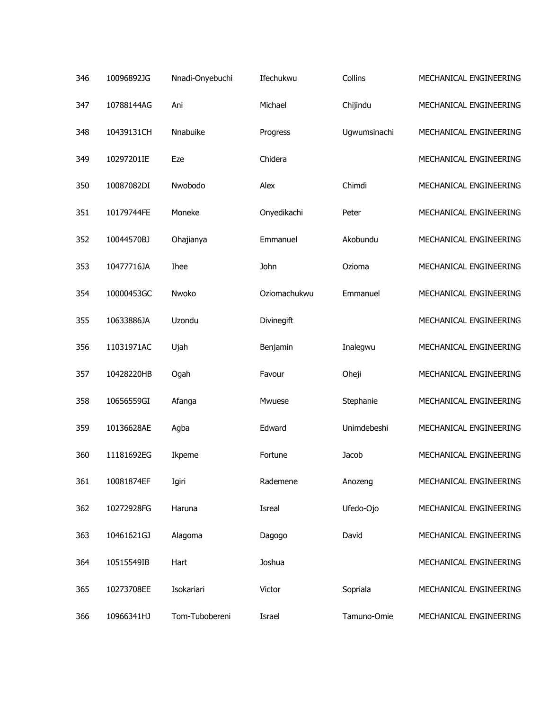| 346 | 10096892JG | Nnadi-Onyebuchi | Ifechukwu         | Collins      | MECHANICAL ENGINEERING |
|-----|------------|-----------------|-------------------|--------------|------------------------|
| 347 | 10788144AG | Ani             | Michael           | Chijindu     | MECHANICAL ENGINEERING |
| 348 | 10439131CH | Nnabuike        | Progress          | Ugwumsinachi | MECHANICAL ENGINEERING |
| 349 | 10297201IE | Eze             | Chidera           |              | MECHANICAL ENGINEERING |
| 350 | 10087082DI | Nwobodo         | Alex              | Chimdi       | MECHANICAL ENGINEERING |
| 351 | 10179744FE | Moneke          | Onyedikachi       | Peter        | MECHANICAL ENGINEERING |
| 352 | 10044570BJ | Ohajianya       | Emmanuel          | Akobundu     | MECHANICAL ENGINEERING |
| 353 | 10477716JA | <b>Ihee</b>     | John              | Ozioma       | MECHANICAL ENGINEERING |
| 354 | 10000453GC | Nwoko           | Oziomachukwu      | Emmanuel     | MECHANICAL ENGINEERING |
| 355 | 10633886JA | Uzondu          | <b>Divinegift</b> |              | MECHANICAL ENGINEERING |
| 356 | 11031971AC | Ujah            | Benjamin          | Inalegwu     | MECHANICAL ENGINEERING |
| 357 | 10428220HB | Ogah            | Favour            | Oheji        | MECHANICAL ENGINEERING |
| 358 | 10656559GI | Afanga          | Mwuese            | Stephanie    | MECHANICAL ENGINEERING |
| 359 | 10136628AE | Agba            | Edward            | Unimdebeshi  | MECHANICAL ENGINEERING |
| 360 | 11181692EG | Ikpeme          | Fortune           | Jacob        | MECHANICAL ENGINEERING |
| 361 | 10081874EF | Igiri           | Rademene          | Anozeng      | MECHANICAL ENGINEERING |
| 362 | 10272928FG | Haruna          | Isreal            | Ufedo-Ojo    | MECHANICAL ENGINEERING |
| 363 | 10461621GJ | Alagoma         | Dagogo            | David        | MECHANICAL ENGINEERING |
| 364 | 10515549IB | Hart            | Joshua            |              | MECHANICAL ENGINEERING |
| 365 | 10273708EE | Isokariari      | Victor            | Sopriala     | MECHANICAL ENGINEERING |
| 366 | 10966341HJ | Tom-Tubobereni  | Israel            | Tamuno-Omie  | MECHANICAL ENGINEERING |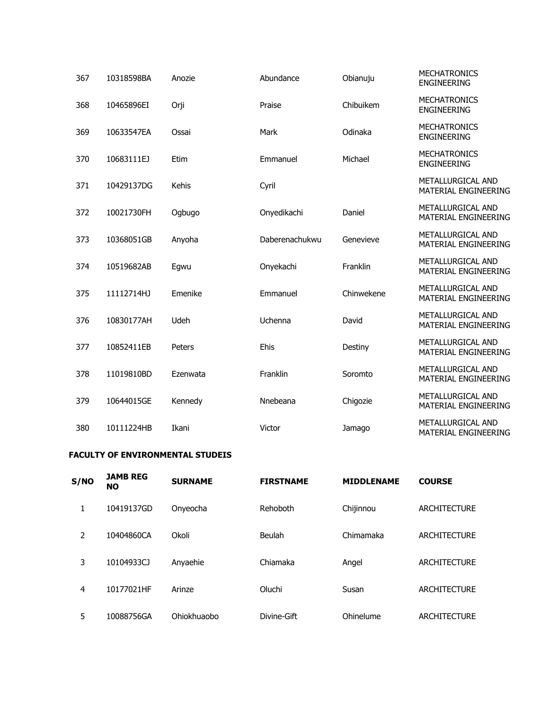| 367 | 10318598BA | Anozie   | Abundance      | Obianuju   | <b>MECHATRONICS</b><br><b>ENGINEERING</b> |
|-----|------------|----------|----------------|------------|-------------------------------------------|
| 368 | 10465896EI | Orji     | Praise         | Chibuikem  | <b>MECHATRONICS</b><br><b>ENGINEERING</b> |
| 369 | 10633547EA | Ossai    | Mark           | Odinaka    | <b>MECHATRONICS</b><br><b>ENGINEERING</b> |
| 370 | 10683111EJ | Etim     | Emmanuel       | Michael    | <b>MECHATRONICS</b><br><b>ENGINEERING</b> |
| 371 | 10429137DG | Kehis    | Cyril          |            | METALLURGICAL AND<br>MATERIAL ENGINEERING |
| 372 | 10021730FH | Ogbugo   | Onyedikachi    | Daniel     | METALLURGICAL AND<br>MATERIAL ENGINEERING |
| 373 | 10368051GB | Anyoha   | Daberenachukwu | Genevieve  | METALLURGICAL AND<br>MATERIAL ENGINEERING |
| 374 | 10519682AB | Egwu     | Onyekachi      | Franklin   | METALLURGICAL AND<br>MATERIAL ENGINEERING |
| 375 | 11112714HJ | Emenike  | Emmanuel       | Chinwekene | METALLURGICAL AND<br>MATERIAL ENGINEERING |
| 376 | 10830177AH | Udeh     | Uchenna        | David      | METALLURGICAL AND<br>MATERIAL ENGINEERING |
| 377 | 10852411EB | Peters   | Ehis           | Destiny    | METALLURGICAL AND<br>MATERIAL ENGINEERING |
| 378 | 11019810BD | Ezenwata | Franklin       | Soromto    | METALLURGICAL AND<br>MATERIAL ENGINEERING |
| 379 | 10644015GE | Kennedy  | Nnebeana       | Chigozie   | METALLURGICAL AND<br>MATERIAL ENGINEERING |
| 380 | 10111224HB | Ikani    | Victor         | Jamago     | METALLURGICAL AND<br>MATERIAL ENGINEERING |

## **FACULTY OF ENVIRONMENTAL STUDEIS**

| S/NO | <b>JAMB REG</b><br><b>NO</b> | <b>SURNAME</b> | <b>FIRSTNAME</b> | <b>MIDDLENAME</b> | <b>COURSE</b>       |
|------|------------------------------|----------------|------------------|-------------------|---------------------|
|      | 10419137GD                   | Onyeocha       | Rehoboth         | Chijinnou         | <b>ARCHITECTURE</b> |
| 2    | 10404860CA                   | Okoli          | Beulah           | Chimamaka         | <b>ARCHITECTURE</b> |
| 3    | 10104933CJ                   | Anyaehie       | Chiamaka         | Angel             | <b>ARCHITECTURE</b> |
| 4    | 10177021HF                   | Arinze         | Oluchi           | Susan             | <b>ARCHITECTURE</b> |
| 5    | 10088756GA                   | Ohiokhuaobo    | Divine-Gift      | Ohinelume         | <b>ARCHITECTURE</b> |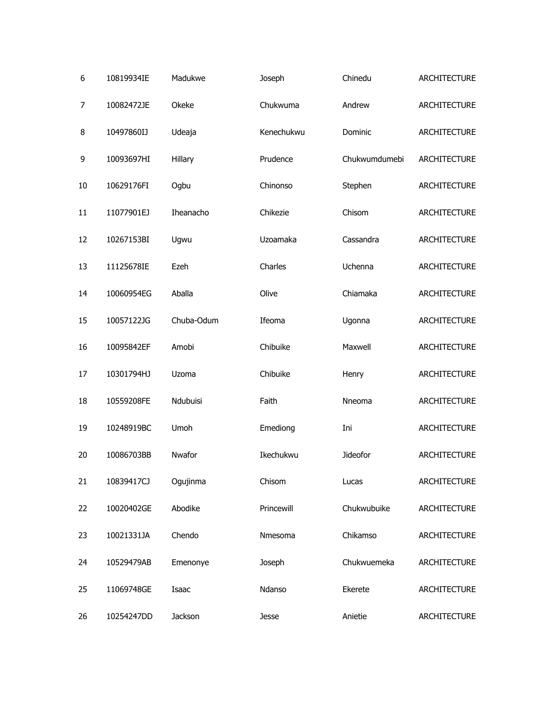| 6  | 10819934IE | Madukwe    | Joseph     | Chinedu       | ARCHITECTURE        |
|----|------------|------------|------------|---------------|---------------------|
| 7  | 10082472JE | Okeke      | Chukwuma   | Andrew        | <b>ARCHITECTURE</b> |
| 8  | 10497860IJ | Udeaja     | Kenechukwu | Dominic       | <b>ARCHITECTURE</b> |
| 9  | 10093697HI | Hillary    | Prudence   | Chukwumdumebi | <b>ARCHITECTURE</b> |
| 10 | 10629176FI | Ogbu       | Chinonso   | Stephen       | <b>ARCHITECTURE</b> |
| 11 | 11077901EJ | Iheanacho  | Chikezie   | Chisom        | <b>ARCHITECTURE</b> |
| 12 | 10267153BI | Ugwu       | Uzoamaka   | Cassandra     | ARCHITECTURE        |
| 13 | 11125678IE | Ezeh       | Charles    | Uchenna       | <b>ARCHITECTURE</b> |
| 14 | 10060954EG | Aballa     | Olive      | Chiamaka      | ARCHITECTURE        |
| 15 | 10057122JG | Chuba-Odum | Ifeoma     | Ugonna        | <b>ARCHITECTURE</b> |
| 16 | 10095842EF | Amobi      | Chibuike   | Maxwell       | ARCHITECTURE        |
| 17 | 10301794HJ | Uzoma      | Chibuike   | Henry         | <b>ARCHITECTURE</b> |
| 18 | 10559208FE | Ndubuisi   | Faith      | Nneoma        | ARCHITECTURE        |
| 19 | 10248919BC | Umoh       | Emediong   | Ini           | ARCHITECTURE        |
| 20 | 10086703BB | Nwafor     | Ikechukwu  | Jideofor      | ARCHITECTURE        |
| 21 | 10839417CJ | Ogujinma   | Chisom     | Lucas         | ARCHITECTURE        |
| 22 | 10020402GE | Abodike    | Princewill | Chukwubuike   | ARCHITECTURE        |
| 23 | 10021331JA | Chendo     | Nmesoma    | Chikamso      | <b>ARCHITECTURE</b> |
| 24 | 10529479AB | Emenonye   | Joseph     | Chukwuemeka   | <b>ARCHITECTURE</b> |
| 25 | 11069748GE | Isaac      | Ndanso     | Ekerete       | ARCHITECTURE        |
| 26 | 10254247DD | Jackson    | Jesse      | Anietie       | ARCHITECTURE        |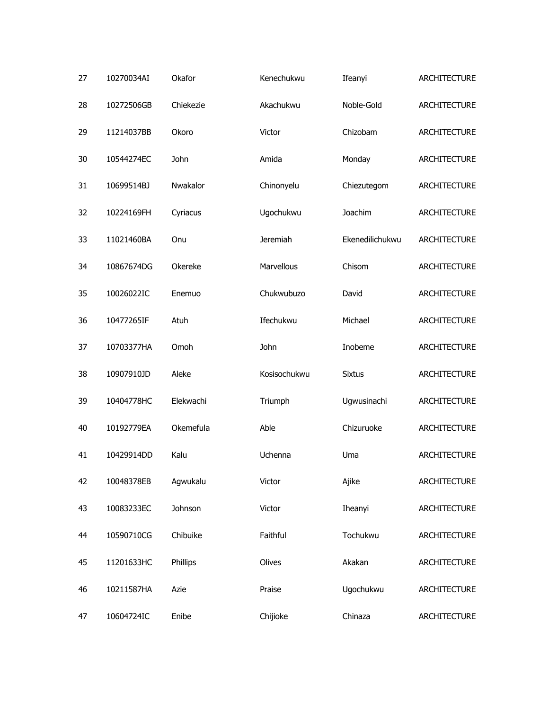| 27 | 10270034AI | Okafor    | Kenechukwu      | Ifeanyi         | ARCHITECTURE |
|----|------------|-----------|-----------------|-----------------|--------------|
| 28 | 10272506GB | Chiekezie | Akachukwu       | Noble-Gold      | ARCHITECTURE |
| 29 | 11214037BB | Okoro     | Victor          | Chizobam        | ARCHITECTURE |
| 30 | 10544274EC | John      | Amida           | Monday          | ARCHITECTURE |
| 31 | 10699514BJ | Nwakalor  | Chinonyelu      | Chiezutegom     | ARCHITECTURE |
| 32 | 10224169FH | Cyriacus  | Ugochukwu       | Joachim         | ARCHITECTURE |
| 33 | 11021460BA | Onu       | <b>Jeremiah</b> | Ekenedilichukwu | ARCHITECTURE |
| 34 | 10867674DG | Okereke   | Marvellous      | Chisom          | ARCHITECTURE |
| 35 | 10026022IC | Enemuo    | Chukwubuzo      | David           | ARCHITECTURE |
| 36 | 10477265IF | Atuh      | Ifechukwu       | Michael         | ARCHITECTURE |
| 37 | 10703377HA | Omoh      | John            | Inobeme         | ARCHITECTURE |
| 38 | 10907910JD | Aleke     | Kosisochukwu    | <b>Sixtus</b>   | ARCHITECTURE |
| 39 | 10404778HC | Elekwachi | Triumph         | Ugwusinachi     | ARCHITECTURE |
| 40 | 10192779EA | Okemefula | Able            | Chizuruoke      | ARCHITECTURE |
| 41 | 10429914DD | Kalu      | Uchenna         | Uma             | ARCHITECTURE |
| 42 | 10048378EB | Agwukalu  | Victor          | Ajike           | ARCHITECTURE |
| 43 | 10083233EC | Johnson   | Victor          | Iheanyi         | ARCHITECTURE |
| 44 | 10590710CG | Chibuike  | Faithful        | Tochukwu        | ARCHITECTURE |
| 45 | 11201633HC | Phillips  | Olives          | Akakan          | ARCHITECTURE |
| 46 | 10211587HA | Azie      | Praise          | Ugochukwu       | ARCHITECTURE |
| 47 | 10604724IC | Enibe     | Chijioke        | Chinaza         | ARCHITECTURE |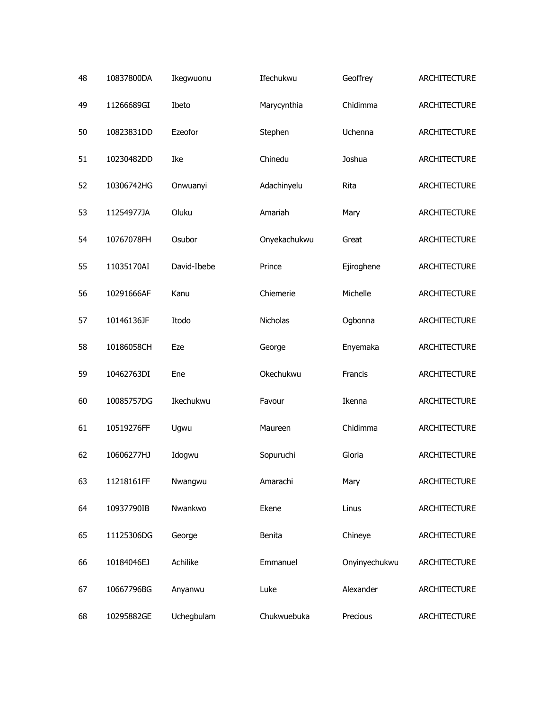| 48 | 10837800DA | Ikegwuonu   | Ifechukwu    | Geoffrey      | ARCHITECTURE        |
|----|------------|-------------|--------------|---------------|---------------------|
| 49 | 11266689GI | Ibeto       | Marycynthia  | Chidimma      | <b>ARCHITECTURE</b> |
| 50 | 10823831DD | Ezeofor     | Stephen      | Uchenna       | <b>ARCHITECTURE</b> |
| 51 | 10230482DD | Ike         | Chinedu      | Joshua        | <b>ARCHITECTURE</b> |
| 52 | 10306742HG | Onwuanyi    | Adachinyelu  | Rita          | ARCHITECTURE        |
| 53 | 11254977JA | Oluku       | Amariah      | Mary          | ARCHITECTURE        |
| 54 | 10767078FH | Osubor      | Onyekachukwu | Great         | ARCHITECTURE        |
| 55 | 11035170AI | David-Ibebe | Prince       | Ejiroghene    | ARCHITECTURE        |
| 56 | 10291666AF | Kanu        | Chiemerie    | Michelle      | ARCHITECTURE        |
| 57 | 10146136JF | Itodo       | Nicholas     | Ogbonna       | ARCHITECTURE        |
| 58 | 10186058CH | Eze         | George       | Enyemaka      | ARCHITECTURE        |
| 59 | 10462763DI | Ene         | Okechukwu    | Francis       | ARCHITECTURE        |
| 60 | 10085757DG | Ikechukwu   | Favour       | Ikenna        | ARCHITECTURE        |
| 61 | 10519276FF | Ugwu        | Maureen      | Chidimma      | ARCHITECTURE        |
| 62 | 10606277HJ | Idogwu      | Sopuruchi    | Gloria        | ARCHITECTURE        |
| 63 | 11218161FF | Nwangwu     | Amarachi     | Mary          | ARCHITECTURE        |
| 64 | 10937790IB | Nwankwo     | Ekene        | Linus         | <b>ARCHITECTURE</b> |
| 65 | 11125306DG | George      | Benita       | Chineye       | <b>ARCHITECTURE</b> |
| 66 | 10184046EJ | Achilike    | Emmanuel     | Onyinyechukwu | <b>ARCHITECTURE</b> |
| 67 | 10667796BG | Anyanwu     | Luke         | Alexander     | <b>ARCHITECTURE</b> |
| 68 | 10295882GE | Uchegbulam  | Chukwuebuka  | Precious      | <b>ARCHITECTURE</b> |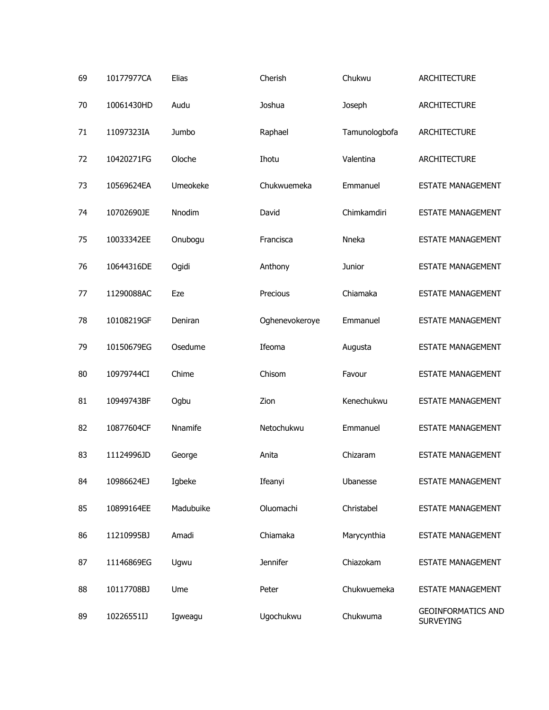| 69 | 10177977CA | Elias     | Cherish        | Chukwu        | <b>ARCHITECTURE</b>                    |
|----|------------|-----------|----------------|---------------|----------------------------------------|
| 70 | 10061430HD | Audu      | Joshua         | Joseph        | <b>ARCHITECTURE</b>                    |
| 71 | 11097323IA | Jumbo     | Raphael        | Tamunologbofa | <b>ARCHITECTURE</b>                    |
| 72 | 10420271FG | Oloche    | Ihotu          | Valentina     | <b>ARCHITECTURE</b>                    |
| 73 | 10569624EA | Umeokeke  | Chukwuemeka    | Emmanuel      | <b>ESTATE MANAGEMENT</b>               |
| 74 | 10702690JE | Nnodim    | David          | Chimkamdiri   | <b>ESTATE MANAGEMENT</b>               |
| 75 | 10033342EE | Onubogu   | Francisca      | Nneka         | <b>ESTATE MANAGEMENT</b>               |
| 76 | 10644316DE | Ogidi     | Anthony        | Junior        | <b>ESTATE MANAGEMENT</b>               |
| 77 | 11290088AC | Eze       | Precious       | Chiamaka      | <b>ESTATE MANAGEMENT</b>               |
| 78 | 10108219GF | Deniran   | Oghenevokeroye | Emmanuel      | <b>ESTATE MANAGEMENT</b>               |
| 79 | 10150679EG | Osedume   | Ifeoma         | Augusta       | <b>ESTATE MANAGEMENT</b>               |
| 80 | 10979744CI | Chime     | Chisom         | Favour        | <b>ESTATE MANAGEMENT</b>               |
| 81 | 10949743BF | Ogbu      | Zion           | Kenechukwu    | <b>ESTATE MANAGEMENT</b>               |
| 82 | 10877604CF | Nnamife   | Netochukwu     | Emmanuel      | <b>ESTATE MANAGEMENT</b>               |
| 83 | 11124996JD | George    | Anita          | Chizaram      | <b>ESTATE MANAGEMENT</b>               |
| 84 | 10986624EJ | Igbeke    | Ifeanyi        | Ubanesse      | <b>ESTATE MANAGEMENT</b>               |
| 85 | 10899164EE | Madubuike | Oluomachi      | Christabel    | <b>ESTATE MANAGEMENT</b>               |
| 86 | 11210995BJ | Amadi     | Chiamaka       | Marycynthia   | <b>ESTATE MANAGEMENT</b>               |
| 87 | 11146869EG | Ugwu      | Jennifer       | Chiazokam     | <b>ESTATE MANAGEMENT</b>               |
| 88 | 10117708BJ | Ume       | Peter          | Chukwuemeka   | <b>ESTATE MANAGEMENT</b>               |
| 89 | 10226551IJ | Igweagu   | Ugochukwu      | Chukwuma      | <b>GEOINFORMATICS AND</b><br>SURVEYING |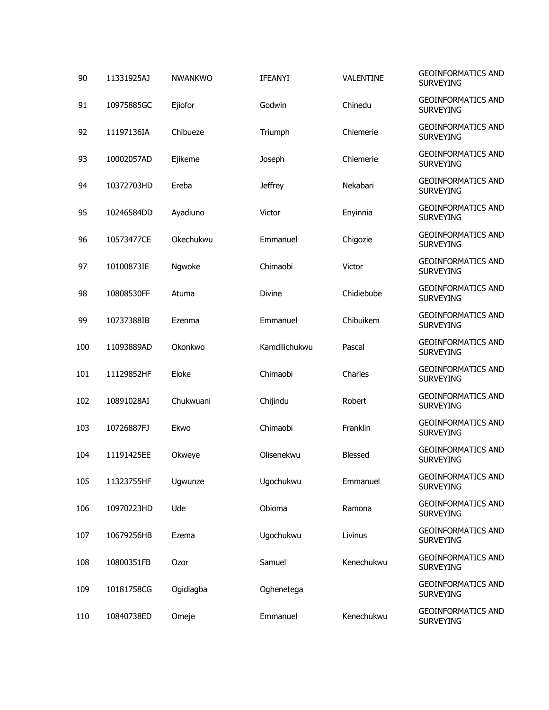| 90  | 11331925AJ | <b>NWANKWO</b> | <b>IFEANYI</b> | VALENTINE      | <b>GEOINFORMATICS AND</b><br><b>SURVEYING</b> |
|-----|------------|----------------|----------------|----------------|-----------------------------------------------|
| 91  | 10975885GC | Ejiofor        | Godwin         | Chinedu        | <b>GEOINFORMATICS AND</b><br><b>SURVEYING</b> |
| 92  | 11197136IA | Chibueze       | Triumph        | Chiemerie      | <b>GEOINFORMATICS AND</b><br><b>SURVEYING</b> |
| 93  | 10002057AD | Ejikeme        | Joseph         | Chiemerie      | <b>GEOINFORMATICS AND</b><br><b>SURVEYING</b> |
| 94  | 10372703HD | Ereba          | <b>Jeffrey</b> | Nekabari       | <b>GEOINFORMATICS AND</b><br><b>SURVEYING</b> |
| 95  | 10246584DD | Ayadiuno       | Victor         | Enyinnia       | <b>GEOINFORMATICS AND</b><br><b>SURVEYING</b> |
| 96  | 10573477CE | Okechukwu      | Emmanuel       | Chigozie       | <b>GEOINFORMATICS AND</b><br><b>SURVEYING</b> |
| 97  | 10100873IE | Ngwoke         | Chimaobi       | Victor         | <b>GEOINFORMATICS AND</b><br><b>SURVEYING</b> |
| 98  | 10808530FF | Atuma          | <b>Divine</b>  | Chidiebube     | <b>GEOINFORMATICS AND</b><br><b>SURVEYING</b> |
| 99  | 10737388IB | Ezenma         | Emmanuel       | Chibuikem      | <b>GEOINFORMATICS AND</b><br><b>SURVEYING</b> |
| 100 | 11093889AD | Okonkwo        | Kamdilichukwu  | Pascal         | <b>GEOINFORMATICS AND</b><br><b>SURVEYING</b> |
| 101 | 11129852HF | Eloke          | Chimaobi       | Charles        | <b>GEOINFORMATICS AND</b><br><b>SURVEYING</b> |
| 102 | 10891028AI | Chukwuani      | Chijindu       | Robert         | <b>GEOINFORMATICS AND</b><br><b>SURVEYING</b> |
| 103 | 10726887FJ | Ekwo           | Chimaobi       | Franklin       | <b>GEOINFORMATICS AND</b><br><b>SURVEYING</b> |
| 104 | 11191425EE | Okweye         | Olisenekwu     | <b>Blessed</b> | <b>GEOINFORMATICS AND</b><br><b>SURVEYING</b> |
| 105 | 11323755HF | Ugwunze        | Ugochukwu      | Emmanuel       | <b>GEOINFORMATICS AND</b><br><b>SURVEYING</b> |
| 106 | 10970223HD | Ude            | Obioma         | Ramona         | <b>GEOINFORMATICS AND</b><br><b>SURVEYING</b> |
| 107 | 10679256HB | Ezema          | Ugochukwu      | Livinus        | <b>GEOINFORMATICS AND</b><br><b>SURVEYING</b> |
| 108 | 10800351FB | Ozor           | Samuel         | Kenechukwu     | <b>GEOINFORMATICS AND</b><br><b>SURVEYING</b> |
| 109 | 10181758CG | Ogidiagba      | Oghenetega     |                | <b>GEOINFORMATICS AND</b><br><b>SURVEYING</b> |
| 110 | 10840738ED | Omeje          | Emmanuel       | Kenechukwu     | <b>GEOINFORMATICS AND</b><br><b>SURVEYING</b> |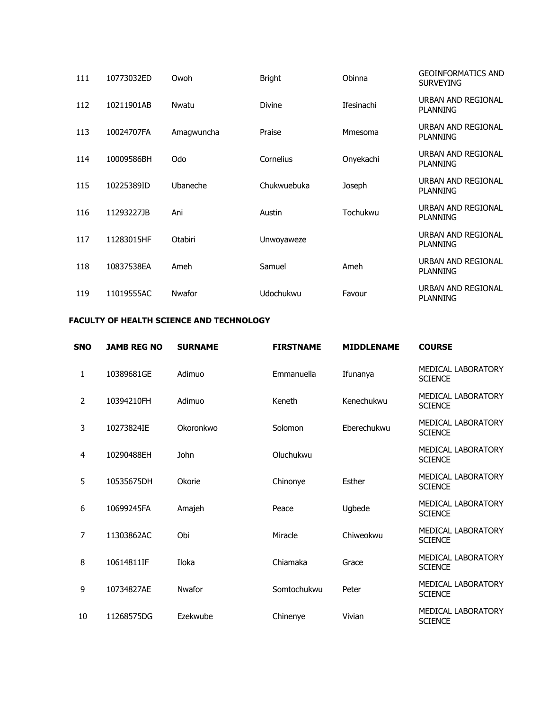| 111 | 10773032ED | Owoh       | <b>Bright</b>    | Obinna     | <b>GEOINFORMATICS AND</b><br><b>SURVEYING</b> |
|-----|------------|------------|------------------|------------|-----------------------------------------------|
| 112 | 10211901AB | Nwatu      | <b>Divine</b>    | Ifesinachi | URBAN AND REGIONAL<br><b>PLANNING</b>         |
| 113 | 10024707FA | Amagwuncha | Praise           | Mmesoma    | URBAN AND REGIONAL<br><b>PLANNING</b>         |
| 114 | 10009586BH | Odo        | Cornelius        | Onyekachi  | URBAN AND REGIONAL<br><b>PLANNING</b>         |
| 115 | 10225389ID | Ubaneche   | Chukwuebuka      | Joseph     | URBAN AND REGIONAL<br><b>PLANNING</b>         |
| 116 | 11293227JB | Ani        | Austin           | Tochukwu   | URBAN AND REGIONAL<br><b>PLANNING</b>         |
| 117 | 11283015HF | Otabiri    | Unwoyaweze       |            | URBAN AND REGIONAL<br><b>PLANNING</b>         |
| 118 | 10837538EA | Ameh       | Samuel           | Ameh       | URBAN AND REGIONAL<br><b>PLANNING</b>         |
| 119 | 11019555AC | Nwafor     | <b>Udochukwu</b> | Favour     | URBAN AND REGIONAL<br><b>PLANNING</b>         |

## **FACULTY OF HEALTH SCIENCE AND TECHNOLOGY**

| <b>SNO</b> | <b>JAMB REG NO</b> | <b>SURNAME</b> | <b>FIRSTNAME</b> | <b>MIDDLENAME</b> | <b>COURSE</b>                               |
|------------|--------------------|----------------|------------------|-------------------|---------------------------------------------|
| 1          | 10389681GE         | Adimuo         | Emmanuella       | Ifunanya          | MEDICAL LABORATORY<br><b>SCIENCE</b>        |
| 2          | 10394210FH         | Adimuo         | Keneth           | Kenechukwu        | MEDICAL LABORATORY<br><b>SCIENCE</b>        |
| 3          | 10273824IE         | Okoronkwo      | Solomon          | Eberechukwu       | <b>MEDICAL LABORATORY</b><br><b>SCIENCE</b> |
| 4          | 10290488EH         | John           | Oluchukwu        |                   | MEDICAL LABORATORY<br><b>SCIENCE</b>        |
| 5          | 10535675DH         | Okorie         | Chinonye         | Esther            | MEDICAL LABORATORY<br><b>SCIENCE</b>        |
| 6          | 10699245FA         | Amajeh         | Peace            | Ugbede            | MEDICAL LABORATORY<br><b>SCIENCE</b>        |
| 7          | 11303862AC         | Obi            | Miracle          | Chiweokwu         | MEDICAL LABORATORY<br><b>SCIENCE</b>        |
| 8          | 10614811IF         | Iloka          | Chiamaka         | Grace             | MEDICAL LABORATORY<br><b>SCIENCE</b>        |
| 9          | 10734827AE         | Nwafor         | Somtochukwu      | Peter             | MEDICAL LABORATORY<br><b>SCIENCE</b>        |
| 10         | 11268575DG         | Ezekwube       | Chinenye         | Vivian            | <b>MEDICAL LABORATORY</b><br><b>SCIENCE</b> |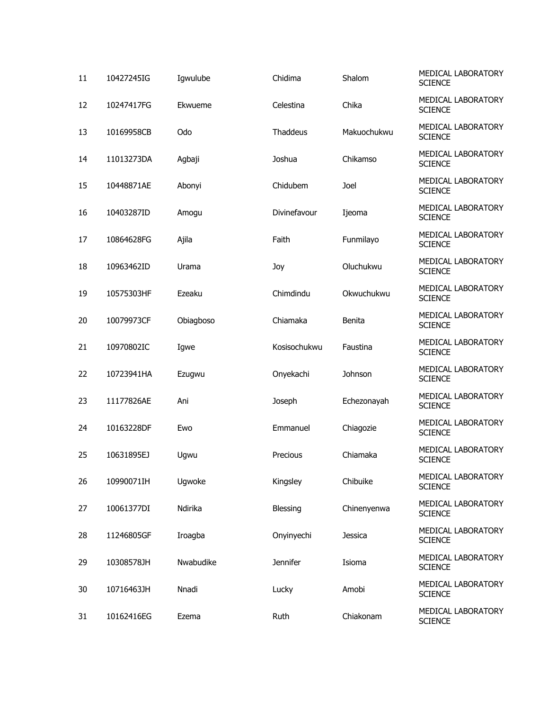| 11 | 10427245IG | Igwulube  | Chidima      | Shalom      | MEDICAL LABORATORY<br><b>SCIENCE</b> |
|----|------------|-----------|--------------|-------------|--------------------------------------|
| 12 | 10247417FG | Ekwueme   | Celestina    | Chika       | MEDICAL LABORATORY<br><b>SCIENCE</b> |
| 13 | 10169958CB | Odo       | Thaddeus     | Makuochukwu | MEDICAL LABORATORY<br><b>SCIENCE</b> |
| 14 | 11013273DA | Agbaji    | Joshua       | Chikamso    | MEDICAL LABORATORY<br><b>SCIENCE</b> |
| 15 | 10448871AE | Abonyi    | Chidubem     | Joel        | MEDICAL LABORATORY<br><b>SCIENCE</b> |
| 16 | 10403287ID | Amogu     | Divinefavour | Ijeoma      | MEDICAL LABORATORY<br><b>SCIENCE</b> |
| 17 | 10864628FG | Ajila     | Faith        | Funmilayo   | MEDICAL LABORATORY<br><b>SCIENCE</b> |
| 18 | 10963462ID | Urama     | Joy          | Oluchukwu   | MEDICAL LABORATORY<br><b>SCIENCE</b> |
| 19 | 10575303HF | Ezeaku    | Chimdindu    | Okwuchukwu  | MEDICAL LABORATORY<br><b>SCIENCE</b> |
| 20 | 10079973CF | Obiagboso | Chiamaka     | Benita      | MEDICAL LABORATORY<br><b>SCIENCE</b> |
| 21 | 10970802IC | Igwe      | Kosisochukwu | Faustina    | MEDICAL LABORATORY<br><b>SCIENCE</b> |
| 22 | 10723941HA | Ezugwu    | Onyekachi    | Johnson     | MEDICAL LABORATORY<br><b>SCIENCE</b> |
| 23 | 11177826AE | Ani       | Joseph       | Echezonayah | MEDICAL LABORATORY<br><b>SCIENCE</b> |
| 24 | 10163228DF | Ewo       | Emmanuel     | Chiagozie   | MEDICAL LABORATORY<br><b>SCIENCE</b> |
| 25 | 10631895EJ | Ugwu      | Precious     | Chiamaka    | MEDICAL LABORATORY<br><b>SCIENCE</b> |
| 26 | 10990071IH | Ugwoke    | Kingsley     | Chibuike    | MEDICAL LABORATORY<br><b>SCIENCE</b> |
| 27 | 10061377DI | Ndirika   | Blessing     | Chinenyenwa | MEDICAL LABORATORY<br><b>SCIENCE</b> |
| 28 | 11246805GF | Iroagba   | Onyinyechi   | Jessica     | MEDICAL LABORATORY<br><b>SCIENCE</b> |
| 29 | 10308578JH | Nwabudike | Jennifer     | Isioma      | MEDICAL LABORATORY<br><b>SCIENCE</b> |
| 30 | 10716463JH | Nnadi     | Lucky        | Amobi       | MEDICAL LABORATORY<br><b>SCIENCE</b> |
| 31 | 10162416EG | Ezema     | Ruth         | Chiakonam   | MEDICAL LABORATORY<br><b>SCIENCE</b> |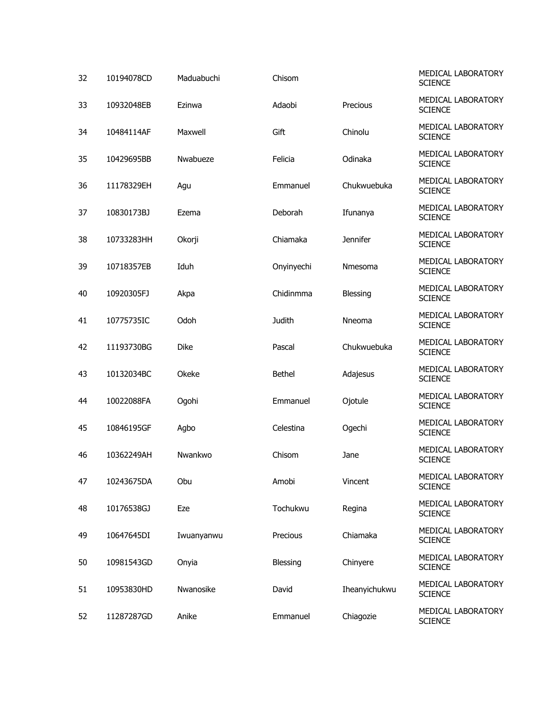| 32 | 10194078CD | Maduabuchi  | Chisom        |                 | MEDICAL LABORATORY<br><b>SCIENCE</b> |
|----|------------|-------------|---------------|-----------------|--------------------------------------|
| 33 | 10932048EB | Ezinwa      | Adaobi        | Precious        | MEDICAL LABORATORY<br><b>SCIENCE</b> |
| 34 | 10484114AF | Maxwell     | Gift          | Chinolu         | MEDICAL LABORATORY<br><b>SCIENCE</b> |
| 35 | 10429695BB | Nwabueze    | Felicia       | Odinaka         | MEDICAL LABORATORY<br><b>SCIENCE</b> |
| 36 | 11178329EH | Agu         | Emmanuel      | Chukwuebuka     | MEDICAL LABORATORY<br><b>SCIENCE</b> |
| 37 | 10830173BJ | Ezema       | Deborah       | Ifunanya        | MEDICAL LABORATORY<br><b>SCIENCE</b> |
| 38 | 10733283HH | Okorji      | Chiamaka      | <b>Jennifer</b> | MEDICAL LABORATORY<br><b>SCIENCE</b> |
| 39 | 10718357EB | Iduh        | Onyinyechi    | Nmesoma         | MEDICAL LABORATORY<br><b>SCIENCE</b> |
| 40 | 10920305FJ | Akpa        | Chidinmma     | Blessing        | MEDICAL LABORATORY<br><b>SCIENCE</b> |
| 41 | 10775735IC | Odoh        | <b>Judith</b> | Nneoma          | MEDICAL LABORATORY<br><b>SCIENCE</b> |
| 42 | 11193730BG | <b>Dike</b> | Pascal        | Chukwuebuka     | MEDICAL LABORATORY<br><b>SCIENCE</b> |
| 43 | 10132034BC | Okeke       | <b>Bethel</b> | Adajesus        | MEDICAL LABORATORY<br><b>SCIENCE</b> |
| 44 | 10022088FA | Ogohi       | Emmanuel      | Ojotule         | MEDICAL LABORATORY<br><b>SCIENCE</b> |
| 45 | 10846195GF | Agbo        | Celestina     | Ogechi          | MEDICAL LABORATORY<br><b>SCIENCE</b> |
| 46 | 10362249AH | Nwankwo     | Chisom        | Jane            | MEDICAL LABORATORY<br><b>SCIENCE</b> |
| 47 | 10243675DA | Obu         | Amobi         | Vincent         | MEDICAL LABORATORY<br><b>SCIENCE</b> |
| 48 | 10176538GJ | Eze         | Tochukwu      | Regina          | MEDICAL LABORATORY<br><b>SCIENCE</b> |
| 49 | 10647645DI | Iwuanyanwu  | Precious      | Chiamaka        | MEDICAL LABORATORY<br><b>SCIENCE</b> |
| 50 | 10981543GD | Onyia       | Blessing      | Chinyere        | MEDICAL LABORATORY<br><b>SCIENCE</b> |
| 51 | 10953830HD | Nwanosike   | David         | Iheanyichukwu   | MEDICAL LABORATORY<br><b>SCIENCE</b> |
| 52 | 11287287GD | Anike       | Emmanuel      | Chiagozie       | MEDICAL LABORATORY<br><b>SCIENCE</b> |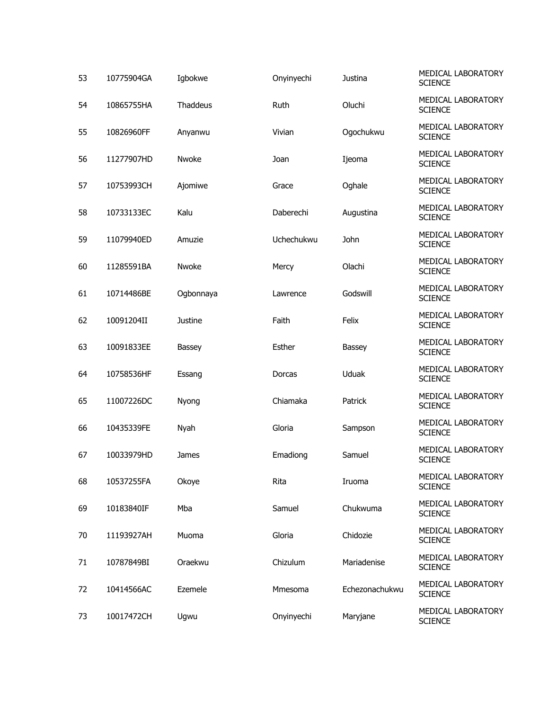| 53 | 10775904GA | Igbokwe   | Onyinyechi | Justina        | MEDICAL LABORATORY<br><b>SCIENCE</b> |
|----|------------|-----------|------------|----------------|--------------------------------------|
| 54 | 10865755HA | Thaddeus  | Ruth       | Oluchi         | MEDICAL LABORATORY<br><b>SCIENCE</b> |
| 55 | 10826960FF | Anyanwu   | Vivian     | Ogochukwu      | MEDICAL LABORATORY<br><b>SCIENCE</b> |
| 56 | 11277907HD | Nwoke     | Joan       | Ijeoma         | MEDICAL LABORATORY<br><b>SCIENCE</b> |
| 57 | 10753993CH | Ajomiwe   | Grace      | Oghale         | MEDICAL LABORATORY<br><b>SCIENCE</b> |
| 58 | 10733133EC | Kalu      | Daberechi  | Augustina      | MEDICAL LABORATORY<br><b>SCIENCE</b> |
| 59 | 11079940ED | Amuzie    | Uchechukwu | John           | MEDICAL LABORATORY<br><b>SCIENCE</b> |
| 60 | 11285591BA | Nwoke     | Mercy      | Olachi         | MEDICAL LABORATORY<br><b>SCIENCE</b> |
| 61 | 10714486BE | Ogbonnaya | Lawrence   | Godswill       | MEDICAL LABORATORY<br><b>SCIENCE</b> |
| 62 | 10091204II | Justine   | Faith      | Felix          | MEDICAL LABORATORY<br><b>SCIENCE</b> |
| 63 | 10091833EE | Bassey    | Esther     | Bassey         | MEDICAL LABORATORY<br><b>SCIENCE</b> |
| 64 | 10758536HF | Essang    | Dorcas     | Uduak          | MEDICAL LABORATORY<br><b>SCIENCE</b> |
| 65 | 11007226DC | Nyong     | Chiamaka   | Patrick        | MEDICAL LABORATORY<br><b>SCIENCE</b> |
| 66 | 10435339FE | Nyah      | Gloria     | Sampson        | MEDICAL LABORATORY<br><b>SCIENCE</b> |
| 67 | 10033979HD | James     | Emadiong   | Samuel         | MEDICAL LABORATORY<br><b>SCIENCE</b> |
| 68 | 10537255FA | Okoye     | Rita       | Iruoma         | MEDICAL LABORATORY<br><b>SCIENCE</b> |
| 69 | 10183840IF | Mba       | Samuel     | Chukwuma       | MEDICAL LABORATORY<br><b>SCIENCE</b> |
| 70 | 11193927AH | Muoma     | Gloria     | Chidozie       | MEDICAL LABORATORY<br><b>SCIENCE</b> |
| 71 | 10787849BI | Oraekwu   | Chizulum   | Mariadenise    | MEDICAL LABORATORY<br><b>SCIENCE</b> |
| 72 | 10414566AC | Ezemele   | Mmesoma    | Echezonachukwu | MEDICAL LABORATORY<br><b>SCIENCE</b> |
| 73 | 10017472CH | Ugwu      | Onyinyechi | Maryjane       | MEDICAL LABORATORY<br><b>SCIENCE</b> |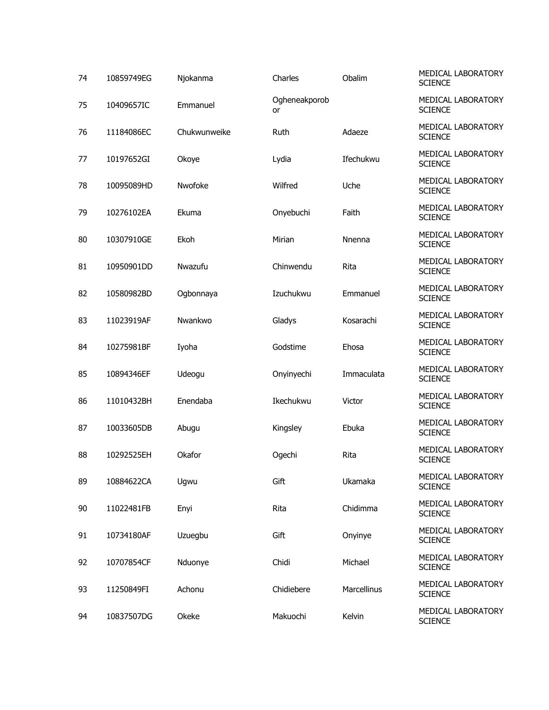| 74 | 10859749EG | Njokanma     | Charles             | Obalim      | <b>MEDICAL LABORATORY</b><br><b>SCIENCE</b> |
|----|------------|--------------|---------------------|-------------|---------------------------------------------|
| 75 | 10409657IC | Emmanuel     | Ogheneakporob<br>or |             | MEDICAL LABORATORY<br><b>SCIENCE</b>        |
| 76 | 11184086EC | Chukwunweike | Ruth                | Adaeze      | MEDICAL LABORATORY<br><b>SCIENCE</b>        |
| 77 | 10197652GI | Okoye        | Lydia               | Ifechukwu   | MEDICAL LABORATORY<br><b>SCIENCE</b>        |
| 78 | 10095089HD | Nwofoke      | Wilfred             | Uche        | MEDICAL LABORATORY<br><b>SCIENCE</b>        |
| 79 | 10276102EA | Ekuma        | Onyebuchi           | Faith       | MEDICAL LABORATORY<br><b>SCIENCE</b>        |
| 80 | 10307910GE | Ekoh         | Mirian              | Nnenna      | MEDICAL LABORATORY<br><b>SCIENCE</b>        |
| 81 | 10950901DD | Nwazufu      | Chinwendu           | Rita        | MEDICAL LABORATORY<br><b>SCIENCE</b>        |
| 82 | 10580982BD | Ogbonnaya    | Izuchukwu           | Emmanuel    | MEDICAL LABORATORY<br><b>SCIENCE</b>        |
| 83 | 11023919AF | Nwankwo      | Gladys              | Kosarachi   | MEDICAL LABORATORY<br><b>SCIENCE</b>        |
| 84 | 10275981BF | Iyoha        | Godstime            | Ehosa       | MEDICAL LABORATORY<br><b>SCIENCE</b>        |
| 85 | 10894346EF | Udeogu       | Onyinyechi          | Immaculata  | MEDICAL LABORATORY<br><b>SCIENCE</b>        |
| 86 | 11010432BH | Enendaba     | Ikechukwu           | Victor      | MEDICAL LABORATORY<br><b>SCIENCE</b>        |
| 87 | 10033605DB | Abugu        | Kingsley            | Ebuka       | MEDICAL LABORATORY<br><b>SCIENCE</b>        |
| 88 | 10292525EH | Okafor       | Ogechi              | Rita        | MEDICAL LABORATORY<br><b>SCIENCE</b>        |
| 89 | 10884622CA | Ugwu         | Gift                | Ukamaka     | MEDICAL LABORATORY<br><b>SCIENCE</b>        |
| 90 | 11022481FB | Enyi         | Rita                | Chidimma    | MEDICAL LABORATORY<br><b>SCIENCE</b>        |
| 91 | 10734180AF | Uzuegbu      | Gift                | Onyinye     | MEDICAL LABORATORY<br><b>SCIENCE</b>        |
| 92 | 10707854CF | Nduonye      | Chidi               | Michael     | MEDICAL LABORATORY<br><b>SCIENCE</b>        |
| 93 | 11250849FI | Achonu       | Chidiebere          | Marcellinus | MEDICAL LABORATORY<br><b>SCIENCE</b>        |
| 94 | 10837507DG | Okeke        | Makuochi            | Kelvin      | MEDICAL LABORATORY<br><b>SCIENCE</b>        |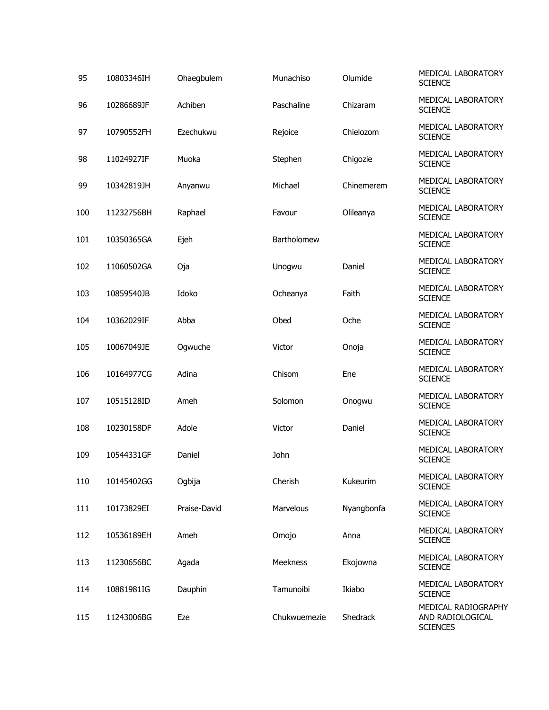| 95  | 10803346IH | Ohaegbulem   | Munachiso    | Olumide    | MEDICAL LABORATORY<br><b>SCIENCE</b>                       |
|-----|------------|--------------|--------------|------------|------------------------------------------------------------|
| 96  | 10286689JF | Achiben      | Paschaline   | Chizaram   | MEDICAL LABORATORY<br><b>SCIENCE</b>                       |
| 97  | 10790552FH | Ezechukwu    | Rejoice      | Chielozom  | MEDICAL LABORATORY<br><b>SCIENCE</b>                       |
| 98  | 11024927IF | Muoka        | Stephen      | Chigozie   | MEDICAL LABORATORY<br><b>SCIENCE</b>                       |
| 99  | 10342819JH | Anyanwu      | Michael      | Chinemerem | MEDICAL LABORATORY<br><b>SCIENCE</b>                       |
| 100 | 11232756BH | Raphael      | Favour       | Olileanya  | MEDICAL LABORATORY<br><b>SCIENCE</b>                       |
| 101 | 10350365GA | Ejeh         | Bartholomew  |            | MEDICAL LABORATORY<br><b>SCIENCE</b>                       |
| 102 | 11060502GA | Oja          | Unogwu       | Daniel     | MEDICAL LABORATORY<br><b>SCIENCE</b>                       |
| 103 | 10859540JB | Idoko        | Ocheanya     | Faith      | MEDICAL LABORATORY<br><b>SCIENCE</b>                       |
| 104 | 10362029IF | Abba         | Obed         | Oche       | MEDICAL LABORATORY<br><b>SCIENCE</b>                       |
| 105 | 10067049JE | Ogwuche      | Victor       | Onoja      | MEDICAL LABORATORY<br><b>SCIENCE</b>                       |
| 106 | 10164977CG | Adina        | Chisom       | Ene        | MEDICAL LABORATORY<br><b>SCIENCE</b>                       |
| 107 | 10515128ID | Ameh         | Solomon      | Onogwu     | MEDICAL LABORATORY<br><b>SCIENCE</b>                       |
| 108 | 10230158DF | Adole        | Victor       | Daniel     | MEDICAL LABORATORY<br><b>SCIENCE</b>                       |
| 109 | 10544331GF | Daniel       | John         |            | MEDICAL LABORATORY<br><b>SCIENCE</b>                       |
| 110 | 10145402GG | Ogbija       | Cherish      | Kukeurim   | MEDICAL LABORATORY<br><b>SCIENCE</b>                       |
| 111 | 10173829EI | Praise-David | Marvelous    | Nyangbonfa | MEDICAL LABORATORY<br><b>SCIENCE</b>                       |
| 112 | 10536189EH | Ameh         | Omojo        | Anna       | MEDICAL LABORATORY<br><b>SCIENCE</b>                       |
| 113 | 11230656BC | Agada        | Meekness     | Ekojowna   | MEDICAL LABORATORY<br><b>SCIENCE</b>                       |
| 114 | 10881981IG | Dauphin      | Tamunoibi    | Ikiabo     | MEDICAL LABORATORY<br><b>SCIENCE</b>                       |
| 115 | 11243006BG | Eze          | Chukwuemezie | Shedrack   | MEDICAL RADIOGRAPHY<br>AND RADIOLOGICAL<br><b>SCIENCES</b> |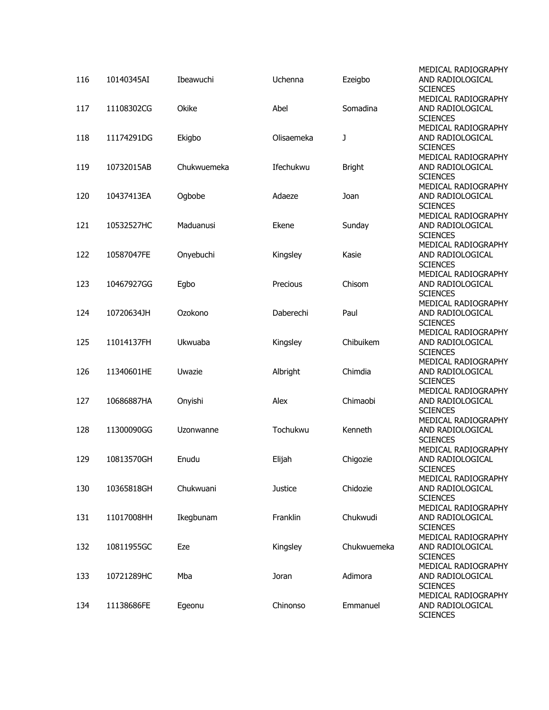| 116 | 10140345AI | Ibeawuchi   | Uchenna        | Ezeigbo       | MEDICAL RADIOGRAPHY<br>AND RADIOLOGICAL<br><b>SCIENCES</b> |
|-----|------------|-------------|----------------|---------------|------------------------------------------------------------|
| 117 | 11108302CG | Okike       | Abel           | Somadina      | MEDICAL RADIOGRAPHY<br>AND RADIOLOGICAL<br><b>SCIENCES</b> |
| 118 | 11174291DG | Ekigbo      | Olisaemeka     | J             | MEDICAL RADIOGRAPHY<br>AND RADIOLOGICAL<br><b>SCIENCES</b> |
| 119 | 10732015AB | Chukwuemeka | Ifechukwu      | <b>Bright</b> | MEDICAL RADIOGRAPHY<br>AND RADIOLOGICAL<br><b>SCIENCES</b> |
| 120 | 10437413EA | Ogbobe      | Adaeze         | Joan          | MEDICAL RADIOGRAPHY<br>AND RADIOLOGICAL<br><b>SCIENCES</b> |
| 121 | 10532527HC | Maduanusi   | Ekene          | Sunday        | MEDICAL RADIOGRAPHY<br>AND RADIOLOGICAL<br><b>SCIENCES</b> |
| 122 | 10587047FE | Onyebuchi   | Kingsley       | Kasie         | MEDICAL RADIOGRAPHY<br>AND RADIOLOGICAL<br><b>SCIENCES</b> |
| 123 | 10467927GG | Egbo        | Precious       | Chisom        | MEDICAL RADIOGRAPHY<br>AND RADIOLOGICAL<br><b>SCIENCES</b> |
| 124 | 10720634JH | Ozokono     | Daberechi      | Paul          | MEDICAL RADIOGRAPHY<br>AND RADIOLOGICAL<br><b>SCIENCES</b> |
| 125 | 11014137FH | Ukwuaba     | Kingsley       | Chibuikem     | MEDICAL RADIOGRAPHY<br>AND RADIOLOGICAL<br><b>SCIENCES</b> |
| 126 | 11340601HE | Uwazie      | Albright       | Chimdia       | MEDICAL RADIOGRAPHY<br>AND RADIOLOGICAL<br><b>SCIENCES</b> |
| 127 | 10686887HA | Onyishi     | Alex           | Chimaobi      | MEDICAL RADIOGRAPHY<br>AND RADIOLOGICAL<br><b>SCIENCES</b> |
| 128 | 11300090GG | Uzonwanne   | Tochukwu       | Kenneth       | MEDICAL RADIOGRAPHY<br>AND RADIOLOGICAL<br><b>SCIENCES</b> |
| 129 | 10813570GH | Enudu       | Elijah         | Chigozie      | MEDICAL RADIOGRAPHY<br>AND RADIOLOGICAL<br><b>SCIENCES</b> |
| 130 | 10365818GH | Chukwuani   | <b>Justice</b> | Chidozie      | MEDICAL RADIOGRAPHY<br>AND RADIOLOGICAL<br><b>SCIENCES</b> |
| 131 | 11017008HH | Ikegbunam   | Franklin       | Chukwudi      | MEDICAL RADIOGRAPHY<br>AND RADIOLOGICAL<br><b>SCIENCES</b> |
| 132 | 10811955GC | Eze         | Kingsley       | Chukwuemeka   | MEDICAL RADIOGRAPHY<br>AND RADIOLOGICAL<br><b>SCIENCES</b> |
| 133 | 10721289HC | Mba         | Joran          | Adimora       | MEDICAL RADIOGRAPHY<br>AND RADIOLOGICAL<br><b>SCIENCES</b> |
| 134 | 11138686FE | Egeonu      | Chinonso       | Emmanuel      | MEDICAL RADIOGRAPHY<br>AND RADIOLOGICAL<br><b>SCIENCES</b> |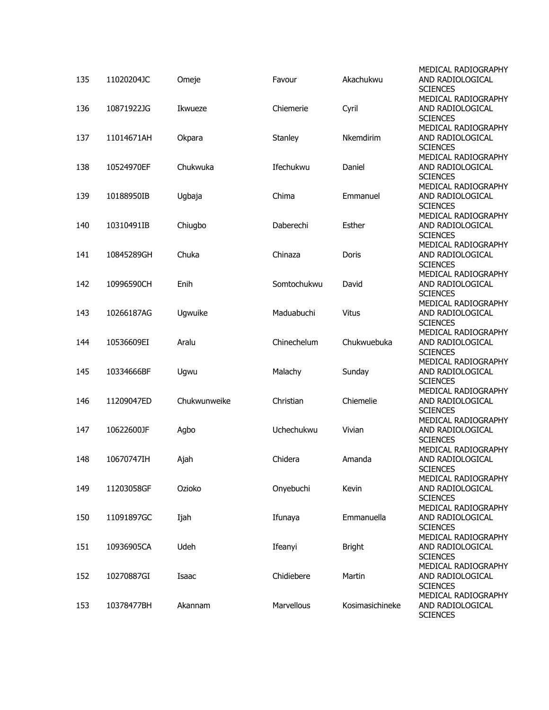| 135 | 11020204JC | Omeje        | Favour            | Akachukwu       | MEDICAL RADIOGRAPHY<br>AND RADIOLOGICAL<br><b>SCIENCES</b> |
|-----|------------|--------------|-------------------|-----------------|------------------------------------------------------------|
| 136 | 10871922JG | Ikwueze      | Chiemerie         | Cyril           | MEDICAL RADIOGRAPHY<br>AND RADIOLOGICAL<br><b>SCIENCES</b> |
| 137 | 11014671AH | Okpara       | Stanley           | Nkemdirim       | MEDICAL RADIOGRAPHY<br>AND RADIOLOGICAL<br><b>SCIENCES</b> |
| 138 | 10524970EF | Chukwuka     | Ifechukwu         | Daniel          | MEDICAL RADIOGRAPHY<br>AND RADIOLOGICAL<br><b>SCIENCES</b> |
| 139 | 10188950IB | Ugbaja       | Chima             | Emmanuel        | MEDICAL RADIOGRAPHY<br>AND RADIOLOGICAL<br><b>SCIENCES</b> |
| 140 | 10310491IB | Chiugbo      | Daberechi         | Esther          | MEDICAL RADIOGRAPHY<br>AND RADIOLOGICAL<br><b>SCIENCES</b> |
| 141 | 10845289GH | Chuka        | Chinaza           | Doris           | MEDICAL RADIOGRAPHY<br>AND RADIOLOGICAL<br><b>SCIENCES</b> |
| 142 | 10996590CH | Enih         | Somtochukwu       | David           | MEDICAL RADIOGRAPHY<br>AND RADIOLOGICAL<br><b>SCIENCES</b> |
| 143 | 10266187AG | Ugwuike      | Maduabuchi        | <b>Vitus</b>    | MEDICAL RADIOGRAPHY<br>AND RADIOLOGICAL<br><b>SCIENCES</b> |
| 144 | 10536609EI | Aralu        | Chinechelum       | Chukwuebuka     | MEDICAL RADIOGRAPHY<br>AND RADIOLOGICAL<br><b>SCIENCES</b> |
| 145 | 10334666BF | Ugwu         | Malachy           | Sunday          | MEDICAL RADIOGRAPHY<br>AND RADIOLOGICAL<br><b>SCIENCES</b> |
| 146 | 11209047ED | Chukwunweike | Christian         | Chiemelie       | MEDICAL RADIOGRAPHY<br>AND RADIOLOGICAL<br><b>SCIENCES</b> |
| 147 | 10622600JF | Agbo         | Uchechukwu        | Vivian          | MEDICAL RADIOGRAPHY<br>AND RADIOLOGICAL<br><b>SCIENCES</b> |
| 148 | 10670747IH | Ajah         | Chidera           | Amanda          | MEDICAL RADIOGRAPHY<br>AND RADIOLOGICAL<br><b>SCIENCES</b> |
| 149 | 11203058GF | Ozioko       | Onyebuchi         | Kevin           | MEDICAL RADIOGRAPHY<br>AND RADIOLOGICAL<br><b>SCIENCES</b> |
| 150 | 11091897GC | Ijah         | Ifunaya           | Emmanuella      | MEDICAL RADIOGRAPHY<br>AND RADIOLOGICAL<br><b>SCIENCES</b> |
| 151 | 10936905CA | Udeh         | Ifeanyi           | <b>Bright</b>   | MEDICAL RADIOGRAPHY<br>AND RADIOLOGICAL<br><b>SCIENCES</b> |
| 152 | 10270887GI | Isaac        | Chidiebere        | Martin          | MEDICAL RADIOGRAPHY<br>AND RADIOLOGICAL<br><b>SCIENCES</b> |
| 153 | 10378477BH | Akannam      | <b>Marvellous</b> | Kosimasichineke | MEDICAL RADIOGRAPHY<br>AND RADIOLOGICAL<br><b>SCIENCES</b> |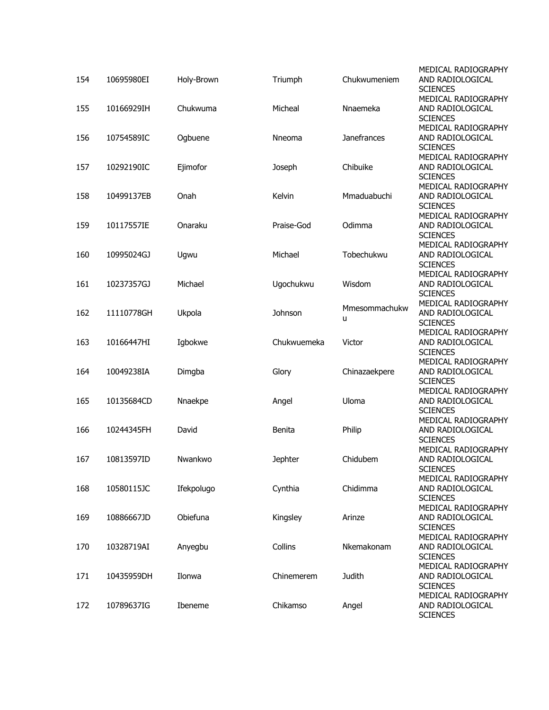| 154 | 10695980EI | Holy-Brown | Triumph        | Chukwumeniem       | MEDICAL RADIOGRAPHY<br>AND RADIOLOGICAL<br><b>SCIENCES</b> |
|-----|------------|------------|----------------|--------------------|------------------------------------------------------------|
| 155 | 10166929IH | Chukwuma   | Micheal        | Nnaemeka           | MEDICAL RADIOGRAPHY<br>AND RADIOLOGICAL<br><b>SCIENCES</b> |
| 156 | 10754589IC | Ogbuene    | <b>Nneoma</b>  | <b>Janefrances</b> | MEDICAL RADIOGRAPHY<br>AND RADIOLOGICAL<br><b>SCIENCES</b> |
| 157 | 10292190IC | Ejimofor   | Joseph         | Chibuike           | MEDICAL RADIOGRAPHY<br>AND RADIOLOGICAL<br><b>SCIENCES</b> |
| 158 | 10499137EB | Onah       | Kelvin         | Mmaduabuchi        | MEDICAL RADIOGRAPHY<br>AND RADIOLOGICAL<br><b>SCIENCES</b> |
| 159 | 10117557IE | Onaraku    | Praise-God     | Odimma             | MEDICAL RADIOGRAPHY<br>AND RADIOLOGICAL<br><b>SCIENCES</b> |
| 160 | 10995024GJ | Ugwu       | Michael        | Tobechukwu         | MEDICAL RADIOGRAPHY<br>AND RADIOLOGICAL<br><b>SCIENCES</b> |
| 161 | 10237357GJ | Michael    | Ugochukwu      | Wisdom             | MEDICAL RADIOGRAPHY<br>AND RADIOLOGICAL<br><b>SCIENCES</b> |
| 162 | 11110778GH | Ukpola     | Johnson        | Mmesommachukw<br>u | MEDICAL RADIOGRAPHY<br>AND RADIOLOGICAL<br><b>SCIENCES</b> |
| 163 | 10166447HI | Igbokwe    | Chukwuemeka    | Victor             | MEDICAL RADIOGRAPHY<br>AND RADIOLOGICAL<br><b>SCIENCES</b> |
| 164 | 10049238IA | Dimgba     | Glory          | Chinazaekpere      | MEDICAL RADIOGRAPHY<br>AND RADIOLOGICAL<br><b>SCIENCES</b> |
| 165 | 10135684CD | Nnaekpe    | Angel          | Uloma              | MEDICAL RADIOGRAPHY<br>AND RADIOLOGICAL<br><b>SCIENCES</b> |
| 166 | 10244345FH | David      | Benita         | Philip             | MEDICAL RADIOGRAPHY<br>AND RADIOLOGICAL<br><b>SCIENCES</b> |
| 167 | 10813597ID | Nwankwo    | <b>Jephter</b> | Chidubem           | MEDICAL RADIOGRAPHY<br>AND RADIOLOGICAL<br><b>SCIENCES</b> |
| 168 | 10580115JC | Ifekpolugo | Cynthia        | Chidimma           | MEDICAL RADIOGRAPHY<br>AND RADIOLOGICAL<br><b>SCIENCES</b> |
| 169 | 10886667JD | Obiefuna   | Kingsley       | Arinze             | MEDICAL RADIOGRAPHY<br>AND RADIOLOGICAL<br><b>SCIENCES</b> |
| 170 | 10328719AI | Anyegbu    | Collins        | Nkemakonam         | MEDICAL RADIOGRAPHY<br>AND RADIOLOGICAL<br><b>SCIENCES</b> |
| 171 | 10435959DH | Ilonwa     | Chinemerem     | Judith             | MEDICAL RADIOGRAPHY<br>AND RADIOLOGICAL<br><b>SCIENCES</b> |
| 172 | 10789637IG | Ibeneme    | Chikamso       | Angel              | MEDICAL RADIOGRAPHY<br>AND RADIOLOGICAL<br><b>SCIENCES</b> |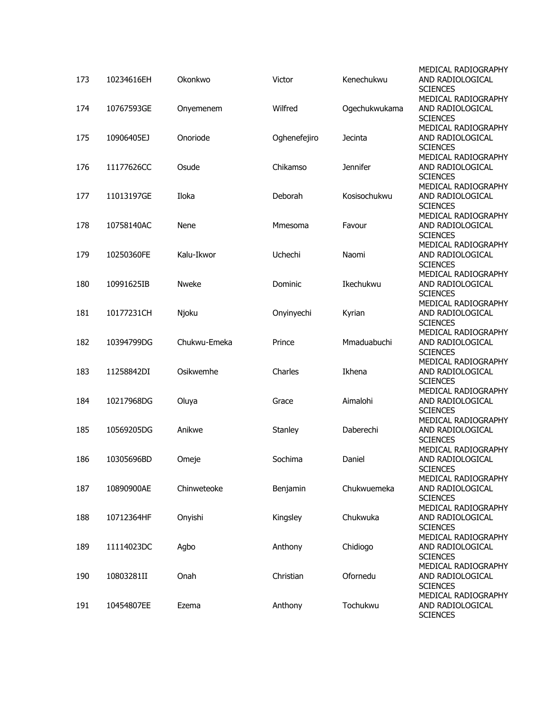| 173 | 10234616EH | Okonkwo      | Victor       | Kenechukwu    | MEDICAL RADIOGRAPHY<br>AND RADIOLOGICAL<br><b>SCIENCES</b>                    |
|-----|------------|--------------|--------------|---------------|-------------------------------------------------------------------------------|
| 174 | 10767593GE | Onyemenem    | Wilfred      | Ogechukwukama | MEDICAL RADIOGRAPHY<br>AND RADIOLOGICAL<br><b>SCIENCES</b>                    |
| 175 | 10906405EJ | Onoriode     | Oghenefejiro | Jecinta       | MEDICAL RADIOGRAPHY<br>AND RADIOLOGICAL<br><b>SCIENCES</b>                    |
| 176 | 11177626CC | Osude        | Chikamso     | Jennifer      | MEDICAL RADIOGRAPHY<br>AND RADIOLOGICAL<br><b>SCIENCES</b>                    |
| 177 | 11013197GE | Iloka        | Deborah      | Kosisochukwu  | MEDICAL RADIOGRAPHY<br>AND RADIOLOGICAL<br><b>SCIENCES</b>                    |
| 178 | 10758140AC | Nene         | Mmesoma      | Favour        | MEDICAL RADIOGRAPHY<br>AND RADIOLOGICAL<br><b>SCIENCES</b>                    |
| 179 | 10250360FE | Kalu-Ikwor   | Uchechi      | Naomi         | MEDICAL RADIOGRAPHY<br>AND RADIOLOGICAL<br><b>SCIENCES</b>                    |
| 180 | 10991625IB | Nweke        | Dominic      | Ikechukwu     | MEDICAL RADIOGRAPHY<br>AND RADIOLOGICAL<br><b>SCIENCES</b>                    |
| 181 | 10177231CH | Njoku        | Onyinyechi   | Kyrian        | MEDICAL RADIOGRAPHY<br>AND RADIOLOGICAL<br><b>SCIENCES</b>                    |
| 182 | 10394799DG | Chukwu-Emeka | Prince       | Mmaduabuchi   | MEDICAL RADIOGRAPHY<br>AND RADIOLOGICAL<br><b>SCIENCES</b>                    |
| 183 | 11258842DI | Osikwemhe    | Charles      | Ikhena        | MEDICAL RADIOGRAPHY<br>AND RADIOLOGICAL<br><b>SCIENCES</b>                    |
| 184 | 10217968DG | Oluya        | Grace        | Aimalohi      | MEDICAL RADIOGRAPHY<br>AND RADIOLOGICAL<br><b>SCIENCES</b>                    |
| 185 | 10569205DG | Anikwe       | Stanley      | Daberechi     | MEDICAL RADIOGRAPHY<br>AND RADIOLOGICAL<br><b>SCIENCES</b>                    |
| 186 | 10305696BD | Omeje        | Sochima      | Daniel        | MEDICAL RADIOGRAPHY<br>AND RADIOLOGICAL<br><b>SCIENCES</b>                    |
| 187 | 10890900AE | Chinweteoke  | Benjamin     | Chukwuemeka   | MEDICAL RADIOGRAPHY<br>AND RADIOLOGICAL<br><b>SCIENCES</b>                    |
| 188 | 10712364HF | Onyishi      | Kingsley     | Chukwuka      | MEDICAL RADIOGRAPHY<br>AND RADIOLOGICAL<br><b>SCIENCES</b>                    |
| 189 | 11114023DC | Agbo         | Anthony      | Chidiogo      | MEDICAL RADIOGRAPHY<br>AND RADIOLOGICAL<br><b>SCIENCES</b>                    |
| 190 | 10803281II | Onah         | Christian    | Ofornedu      | MEDICAL RADIOGRAPHY<br>AND RADIOLOGICAL                                       |
| 191 | 10454807EE | Ezema        | Anthony      | Tochukwu      | <b>SCIENCES</b><br>MEDICAL RADIOGRAPHY<br>AND RADIOLOGICAL<br><b>SCIENCES</b> |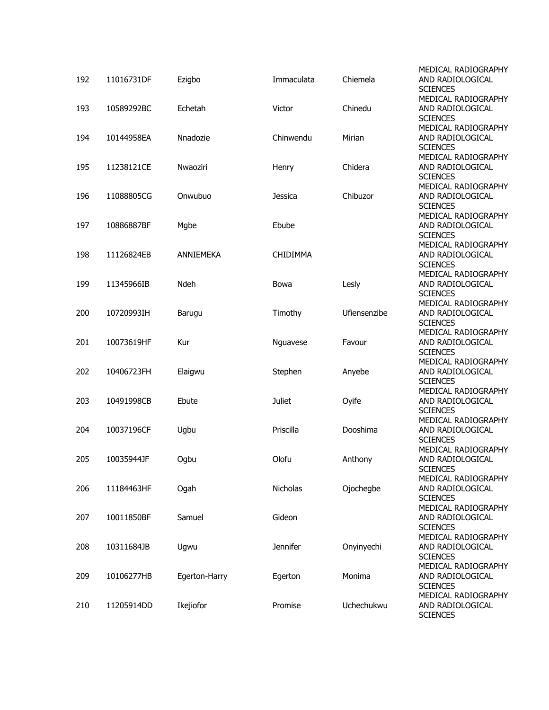| 192 | 11016731DF | Ezigbo        | Immaculata      | Chiemela     | MEDICAL RADIOGRAPHY<br>AND RADIOLOGICAL<br><b>SCIENCES</b> |
|-----|------------|---------------|-----------------|--------------|------------------------------------------------------------|
| 193 | 10589292BC | Echetah       | Victor          | Chinedu      | MEDICAL RADIOGRAPHY<br>AND RADIOLOGICAL                    |
| 194 | 10144958EA | Nnadozie      | Chinwendu       | Mirian       | <b>SCIENCES</b><br>MEDICAL RADIOGRAPHY<br>AND RADIOLOGICAL |
|     |            |               |                 |              | <b>SCIENCES</b><br>MEDICAL RADIOGRAPHY                     |
| 195 | 11238121CE | Nwaoziri      | Henry           | Chidera      | AND RADIOLOGICAL<br><b>SCIENCES</b><br>MEDICAL RADIOGRAPHY |
| 196 | 11088805CG | Onwubuo       | <b>Jessica</b>  | Chibuzor     | AND RADIOLOGICAL<br><b>SCIENCES</b>                        |
| 197 | 10886887BF | Mgbe          | Ebube           |              | MEDICAL RADIOGRAPHY<br>AND RADIOLOGICAL<br><b>SCIENCES</b> |
| 198 | 11126824EB | ANNIEMEKA     | <b>CHIDIMMA</b> |              | MEDICAL RADIOGRAPHY<br>AND RADIOLOGICAL<br><b>SCIENCES</b> |
| 199 | 11345966IB | Ndeh          | Bowa            | Lesly        | MEDICAL RADIOGRAPHY<br>AND RADIOLOGICAL<br><b>SCIENCES</b> |
| 200 | 10720993IH | Barugu        | Timothy         | Ufiensenzibe | MEDICAL RADIOGRAPHY<br>AND RADIOLOGICAL<br><b>SCIENCES</b> |
| 201 | 10073619HF | Kur           | Nguavese        | Favour       | MEDICAL RADIOGRAPHY<br>AND RADIOLOGICAL<br><b>SCIENCES</b> |
| 202 | 10406723FH | Elaigwu       | Stephen         | Anyebe       | MEDICAL RADIOGRAPHY<br>AND RADIOLOGICAL<br><b>SCIENCES</b> |
| 203 | 10491998CB | Ebute         | <b>Juliet</b>   | Oyife        | MEDICAL RADIOGRAPHY<br>AND RADIOLOGICAL<br><b>SCIENCES</b> |
| 204 | 10037196CF | Ugbu          | Priscilla       | Dooshima     | MEDICAL RADIOGRAPHY<br>AND RADIOLOGICAL<br><b>SCIENCES</b> |
| 205 | 10035944JF | Ogbu          | Olofu           | Anthony      | MEDICAL RADIOGRAPHY<br>AND RADIOLOGICAL<br><b>SCIENCES</b> |
| 206 | 11184463HF | Ogah          | Nicholas        | Ojochegbe    | MEDICAL RADIOGRAPHY<br>AND RADIOLOGICAL<br><b>SCIENCES</b> |
| 207 | 10011850BF | Samuel        | Gideon          |              | MEDICAL RADIOGRAPHY<br>AND RADIOLOGICAL<br><b>SCIENCES</b> |
| 208 | 10311684JB | Ugwu          | <b>Jennifer</b> | Onyinyechi   | MEDICAL RADIOGRAPHY<br>AND RADIOLOGICAL<br><b>SCIENCES</b> |
| 209 | 10106277HB | Egerton-Harry | Egerton         | Monima       | MEDICAL RADIOGRAPHY<br>AND RADIOLOGICAL<br><b>SCIENCES</b> |
| 210 | 11205914DD | Ikejiofor     | Promise         | Uchechukwu   | MEDICAL RADIOGRAPHY<br>AND RADIOLOGICAL<br><b>SCIENCES</b> |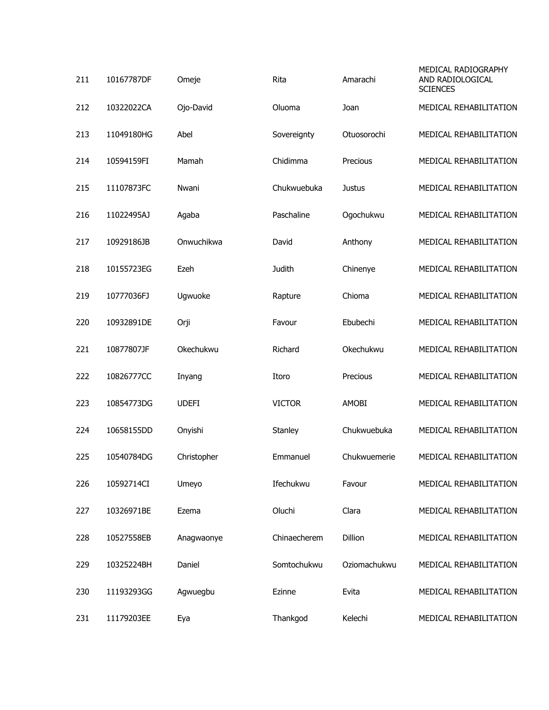| 211 | 10167787DF | Omeje        | Rita          | Amarachi      | MEDICAL RADIOGRAPHY<br>AND RADIOLOGICAL<br><b>SCIENCES</b> |
|-----|------------|--------------|---------------|---------------|------------------------------------------------------------|
| 212 | 10322022CA | Ojo-David    | Oluoma        | Joan          | MEDICAL REHABILITATION                                     |
| 213 | 11049180HG | Abel         | Sovereignty   | Otuosorochi   | MEDICAL REHABILITATION                                     |
| 214 | 10594159FI | Mamah        | Chidimma      | Precious      | MEDICAL REHABILITATION                                     |
| 215 | 11107873FC | Nwani        | Chukwuebuka   | <b>Justus</b> | MEDICAL REHABILITATION                                     |
| 216 | 11022495AJ | Agaba        | Paschaline    | Ogochukwu     | MEDICAL REHABILITATION                                     |
| 217 | 10929186JB | Onwuchikwa   | David         | Anthony       | MEDICAL REHABILITATION                                     |
| 218 | 10155723EG | Ezeh         | Judith        | Chinenye      | MEDICAL REHABILITATION                                     |
| 219 | 10777036FJ | Ugwuoke      | Rapture       | Chioma        | MEDICAL REHABILITATION                                     |
| 220 | 10932891DE | Orji         | Favour        | Ebubechi      | MEDICAL REHABILITATION                                     |
| 221 | 10877807JF | Okechukwu    | Richard       | Okechukwu     | MEDICAL REHABILITATION                                     |
| 222 | 10826777CC | Inyang       | Itoro         | Precious      | MEDICAL REHABILITATION                                     |
| 223 | 10854773DG | <b>UDEFI</b> | <b>VICTOR</b> | AMOBI         | MEDICAL REHABILITATION                                     |
| 224 | 10658155DD | Onyishi      | Stanley       | Chukwuebuka   | MEDICAL REHABILITATION                                     |
| 225 | 10540784DG | Christopher  | Emmanuel      | Chukwuemerie  | MEDICAL REHABILITATION                                     |
| 226 | 10592714CI | Umeyo        | Ifechukwu     | Favour        | MEDICAL REHABILITATION                                     |
| 227 | 10326971BE | Ezema        | Oluchi        | Clara         | MEDICAL REHABILITATION                                     |
| 228 | 10527558EB | Anagwaonye   | Chinaecherem  | Dillion       | MEDICAL REHABILITATION                                     |
| 229 | 10325224BH | Daniel       | Somtochukwu   | Oziomachukwu  | MEDICAL REHABILITATION                                     |
| 230 | 11193293GG | Agwuegbu     | Ezinne        | Evita         | MEDICAL REHABILITATION                                     |
| 231 | 11179203EE | Eya          | Thankgod      | Kelechi       | MEDICAL REHABILITATION                                     |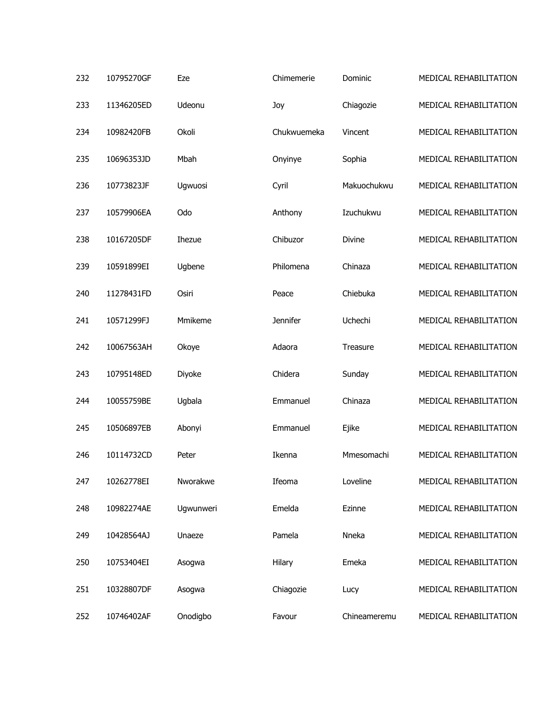| 232 | 10795270GF | Eze       | Chimemerie      | Dominic      | MEDICAL REHABILITATION |
|-----|------------|-----------|-----------------|--------------|------------------------|
| 233 | 11346205ED | Udeonu    | Joy             | Chiagozie    | MEDICAL REHABILITATION |
| 234 | 10982420FB | Okoli     | Chukwuemeka     | Vincent      | MEDICAL REHABILITATION |
| 235 | 10696353JD | Mbah      | Onyinye         | Sophia       | MEDICAL REHABILITATION |
| 236 | 10773823JF | Ugwuosi   | Cyril           | Makuochukwu  | MEDICAL REHABILITATION |
| 237 | 10579906EA | Odo       | Anthony         | Izuchukwu    | MEDICAL REHABILITATION |
| 238 | 10167205DF | Ihezue    | Chibuzor        | Divine       | MEDICAL REHABILITATION |
| 239 | 10591899EI | Ugbene    | Philomena       | Chinaza      | MEDICAL REHABILITATION |
| 240 | 11278431FD | Osiri     | Peace           | Chiebuka     | MEDICAL REHABILITATION |
| 241 | 10571299FJ | Mmikeme   | <b>Jennifer</b> | Uchechi      | MEDICAL REHABILITATION |
| 242 | 10067563AH | Okoye     | Adaora          | Treasure     | MEDICAL REHABILITATION |
| 243 | 10795148ED | Diyoke    | Chidera         | Sunday       | MEDICAL REHABILITATION |
| 244 | 10055759BE | Ugbala    | Emmanuel        | Chinaza      | MEDICAL REHABILITATION |
| 245 | 10506897EB | Abonyi    | Emmanuel        | Ejike        | MEDICAL REHABILITATION |
| 246 | 10114732CD | Peter     | Ikenna          | Mmesomachi   | MEDICAL REHABILITATION |
| 247 | 10262778EI | Nworakwe  | Ifeoma          | Loveline     | MEDICAL REHABILITATION |
| 248 | 10982274AE | Ugwunweri | Emelda          | Ezinne       | MEDICAL REHABILITATION |
| 249 | 10428564AJ | Unaeze    | Pamela          | Nneka        | MEDICAL REHABILITATION |
| 250 | 10753404EI | Asogwa    | Hilary          | Emeka        | MEDICAL REHABILITATION |
| 251 | 10328807DF | Asogwa    | Chiagozie       | Lucy         | MEDICAL REHABILITATION |
| 252 | 10746402AF | Onodigbo  | Favour          | Chineameremu | MEDICAL REHABILITATION |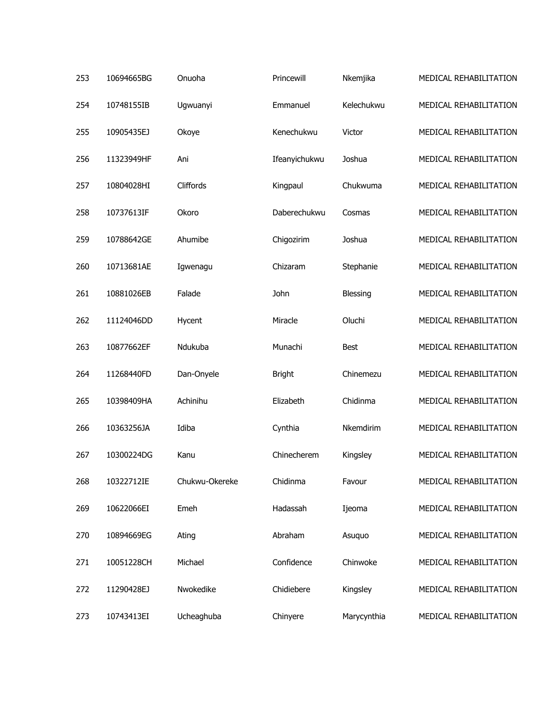| 253 | 10694665BG | Onuoha         | Princewill    | Nkemjika    | MEDICAL REHABILITATION |
|-----|------------|----------------|---------------|-------------|------------------------|
| 254 | 10748155IB | Ugwuanyi       | Emmanuel      | Kelechukwu  | MEDICAL REHABILITATION |
| 255 | 10905435EJ | Okoye          | Kenechukwu    | Victor      | MEDICAL REHABILITATION |
| 256 | 11323949HF | Ani            | Ifeanyichukwu | Joshua      | MEDICAL REHABILITATION |
| 257 | 10804028HI | Cliffords      | Kingpaul      | Chukwuma    | MEDICAL REHABILITATION |
| 258 | 10737613IF | Okoro          | Daberechukwu  | Cosmas      | MEDICAL REHABILITATION |
| 259 | 10788642GE | Ahumibe        | Chigozirim    | Joshua      | MEDICAL REHABILITATION |
| 260 | 10713681AE | Igwenagu       | Chizaram      | Stephanie   | MEDICAL REHABILITATION |
| 261 | 10881026EB | Falade         | John          | Blessing    | MEDICAL REHABILITATION |
| 262 | 11124046DD | Hycent         | Miracle       | Oluchi      | MEDICAL REHABILITATION |
| 263 | 10877662EF | Ndukuba        | Munachi       | <b>Best</b> | MEDICAL REHABILITATION |
| 264 | 11268440FD | Dan-Onyele     | <b>Bright</b> | Chinemezu   | MEDICAL REHABILITATION |
| 265 | 10398409HA | Achinihu       | Elizabeth     | Chidinma    | MEDICAL REHABILITATION |
| 266 | 10363256JA | Idiba          | Cynthia       | Nkemdirim   | MEDICAL REHABILITATION |
| 267 | 10300224DG | Kanu           | Chinecherem   | Kingsley    | MEDICAL REHABILITATION |
| 268 | 10322712IE | Chukwu-Okereke | Chidinma      | Favour      | MEDICAL REHABILITATION |
| 269 | 10622066EI | Emeh           | Hadassah      | Ijeoma      | MEDICAL REHABILITATION |
| 270 | 10894669EG | Ating          | Abraham       | Asuquo      | MEDICAL REHABILITATION |
| 271 | 10051228CH | Michael        | Confidence    | Chinwoke    | MEDICAL REHABILITATION |
| 272 | 11290428EJ | Nwokedike      | Chidiebere    | Kingsley    | MEDICAL REHABILITATION |
| 273 | 10743413EI | Ucheaghuba     | Chinyere      | Marycynthia | MEDICAL REHABILITATION |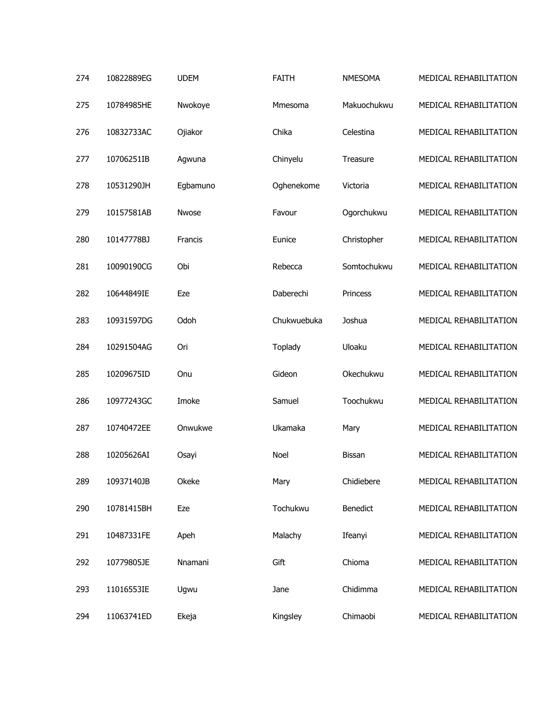| 274 | 10822889EG | <b>UDEM</b> | <b>FAITH</b> | <b>NMESOMA</b> | MEDICAL REHABILITATION |
|-----|------------|-------------|--------------|----------------|------------------------|
| 275 | 10784985HE | Nwokoye     | Mmesoma      | Makuochukwu    | MEDICAL REHABILITATION |
| 276 | 10832733AC | Ojiakor     | Chika        | Celestina      | MEDICAL REHABILITATION |
| 277 | 10706251IB | Agwuna      | Chinyelu     | Treasure       | MEDICAL REHABILITATION |
| 278 | 10531290JH | Egbamuno    | Oghenekome   | Victoria       | MEDICAL REHABILITATION |
| 279 | 10157581AB | Nwose       | Favour       | Ogorchukwu     | MEDICAL REHABILITATION |
| 280 | 10147778BJ | Francis     | Eunice       | Christopher    | MEDICAL REHABILITATION |
| 281 | 10090190CG | Obi         | Rebecca      | Somtochukwu    | MEDICAL REHABILITATION |
| 282 | 10644849IE | Eze         | Daberechi    | Princess       | MEDICAL REHABILITATION |
| 283 | 10931597DG | Odoh        | Chukwuebuka  | Joshua         | MEDICAL REHABILITATION |
| 284 | 10291504AG | Ori         | Toplady      | Uloaku         | MEDICAL REHABILITATION |
| 285 | 10209675ID | Onu         | Gideon       | Okechukwu      | MEDICAL REHABILITATION |
| 286 | 10977243GC | Imoke       | Samuel       | Toochukwu      | MEDICAL REHABILITATION |
| 287 | 10740472EE | Onwukwe     | Ukamaka      | Mary           | MEDICAL REHABILITATION |
| 288 | 10205626AI | Osayi       | <b>Noel</b>  | <b>Bissan</b>  | MEDICAL REHABILITATION |
| 289 | 10937140JB | Okeke       | Mary         | Chidiebere     | MEDICAL REHABILITATION |
| 290 | 10781415BH | Eze         | Tochukwu     | Benedict       | MEDICAL REHABILITATION |
| 291 | 10487331FE | Apeh        | Malachy      | Ifeanyi        | MEDICAL REHABILITATION |
| 292 | 10779805JE | Nnamani     | Gift         | Chioma         | MEDICAL REHABILITATION |
| 293 | 11016553IE | Ugwu        | Jane         | Chidimma       | MEDICAL REHABILITATION |
| 294 | 11063741ED | Ekeja       | Kingsley     | Chimaobi       | MEDICAL REHABILITATION |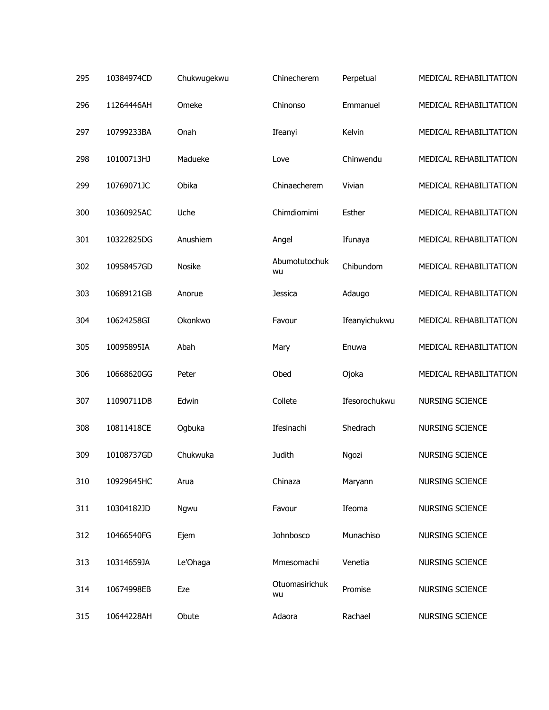| 295 | 10384974CD | Chukwugekwu | Chinecherem          | Perpetual     | MEDICAL REHABILITATION |
|-----|------------|-------------|----------------------|---------------|------------------------|
| 296 | 11264446AH | Omeke       | Chinonso             | Emmanuel      | MEDICAL REHABILITATION |
| 297 | 10799233BA | Onah        | Ifeanyi              | Kelvin        | MEDICAL REHABILITATION |
| 298 | 10100713HJ | Madueke     | Love                 | Chinwendu     | MEDICAL REHABILITATION |
| 299 | 10769071JC | Obika       | Chinaecherem         | Vivian        | MEDICAL REHABILITATION |
| 300 | 10360925AC | Uche        | Chimdiomimi          | Esther        | MEDICAL REHABILITATION |
| 301 | 10322825DG | Anushiem    | Angel                | Ifunaya       | MEDICAL REHABILITATION |
| 302 | 10958457GD | Nosike      | Abumotutochuk<br>wu  | Chibundom     | MEDICAL REHABILITATION |
| 303 | 10689121GB | Anorue      | Jessica              | Adaugo        | MEDICAL REHABILITATION |
| 304 | 10624258GI | Okonkwo     | Favour               | Ifeanyichukwu | MEDICAL REHABILITATION |
| 305 | 10095895IA | Abah        | Mary                 | Enuwa         | MEDICAL REHABILITATION |
| 306 | 10668620GG | Peter       | Obed                 | Ojoka         | MEDICAL REHABILITATION |
| 307 | 11090711DB | Edwin       | Collete              | Ifesorochukwu | <b>NURSING SCIENCE</b> |
| 308 | 10811418CE | Ogbuka      | Ifesinachi           | Shedrach      | <b>NURSING SCIENCE</b> |
| 309 | 10108737GD | Chukwuka    | <b>Judith</b>        | Ngozi         | <b>NURSING SCIENCE</b> |
| 310 | 10929645HC | Arua        | Chinaza              | Maryann       | <b>NURSING SCIENCE</b> |
| 311 | 10304182JD | Ngwu        | Favour               | Ifeoma        | NURSING SCIENCE        |
| 312 | 10466540FG | Ejem        | Johnbosco            | Munachiso     | NURSING SCIENCE        |
| 313 | 10314659JA | Le'Ohaga    | Mmesomachi           | Venetia       | NURSING SCIENCE        |
| 314 | 10674998EB | Eze         | Otuomasirichuk<br>wu | Promise       | NURSING SCIENCE        |
| 315 | 10644228AH | Obute       | Adaora               | Rachael       | NURSING SCIENCE        |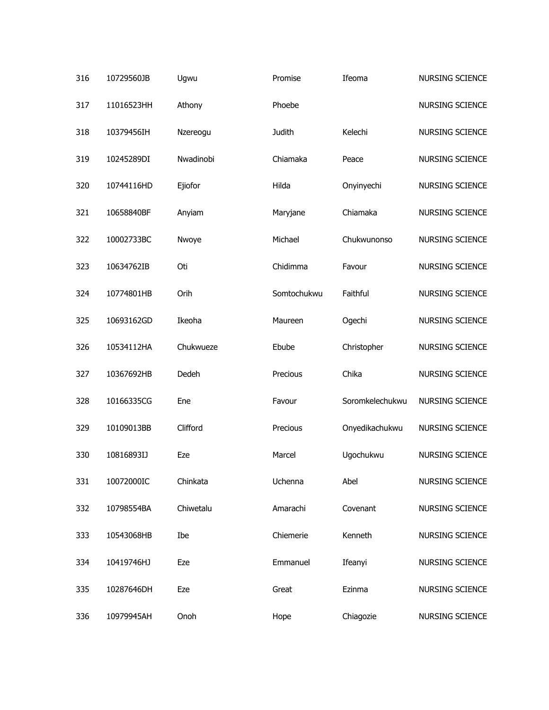| 316 | 10729560JB | Ugwu      | Promise       | Ifeoma          | <b>NURSING SCIENCE</b> |
|-----|------------|-----------|---------------|-----------------|------------------------|
| 317 | 11016523HH | Athony    | Phoebe        |                 | <b>NURSING SCIENCE</b> |
| 318 | 10379456IH | Nzereogu  | <b>Judith</b> | Kelechi         | <b>NURSING SCIENCE</b> |
| 319 | 10245289DI | Nwadinobi | Chiamaka      | Peace           | <b>NURSING SCIENCE</b> |
| 320 | 10744116HD | Ejiofor   | Hilda         | Onyinyechi      | NURSING SCIENCE        |
| 321 | 10658840BF | Anyiam    | Maryjane      | Chiamaka        | <b>NURSING SCIENCE</b> |
| 322 | 10002733BC | Nwoye     | Michael       | Chukwunonso     | <b>NURSING SCIENCE</b> |
| 323 | 10634762IB | Oti       | Chidimma      | Favour          | <b>NURSING SCIENCE</b> |
| 324 | 10774801HB | Orih      | Somtochukwu   | Faithful        | <b>NURSING SCIENCE</b> |
| 325 | 10693162GD | Ikeoha    | Maureen       | Ogechi          | <b>NURSING SCIENCE</b> |
| 326 | 10534112HA | Chukwueze | Ebube         | Christopher     | <b>NURSING SCIENCE</b> |
| 327 | 10367692HB | Dedeh     | Precious      | Chika           | <b>NURSING SCIENCE</b> |
| 328 | 10166335CG | Ene       | Favour        | Soromkelechukwu | <b>NURSING SCIENCE</b> |
| 329 | 10109013BB | Clifford  | Precious      | Onyedikachukwu  | NURSING SCIENCE        |
| 330 | 10816893IJ | Eze       | Marcel        | Ugochukwu       | <b>NURSING SCIENCE</b> |
| 331 | 10072000IC | Chinkata  | Uchenna       | Abel            | NURSING SCIENCE        |
| 332 | 10798554BA | Chiwetalu | Amarachi      | Covenant        | NURSING SCIENCE        |
| 333 | 10543068HB | Ibe       | Chiemerie     | Kenneth         | NURSING SCIENCE        |
| 334 | 10419746HJ | Eze       | Emmanuel      | Ifeanyi         | NURSING SCIENCE        |
| 335 | 10287646DH | Eze       | Great         | Ezinma          | NURSING SCIENCE        |
| 336 | 10979945AH | Onoh      | Hope          | Chiagozie       | NURSING SCIENCE        |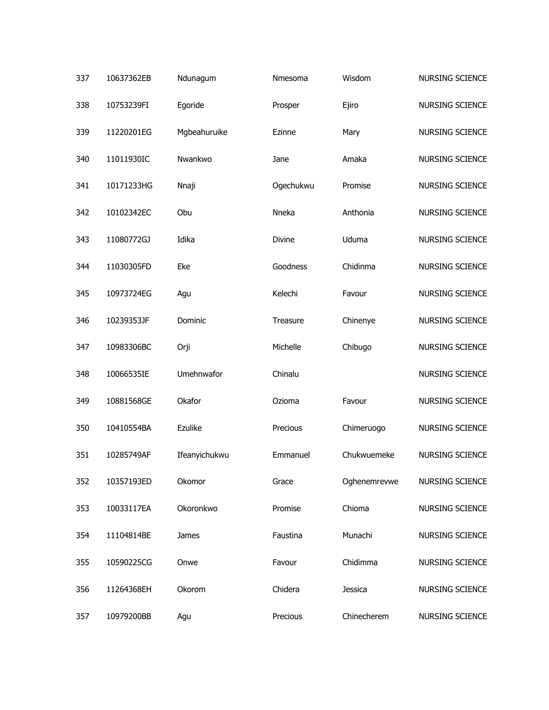| 337 | 10637362EB | Ndunagum      | Nmesoma   | Wisdom       | <b>NURSING SCIENCE</b> |
|-----|------------|---------------|-----------|--------------|------------------------|
| 338 | 10753239FI | Egoride       | Prosper   | Ejiro        | <b>NURSING SCIENCE</b> |
| 339 | 11220201EG | Mgbeahuruike  | Ezinne    | Mary         | <b>NURSING SCIENCE</b> |
| 340 | 11011930IC | Nwankwo       | Jane      | Amaka        | <b>NURSING SCIENCE</b> |
| 341 | 10171233HG | Nnaji         | Ogechukwu | Promise      | <b>NURSING SCIENCE</b> |
| 342 | 10102342EC | Obu           | Nneka     | Anthonia     | <b>NURSING SCIENCE</b> |
| 343 | 11080772GJ | Idika         | Divine    | Uduma        | <b>NURSING SCIENCE</b> |
| 344 | 11030305FD | Eke           | Goodness  | Chidinma     | <b>NURSING SCIENCE</b> |
| 345 | 10973724EG | Agu           | Kelechi   | Favour       | <b>NURSING SCIENCE</b> |
| 346 | 10239353JF | Dominic       | Treasure  | Chinenye     | <b>NURSING SCIENCE</b> |
| 347 | 10983306BC | Orji          | Michelle  | Chibugo      | <b>NURSING SCIENCE</b> |
| 348 | 10066535IE | Umehnwafor    | Chinalu   |              | <b>NURSING SCIENCE</b> |
| 349 | 10881568GE | Okafor        | Ozioma    | Favour       | <b>NURSING SCIENCE</b> |
| 350 | 10410554BA | Ezulike       | Precious  | Chimeruogo   | <b>NURSING SCIENCE</b> |
| 351 | 10285749AF | Ifeanyichukwu | Emmanuel  | Chukwuemeke  | <b>NURSING SCIENCE</b> |
| 352 | 10357193ED | Okomor        | Grace     | Oghenemrevwe | NURSING SCIENCE        |
| 353 | 10033117EA | Okoronkwo     | Promise   | Chioma       | NURSING SCIENCE        |
| 354 | 11104814BE | James         | Faustina  | Munachi      | NURSING SCIENCE        |
| 355 | 10590225CG | Onwe          | Favour    | Chidimma     | NURSING SCIENCE        |
| 356 | 11264368EH | Okorom        | Chidera   | Jessica      | NURSING SCIENCE        |
| 357 | 10979200BB | Agu           | Precious  | Chinecherem  | NURSING SCIENCE        |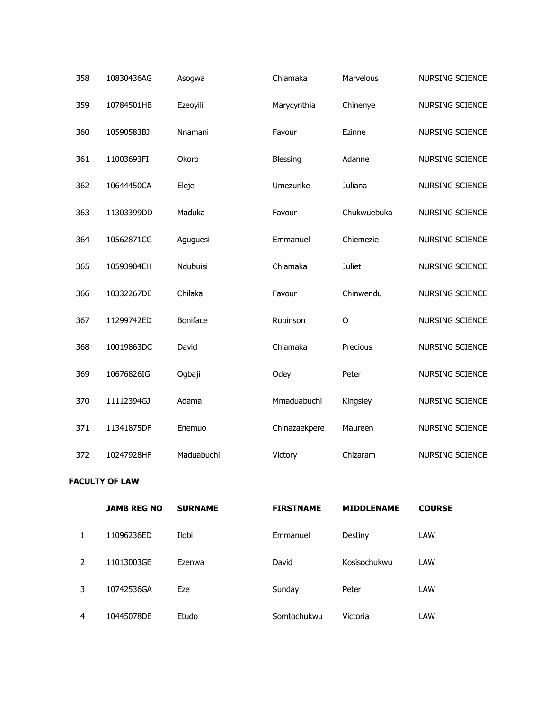| 358 | 10830436AG | Asogwa     | Chiamaka      | Marvelous     | NURSING SCIENCE        |
|-----|------------|------------|---------------|---------------|------------------------|
| 359 | 10784501HB | Ezeoyili   | Marycynthia   | Chinenye      | NURSING SCIENCE        |
| 360 | 10590583BJ | Nnamani    | Favour        | Ezinne        | NURSING SCIENCE        |
| 361 | 11003693FI | Okoro      | Blessing      | Adanne        | <b>NURSING SCIENCE</b> |
| 362 | 10644450CA | Eleje      | Umezurike     | Juliana       | NURSING SCIENCE        |
| 363 | 11303399DD | Maduka     | Favour        | Chukwuebuka   | <b>NURSING SCIENCE</b> |
| 364 | 10562871CG | Aguguesi   | Emmanuel      | Chiemezie     | NURSING SCIENCE        |
| 365 | 10593904EH | Ndubuisi   | Chiamaka      | <b>Juliet</b> | <b>NURSING SCIENCE</b> |
| 366 | 10332267DE | Chilaka    | Favour        | Chinwendu     | NURSING SCIENCE        |
| 367 | 11299742ED | Boniface   | Robinson      | $\circ$       | <b>NURSING SCIENCE</b> |
| 368 | 10019863DC | David      | Chiamaka      | Precious      | NURSING SCIENCE        |
| 369 | 10676826IG | Ogbaji     | Odey          | Peter         | <b>NURSING SCIENCE</b> |
| 370 | 11112394GJ | Adama      | Mmaduabuchi   | Kingsley      | NURSING SCIENCE        |
| 371 | 11341875DF | Enemuo     | Chinazaekpere | Maureen       | NURSING SCIENCE        |
| 372 | 10247928HF | Maduabuchi | Victory       | Chizaram      | NURSING SCIENCE        |

## **FACULTY OF LAW**

|                | <b>JAMB REG NO</b> | <b>SURNAME</b> | <b>FIRSTNAME</b> | <b>MIDDLENAME</b> | <b>COURSE</b> |
|----------------|--------------------|----------------|------------------|-------------------|---------------|
| 1              | 11096236ED         | Ilobi          | Emmanuel         | Destiny           | LAW           |
| $\overline{2}$ | 11013003GE         | Ezenwa         | David            | Kosisochukwu      | LAW           |
| 3              | 10742536GA         | Eze            | Sunday           | Peter             | LAW           |
| 4              | 10445078DE         | Etudo          | Somtochukwu      | Victoria          | LAW           |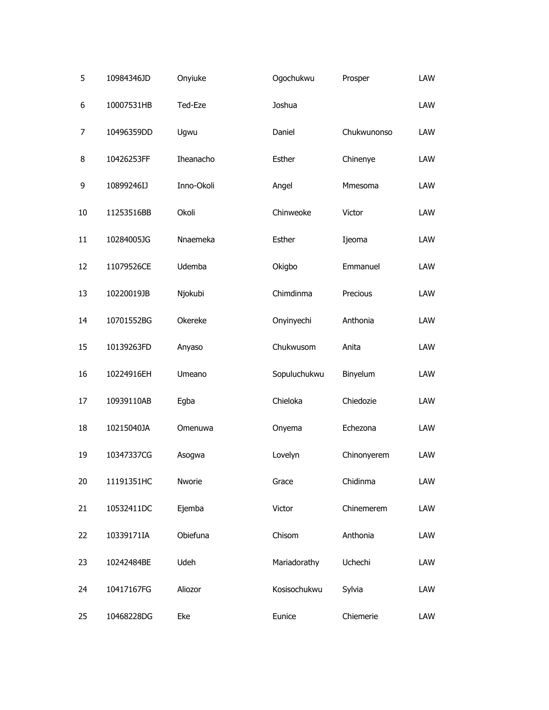| 5  | 10984346JD | Onyiuke    | Ogochukwu    | Prosper     | LAW |
|----|------------|------------|--------------|-------------|-----|
| 6  | 10007531HB | Ted-Eze    | Joshua       |             | LAW |
| 7  | 10496359DD | Ugwu       | Daniel       | Chukwunonso | LAW |
| 8  | 10426253FF | Iheanacho  | Esther       | Chinenye    | LAW |
| 9  | 10899246IJ | Inno-Okoli | Angel        | Mmesoma     | LAW |
| 10 | 11253516BB | Okoli      | Chinweoke    | Victor      | LAW |
| 11 | 10284005JG | Nnaemeka   | Esther       | Ijeoma      | LAW |
| 12 | 11079526CE | Udemba     | Okigbo       | Emmanuel    | LAW |
| 13 | 10220019JB | Njokubi    | Chimdinma    | Precious    | LAW |
| 14 | 10701552BG | Okereke    | Onyinyechi   | Anthonia    | LAW |
| 15 | 10139263FD | Anyaso     | Chukwusom    | Anita       | LAW |
| 16 | 10224916EH | Umeano     | Sopuluchukwu | Binyelum    | LAW |
| 17 | 10939110AB | Egba       | Chieloka     | Chiedozie   | LAW |
| 18 | 10215040JA | Omenuwa    | Onyema       | Echezona    | LAW |
| 19 | 10347337CG | Asogwa     | Lovelyn      | Chinonyerem | LAW |
| 20 | 11191351HC | Nworie     | Grace        | Chidinma    | LAW |
| 21 | 10532411DC | Ejemba     | Victor       | Chinemerem  | LAW |
| 22 | 10339171IA | Obiefuna   | Chisom       | Anthonia    | LAW |
| 23 | 10242484BE | Udeh       | Mariadorathy | Uchechi     | LAW |
| 24 | 10417167FG | Aliozor    | Kosisochukwu | Sylvia      | LAW |
| 25 | 10468228DG | Eke        | Eunice       | Chiemerie   | LAW |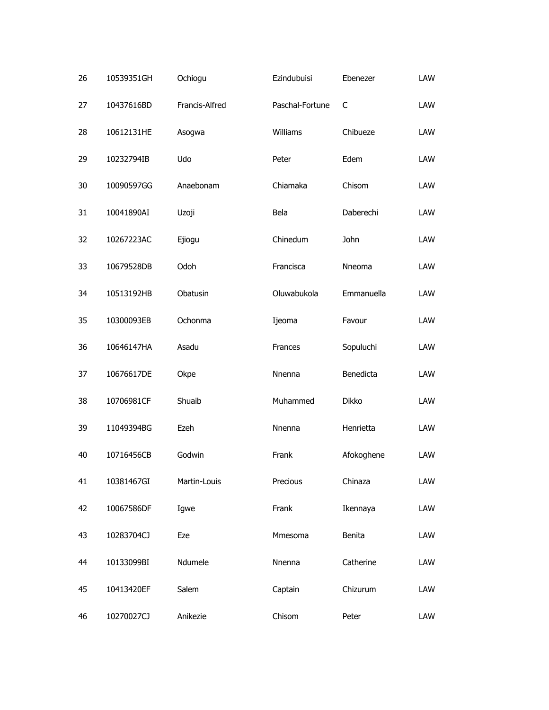| 26 | 10539351GH | Ochiogu        | Ezindubuisi     | Ebenezer     | LAW |
|----|------------|----------------|-----------------|--------------|-----|
| 27 | 10437616BD | Francis-Alfred | Paschal-Fortune | C            | LAW |
| 28 | 10612131HE | Asogwa         | Williams        | Chibueze     | LAW |
| 29 | 10232794IB | Udo            | Peter           | Edem         | LAW |
| 30 | 10090597GG | Anaebonam      | Chiamaka        | Chisom       | LAW |
| 31 | 10041890AI | Uzoji          | Bela            | Daberechi    | LAW |
| 32 | 10267223AC | Ejiogu         | Chinedum        | John         | LAW |
| 33 | 10679528DB | Odoh           | Francisca       | Nneoma       | LAW |
| 34 | 10513192HB | Obatusin       | Oluwabukola     | Emmanuella   | LAW |
| 35 | 10300093EB | Ochonma        | Ijeoma          | Favour       | LAW |
| 36 | 10646147HA | Asadu          | Frances         | Sopuluchi    | LAW |
| 37 | 10676617DE | Okpe           | Nnenna          | Benedicta    | LAW |
| 38 | 10706981CF | Shuaib         | Muhammed        | <b>Dikko</b> | LAW |
| 39 | 11049394BG | Ezeh           | Nnenna          | Henrietta    | LAW |
| 40 | 10716456CB | Godwin         | Frank           | Afokoghene   | LAW |
| 41 | 10381467GI | Martin-Louis   | Precious        | Chinaza      | LAW |
| 42 | 10067586DF | Igwe           | Frank           | Ikennaya     | LAW |
| 43 | 10283704CJ | Eze            | Mmesoma         | Benita       | LAW |
| 44 | 10133099BI | Ndumele        | Nnenna          | Catherine    | LAW |
| 45 | 10413420EF | Salem          | Captain         | Chizurum     | LAW |
| 46 | 10270027CJ | Anikezie       | Chisom          | Peter        | LAW |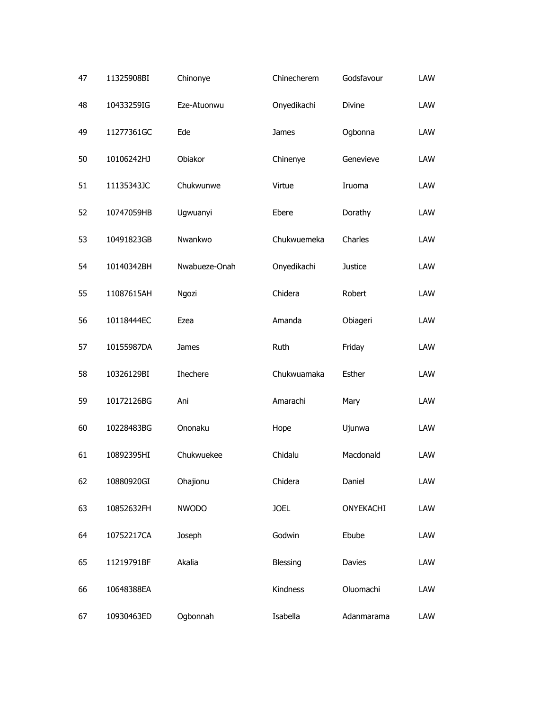| 47 | 11325908BI | Chinonye        | Chinecherem | Godsfavour     | LAW |
|----|------------|-----------------|-------------|----------------|-----|
| 48 | 10433259IG | Eze-Atuonwu     | Onyedikachi | Divine         | LAW |
| 49 | 11277361GC | Ede             | James       | Ogbonna        | LAW |
| 50 | 10106242HJ | Obiakor         | Chinenye    | Genevieve      | LAW |
| 51 | 11135343JC | Chukwunwe       | Virtue      | Iruoma         | LAW |
| 52 | 10747059HB | Ugwuanyi        | Ebere       | Dorathy        | LAW |
| 53 | 10491823GB | Nwankwo         | Chukwuemeka | Charles        | LAW |
| 54 | 10140342BH | Nwabueze-Onah   | Onyedikachi | <b>Justice</b> | LAW |
| 55 | 11087615AH | Ngozi           | Chidera     | Robert         | LAW |
| 56 | 10118444EC | Ezea            | Amanda      | Obiageri       | LAW |
| 57 | 10155987DA | James           | Ruth        | Friday         | LAW |
| 58 | 10326129BI | <b>Ihechere</b> | Chukwuamaka | Esther         | LAW |
| 59 | 10172126BG | Ani             | Amarachi    | Mary           | LAW |
| 60 | 10228483BG | Ononaku         | Hope        | Ujunwa         | LAW |
| 61 | 10892395HI | Chukwuekee      | Chidalu     | Macdonald      | LAW |
| 62 | 10880920GI | Ohajionu        | Chidera     | Daniel         | LAW |
| 63 | 10852632FH | <b>NWODO</b>    | <b>JOEL</b> | ONYEKACHI      | LAW |
| 64 | 10752217CA | Joseph          | Godwin      | Ebube          | LAW |
| 65 | 11219791BF | Akalia          | Blessing    | Davies         | LAW |
| 66 | 10648388EA |                 | Kindness    | Oluomachi      | LAW |
| 67 | 10930463ED | Ogbonnah        | Isabella    | Adanmarama     | LAW |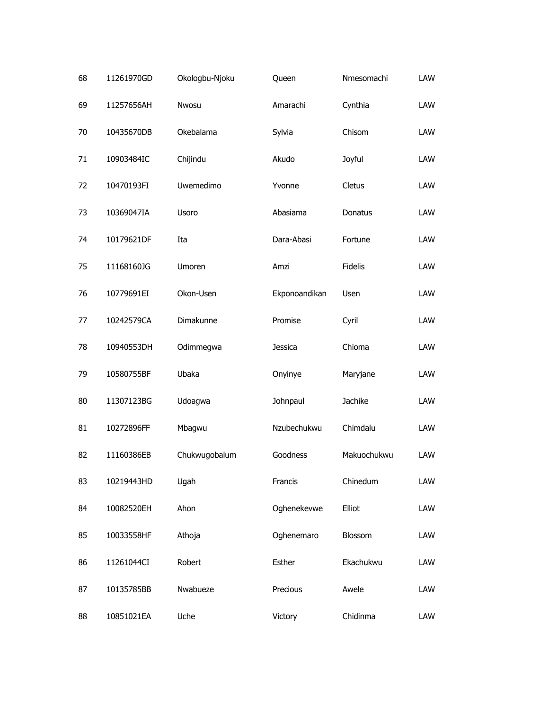| 68 | 11261970GD | Okologbu-Njoku | Queen         | Nmesomachi     | LAW |
|----|------------|----------------|---------------|----------------|-----|
| 69 | 11257656AH | Nwosu          | Amarachi      | Cynthia        | LAW |
| 70 | 10435670DB | Okebalama      | Sylvia        | Chisom         | LAW |
| 71 | 10903484IC | Chijindu       | Akudo         | Joyful         | LAW |
| 72 | 10470193FI | Uwemedimo      | Yvonne        | Cletus         | LAW |
| 73 | 10369047IA | Usoro          | Abasiama      | Donatus        | LAW |
| 74 | 10179621DF | Ita            | Dara-Abasi    | Fortune        | LAW |
| 75 | 11168160JG | Umoren         | Amzi          | <b>Fidelis</b> | LAW |
| 76 | 10779691EI | Okon-Usen      | Ekponoandikan | <b>Usen</b>    | LAW |
| 77 | 10242579CA | Dimakunne      | Promise       | Cyril          | LAW |
| 78 | 10940553DH | Odimmegwa      | Jessica       | Chioma         | LAW |
| 79 | 10580755BF | Ubaka          | Onyinye       | Maryjane       | LAW |
| 80 | 11307123BG | Udoagwa        | Johnpaul      | Jachike        | LAW |
| 81 | 10272896FF | Mbagwu         | Nzubechukwu   | Chimdalu       | LAW |
| 82 | 11160386EB | Chukwugobalum  | Goodness      | Makuochukwu    | LAW |
| 83 | 10219443HD | Ugah           | Francis       | Chinedum       | LAW |
| 84 | 10082520EH | Ahon           | Oghenekevwe   | Elliot         | LAW |
| 85 | 10033558HF | Athoja         | Oghenemaro    | Blossom        | LAW |
| 86 | 11261044CI | Robert         | Esther        | Ekachukwu      | LAW |
| 87 | 10135785BB | Nwabueze       | Precious      | Awele          | LAW |
| 88 | 10851021EA | Uche           | Victory       | Chidinma       | LAW |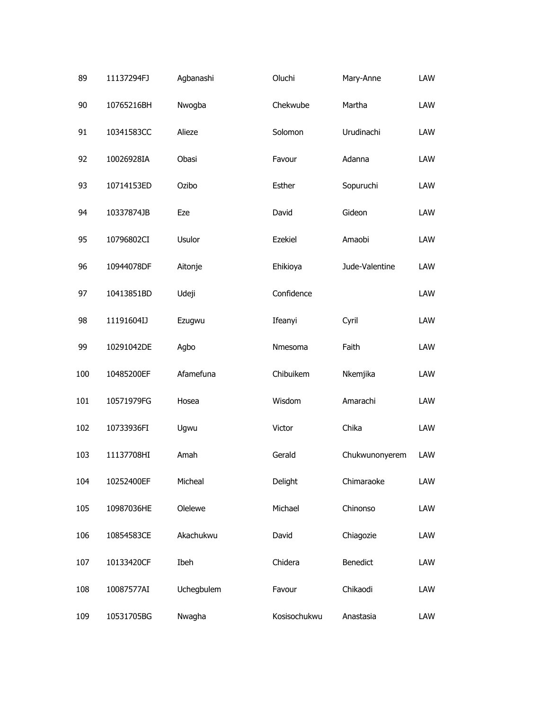| 89  | 11137294FJ | Agbanashi  | Oluchi       | Mary-Anne      | LAW |
|-----|------------|------------|--------------|----------------|-----|
| 90  | 10765216BH | Nwogba     | Chekwube     | Martha         | LAW |
| 91  | 10341583CC | Alieze     | Solomon      | Urudinachi     | LAW |
| 92  | 10026928IA | Obasi      | Favour       | Adanna         | LAW |
| 93  | 10714153ED | Ozibo      | Esther       | Sopuruchi      | LAW |
| 94  | 10337874JB | Eze        | David        | Gideon         | LAW |
| 95  | 10796802CI | Usulor     | Ezekiel      | Amaobi         | LAW |
| 96  | 10944078DF | Aitonje    | Ehikioya     | Jude-Valentine | LAW |
| 97  | 10413851BD | Udeji      | Confidence   |                | LAW |
| 98  | 11191604IJ | Ezugwu     | Ifeanyi      | Cyril          | LAW |
| 99  | 10291042DE | Agbo       | Nmesoma      | Faith          | LAW |
| 100 | 10485200EF | Afamefuna  | Chibuikem    | Nkemjika       | LAW |
| 101 | 10571979FG | Hosea      | Wisdom       | Amarachi       | LAW |
| 102 | 10733936FI | Ugwu       | Victor       | Chika          | LAW |
| 103 | 11137708HI | Amah       | Gerald       | Chukwunonyerem | LAW |
| 104 | 10252400EF | Micheal    | Delight      | Chimaraoke     | LAW |
| 105 | 10987036HE | Olelewe    | Michael      | Chinonso       | LAW |
| 106 | 10854583CE | Akachukwu  | David        | Chiagozie      | LAW |
| 107 | 10133420CF | Ibeh       | Chidera      | Benedict       | LAW |
| 108 | 10087577AI | Uchegbulem | Favour       | Chikaodi       | LAW |
| 109 | 10531705BG | Nwagha     | Kosisochukwu | Anastasia      | LAW |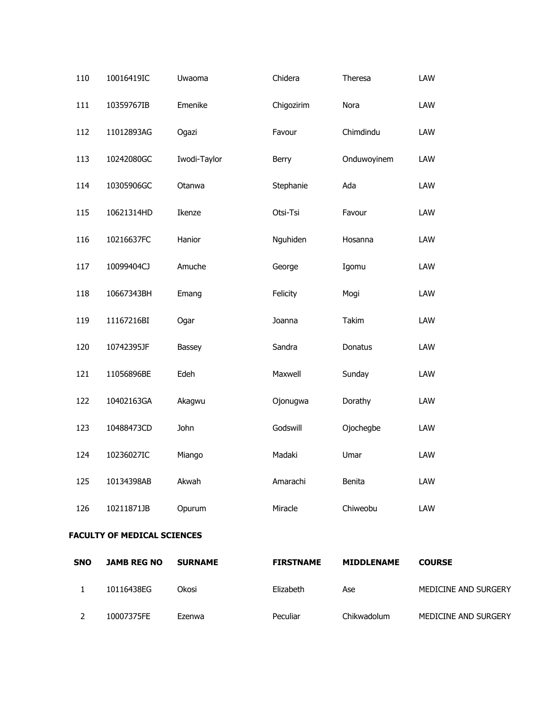| 110 | 10016419IC | Uwaoma       | Chidera    | Theresa     | LAW |
|-----|------------|--------------|------------|-------------|-----|
| 111 | 10359767IB | Emenike      | Chigozirim | Nora        | LAW |
| 112 | 11012893AG | Ogazi        | Favour     | Chimdindu   | LAW |
| 113 | 10242080GC | Iwodi-Taylor | Berry      | Onduwoyinem | LAW |
| 114 | 10305906GC | Otanwa       | Stephanie  | Ada         | LAW |
| 115 | 10621314HD | Ikenze       | Otsi-Tsi   | Favour      | LAW |
| 116 | 10216637FC | Hanior       | Nguhiden   | Hosanna     | LAW |
| 117 | 10099404CJ | Amuche       | George     | Igomu       | LAW |
| 118 | 10667343BH | Emang        | Felicity   | Mogi        | LAW |
| 119 | 11167216BI | Ogar         | Joanna     | Takim       | LAW |
| 120 | 10742395JF | Bassey       | Sandra     | Donatus     | LAW |
| 121 | 11056896BE | Edeh         | Maxwell    | Sunday      | LAW |
| 122 | 10402163GA | Akagwu       | Ojonugwa   | Dorathy     | LAW |
| 123 | 10488473CD | John         | Godswill   | Ojochegbe   | LAW |
| 124 | 10236027IC | Miango       | Madaki     | Umar        | LAW |
| 125 | 10134398AB | Akwah        | Amarachi   | Benita      | LAW |
| 126 | 10211871JB | Opurum       | Miracle    | Chiweobu    | LAW |
|     |            |              |            |             |     |

## **FACULTY OF MEDICAL SCIENCES**

| <b>SNO</b> | <b>JAMB REG NO</b> | <b>SURNAME</b> | <b>FIRSTNAME</b> | <b>MIDDLENAME</b> | <b>COURSE</b>        |
|------------|--------------------|----------------|------------------|-------------------|----------------------|
|            | 10116438EG         | Okosi          | Elizabeth        | Ase               | MEDICINE AND SURGERY |
|            | 10007375FE         | Ezenwa         | Peculiar         | Chikwadolum       | MEDICINE AND SURGERY |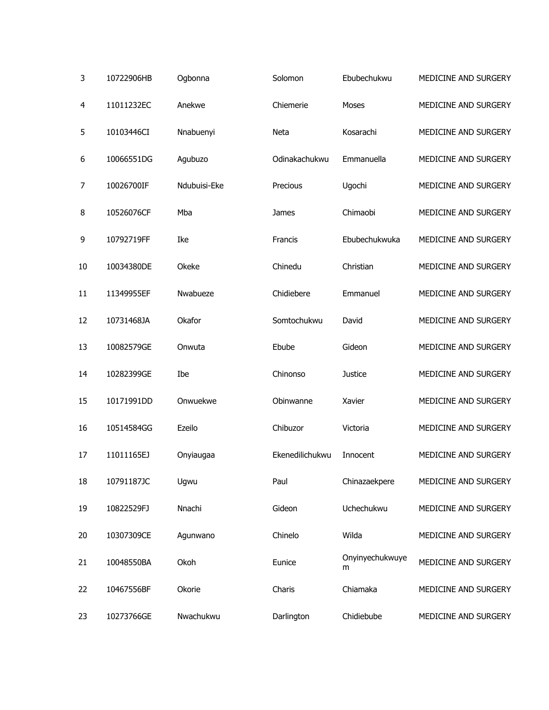| 3  | 10722906HB | Ogbonna      | Solomon         | Ebubechukwu          | MEDICINE AND SURGERY |
|----|------------|--------------|-----------------|----------------------|----------------------|
| 4  | 11011232EC | Anekwe       | Chiemerie       | Moses                | MEDICINE AND SURGERY |
| 5  | 10103446CI | Nnabuenyi    | Neta            | Kosarachi            | MEDICINE AND SURGERY |
| 6  | 10066551DG | Agubuzo      | Odinakachukwu   | Emmanuella           | MEDICINE AND SURGERY |
| 7  | 10026700IF | Ndubuisi-Eke | Precious        | Ugochi               | MEDICINE AND SURGERY |
| 8  | 10526076CF | Mba          | James           | Chimaobi             | MEDICINE AND SURGERY |
| 9  | 10792719FF | Ike          | Francis         | Ebubechukwuka        | MEDICINE AND SURGERY |
| 10 | 10034380DE | Okeke        | Chinedu         | Christian            | MEDICINE AND SURGERY |
| 11 | 11349955EF | Nwabueze     | Chidiebere      | Emmanuel             | MEDICINE AND SURGERY |
| 12 | 10731468JA | Okafor       | Somtochukwu     | David                | MEDICINE AND SURGERY |
| 13 | 10082579GE | Onwuta       | Ebube           | Gideon               | MEDICINE AND SURGERY |
| 14 | 10282399GE | Ibe          | Chinonso        | <b>Justice</b>       | MEDICINE AND SURGERY |
| 15 | 10171991DD | Onwuekwe     | Obinwanne       | Xavier               | MEDICINE AND SURGERY |
| 16 | 10514584GG | Ezeilo       | Chibuzor        | Victoria             | MEDICINE AND SURGERY |
| 17 | 11011165EJ | Onyiaugaa    | Ekenedilichukwu | Innocent             | MEDICINE AND SURGERY |
| 18 | 10791187JC | Ugwu         | Paul            | Chinazaekpere        | MEDICINE AND SURGERY |
| 19 | 10822529FJ | Nnachi       | Gideon          | Uchechukwu           | MEDICINE AND SURGERY |
| 20 | 10307309CE | Agunwano     | Chinelo         | Wilda                | MEDICINE AND SURGERY |
| 21 | 10048550BA | Okoh         | Eunice          | Onyinyechukwuye<br>m | MEDICINE AND SURGERY |
| 22 | 10467556BF | Okorie       | Charis          | Chiamaka             | MEDICINE AND SURGERY |
| 23 | 10273766GE | Nwachukwu    | Darlington      | Chidiebube           | MEDICINE AND SURGERY |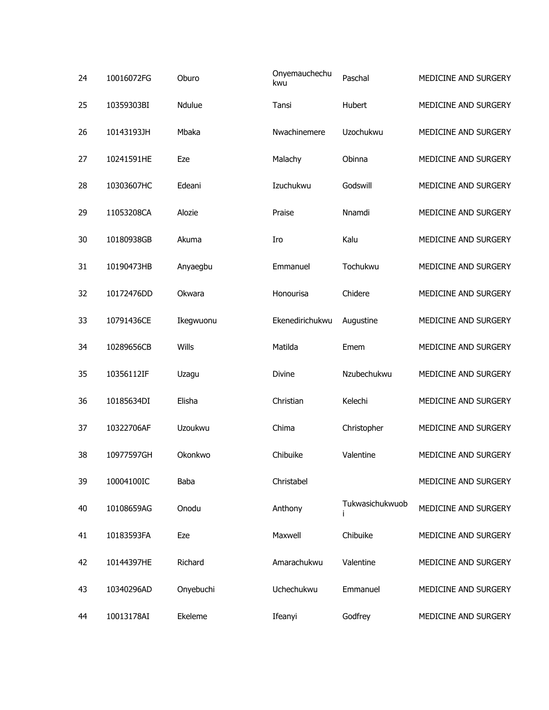| 24 | 10016072FG | Oburo         | Onyemauchechu<br>kwu | Paschal         | MEDICINE AND SURGERY |
|----|------------|---------------|----------------------|-----------------|----------------------|
| 25 | 10359303BI | <b>Ndulue</b> | Tansi                | Hubert          | MEDICINE AND SURGERY |
| 26 | 10143193JH | Mbaka         | Nwachinemere         | Uzochukwu       | MEDICINE AND SURGERY |
| 27 | 10241591HE | Eze           | Malachy              | Obinna          | MEDICINE AND SURGERY |
| 28 | 10303607HC | Edeani        | Izuchukwu            | Godswill        | MEDICINE AND SURGERY |
| 29 | 11053208CA | Alozie        | Praise               | Nnamdi          | MEDICINE AND SURGERY |
| 30 | 10180938GB | Akuma         | Iro                  | Kalu            | MEDICINE AND SURGERY |
| 31 | 10190473HB | Anyaegbu      | Emmanuel             | Tochukwu        | MEDICINE AND SURGERY |
| 32 | 10172476DD | Okwara        | Honourisa            | Chidere         | MEDICINE AND SURGERY |
| 33 | 10791436CE | Ikegwuonu     | Ekenedirichukwu      | Augustine       | MEDICINE AND SURGERY |
| 34 | 10289656CB | Wills         | Matilda              | Emem            | MEDICINE AND SURGERY |
| 35 | 10356112IF | Uzagu         | <b>Divine</b>        | Nzubechukwu     | MEDICINE AND SURGERY |
| 36 | 10185634DI | Elisha        | Christian            | Kelechi         | MEDICINE AND SURGERY |
| 37 | 10322706AF | Uzoukwu       | Chima                | Christopher     | MEDICINE AND SURGERY |
| 38 | 10977597GH | Okonkwo       | Chibuike             | Valentine       | MEDICINE AND SURGERY |
| 39 | 10004100IC | Baba          | Christabel           |                 | MEDICINE AND SURGERY |
| 40 | 10108659AG | Onodu         | Anthony              | Tukwasichukwuob | MEDICINE AND SURGERY |
| 41 | 10183593FA | Eze           | Maxwell              | Chibuike        | MEDICINE AND SURGERY |
| 42 | 10144397HE | Richard       | Amarachukwu          | Valentine       | MEDICINE AND SURGERY |
| 43 | 10340296AD | Onyebuchi     | Uchechukwu           | Emmanuel        | MEDICINE AND SURGERY |
| 44 | 10013178AI | Ekeleme       | Ifeanyi              | Godfrey         | MEDICINE AND SURGERY |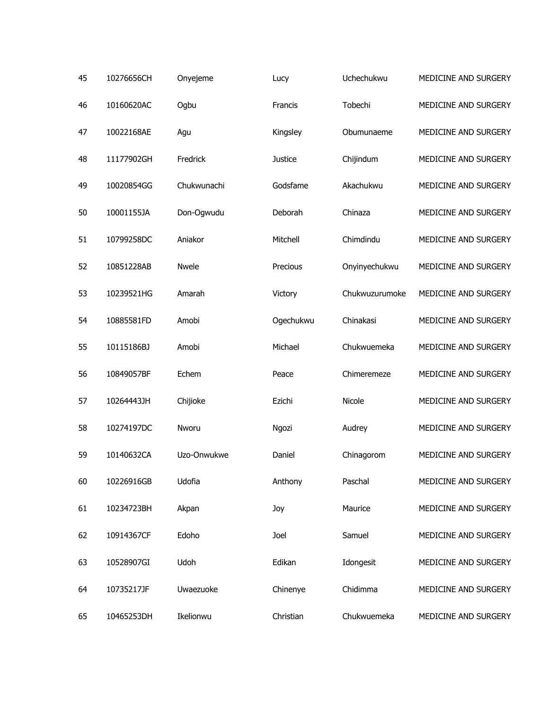| 45 | 10276656CH | Onyejeme     | Lucy           | Uchechukwu     | MEDICINE AND SURGERY |
|----|------------|--------------|----------------|----------------|----------------------|
| 46 | 10160620AC | Ogbu         | Francis        | Tobechi        | MEDICINE AND SURGERY |
| 47 | 10022168AE | Agu          | Kingsley       | Obumunaeme     | MEDICINE AND SURGERY |
| 48 | 11177902GH | Fredrick     | <b>Justice</b> | Chijindum      | MEDICINE AND SURGERY |
| 49 | 10020854GG | Chukwunachi  | Godsfame       | Akachukwu      | MEDICINE AND SURGERY |
| 50 | 10001155JA | Don-Ogwudu   | Deborah        | Chinaza        | MEDICINE AND SURGERY |
| 51 | 10799258DC | Aniakor      | Mitchell       | Chimdindu      | MEDICINE AND SURGERY |
| 52 | 10851228AB | <b>Nwele</b> | Precious       | Onyinyechukwu  | MEDICINE AND SURGERY |
| 53 | 10239521HG | Amarah       | Victory        | Chukwuzurumoke | MEDICINE AND SURGERY |
| 54 | 10885581FD | Amobi        | Ogechukwu      | Chinakasi      | MEDICINE AND SURGERY |
| 55 | 10115186BJ | Amobi        | Michael        | Chukwuemeka    | MEDICINE AND SURGERY |
| 56 | 10849057BF | Echem        | Peace          | Chimeremeze    | MEDICINE AND SURGERY |
| 57 | 10264443JH | Chijioke     | Ezichi         | Nicole         | MEDICINE AND SURGERY |
| 58 | 10274197DC | Nworu        | Ngozi          | Audrey         | MEDICINE AND SURGERY |
| 59 | 10140632CA | Uzo-Onwukwe  | Daniel         | Chinagorom     | MEDICINE AND SURGERY |
| 60 | 10226916GB | Udofia       | Anthony        | Paschal        | MEDICINE AND SURGERY |
| 61 | 10234723BH | Akpan        | Joy            | Maurice        | MEDICINE AND SURGERY |
| 62 | 10914367CF | Edoho        | Joel           | Samuel         | MEDICINE AND SURGERY |
| 63 | 10528907GI | Udoh         | Edikan         | Idongesit      | MEDICINE AND SURGERY |
| 64 | 10735217JF | Uwaezuoke    | Chinenye       | Chidimma       | MEDICINE AND SURGERY |
| 65 | 10465253DH | Ikelionwu    | Christian      | Chukwuemeka    | MEDICINE AND SURGERY |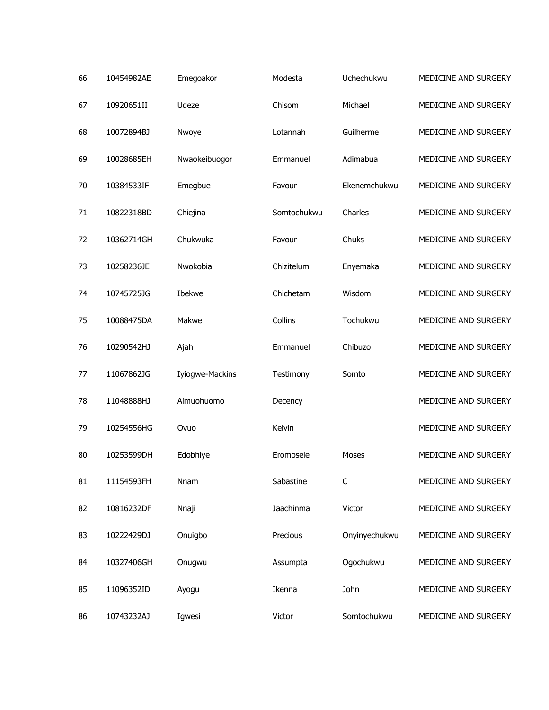| 66 | 10454982AE | Emegoakor       | Modesta     | Uchechukwu    | MEDICINE AND SURGERY |
|----|------------|-----------------|-------------|---------------|----------------------|
| 67 | 10920651II | Udeze           | Chisom      | Michael       | MEDICINE AND SURGERY |
| 68 | 10072894BJ | Nwoye           | Lotannah    | Guilherme     | MEDICINE AND SURGERY |
| 69 | 10028685EH | Nwaokeibuogor   | Emmanuel    | Adimabua      | MEDICINE AND SURGERY |
| 70 | 10384533IF | Emegbue         | Favour      | Ekenemchukwu  | MEDICINE AND SURGERY |
| 71 | 10822318BD | Chiejina        | Somtochukwu | Charles       | MEDICINE AND SURGERY |
| 72 | 10362714GH | Chukwuka        | Favour      | Chuks         | MEDICINE AND SURGERY |
| 73 | 10258236JE | Nwokobia        | Chizitelum  | Enyemaka      | MEDICINE AND SURGERY |
| 74 | 10745725JG | Ibekwe          | Chichetam   | Wisdom        | MEDICINE AND SURGERY |
| 75 | 10088475DA | Makwe           | Collins     | Tochukwu      | MEDICINE AND SURGERY |
| 76 | 10290542HJ | Ajah            | Emmanuel    | Chibuzo       | MEDICINE AND SURGERY |
| 77 | 11067862JG | Iyiogwe-Mackins | Testimony   | Somto         | MEDICINE AND SURGERY |
| 78 | 11048888HJ | Aimuohuomo      | Decency     |               | MEDICINE AND SURGERY |
| 79 | 10254556HG | Ovuo            | Kelvin      |               | MEDICINE AND SURGERY |
| 80 | 10253599DH | Edobhiye        | Eromosele   | Moses         | MEDICINE AND SURGERY |
| 81 | 11154593FH | Nnam            | Sabastine   | C             | MEDICINE AND SURGERY |
| 82 | 10816232DF | Nnaji           | Jaachinma   | Victor        | MEDICINE AND SURGERY |
| 83 | 10222429DJ | Onuigbo         | Precious    | Onyinyechukwu | MEDICINE AND SURGERY |
| 84 | 10327406GH | Onugwu          | Assumpta    | Ogochukwu     | MEDICINE AND SURGERY |
| 85 | 11096352ID | Ayogu           | Ikenna      | John          | MEDICINE AND SURGERY |
| 86 | 10743232AJ | Igwesi          | Victor      | Somtochukwu   | MEDICINE AND SURGERY |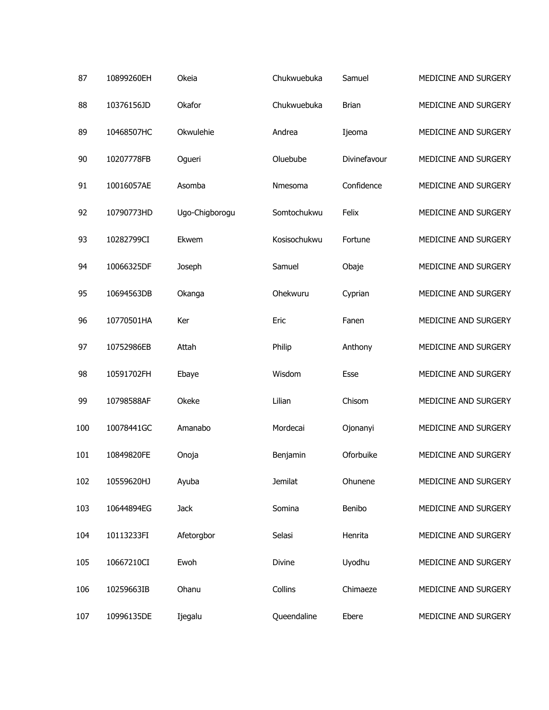| 87  | 10899260EH | Okeia          | Chukwuebuka    | Samuel       | MEDICINE AND SURGERY |
|-----|------------|----------------|----------------|--------------|----------------------|
| 88  | 10376156JD | Okafor         | Chukwuebuka    | <b>Brian</b> | MEDICINE AND SURGERY |
| 89  | 10468507HC | Okwulehie      | Andrea         | Ijeoma       | MEDICINE AND SURGERY |
| 90  | 10207778FB | Ogueri         | Oluebube       | Divinefavour | MEDICINE AND SURGERY |
| 91  | 10016057AE | Asomba         | Nmesoma        | Confidence   | MEDICINE AND SURGERY |
| 92  | 10790773HD | Ugo-Chigborogu | Somtochukwu    | Felix        | MEDICINE AND SURGERY |
| 93  | 10282799CI | Ekwem          | Kosisochukwu   | Fortune      | MEDICINE AND SURGERY |
| 94  | 10066325DF | Joseph         | Samuel         | Obaje        | MEDICINE AND SURGERY |
| 95  | 10694563DB | Okanga         | Ohekwuru       | Cyprian      | MEDICINE AND SURGERY |
| 96  | 10770501HA | Ker            | Eric           | Fanen        | MEDICINE AND SURGERY |
| 97  | 10752986EB | Attah          | Philip         | Anthony      | MEDICINE AND SURGERY |
| 98  | 10591702FH | Ebaye          | Wisdom         | Esse         | MEDICINE AND SURGERY |
| 99  | 10798588AF | Okeke          | Lilian         | Chisom       | MEDICINE AND SURGERY |
| 100 | 10078441GC | Amanabo        | Mordecai       | Ojonanyi     | MEDICINE AND SURGERY |
| 101 | 10849820FE | Onoja          | Benjamin       | Oforbuike    | MEDICINE AND SURGERY |
| 102 | 10559620HJ | Ayuba          | <b>Jemilat</b> | Ohunene      | MEDICINE AND SURGERY |
| 103 | 10644894EG | <b>Jack</b>    | Somina         | Benibo       | MEDICINE AND SURGERY |
| 104 | 10113233FI | Afetorgbor     | Selasi         | Henrita      | MEDICINE AND SURGERY |
| 105 | 10667210CI | Ewoh           | Divine         | Uyodhu       | MEDICINE AND SURGERY |
| 106 | 10259663IB | Ohanu          | Collins        | Chimaeze     | MEDICINE AND SURGERY |
| 107 | 10996135DE | Ijegalu        | Queendaline    | Ebere        | MEDICINE AND SURGERY |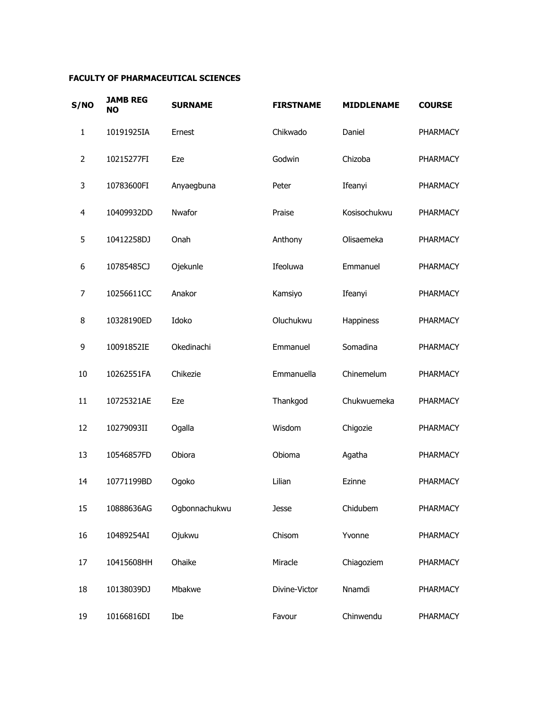## **FACULTY OF PHARMACEUTICAL SCIENCES**

| S/NO | <b>JAMB REG</b><br><b>NO</b> | <b>SURNAME</b> | <b>FIRSTNAME</b> | <b>MIDDLENAME</b> | <b>COURSE</b>   |
|------|------------------------------|----------------|------------------|-------------------|-----------------|
| 1    | 10191925IA                   | Ernest         | Chikwado         | Daniel            | <b>PHARMACY</b> |
| 2    | 10215277FI                   | Eze            | Godwin           | Chizoba           | <b>PHARMACY</b> |
| 3    | 10783600FI                   | Anyaegbuna     | Peter            | Ifeanyi           | PHARMACY        |
| 4    | 10409932DD                   | Nwafor         | Praise           | Kosisochukwu      | <b>PHARMACY</b> |
| 5    | 10412258DJ                   | Onah           | Anthony          | Olisaemeka        | <b>PHARMACY</b> |
| 6    | 10785485CJ                   | Ojekunle       | Ifeoluwa         | Emmanuel          | <b>PHARMACY</b> |
| 7    | 10256611CC                   | Anakor         | Kamsiyo          | Ifeanyi           | PHARMACY        |
| 8    | 10328190ED                   | Idoko          | Oluchukwu        | Happiness         | PHARMACY        |
| 9    | 10091852IE                   | Okedinachi     | Emmanuel         | Somadina          | PHARMACY        |
| 10   | 10262551FA                   | Chikezie       | Emmanuella       | Chinemelum        | <b>PHARMACY</b> |
| 11   | 10725321AE                   | Eze            | Thankgod         | Chukwuemeka       | PHARMACY        |
| 12   | 10279093II                   | Ogalla         | Wisdom           | Chigozie          | PHARMACY        |
| 13   | 10546857FD                   | Obiora         | Obioma           | Agatha            | PHARMACY        |
| 14   | 10771199BD                   | Ogoko          | Lilian           | Ezinne            | PHARMACY        |
| 15   | 10888636AG                   | Ogbonnachukwu  | Jesse            | Chidubem          | PHARMACY        |
| 16   | 10489254AI                   | Ojukwu         | Chisom           | Yvonne            | PHARMACY        |
| 17   | 10415608HH                   | Ohaike         | Miracle          | Chiagoziem        | PHARMACY        |
| 18   | 10138039DJ                   | Mbakwe         | Divine-Victor    | Nnamdi            | PHARMACY        |
| 19   | 10166816DI                   | Ibe            | Favour           | Chinwendu         | PHARMACY        |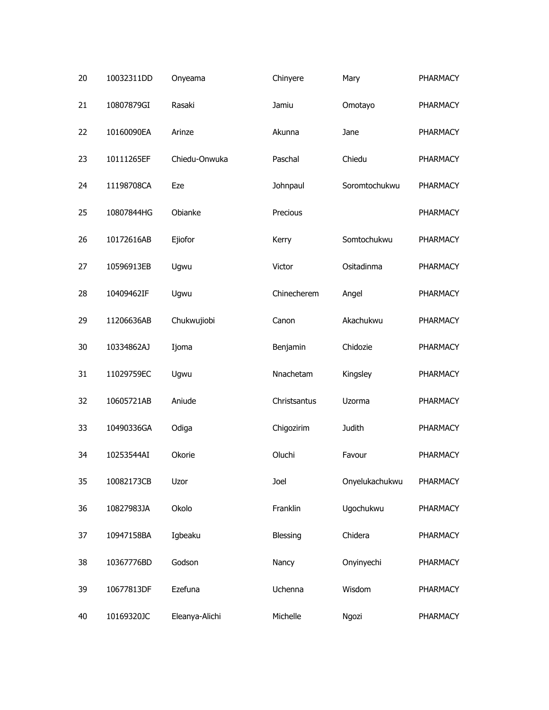| 20 | 10032311DD | Onyeama        | Chinyere     | Mary           | PHARMACY |
|----|------------|----------------|--------------|----------------|----------|
| 21 | 10807879GI | Rasaki         | Jamiu        | Omotayo        | PHARMACY |
| 22 | 10160090EA | Arinze         | Akunna       | Jane           | PHARMACY |
| 23 | 10111265EF | Chiedu-Onwuka  | Paschal      | Chiedu         | PHARMACY |
| 24 | 11198708CA | Eze            | Johnpaul     | Soromtochukwu  | PHARMACY |
| 25 | 10807844HG | Obianke        | Precious     |                | PHARMACY |
| 26 | 10172616AB | Ejiofor        | Kerry        | Somtochukwu    | PHARMACY |
| 27 | 10596913EB | Ugwu           | Victor       | Ositadinma     | PHARMACY |
| 28 | 10409462IF | Ugwu           | Chinecherem  | Angel          | PHARMACY |
| 29 | 11206636AB | Chukwujiobi    | Canon        | Akachukwu      | PHARMACY |
| 30 | 10334862AJ | Ijoma          | Benjamin     | Chidozie       | PHARMACY |
| 31 | 11029759EC | Ugwu           | Nnachetam    | Kingsley       | PHARMACY |
| 32 | 10605721AB | Aniude         | Christsantus | Uzorma         | PHARMACY |
| 33 | 10490336GA | Odiga          | Chigozirim   | Judith         | PHARMACY |
| 34 | 10253544AI | Okorie         | Oluchi       | Favour         | PHARMACY |
| 35 | 10082173CB | Uzor           | Joel         | Onyelukachukwu | PHARMACY |
| 36 | 10827983JA | Okolo          | Franklin     | Ugochukwu      | PHARMACY |
| 37 | 10947158BA | Igbeaku        | Blessing     | Chidera        | PHARMACY |
| 38 | 10367776BD | Godson         | Nancy        | Onyinyechi     | PHARMACY |
| 39 | 10677813DF | Ezefuna        | Uchenna      | Wisdom         | PHARMACY |
| 40 | 10169320JC | Eleanya-Alichi | Michelle     | Ngozi          | PHARMACY |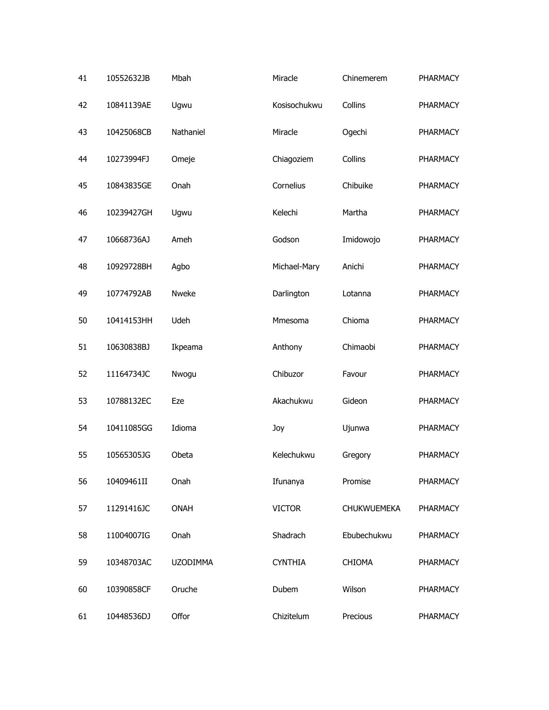| 41 | 10552632JB | Mbah            | Miracle        | Chinemerem         | PHARMACY        |
|----|------------|-----------------|----------------|--------------------|-----------------|
| 42 | 10841139AE | Ugwu            | Kosisochukwu   | Collins            | PHARMACY        |
| 43 | 10425068CB | Nathaniel       | Miracle        | Ogechi             | PHARMACY        |
| 44 | 10273994FJ | Omeje           | Chiagoziem     | Collins            | PHARMACY        |
| 45 | 10843835GE | Onah            | Cornelius      | Chibuike           | PHARMACY        |
| 46 | 10239427GH | Ugwu            | Kelechi        | Martha             | PHARMACY        |
| 47 | 10668736AJ | Ameh            | Godson         | Imidowojo          | PHARMACY        |
| 48 | 10929728BH | Agbo            | Michael-Mary   | Anichi             | PHARMACY        |
| 49 | 10774792AB | Nweke           | Darlington     | Lotanna            | PHARMACY        |
| 50 | 10414153HH | Udeh            | Mmesoma        | Chioma             | PHARMACY        |
| 51 | 10630838BJ | Ikpeama         | Anthony        | Chimaobi           | PHARMACY        |
| 52 | 11164734JC | Nwogu           | Chibuzor       | Favour             | PHARMACY        |
| 53 | 10788132EC | Eze             | Akachukwu      | Gideon             | PHARMACY        |
| 54 | 10411085GG | Idioma          | Joy            | Ujunwa             | PHARMACY        |
| 55 | 10565305JG | Obeta           | Kelechukwu     | Gregory            | <b>PHARMACY</b> |
| 56 | 10409461II | Onah            | Ifunanya       | Promise            | PHARMACY        |
| 57 | 11291416JC | <b>ONAH</b>     | <b>VICTOR</b>  | <b>CHUKWUEMEKA</b> | PHARMACY        |
| 58 | 11004007IG | Onah            | Shadrach       | Ebubechukwu        | PHARMACY        |
| 59 | 10348703AC | <b>UZODIMMA</b> | <b>CYNTHIA</b> | <b>CHIOMA</b>      | PHARMACY        |
| 60 | 10390858CF | Oruche          | Dubem          | Wilson             | PHARMACY        |
| 61 | 10448536DJ | Offor           | Chizitelum     | Precious           | PHARMACY        |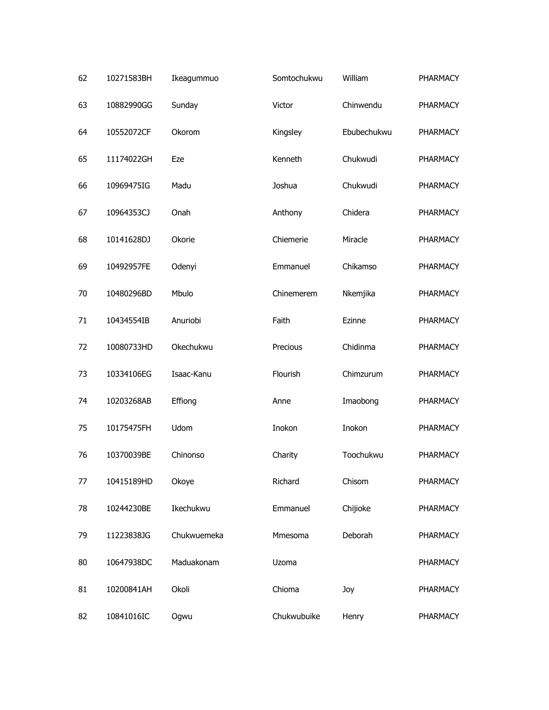| 62 | 10271583BH | Ikeagummuo  | Somtochukwu | William     | PHARMACY |
|----|------------|-------------|-------------|-------------|----------|
| 63 | 10882990GG | Sunday      | Victor      | Chinwendu   | PHARMACY |
| 64 | 10552072CF | Okorom      | Kingsley    | Ebubechukwu | PHARMACY |
| 65 | 11174022GH | Eze         | Kenneth     | Chukwudi    | PHARMACY |
| 66 | 10969475IG | Madu        | Joshua      | Chukwudi    | PHARMACY |
| 67 | 10964353CJ | Onah        | Anthony     | Chidera     | PHARMACY |
| 68 | 10141628DJ | Okorie      | Chiemerie   | Miracle     | PHARMACY |
| 69 | 10492957FE | Odenyi      | Emmanuel    | Chikamso    | PHARMACY |
| 70 | 10480296BD | Mbulo       | Chinemerem  | Nkemjika    | PHARMACY |
| 71 | 10434554IB | Anuriobi    | Faith       | Ezinne      | PHARMACY |
| 72 | 10080733HD | Okechukwu   | Precious    | Chidinma    | PHARMACY |
| 73 | 10334106EG | Isaac-Kanu  | Flourish    | Chimzurum   | PHARMACY |
| 74 | 10203268AB | Effiong     | Anne        | Imaobong    | PHARMACY |
| 75 | 10175475FH | Udom        | Inokon      | Inokon      | PHARMACY |
| 76 | 10370039BE | Chinonso    | Charity     | Toochukwu   | PHARMACY |
| 77 | 10415189HD | Okoye       | Richard     | Chisom      | PHARMACY |
| 78 | 10244230BE | Ikechukwu   | Emmanuel    | Chijioke    | PHARMACY |
| 79 | 11223838JG | Chukwuemeka | Mmesoma     | Deborah     | PHARMACY |
| 80 | 10647938DC | Maduakonam  | Uzoma       |             | PHARMACY |
| 81 | 10200841AH | Okoli       | Chioma      | Joy         | PHARMACY |
| 82 | 10841016IC | Ogwu        | Chukwubuike | Henry       | PHARMACY |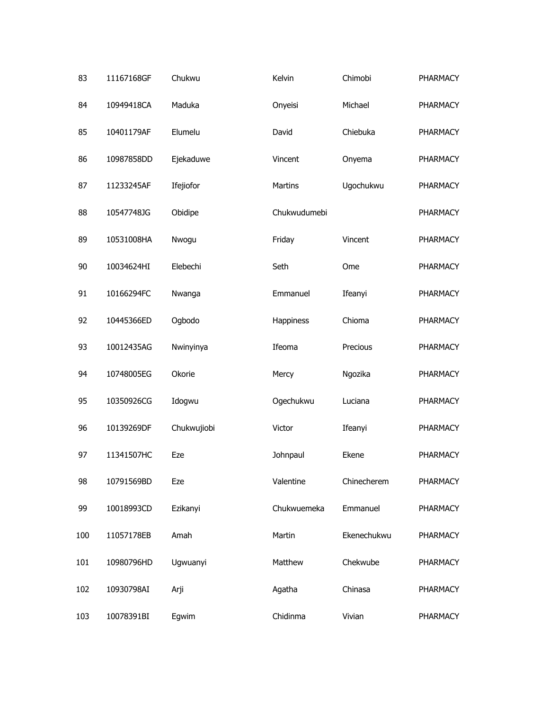| 83  | 11167168GF | Chukwu      | Kelvin       | Chimobi     | <b>PHARMACY</b> |
|-----|------------|-------------|--------------|-------------|-----------------|
| 84  | 10949418CA | Maduka      | Onyeisi      | Michael     | <b>PHARMACY</b> |
| 85  | 10401179AF | Elumelu     | David        | Chiebuka    | <b>PHARMACY</b> |
| 86  | 10987858DD | Ejekaduwe   | Vincent      | Onyema      | PHARMACY        |
| 87  | 11233245AF | Ifejiofor   | Martins      | Ugochukwu   | PHARMACY        |
| 88  | 10547748JG | Obidipe     | Chukwudumebi |             | <b>PHARMACY</b> |
| 89  | 10531008HA | Nwogu       | Friday       | Vincent     | PHARMACY        |
| 90  | 10034624HI | Elebechi    | Seth         | Ome         | PHARMACY        |
| 91  | 10166294FC | Nwanga      | Emmanuel     | Ifeanyi     | PHARMACY        |
| 92  | 10445366ED | Ogbodo      | Happiness    | Chioma      | PHARMACY        |
| 93  | 10012435AG | Nwinyinya   | Ifeoma       | Precious    | PHARMACY        |
| 94  | 10748005EG | Okorie      | Mercy        | Ngozika     | PHARMACY        |
| 95  | 10350926CG | Idogwu      | Ogechukwu    | Luciana     | PHARMACY        |
| 96  | 10139269DF | Chukwujiobi | Victor       | Ifeanyi     | PHARMACY        |
| 97  | 11341507HC | Eze         | Johnpaul     | Ekene       | <b>PHARMACY</b> |
| 98  | 10791569BD | Eze         | Valentine    | Chinecherem | PHARMACY        |
| 99  | 10018993CD | Ezikanyi    | Chukwuemeka  | Emmanuel    | PHARMACY        |
| 100 | 11057178EB | Amah        | Martin       | Ekenechukwu | PHARMACY        |
| 101 | 10980796HD | Ugwuanyi    | Matthew      | Chekwube    | PHARMACY        |
| 102 | 10930798AI | Arji        | Agatha       | Chinasa     | PHARMACY        |
| 103 | 10078391BI | Egwim       | Chidinma     | Vivian      | PHARMACY        |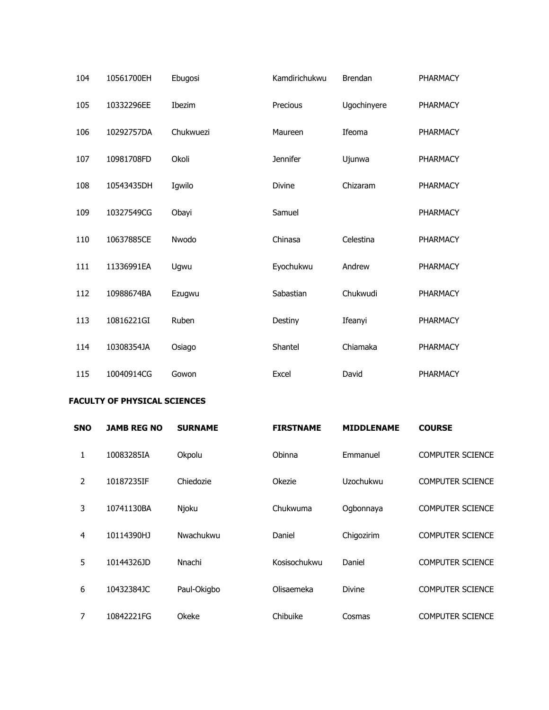| 104 | 10561700EH | Ebugosi   | Kamdirichukwu   | <b>Brendan</b> | <b>PHARMACY</b> |
|-----|------------|-----------|-----------------|----------------|-----------------|
| 105 | 10332296EE | Ibezim    | Precious        | Ugochinyere    | <b>PHARMACY</b> |
| 106 | 10292757DA | Chukwuezi | Maureen         | Ifeoma         | <b>PHARMACY</b> |
| 107 | 10981708FD | Okoli     | <b>Jennifer</b> | Ujunwa         | <b>PHARMACY</b> |
| 108 | 10543435DH | Igwilo    | Divine          | Chizaram       | PHARMACY        |
| 109 | 10327549CG | Obayi     | Samuel          |                | <b>PHARMACY</b> |
| 110 | 10637885CE | Nwodo     | Chinasa         | Celestina      | <b>PHARMACY</b> |
| 111 | 11336991EA | Ugwu      | Eyochukwu       | Andrew         | <b>PHARMACY</b> |
| 112 | 10988674BA | Ezugwu    | Sabastian       | Chukwudi       | <b>PHARMACY</b> |
| 113 | 10816221GI | Ruben     | Destiny         | Ifeanyi        | <b>PHARMACY</b> |
| 114 | 10308354JA | Osiago    | Shantel         | Chiamaka       | <b>PHARMACY</b> |
| 115 | 10040914CG | Gowon     | Excel           | David          | <b>PHARMACY</b> |

## **FACULTY OF PHYSICAL SCIENCES**

| <b>SNO</b>     | <b>JAMB REG NO</b> | <b>SURNAME</b> | <b>FIRSTNAME</b> | <b>MIDDLENAME</b> | <b>COURSE</b>           |
|----------------|--------------------|----------------|------------------|-------------------|-------------------------|
| 1              | 10083285IA         | Okpolu         | Obinna           | Emmanuel          | <b>COMPUTER SCIENCE</b> |
| 2              | 10187235IF         | Chiedozie      | Okezie           | Uzochukwu         | <b>COMPUTER SCIENCE</b> |
| 3              | 10741130BA         | Njoku          | Chukwuma         | Ogbonnaya         | <b>COMPUTER SCIENCE</b> |
| $\overline{a}$ | 10114390HJ         | Nwachukwu      | Daniel           | Chigozirim        | <b>COMPUTER SCIENCE</b> |
| 5              | 10144326JD         | Nnachi         | Kosisochukwu     | Daniel            | <b>COMPUTER SCIENCE</b> |
| 6              | 10432384JC         | Paul-Okigbo    | Olisaemeka       | <b>Divine</b>     | <b>COMPUTER SCIENCE</b> |
| 7              | 10842221FG         | Okeke          | Chibuike         | Cosmas            | <b>COMPUTER SCIENCE</b> |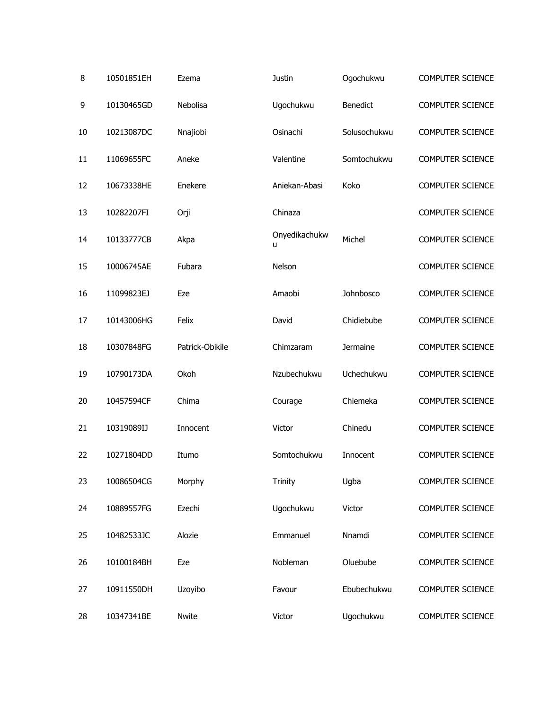| 8  | 10501851EH | Ezema           | Justin             | Ogochukwu       | <b>COMPUTER SCIENCE</b> |
|----|------------|-----------------|--------------------|-----------------|-------------------------|
| 9  | 10130465GD | Nebolisa        | Ugochukwu          | Benedict        | <b>COMPUTER SCIENCE</b> |
| 10 | 10213087DC | Nnajiobi        | Osinachi           | Solusochukwu    | <b>COMPUTER SCIENCE</b> |
| 11 | 11069655FC | Aneke           | Valentine          | Somtochukwu     | <b>COMPUTER SCIENCE</b> |
| 12 | 10673338HE | Enekere         | Aniekan-Abasi      | Koko            | <b>COMPUTER SCIENCE</b> |
| 13 | 10282207FI | Orji            | Chinaza            |                 | <b>COMPUTER SCIENCE</b> |
| 14 | 10133777CB | Akpa            | Onyedikachukw<br>u | Michel          | <b>COMPUTER SCIENCE</b> |
| 15 | 10006745AE | Fubara          | Nelson             |                 | <b>COMPUTER SCIENCE</b> |
| 16 | 11099823EJ | Eze             | Amaobi             | Johnbosco       | COMPUTER SCIENCE        |
| 17 | 10143006HG | Felix           | David              | Chidiebube      | <b>COMPUTER SCIENCE</b> |
| 18 | 10307848FG | Patrick-Obikile | Chimzaram          | <b>Jermaine</b> | <b>COMPUTER SCIENCE</b> |
| 19 | 10790173DA | Okoh            | Nzubechukwu        | Uchechukwu      | <b>COMPUTER SCIENCE</b> |
| 20 | 10457594CF | Chima           | Courage            | Chiemeka        | <b>COMPUTER SCIENCE</b> |
| 21 | 10319089IJ | Innocent        | Victor             | Chinedu         | <b>COMPUTER SCIENCE</b> |
| 22 | 10271804DD | Itumo           | Somtochukwu        | Innocent        | <b>COMPUTER SCIENCE</b> |
| 23 | 10086504CG | Morphy          | Trinity            | Ugba            | <b>COMPUTER SCIENCE</b> |
| 24 | 10889557FG | Ezechi          | Ugochukwu          | Victor          | <b>COMPUTER SCIENCE</b> |
| 25 | 10482533JC | Alozie          | Emmanuel           | Nnamdi          | <b>COMPUTER SCIENCE</b> |
| 26 | 10100184BH | Eze             | Nobleman           | Oluebube        | <b>COMPUTER SCIENCE</b> |
| 27 | 10911550DH | Uzoyibo         | Favour             | Ebubechukwu     | <b>COMPUTER SCIENCE</b> |
| 28 | 10347341BE | Nwite           | Victor             | Ugochukwu       | <b>COMPUTER SCIENCE</b> |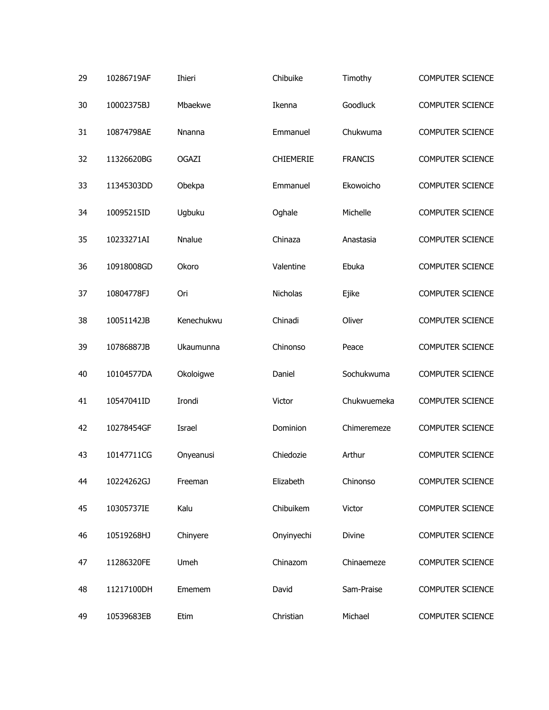| 29 | 10286719AF | Ihieri       | Chibuike   | Timothy        | <b>COMPUTER SCIENCE</b> |
|----|------------|--------------|------------|----------------|-------------------------|
| 30 | 10002375BJ | Mbaekwe      | Ikenna     | Goodluck       | <b>COMPUTER SCIENCE</b> |
| 31 | 10874798AE | Nnanna       | Emmanuel   | Chukwuma       | <b>COMPUTER SCIENCE</b> |
| 32 | 11326620BG | <b>OGAZI</b> | CHIEMERIE  | <b>FRANCIS</b> | <b>COMPUTER SCIENCE</b> |
| 33 | 11345303DD | Obekpa       | Emmanuel   | Ekowoicho      | <b>COMPUTER SCIENCE</b> |
| 34 | 10095215ID | Ugbuku       | Oghale     | Michelle       | <b>COMPUTER SCIENCE</b> |
| 35 | 10233271AI | Nnalue       | Chinaza    | Anastasia      | <b>COMPUTER SCIENCE</b> |
| 36 | 10918008GD | Okoro        | Valentine  | Ebuka          | <b>COMPUTER SCIENCE</b> |
| 37 | 10804778FJ | Ori          | Nicholas   | Ejike          | <b>COMPUTER SCIENCE</b> |
| 38 | 10051142JB | Kenechukwu   | Chinadi    | Oliver         | <b>COMPUTER SCIENCE</b> |
| 39 | 10786887JB | Ukaumunna    | Chinonso   | Peace          | <b>COMPUTER SCIENCE</b> |
| 40 | 10104577DA | Okoloigwe    | Daniel     | Sochukwuma     | <b>COMPUTER SCIENCE</b> |
| 41 | 10547041ID | Irondi       | Victor     | Chukwuemeka    | <b>COMPUTER SCIENCE</b> |
| 42 | 10278454GF | Israel       | Dominion   | Chimeremeze    | <b>COMPUTER SCIENCE</b> |
| 43 | 10147711CG | Onyeanusi    | Chiedozie  | Arthur         | <b>COMPUTER SCIENCE</b> |
| 44 | 10224262GJ | Freeman      | Elizabeth  | Chinonso       | <b>COMPUTER SCIENCE</b> |
| 45 | 10305737IE | Kalu         | Chibuikem  | Victor         | <b>COMPUTER SCIENCE</b> |
| 46 | 10519268HJ | Chinyere     | Onyinyechi | Divine         | <b>COMPUTER SCIENCE</b> |
| 47 | 11286320FE | Umeh         | Chinazom   | Chinaemeze     | <b>COMPUTER SCIENCE</b> |
| 48 | 11217100DH | Ememem       | David      | Sam-Praise     | <b>COMPUTER SCIENCE</b> |
| 49 | 10539683EB | Etim         | Christian  | Michael        | <b>COMPUTER SCIENCE</b> |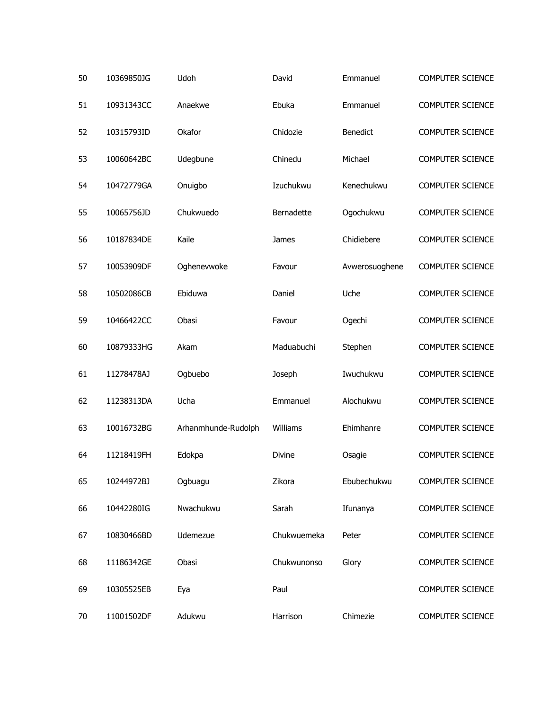| 50 | 10369850JG | Udoh                | David       | Emmanuel       | <b>COMPUTER SCIENCE</b> |
|----|------------|---------------------|-------------|----------------|-------------------------|
| 51 | 10931343CC | Anaekwe             | Ebuka       | Emmanuel       | <b>COMPUTER SCIENCE</b> |
| 52 | 10315793ID | Okafor              | Chidozie    | Benedict       | <b>COMPUTER SCIENCE</b> |
| 53 | 10060642BC | Udegbune            | Chinedu     | Michael        | <b>COMPUTER SCIENCE</b> |
| 54 | 10472779GA | Onuigbo             | Izuchukwu   | Kenechukwu     | <b>COMPUTER SCIENCE</b> |
| 55 | 10065756JD | Chukwuedo           | Bernadette  | Ogochukwu      | <b>COMPUTER SCIENCE</b> |
| 56 | 10187834DE | Kaile               | James       | Chidiebere     | <b>COMPUTER SCIENCE</b> |
| 57 | 10053909DF | Oghenevwoke         | Favour      | Avwerosuoghene | <b>COMPUTER SCIENCE</b> |
| 58 | 10502086CB | Ebiduwa             | Daniel      | Uche           | <b>COMPUTER SCIENCE</b> |
| 59 | 10466422CC | Obasi               | Favour      | Ogechi         | <b>COMPUTER SCIENCE</b> |
| 60 | 10879333HG | Akam                | Maduabuchi  | Stephen        | <b>COMPUTER SCIENCE</b> |
| 61 | 11278478AJ | Ogbuebo             | Joseph      | Iwuchukwu      | <b>COMPUTER SCIENCE</b> |
| 62 | 11238313DA | Ucha                | Emmanuel    | Alochukwu      | <b>COMPUTER SCIENCE</b> |
| 63 | 10016732BG | Arhanmhunde-Rudolph | Williams    | Ehimhanre      | <b>COMPUTER SCIENCE</b> |
| 64 | 11218419FH | Edokpa              | Divine      | Osagie         | <b>COMPUTER SCIENCE</b> |
| 65 | 10244972BJ | Ogbuagu             | Zikora      | Ebubechukwu    | <b>COMPUTER SCIENCE</b> |
| 66 | 10442280IG | Nwachukwu           | Sarah       | Ifunanya       | <b>COMPUTER SCIENCE</b> |
| 67 | 10830466BD | Udemezue            | Chukwuemeka | Peter          | COMPUTER SCIENCE        |
| 68 | 11186342GE | Obasi               | Chukwunonso | Glory          | COMPUTER SCIENCE        |
| 69 | 10305525EB | Eya                 | Paul        |                | <b>COMPUTER SCIENCE</b> |
| 70 | 11001502DF | Adukwu              | Harrison    | Chimezie       | COMPUTER SCIENCE        |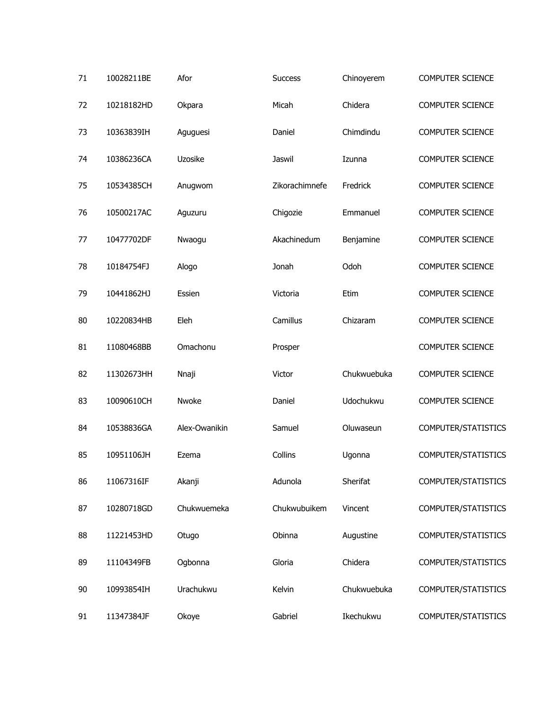| 71 | 10028211BE | Afor          | <b>Success</b> | Chinoyerem  | <b>COMPUTER SCIENCE</b> |
|----|------------|---------------|----------------|-------------|-------------------------|
| 72 | 10218182HD | Okpara        | Micah          | Chidera     | <b>COMPUTER SCIENCE</b> |
| 73 | 10363839IH | Aguguesi      | Daniel         | Chimdindu   | <b>COMPUTER SCIENCE</b> |
| 74 | 10386236CA | Uzosike       | Jaswil         | Izunna      | <b>COMPUTER SCIENCE</b> |
| 75 | 10534385CH | Anugwom       | Zikorachimnefe | Fredrick    | <b>COMPUTER SCIENCE</b> |
| 76 | 10500217AC | Aguzuru       | Chigozie       | Emmanuel    | <b>COMPUTER SCIENCE</b> |
| 77 | 10477702DF | Nwaogu        | Akachinedum    | Benjamine   | <b>COMPUTER SCIENCE</b> |
| 78 | 10184754FJ | Alogo         | Jonah          | Odoh        | <b>COMPUTER SCIENCE</b> |
| 79 | 10441862HJ | Essien        | Victoria       | Etim        | <b>COMPUTER SCIENCE</b> |
| 80 | 10220834HB | Eleh          | Camillus       | Chizaram    | <b>COMPUTER SCIENCE</b> |
| 81 | 11080468BB | Omachonu      | Prosper        |             | <b>COMPUTER SCIENCE</b> |
| 82 | 11302673HH | Nnaji         | Victor         | Chukwuebuka | <b>COMPUTER SCIENCE</b> |
| 83 | 10090610CH | Nwoke         | Daniel         | Udochukwu   | <b>COMPUTER SCIENCE</b> |
| 84 | 10538836GA | Alex-Owanikin | Samuel         | Oluwaseun   | COMPUTER/STATISTICS     |
| 85 | 10951106JH | Ezema         | Collins        | Ugonna      | COMPUTER/STATISTICS     |
| 86 | 11067316IF | Akanji        | Adunola        | Sherifat    | COMPUTER/STATISTICS     |
| 87 | 10280718GD | Chukwuemeka   | Chukwubuikem   | Vincent     | COMPUTER/STATISTICS     |
| 88 | 11221453HD | Otugo         | Obinna         | Augustine   | COMPUTER/STATISTICS     |
| 89 | 11104349FB | Ogbonna       | Gloria         | Chidera     | COMPUTER/STATISTICS     |
| 90 | 10993854IH | Urachukwu     | Kelvin         | Chukwuebuka | COMPUTER/STATISTICS     |
| 91 | 11347384JF | Okoye         | Gabriel        | Ikechukwu   | COMPUTER/STATISTICS     |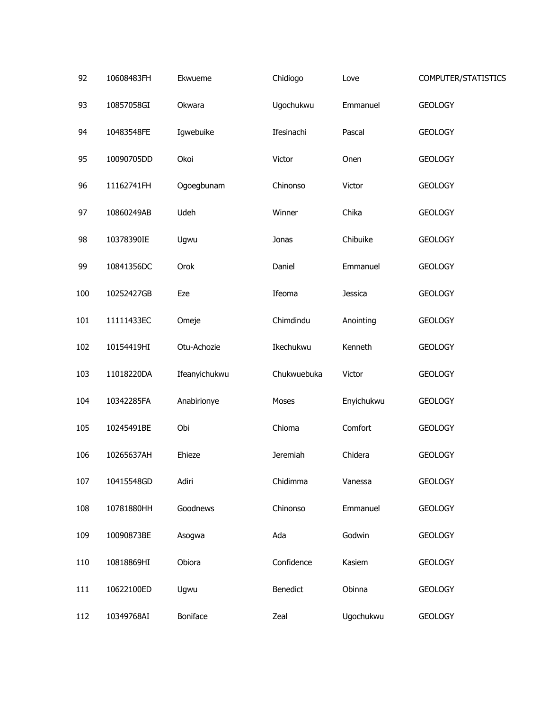| 92  | 10608483FH | Ekwueme       | Chidiogo        | Love       | COMPUTER/STATISTICS |
|-----|------------|---------------|-----------------|------------|---------------------|
| 93  | 10857058GI | Okwara        | Ugochukwu       | Emmanuel   | <b>GEOLOGY</b>      |
| 94  | 10483548FE | Igwebuike     | Ifesinachi      | Pascal     | <b>GEOLOGY</b>      |
| 95  | 10090705DD | Okoi          | Victor          | Onen       | <b>GEOLOGY</b>      |
| 96  | 11162741FH | Ogoegbunam    | Chinonso        | Victor     | <b>GEOLOGY</b>      |
| 97  | 10860249AB | Udeh          | Winner          | Chika      | <b>GEOLOGY</b>      |
| 98  | 10378390IE | Ugwu          | Jonas           | Chibuike   | <b>GEOLOGY</b>      |
| 99  | 10841356DC | Orok          | Daniel          | Emmanuel   | <b>GEOLOGY</b>      |
| 100 | 10252427GB | Eze           | Ifeoma          | Jessica    | <b>GEOLOGY</b>      |
| 101 | 11111433EC | Omeje         | Chimdindu       | Anointing  | <b>GEOLOGY</b>      |
| 102 | 10154419HI | Otu-Achozie   | Ikechukwu       | Kenneth    | <b>GEOLOGY</b>      |
| 103 | 11018220DA | Ifeanyichukwu | Chukwuebuka     | Victor     | <b>GEOLOGY</b>      |
| 104 | 10342285FA | Anabirionye   | Moses           | Enyichukwu | <b>GEOLOGY</b>      |
| 105 | 10245491BE | Obi           | Chioma          | Comfort    | <b>GEOLOGY</b>      |
| 106 | 10265637AH | Ehieze        | <b>Jeremiah</b> | Chidera    | <b>GEOLOGY</b>      |
| 107 | 10415548GD | Adiri         | Chidimma        | Vanessa    | <b>GEOLOGY</b>      |
| 108 | 10781880HH | Goodnews      | Chinonso        | Emmanuel   | <b>GEOLOGY</b>      |
| 109 | 10090873BE | Asogwa        | Ada             | Godwin     | <b>GEOLOGY</b>      |
| 110 | 10818869HI | Obiora        | Confidence      | Kasiem     | <b>GEOLOGY</b>      |
| 111 | 10622100ED | Ugwu          | Benedict        | Obinna     | <b>GEOLOGY</b>      |
| 112 | 10349768AI | Boniface      | Zeal            | Ugochukwu  | <b>GEOLOGY</b>      |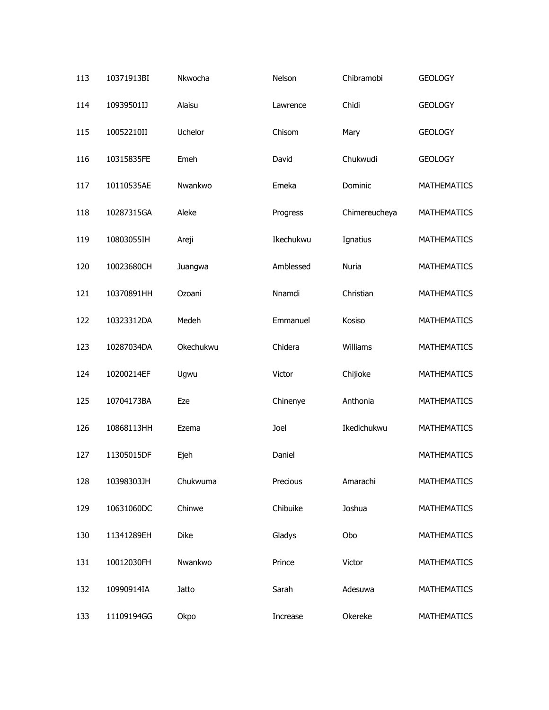| 113 | 10371913BI | Nkwocha   | Nelson    | Chibramobi    | <b>GEOLOGY</b>     |
|-----|------------|-----------|-----------|---------------|--------------------|
| 114 | 10939501IJ | Alaisu    | Lawrence  | Chidi         | <b>GEOLOGY</b>     |
| 115 | 10052210II | Uchelor   | Chisom    | Mary          | <b>GEOLOGY</b>     |
| 116 | 10315835FE | Emeh      | David     | Chukwudi      | <b>GEOLOGY</b>     |
| 117 | 10110535AE | Nwankwo   | Emeka     | Dominic       | <b>MATHEMATICS</b> |
| 118 | 10287315GA | Aleke     | Progress  | Chimereucheya | <b>MATHEMATICS</b> |
| 119 | 10803055IH | Areji     | Ikechukwu | Ignatius      | <b>MATHEMATICS</b> |
| 120 | 10023680CH | Juangwa   | Amblessed | Nuria         | <b>MATHEMATICS</b> |
| 121 | 10370891HH | Ozoani    | Nnamdi    | Christian     | <b>MATHEMATICS</b> |
| 122 | 10323312DA | Medeh     | Emmanuel  | Kosiso        | <b>MATHEMATICS</b> |
| 123 | 10287034DA | Okechukwu | Chidera   | Williams      | <b>MATHEMATICS</b> |
| 124 | 10200214EF | Ugwu      | Victor    | Chijioke      | <b>MATHEMATICS</b> |
| 125 | 10704173BA | Eze       | Chinenye  | Anthonia      | <b>MATHEMATICS</b> |
| 126 | 10868113HH | Ezema     | Joel      | Ikedichukwu   | <b>MATHEMATICS</b> |
| 127 | 11305015DF | Ejeh      | Daniel    |               | <b>MATHEMATICS</b> |
| 128 | 10398303JH | Chukwuma  | Precious  | Amarachi      | <b>MATHEMATICS</b> |
| 129 | 10631060DC | Chinwe    | Chibuike  | Joshua        | <b>MATHEMATICS</b> |
| 130 | 11341289EH | Dike      | Gladys    | Obo           | MATHEMATICS        |
| 131 | 10012030FH | Nwankwo   | Prince    | Victor        | <b>MATHEMATICS</b> |
| 132 | 10990914IA | Jatto     | Sarah     | Adesuwa       | MATHEMATICS        |
| 133 | 11109194GG | Okpo      | Increase  | Okereke       | MATHEMATICS        |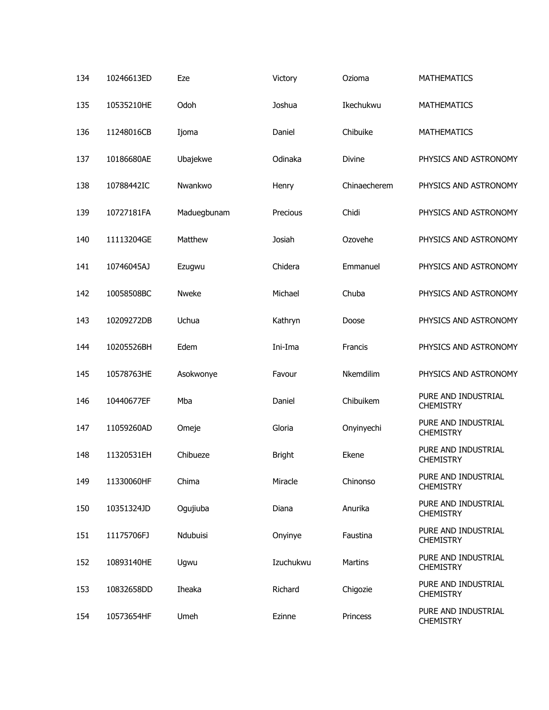| 134 | 10246613ED | Eze          | Victory       | Ozioma       | <b>MATHEMATICS</b>                      |
|-----|------------|--------------|---------------|--------------|-----------------------------------------|
| 135 | 10535210HE | Odoh         | Joshua        | Ikechukwu    | <b>MATHEMATICS</b>                      |
| 136 | 11248016CB | Ijoma        | Daniel        | Chibuike     | <b>MATHEMATICS</b>                      |
| 137 | 10186680AE | Ubajekwe     | Odinaka       | Divine       | PHYSICS AND ASTRONOMY                   |
| 138 | 10788442IC | Nwankwo      | Henry         | Chinaecherem | PHYSICS AND ASTRONOMY                   |
| 139 | 10727181FA | Maduegbunam  | Precious      | Chidi        | PHYSICS AND ASTRONOMY                   |
| 140 | 11113204GE | Matthew      | Josiah        | Ozovehe      | PHYSICS AND ASTRONOMY                   |
| 141 | 10746045AJ | Ezugwu       | Chidera       | Emmanuel     | PHYSICS AND ASTRONOMY                   |
| 142 | 10058508BC | <b>Nweke</b> | Michael       | Chuba        | PHYSICS AND ASTRONOMY                   |
| 143 | 10209272DB | Uchua        | Kathryn       | Doose        | PHYSICS AND ASTRONOMY                   |
| 144 | 10205526BH | Edem         | Ini-Ima       | Francis      | PHYSICS AND ASTRONOMY                   |
| 145 | 10578763HE | Asokwonye    | Favour        | Nkemdilim    | PHYSICS AND ASTRONOMY                   |
| 146 | 10440677EF | Mba          | Daniel        | Chibuikem    | PURE AND INDUSTRIAL<br><b>CHEMISTRY</b> |
| 147 | 11059260AD | Omeje        | Gloria        | Onyinyechi   | PURE AND INDUSTRIAL<br><b>CHEMISTRY</b> |
| 148 | 11320531EH | Chibueze     | <b>Bright</b> | Ekene        | PURE AND INDUSTRIAL<br><b>CHEMISTRY</b> |
| 149 | 11330060HF | Chima        | Miracle       | Chinonso     | PURE AND INDUSTRIAL<br><b>CHEMISTRY</b> |
| 150 | 10351324JD | Ogujiuba     | Diana         | Anurika      | PURE AND INDUSTRIAL<br><b>CHEMISTRY</b> |
| 151 | 11175706FJ | Ndubuisi     | Onyinye       | Faustina     | PURE AND INDUSTRIAL<br><b>CHEMISTRY</b> |
| 152 | 10893140HE | Ugwu         | Izuchukwu     | Martins      | PURE AND INDUSTRIAL<br><b>CHEMISTRY</b> |
| 153 | 10832658DD | Iheaka       | Richard       | Chigozie     | PURE AND INDUSTRIAL<br><b>CHEMISTRY</b> |
| 154 | 10573654HF | Umeh         | Ezinne        | Princess     | PURE AND INDUSTRIAL<br><b>CHEMISTRY</b> |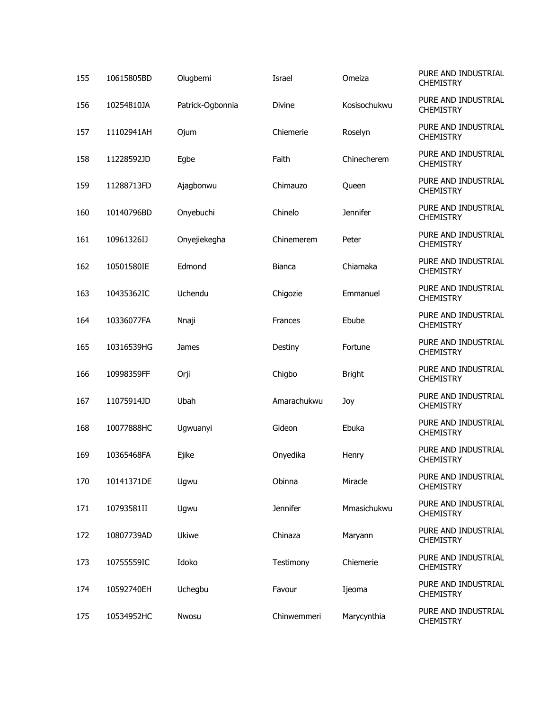| 155 | 10615805BD | Olugbemi         | Israel        | Omeiza        | PURE AND INDUSTRIAL<br><b>CHEMISTRY</b> |
|-----|------------|------------------|---------------|---------------|-----------------------------------------|
| 156 | 10254810JA | Patrick-Ogbonnia | <b>Divine</b> | Kosisochukwu  | PURE AND INDUSTRIAL<br><b>CHEMISTRY</b> |
| 157 | 11102941AH | Ojum             | Chiemerie     | Roselyn       | PURE AND INDUSTRIAL<br><b>CHEMISTRY</b> |
| 158 | 11228592JD | Egbe             | Faith         | Chinecherem   | PURE AND INDUSTRIAL<br><b>CHEMISTRY</b> |
| 159 | 11288713FD | Ajagbonwu        | Chimauzo      | Queen         | PURE AND INDUSTRIAL<br><b>CHEMISTRY</b> |
| 160 | 10140796BD | Onyebuchi        | Chinelo       | Jennifer      | PURE AND INDUSTRIAL<br><b>CHEMISTRY</b> |
| 161 | 10961326IJ | Onyejiekegha     | Chinemerem    | Peter         | PURE AND INDUSTRIAL<br><b>CHEMISTRY</b> |
| 162 | 10501580IE | Edmond           | Bianca        | Chiamaka      | PURE AND INDUSTRIAL<br><b>CHEMISTRY</b> |
| 163 | 10435362IC | Uchendu          | Chigozie      | Emmanuel      | PURE AND INDUSTRIAL<br><b>CHEMISTRY</b> |
| 164 | 10336077FA | Nnaji            | Frances       | Ebube         | PURE AND INDUSTRIAL<br><b>CHEMISTRY</b> |
| 165 | 10316539HG | James            | Destiny       | Fortune       | PURE AND INDUSTRIAL<br><b>CHEMISTRY</b> |
| 166 | 10998359FF | Orji             | Chigbo        | <b>Bright</b> | PURE AND INDUSTRIAL<br><b>CHEMISTRY</b> |
| 167 | 11075914JD | Ubah             | Amarachukwu   | Joy           | PURE AND INDUSTRIAL<br><b>CHEMISTRY</b> |
| 168 | 10077888HC | Ugwuanyi         | Gideon        | Ebuka         | PURE AND INDUSTRIAL<br><b>CHEMISTRY</b> |
| 169 | 10365468FA | Ejike            | Onyedika      | Henry         | PURE AND INDUSTRIAL<br><b>CHEMISTRY</b> |
| 170 | 10141371DE | Ugwu             | Obinna        | Miracle       | PURE AND INDUSTRIAL<br><b>CHEMISTRY</b> |
| 171 | 10793581II | Ugwu             | Jennifer      | Mmasichukwu   | PURE AND INDUSTRIAL<br><b>CHEMISTRY</b> |
| 172 | 10807739AD | <b>Ukiwe</b>     | Chinaza       | Maryann       | PURE AND INDUSTRIAL<br><b>CHEMISTRY</b> |
| 173 | 10755559IC | Idoko            | Testimony     | Chiemerie     | PURE AND INDUSTRIAL<br><b>CHEMISTRY</b> |
| 174 | 10592740EH | Uchegbu          | Favour        | Ijeoma        | PURE AND INDUSTRIAL<br><b>CHEMISTRY</b> |
| 175 | 10534952HC | Nwosu            | Chinwemmeri   | Marycynthia   | PURE AND INDUSTRIAL<br><b>CHEMISTRY</b> |
|     |            |                  |               |               |                                         |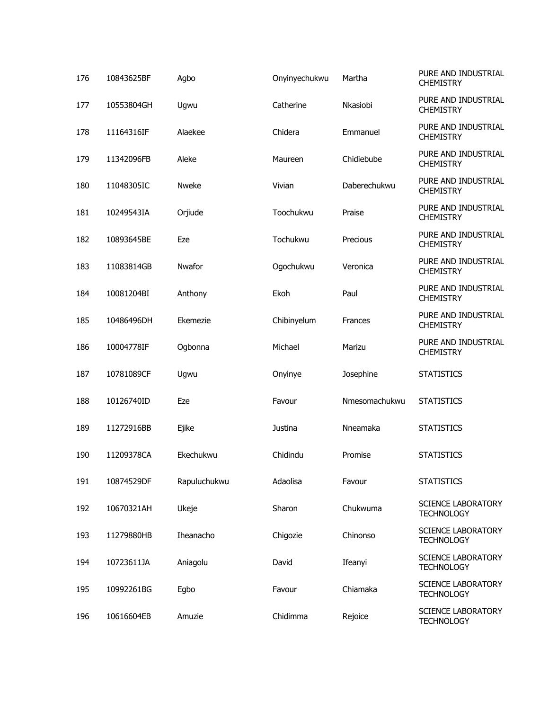| 176 | 10843625BF | Agbo         | Onyinyechukwu | Martha        | PURE AND INDUSTRIAL<br><b>CHEMISTRY</b>        |
|-----|------------|--------------|---------------|---------------|------------------------------------------------|
| 177 | 10553804GH | Ugwu         | Catherine     | Nkasiobi      | PURE AND INDUSTRIAL<br><b>CHEMISTRY</b>        |
| 178 | 11164316IF | Alaekee      | Chidera       | Emmanuel      | PURE AND INDUSTRIAL<br><b>CHEMISTRY</b>        |
| 179 | 11342096FB | Aleke        | Maureen       | Chidiebube    | PURE AND INDUSTRIAL<br><b>CHEMISTRY</b>        |
| 180 | 11048305IC | <b>Nweke</b> | Vivian        | Daberechukwu  | PURE AND INDUSTRIAL<br><b>CHEMISTRY</b>        |
| 181 | 10249543IA | Orjiude      | Toochukwu     | Praise        | PURE AND INDUSTRIAL<br><b>CHEMISTRY</b>        |
| 182 | 10893645BE | Eze          | Tochukwu      | Precious      | PURE AND INDUSTRIAL<br><b>CHEMISTRY</b>        |
| 183 | 11083814GB | Nwafor       | Ogochukwu     | Veronica      | PURE AND INDUSTRIAL<br><b>CHEMISTRY</b>        |
| 184 | 10081204BI | Anthony      | Ekoh          | Paul          | PURE AND INDUSTRIAL<br><b>CHEMISTRY</b>        |
| 185 | 10486496DH | Ekemezie     | Chibinyelum   | Frances       | PURE AND INDUSTRIAL<br><b>CHEMISTRY</b>        |
| 186 | 10004778IF | Ogbonna      | Michael       | Marizu        | PURE AND INDUSTRIAL<br><b>CHEMISTRY</b>        |
| 187 | 10781089CF | Ugwu         | Onyinye       | Josephine     | <b>STATISTICS</b>                              |
| 188 | 10126740ID | Eze          | Favour        | Nmesomachukwu | <b>STATISTICS</b>                              |
| 189 | 11272916BB | Ejike        | Justina       | Nneamaka      | <b>STATISTICS</b>                              |
| 190 | 11209378CA | Ekechukwu    | Chidindu      | Promise       | <b>STATISTICS</b>                              |
| 191 | 10874529DF | Rapuluchukwu | Adaolisa      | Favour        | <b>STATISTICS</b>                              |
| 192 | 10670321AH | Ukeje        | Sharon        | Chukwuma      | <b>SCIENCE LABORATORY</b><br><b>TECHNOLOGY</b> |
| 193 | 11279880HB | Iheanacho    | Chigozie      | Chinonso      | <b>SCIENCE LABORATORY</b><br><b>TECHNOLOGY</b> |
| 194 | 10723611JA | Aniagolu     | David         | Ifeanyi       | <b>SCIENCE LABORATORY</b><br><b>TECHNOLOGY</b> |
| 195 | 10992261BG | Egbo         | Favour        | Chiamaka      | <b>SCIENCE LABORATORY</b><br><b>TECHNOLOGY</b> |
| 196 | 10616604EB | Amuzie       | Chidimma      | Rejoice       | <b>SCIENCE LABORATORY</b><br><b>TECHNOLOGY</b> |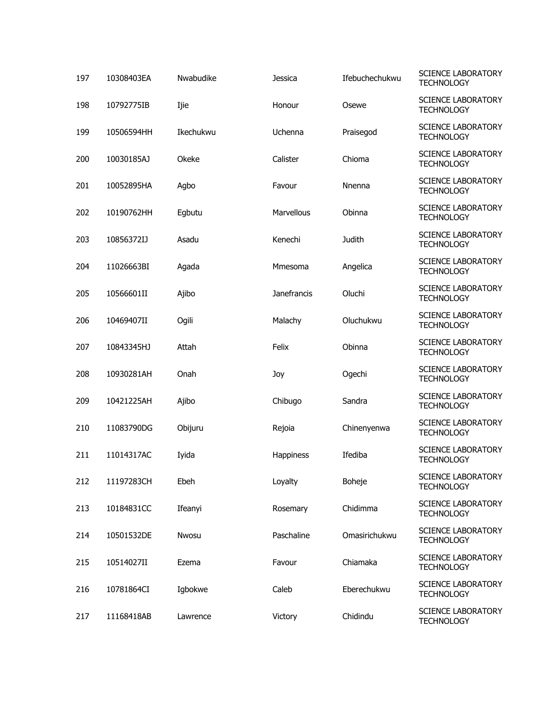| 197 | 10308403EA | Nwabudike | <b>Jessica</b> | Ifebuchechukwu | <b>SCIENCE LABORATORY</b><br><b>TECHNOLOGY</b> |
|-----|------------|-----------|----------------|----------------|------------------------------------------------|
| 198 | 10792775IB | Ijie      | Honour         | Osewe          | <b>SCIENCE LABORATORY</b><br><b>TECHNOLOGY</b> |
| 199 | 10506594HH | Ikechukwu | Uchenna        | Praisegod      | <b>SCIENCE LABORATORY</b><br><b>TECHNOLOGY</b> |
| 200 | 10030185AJ | Okeke     | Calister       | Chioma         | <b>SCIENCE LABORATORY</b><br><b>TECHNOLOGY</b> |
| 201 | 10052895HA | Agbo      | Favour         | Nnenna         | <b>SCIENCE LABORATORY</b><br><b>TECHNOLOGY</b> |
| 202 | 10190762HH | Egbutu    | Marvellous     | Obinna         | <b>SCIENCE LABORATORY</b><br><b>TECHNOLOGY</b> |
| 203 | 10856372IJ | Asadu     | Kenechi        | Judith         | <b>SCIENCE LABORATORY</b><br><b>TECHNOLOGY</b> |
| 204 | 11026663BI | Agada     | Mmesoma        | Angelica       | <b>SCIENCE LABORATORY</b><br><b>TECHNOLOGY</b> |
| 205 | 10566601II | Ajibo     | Janefrancis    | Oluchi         | <b>SCIENCE LABORATORY</b><br><b>TECHNOLOGY</b> |
| 206 | 10469407II | Ogili     | Malachy        | Oluchukwu      | <b>SCIENCE LABORATORY</b><br><b>TECHNOLOGY</b> |
| 207 | 10843345HJ | Attah     | Felix          | Obinna         | <b>SCIENCE LABORATORY</b><br><b>TECHNOLOGY</b> |
| 208 | 10930281AH | Onah      | Joy            | Ogechi         | <b>SCIENCE LABORATORY</b><br><b>TECHNOLOGY</b> |
| 209 | 10421225AH | Ajibo     | Chibugo        | Sandra         | <b>SCIENCE LABORATORY</b><br><b>TECHNOLOGY</b> |
| 210 | 11083790DG | Obijuru   | Rejoia         | Chinenyenwa    | <b>SCIENCE LABORATORY</b><br><b>TECHNOLOGY</b> |
| 211 | 11014317AC | Iyida     | Happiness      | Ifediba        | <b>SCIENCE LABORATORY</b><br><b>TECHNOLOGY</b> |
| 212 | 11197283CH | Ebeh      | Loyalty        | Boheje         | <b>SCIENCE LABORATORY</b><br><b>TECHNOLOGY</b> |
| 213 | 10184831CC | Ifeanyi   | Rosemary       | Chidimma       | <b>SCIENCE LABORATORY</b><br><b>TECHNOLOGY</b> |
| 214 | 10501532DE | Nwosu     | Paschaline     | Omasirichukwu  | <b>SCIENCE LABORATORY</b><br><b>TECHNOLOGY</b> |
| 215 | 10514027II | Ezema     | Favour         | Chiamaka       | <b>SCIENCE LABORATORY</b><br><b>TECHNOLOGY</b> |
| 216 | 10781864CI | Igbokwe   | Caleb          | Eberechukwu    | <b>SCIENCE LABORATORY</b><br><b>TECHNOLOGY</b> |
| 217 | 11168418AB | Lawrence  | Victory        | Chidindu       | <b>SCIENCE LABORATORY</b><br><b>TECHNOLOGY</b> |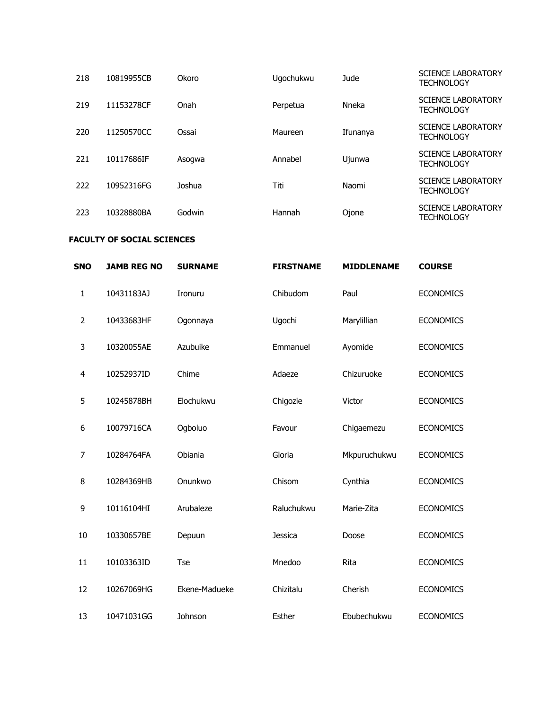| 218 | 10819955CB | <b>Okoro</b> | Ugochukwu | Jude     | <b>SCIENCE LABORATORY</b><br><b>TECHNOLOGY</b> |
|-----|------------|--------------|-----------|----------|------------------------------------------------|
| 219 | 11153278CF | Onah         | Perpetua  | Nneka    | <b>SCIENCE LABORATORY</b><br><b>TECHNOLOGY</b> |
| 220 | 11250570CC | Ossai        | Maureen   | Ifunanya | <b>SCIENCE LABORATORY</b><br><b>TECHNOLOGY</b> |
| 221 | 10117686IF | Asogwa       | Annabel   | Ujunwa   | <b>SCIENCE LABORATORY</b><br><b>TECHNOLOGY</b> |
| 222 | 10952316FG | Joshua       | Titi      | Naomi    | <b>SCIENCE LABORATORY</b><br><b>TECHNOLOGY</b> |
| 223 | 10328880BA | Godwin       | Hannah    | Ojone    | <b>SCIENCE LABORATORY</b><br><b>TECHNOLOGY</b> |

## **FACULTY OF SOCIAL SCIENCES**

| <b>SNO</b>     | <b>JAMB REG NO</b> | <b>SURNAME</b> | <b>FIRSTNAME</b> | <b>MIDDLENAME</b> | <b>COURSE</b>    |
|----------------|--------------------|----------------|------------------|-------------------|------------------|
| 1              | 10431183AJ         | Ironuru        | Chibudom         | Paul              | <b>ECONOMICS</b> |
| $\overline{2}$ | 10433683HF         | Ogonnaya       | Ugochi           | Marylillian       | <b>ECONOMICS</b> |
| 3              | 10320055AE         | Azubuike       | Emmanuel         | Ayomide           | <b>ECONOMICS</b> |
| 4              | 10252937ID         | Chime          | Adaeze           | Chizuruoke        | <b>ECONOMICS</b> |
| 5              | 10245878BH         | Elochukwu      | Chigozie         | Victor            | <b>ECONOMICS</b> |
| 6              | 10079716CA         | Ogboluo        | Favour           | Chigaemezu        | <b>ECONOMICS</b> |
| 7              | 10284764FA         | Obiania        | Gloria           | Mkpuruchukwu      | <b>ECONOMICS</b> |
| 8              | 10284369HB         | Onunkwo        | Chisom           | Cynthia           | <b>ECONOMICS</b> |
| 9              | 10116104HI         | Arubaleze      | Raluchukwu       | Marie-Zita        | <b>ECONOMICS</b> |
| 10             | 10330657BE         | Depuun         | <b>Jessica</b>   | Doose             | <b>ECONOMICS</b> |
| 11             | 10103363ID         | <b>Tse</b>     | Mnedoo           | Rita              | <b>ECONOMICS</b> |
| 12             | 10267069HG         | Ekene-Madueke  | Chizitalu        | Cherish           | <b>ECONOMICS</b> |
| 13             | 10471031GG         | Johnson        | Esther           | Ebubechukwu       | <b>ECONOMICS</b> |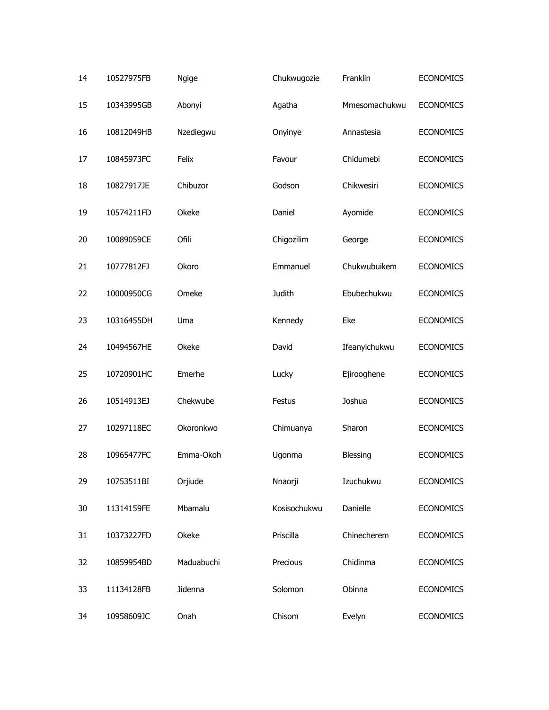| 14 | 10527975FB | Ngige      | Chukwugozie   | Franklin      | <b>ECONOMICS</b> |
|----|------------|------------|---------------|---------------|------------------|
| 15 | 10343995GB | Abonyi     | Agatha        | Mmesomachukwu | <b>ECONOMICS</b> |
| 16 | 10812049HB | Nzediegwu  | Onyinye       | Annastesia    | <b>ECONOMICS</b> |
| 17 | 10845973FC | Felix      | Favour        | Chidumebi     | <b>ECONOMICS</b> |
| 18 | 10827917JE | Chibuzor   | Godson        | Chikwesiri    | <b>ECONOMICS</b> |
| 19 | 10574211FD | Okeke      | Daniel        | Ayomide       | <b>ECONOMICS</b> |
| 20 | 10089059CE | Ofili      | Chigozilim    | George        | <b>ECONOMICS</b> |
| 21 | 10777812FJ | Okoro      | Emmanuel      | Chukwubuikem  | <b>ECONOMICS</b> |
| 22 | 10000950CG | Omeke      | <b>Judith</b> | Ebubechukwu   | <b>ECONOMICS</b> |
| 23 | 10316455DH | Uma        | Kennedy       | Eke           | <b>ECONOMICS</b> |
| 24 | 10494567HE | Okeke      | David         | Ifeanyichukwu | <b>ECONOMICS</b> |
| 25 | 10720901HC | Emerhe     | Lucky         | Ejirooghene   | <b>ECONOMICS</b> |
| 26 | 10514913EJ | Chekwube   | Festus        | Joshua        | <b>ECONOMICS</b> |
| 27 | 10297118EC | Okoronkwo  | Chimuanya     | Sharon        | <b>ECONOMICS</b> |
| 28 | 10965477FC | Emma-Okoh  | Ugonma        | Blessing      | <b>ECONOMICS</b> |
| 29 | 10753511BI | Orjiude    | Nnaorji       | Izuchukwu     | <b>ECONOMICS</b> |
| 30 | 11314159FE | Mbamalu    | Kosisochukwu  | Danielle      | <b>ECONOMICS</b> |
| 31 | 10373227FD | Okeke      | Priscilla     | Chinecherem   | <b>ECONOMICS</b> |
| 32 | 10859954BD | Maduabuchi | Precious      | Chidinma      | <b>ECONOMICS</b> |
| 33 | 11134128FB | Jidenna    | Solomon       | Obinna        | <b>ECONOMICS</b> |
| 34 | 10958609JC | Onah       | Chisom        | Evelyn        | <b>ECONOMICS</b> |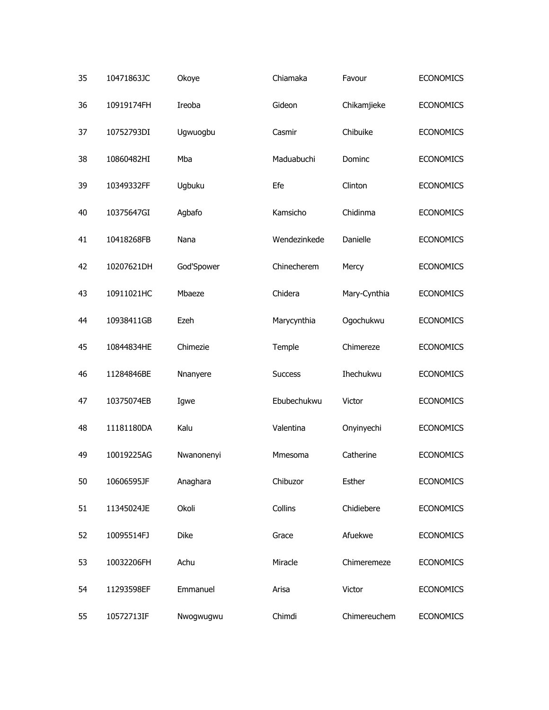| 35 | 10471863JC | Okoye      | Chiamaka       | Favour       | <b>ECONOMICS</b> |
|----|------------|------------|----------------|--------------|------------------|
| 36 | 10919174FH | Ireoba     | Gideon         | Chikamjieke  | <b>ECONOMICS</b> |
| 37 | 10752793DI | Ugwuogbu   | Casmir         | Chibuike     | <b>ECONOMICS</b> |
| 38 | 10860482HI | Mba        | Maduabuchi     | Dominc       | <b>ECONOMICS</b> |
| 39 | 10349332FF | Ugbuku     | Efe            | Clinton      | <b>ECONOMICS</b> |
| 40 | 10375647GI | Agbafo     | Kamsicho       | Chidinma     | <b>ECONOMICS</b> |
| 41 | 10418268FB | Nana       | Wendezinkede   | Danielle     | <b>ECONOMICS</b> |
| 42 | 10207621DH | God'Spower | Chinecherem    | Mercy        | <b>ECONOMICS</b> |
| 43 | 10911021HC | Mbaeze     | Chidera        | Mary-Cynthia | <b>ECONOMICS</b> |
| 44 | 10938411GB | Ezeh       | Marycynthia    | Ogochukwu    | <b>ECONOMICS</b> |
| 45 | 10844834HE | Chimezie   | Temple         | Chimereze    | <b>ECONOMICS</b> |
| 46 | 11284846BE | Nnanyere   | <b>Success</b> | Ihechukwu    | <b>ECONOMICS</b> |
| 47 | 10375074EB | Igwe       | Ebubechukwu    | Victor       | <b>ECONOMICS</b> |
| 48 | 11181180DA | Kalu       | Valentina      | Onyinyechi   | <b>ECONOMICS</b> |
| 49 | 10019225AG | Nwanonenyi | Mmesoma        | Catherine    | <b>ECONOMICS</b> |
| 50 | 10606595JF | Anaghara   | Chibuzor       | Esther       | <b>ECONOMICS</b> |
| 51 | 11345024JE | Okoli      | Collins        | Chidiebere   | <b>ECONOMICS</b> |
| 52 | 10095514FJ | Dike       | Grace          | Afuekwe      | <b>ECONOMICS</b> |
| 53 | 10032206FH | Achu       | Miracle        | Chimeremeze  | <b>ECONOMICS</b> |
| 54 | 11293598EF | Emmanuel   | Arisa          | Victor       | <b>ECONOMICS</b> |
| 55 | 10572713IF | Nwogwugwu  | Chimdi         | Chimereuchem | <b>ECONOMICS</b> |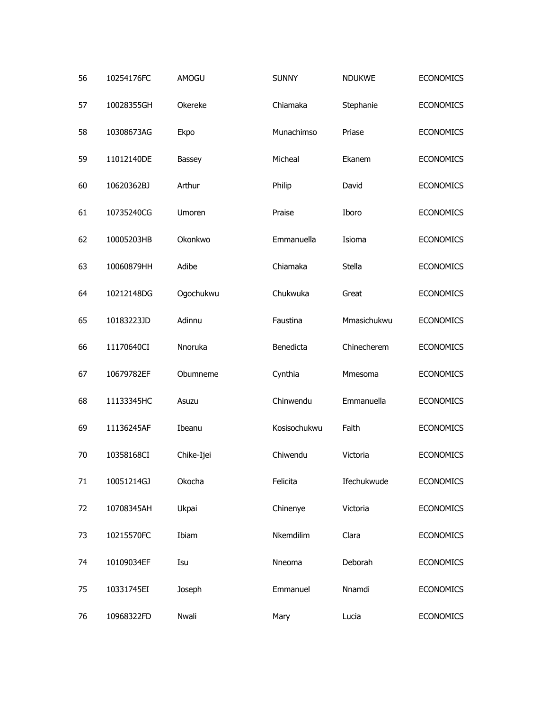| 56 | 10254176FC | AMOGU      | <b>SUNNY</b> | <b>NDUKWE</b> | <b>ECONOMICS</b> |
|----|------------|------------|--------------|---------------|------------------|
| 57 | 10028355GH | Okereke    | Chiamaka     | Stephanie     | <b>ECONOMICS</b> |
| 58 | 10308673AG | Ekpo       | Munachimso   | Priase        | <b>ECONOMICS</b> |
| 59 | 11012140DE | Bassey     | Micheal      | Ekanem        | <b>ECONOMICS</b> |
| 60 | 10620362BJ | Arthur     | Philip       | David         | <b>ECONOMICS</b> |
| 61 | 10735240CG | Umoren     | Praise       | Iboro         | <b>ECONOMICS</b> |
| 62 | 10005203HB | Okonkwo    | Emmanuella   | Isioma        | <b>ECONOMICS</b> |
| 63 | 10060879HH | Adibe      | Chiamaka     | Stella        | <b>ECONOMICS</b> |
| 64 | 10212148DG | Ogochukwu  | Chukwuka     | Great         | <b>ECONOMICS</b> |
| 65 | 10183223JD | Adinnu     | Faustina     | Mmasichukwu   | <b>ECONOMICS</b> |
| 66 | 11170640CI | Nnoruka    | Benedicta    | Chinecherem   | <b>ECONOMICS</b> |
| 67 | 10679782EF | Obumneme   | Cynthia      | Mmesoma       | <b>ECONOMICS</b> |
| 68 | 11133345HC | Asuzu      | Chinwendu    | Emmanuella    | <b>ECONOMICS</b> |
| 69 | 11136245AF | Ibeanu     | Kosisochukwu | Faith         | <b>ECONOMICS</b> |
| 70 | 10358168CI | Chike-Ijei | Chiwendu     | Victoria      | <b>ECONOMICS</b> |
| 71 | 10051214GJ | Okocha     | Felicita     | Ifechukwude   | <b>ECONOMICS</b> |
| 72 | 10708345AH | Ukpai      | Chinenye     | Victoria      | <b>ECONOMICS</b> |
| 73 | 10215570FC | Ibiam      | Nkemdilim    | Clara         | <b>ECONOMICS</b> |
| 74 | 10109034EF | Isu        | Nneoma       | Deborah       | <b>ECONOMICS</b> |
| 75 | 10331745EI | Joseph     | Emmanuel     | Nnamdi        | <b>ECONOMICS</b> |
| 76 | 10968322FD | Nwali      | Mary         | Lucia         | <b>ECONOMICS</b> |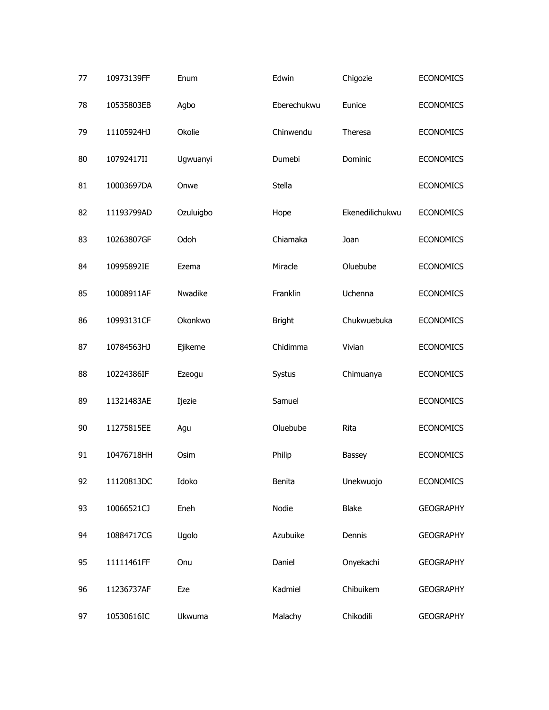| 77 | 10973139FF | Enum      | Edwin         | Chigozie        | <b>ECONOMICS</b> |
|----|------------|-----------|---------------|-----------------|------------------|
| 78 | 10535803EB | Agbo      | Eberechukwu   | Eunice          | <b>ECONOMICS</b> |
| 79 | 11105924HJ | Okolie    | Chinwendu     | Theresa         | <b>ECONOMICS</b> |
| 80 | 10792417II | Ugwuanyi  | Dumebi        | Dominic         | <b>ECONOMICS</b> |
| 81 | 10003697DA | Onwe      | Stella        |                 | <b>ECONOMICS</b> |
| 82 | 11193799AD | Ozuluigbo | Hope          | Ekenedilichukwu | <b>ECONOMICS</b> |
| 83 | 10263807GF | Odoh      | Chiamaka      | Joan            | <b>ECONOMICS</b> |
| 84 | 10995892IE | Ezema     | Miracle       | Oluebube        | <b>ECONOMICS</b> |
| 85 | 10008911AF | Nwadike   | Franklin      | Uchenna         | <b>ECONOMICS</b> |
| 86 | 10993131CF | Okonkwo   | <b>Bright</b> | Chukwuebuka     | <b>ECONOMICS</b> |
| 87 | 10784563HJ | Ejikeme   | Chidimma      | Vivian          | <b>ECONOMICS</b> |
| 88 | 10224386IF | Ezeogu    | Systus        | Chimuanya       | <b>ECONOMICS</b> |
| 89 | 11321483AE | Ijezie    | Samuel        |                 | <b>ECONOMICS</b> |
| 90 | 11275815EE | Agu       | Oluebube      | Rita            | <b>ECONOMICS</b> |
| 91 | 10476718HH | Osim      | Philip        | Bassey          | <b>ECONOMICS</b> |
| 92 | 11120813DC | Idoko     | Benita        | Unekwuojo       | <b>ECONOMICS</b> |
| 93 | 10066521CJ | Eneh      | Nodie         | <b>Blake</b>    | <b>GEOGRAPHY</b> |
| 94 | 10884717CG | Ugolo     | Azubuike      | Dennis          | <b>GEOGRAPHY</b> |
| 95 | 11111461FF | Onu       | Daniel        | Onyekachi       | <b>GEOGRAPHY</b> |
| 96 | 11236737AF | Eze       | Kadmiel       | Chibuikem       | <b>GEOGRAPHY</b> |
| 97 | 10530616IC | Ukwuma    | Malachy       | Chikodili       | <b>GEOGRAPHY</b> |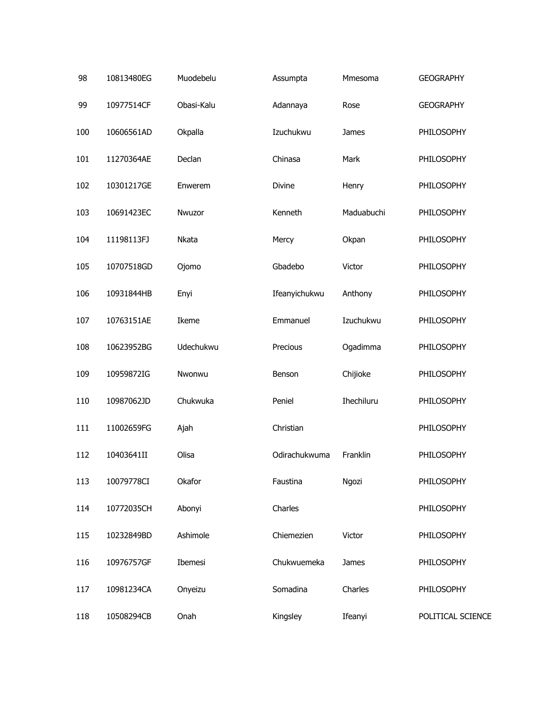| 98  | 10813480EG | Muodebelu  | Assumpta      | Mmesoma    | <b>GEOGRAPHY</b>  |
|-----|------------|------------|---------------|------------|-------------------|
| 99  | 10977514CF | Obasi-Kalu | Adannaya      | Rose       | <b>GEOGRAPHY</b>  |
| 100 | 10606561AD | Okpalla    | Izuchukwu     | James      | PHILOSOPHY        |
| 101 | 11270364AE | Declan     | Chinasa       | Mark       | PHILOSOPHY        |
| 102 | 10301217GE | Enwerem    | Divine        | Henry      | PHILOSOPHY        |
| 103 | 10691423EC | Nwuzor     | Kenneth       | Maduabuchi | PHILOSOPHY        |
| 104 | 11198113FJ | Nkata      | Mercy         | Okpan      | PHILOSOPHY        |
| 105 | 10707518GD | Ojomo      | Gbadebo       | Victor     | PHILOSOPHY        |
| 106 | 10931844HB | Enyi       | Ifeanyichukwu | Anthony    | PHILOSOPHY        |
| 107 | 10763151AE | Ikeme      | Emmanuel      | Izuchukwu  | PHILOSOPHY        |
| 108 | 10623952BG | Udechukwu  | Precious      | Ogadimma   | PHILOSOPHY        |
| 109 | 10959872IG | Nwonwu     | Benson        | Chijioke   | PHILOSOPHY        |
| 110 | 10987062JD | Chukwuka   | Peniel        | Ihechiluru | PHILOSOPHY        |
| 111 | 11002659FG | Ajah       | Christian     |            | PHILOSOPHY        |
| 112 | 10403641II | Olisa      | Odirachukwuma | Franklin   | PHILOSOPHY        |
| 113 | 10079778CI | Okafor     | Faustina      | Ngozi      | PHILOSOPHY        |
| 114 | 10772035CH | Abonyi     | Charles       |            | PHILOSOPHY        |
| 115 | 10232849BD | Ashimole   | Chiemezien    | Victor     | PHILOSOPHY        |
| 116 | 10976757GF | Ibemesi    | Chukwuemeka   | James      | PHILOSOPHY        |
| 117 | 10981234CA | Onyeizu    | Somadina      | Charles    | PHILOSOPHY        |
| 118 | 10508294CB | Onah       | Kingsley      | Ifeanyi    | POLITICAL SCIENCE |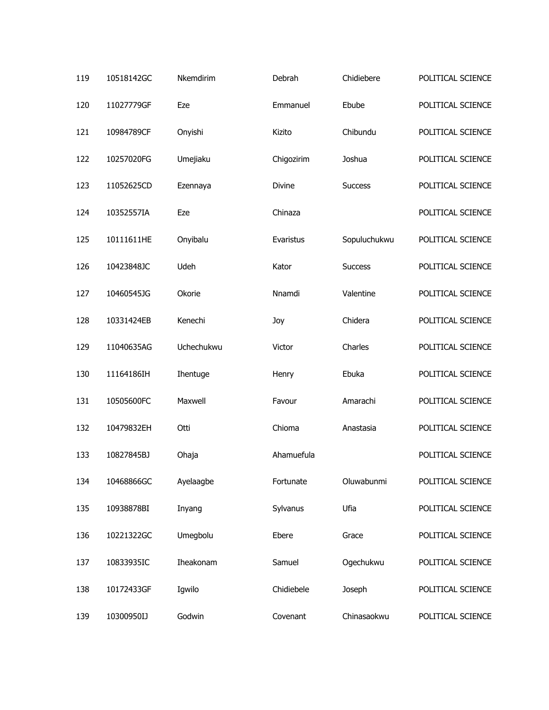| 119 | 10518142GC | Nkemdirim  | Debrah     | Chidiebere     | POLITICAL SCIENCE |
|-----|------------|------------|------------|----------------|-------------------|
| 120 | 11027779GF | Eze        | Emmanuel   | Ebube          | POLITICAL SCIENCE |
| 121 | 10984789CF | Onyishi    | Kizito     | Chibundu       | POLITICAL SCIENCE |
| 122 | 10257020FG | Umejiaku   | Chigozirim | Joshua         | POLITICAL SCIENCE |
| 123 | 11052625CD | Ezennaya   | Divine     | <b>Success</b> | POLITICAL SCIENCE |
| 124 | 10352557IA | Eze        | Chinaza    |                | POLITICAL SCIENCE |
| 125 | 10111611HE | Onyibalu   | Evaristus  | Sopuluchukwu   | POLITICAL SCIENCE |
| 126 | 10423848JC | Udeh       | Kator      | <b>Success</b> | POLITICAL SCIENCE |
| 127 | 10460545JG | Okorie     | Nnamdi     | Valentine      | POLITICAL SCIENCE |
| 128 | 10331424EB | Kenechi    | Joy        | Chidera        | POLITICAL SCIENCE |
| 129 | 11040635AG | Uchechukwu | Victor     | Charles        | POLITICAL SCIENCE |
| 130 | 11164186IH | Ihentuge   | Henry      | Ebuka          | POLITICAL SCIENCE |
| 131 | 10505600FC | Maxwell    | Favour     | Amarachi       | POLITICAL SCIENCE |
| 132 | 10479832EH | Otti       | Chioma     | Anastasia      | POLITICAL SCIENCE |
| 133 | 10827845BJ | Ohaja      | Ahamuefula |                | POLITICAL SCIENCE |
| 134 | 10468866GC | Ayelaagbe  | Fortunate  | Oluwabunmi     | POLITICAL SCIENCE |
| 135 | 10938878BI | Inyang     | Sylvanus   | Ufia           | POLITICAL SCIENCE |
| 136 | 10221322GC | Umegbolu   | Ebere      | Grace          | POLITICAL SCIENCE |
| 137 | 10833935IC | Iheakonam  | Samuel     | Ogechukwu      | POLITICAL SCIENCE |
| 138 | 10172433GF | Igwilo     | Chidiebele | Joseph         | POLITICAL SCIENCE |
| 139 | 10300950IJ | Godwin     | Covenant   | Chinasaokwu    | POLITICAL SCIENCE |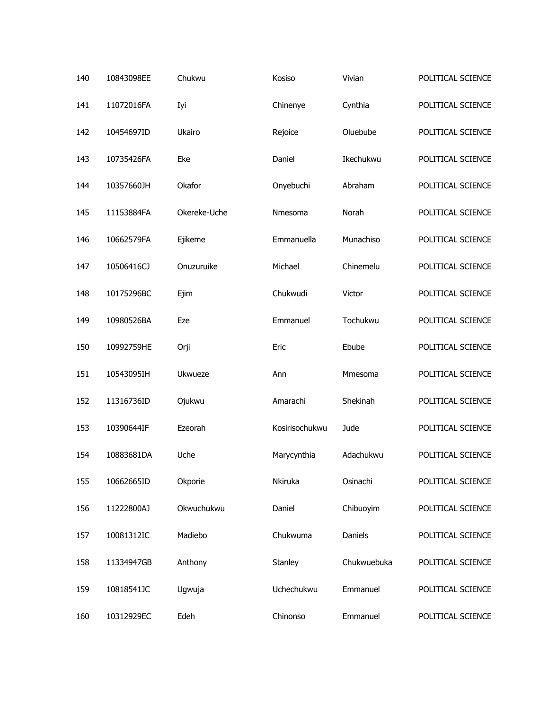| 140 | 10843098EE | Chukwu       | Kosiso         | Vivian      | POLITICAL SCIENCE |
|-----|------------|--------------|----------------|-------------|-------------------|
| 141 | 11072016FA | Iyi          | Chinenye       | Cynthia     | POLITICAL SCIENCE |
| 142 | 10454697ID | Ukairo       | Rejoice        | Oluebube    | POLITICAL SCIENCE |
| 143 | 10735426FA | Eke          | Daniel         | Ikechukwu   | POLITICAL SCIENCE |
| 144 | 10357660JH | Okafor       | Onyebuchi      | Abraham     | POLITICAL SCIENCE |
| 145 | 11153884FA | Okereke-Uche | Nmesoma        | Norah       | POLITICAL SCIENCE |
| 146 | 10662579FA | Ejikeme      | Emmanuella     | Munachiso   | POLITICAL SCIENCE |
| 147 | 10506416CJ | Onuzuruike   | Michael        | Chinemelu   | POLITICAL SCIENCE |
| 148 | 10175296BC | Ejim         | Chukwudi       | Victor      | POLITICAL SCIENCE |
| 149 | 10980526BA | Eze          | Emmanuel       | Tochukwu    | POLITICAL SCIENCE |
| 150 | 10992759HE | Orji         | Eric           | Ebube       | POLITICAL SCIENCE |
| 151 | 10543095IH | Ukwueze      | Ann            | Mmesoma     | POLITICAL SCIENCE |
| 152 | 11316736ID | Ojukwu       | Amarachi       | Shekinah    | POLITICAL SCIENCE |
| 153 | 10390644IF | Ezeorah      | Kosirisochukwu | Jude        | POLITICAL SCIENCE |
| 154 | 10883681DA | Uche         | Marycynthia    | Adachukwu   | POLITICAL SCIENCE |
| 155 | 10662665ID | Okporie      | Nkiruka        | Osinachi    | POLITICAL SCIENCE |
| 156 | 11222800AJ | Okwuchukwu   | Daniel         | Chibuoyim   | POLITICAL SCIENCE |
| 157 | 10081312IC | Madiebo      | Chukwuma       | Daniels     | POLITICAL SCIENCE |
| 158 | 11334947GB | Anthony      | Stanley        | Chukwuebuka | POLITICAL SCIENCE |
| 159 | 10818541JC | Ugwuja       | Uchechukwu     | Emmanuel    | POLITICAL SCIENCE |
| 160 | 10312929EC | Edeh         | Chinonso       | Emmanuel    | POLITICAL SCIENCE |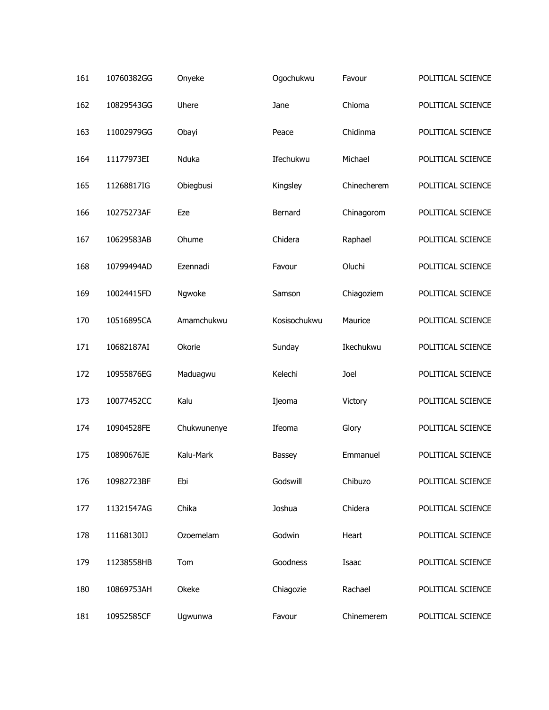| 161 | 10760382GG | Onyeke      | Ogochukwu    | Favour      | POLITICAL SCIENCE |
|-----|------------|-------------|--------------|-------------|-------------------|
| 162 | 10829543GG | Uhere       | Jane         | Chioma      | POLITICAL SCIENCE |
| 163 | 11002979GG | Obayi       | Peace        | Chidinma    | POLITICAL SCIENCE |
| 164 | 11177973EI | Nduka       | Ifechukwu    | Michael     | POLITICAL SCIENCE |
| 165 | 11268817IG | Obiegbusi   | Kingsley     | Chinecherem | POLITICAL SCIENCE |
| 166 | 10275273AF | Eze         | Bernard      | Chinagorom  | POLITICAL SCIENCE |
| 167 | 10629583AB | Ohume       | Chidera      | Raphael     | POLITICAL SCIENCE |
| 168 | 10799494AD | Ezennadi    | Favour       | Oluchi      | POLITICAL SCIENCE |
| 169 | 10024415FD | Ngwoke      | Samson       | Chiagoziem  | POLITICAL SCIENCE |
| 170 | 10516895CA | Amamchukwu  | Kosisochukwu | Maurice     | POLITICAL SCIENCE |
| 171 | 10682187AI | Okorie      | Sunday       | Ikechukwu   | POLITICAL SCIENCE |
| 172 | 10955876EG | Maduagwu    | Kelechi      | Joel        | POLITICAL SCIENCE |
| 173 | 10077452CC | Kalu        | Ijeoma       | Victory     | POLITICAL SCIENCE |
| 174 | 10904528FE | Chukwunenye | Ifeoma       | Glory       | POLITICAL SCIENCE |
| 175 | 10890676JE | Kalu-Mark   | Bassey       | Emmanuel    | POLITICAL SCIENCE |
| 176 | 10982723BF | Ebi         | Godswill     | Chibuzo     | POLITICAL SCIENCE |
| 177 | 11321547AG | Chika       | Joshua       | Chidera     | POLITICAL SCIENCE |
| 178 | 11168130IJ | Ozoemelam   | Godwin       | Heart       | POLITICAL SCIENCE |
| 179 | 11238558HB | Tom         | Goodness     | Isaac       | POLITICAL SCIENCE |
| 180 | 10869753AH | Okeke       | Chiagozie    | Rachael     | POLITICAL SCIENCE |
| 181 | 10952585CF | Ugwunwa     | Favour       | Chinemerem  | POLITICAL SCIENCE |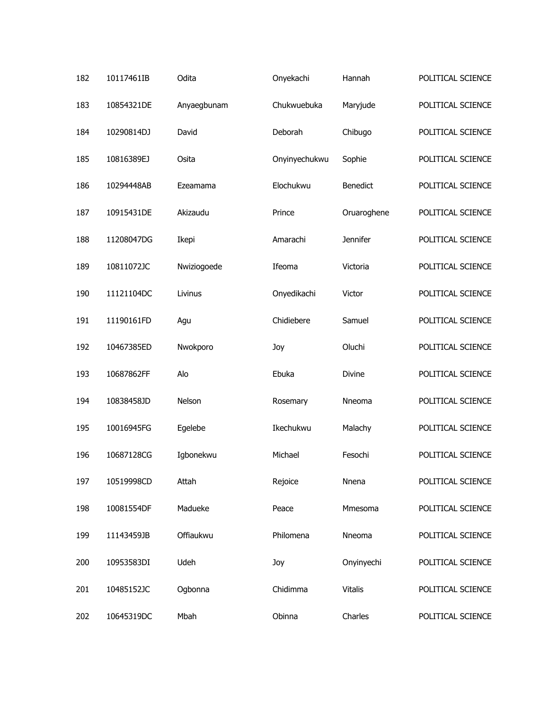| 182 | 10117461IB | Odita       | Onyekachi     | Hannah          | POLITICAL SCIENCE |
|-----|------------|-------------|---------------|-----------------|-------------------|
| 183 | 10854321DE | Anyaegbunam | Chukwuebuka   | Maryjude        | POLITICAL SCIENCE |
| 184 | 10290814DJ | David       | Deborah       | Chibugo         | POLITICAL SCIENCE |
| 185 | 10816389EJ | Osita       | Onyinyechukwu | Sophie          | POLITICAL SCIENCE |
| 186 | 10294448AB | Ezeamama    | Elochukwu     | <b>Benedict</b> | POLITICAL SCIENCE |
| 187 | 10915431DE | Akizaudu    | Prince        | Oruaroghene     | POLITICAL SCIENCE |
| 188 | 11208047DG | Ikepi       | Amarachi      | <b>Jennifer</b> | POLITICAL SCIENCE |
| 189 | 10811072JC | Nwiziogoede | Ifeoma        | Victoria        | POLITICAL SCIENCE |
| 190 | 11121104DC | Livinus     | Onyedikachi   | Victor          | POLITICAL SCIENCE |
| 191 | 11190161FD | Agu         | Chidiebere    | Samuel          | POLITICAL SCIENCE |
| 192 | 10467385ED | Nwokporo    | Joy           | Oluchi          | POLITICAL SCIENCE |
| 193 | 10687862FF | Alo         | Ebuka         | Divine          | POLITICAL SCIENCE |
| 194 | 10838458JD | Nelson      | Rosemary      | Nneoma          | POLITICAL SCIENCE |
| 195 | 10016945FG | Egelebe     | Ikechukwu     | Malachy         | POLITICAL SCIENCE |
| 196 | 10687128CG | Igbonekwu   | Michael       | Fesochi         | POLITICAL SCIENCE |
| 197 | 10519998CD | Attah       | Rejoice       | Nnena           | POLITICAL SCIENCE |
| 198 | 10081554DF | Madueke     | Peace         | Mmesoma         | POLITICAL SCIENCE |
| 199 | 11143459JB | Offiaukwu   | Philomena     | Nneoma          | POLITICAL SCIENCE |
| 200 | 10953583DI | Udeh        | Joy           | Onyinyechi      | POLITICAL SCIENCE |
| 201 | 10485152JC | Ogbonna     | Chidimma      | <b>Vitalis</b>  | POLITICAL SCIENCE |
| 202 | 10645319DC | Mbah        | Obinna        | Charles         | POLITICAL SCIENCE |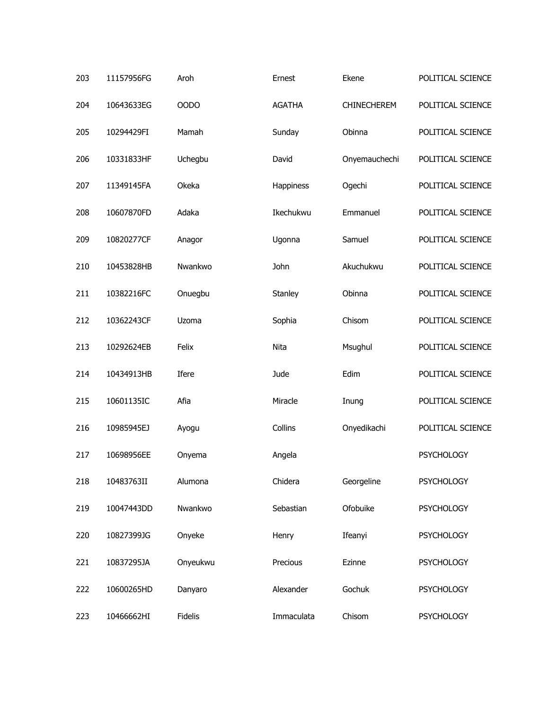| 203 | 11157956FG | Aroh           | Ernest        | Ekene         | POLITICAL SCIENCE |
|-----|------------|----------------|---------------|---------------|-------------------|
| 204 | 10643633EG | <b>OODO</b>    | <b>AGATHA</b> | CHINECHEREM   | POLITICAL SCIENCE |
| 205 | 10294429FI | Mamah          | Sunday        | Obinna        | POLITICAL SCIENCE |
| 206 | 10331833HF | Uchegbu        | David         | Onyemauchechi | POLITICAL SCIENCE |
| 207 | 11349145FA | Okeka          | Happiness     | Ogechi        | POLITICAL SCIENCE |
| 208 | 10607870FD | Adaka          | Ikechukwu     | Emmanuel      | POLITICAL SCIENCE |
| 209 | 10820277CF | Anagor         | Ugonna        | Samuel        | POLITICAL SCIENCE |
| 210 | 10453828HB | Nwankwo        | John          | Akuchukwu     | POLITICAL SCIENCE |
| 211 | 10382216FC | Onuegbu        | Stanley       | Obinna        | POLITICAL SCIENCE |
| 212 | 10362243CF | Uzoma          | Sophia        | Chisom        | POLITICAL SCIENCE |
| 213 | 10292624EB | Felix          | Nita          | Msughul       | POLITICAL SCIENCE |
| 214 | 10434913HB | Ifere          | Jude          | Edim          | POLITICAL SCIENCE |
| 215 | 10601135IC | Afia           | Miracle       | Inung         | POLITICAL SCIENCE |
| 216 | 10985945EJ | Ayogu          | Collins       | Onyedikachi   | POLITICAL SCIENCE |
| 217 | 10698956EE | Onyema         | Angela        |               | <b>PSYCHOLOGY</b> |
| 218 | 10483763II | Alumona        | Chidera       | Georgeline    | <b>PSYCHOLOGY</b> |
| 219 | 10047443DD | Nwankwo        | Sebastian     | Ofobuike      | <b>PSYCHOLOGY</b> |
| 220 | 10827399JG | Onyeke         | Henry         | Ifeanyi       | <b>PSYCHOLOGY</b> |
| 221 | 10837295JA | Onyeukwu       | Precious      | Ezinne        | <b>PSYCHOLOGY</b> |
| 222 | 10600265HD | Danyaro        | Alexander     | Gochuk        | <b>PSYCHOLOGY</b> |
| 223 | 10466662HI | <b>Fidelis</b> | Immaculata    | Chisom        | <b>PSYCHOLOGY</b> |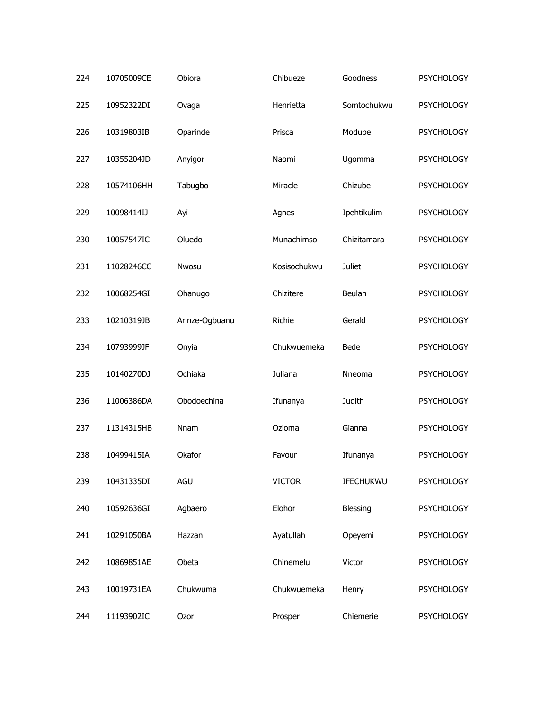| 224 | 10705009CE | Obiora         | Chibueze      | Goodness      | <b>PSYCHOLOGY</b> |
|-----|------------|----------------|---------------|---------------|-------------------|
| 225 | 10952322DI | Ovaga          | Henrietta     | Somtochukwu   | <b>PSYCHOLOGY</b> |
| 226 | 10319803IB | Oparinde       | Prisca        | Modupe        | <b>PSYCHOLOGY</b> |
| 227 | 10355204JD | Anyigor        | Naomi         | Ugomma        | <b>PSYCHOLOGY</b> |
| 228 | 10574106HH | Tabugbo        | Miracle       | Chizube       | <b>PSYCHOLOGY</b> |
| 229 | 10098414IJ | Ayi            | Agnes         | Ipehtikulim   | <b>PSYCHOLOGY</b> |
| 230 | 10057547IC | Oluedo         | Munachimso    | Chizitamara   | <b>PSYCHOLOGY</b> |
| 231 | 11028246CC | Nwosu          | Kosisochukwu  | <b>Juliet</b> | <b>PSYCHOLOGY</b> |
| 232 | 10068254GI | Ohanugo        | Chizitere     | Beulah        | <b>PSYCHOLOGY</b> |
| 233 | 10210319JB | Arinze-Ogbuanu | Richie        | Gerald        | <b>PSYCHOLOGY</b> |
| 234 | 10793999JF | Onyia          | Chukwuemeka   | Bede          | <b>PSYCHOLOGY</b> |
| 235 | 10140270DJ | Ochiaka        | Juliana       | Nneoma        | <b>PSYCHOLOGY</b> |
| 236 | 11006386DA | Obodoechina    | Ifunanya      | Judith        | <b>PSYCHOLOGY</b> |
| 237 | 11314315HB | Nnam           | Ozioma        | Gianna        | <b>PSYCHOLOGY</b> |
| 238 | 10499415IA | Okafor         | Favour        | Ifunanya      | <b>PSYCHOLOGY</b> |
| 239 | 10431335DI | AGU            | <b>VICTOR</b> | IFECHUKWU     | <b>PSYCHOLOGY</b> |
| 240 | 10592636GI | Agbaero        | Elohor        | Blessing      | <b>PSYCHOLOGY</b> |
| 241 | 10291050BA | Hazzan         | Ayatullah     | Opeyemi       | <b>PSYCHOLOGY</b> |
| 242 | 10869851AE | Obeta          | Chinemelu     | Victor        | <b>PSYCHOLOGY</b> |
| 243 | 10019731EA | Chukwuma       | Chukwuemeka   | Henry         | <b>PSYCHOLOGY</b> |
| 244 | 11193902IC | Ozor           | Prosper       | Chiemerie     | <b>PSYCHOLOGY</b> |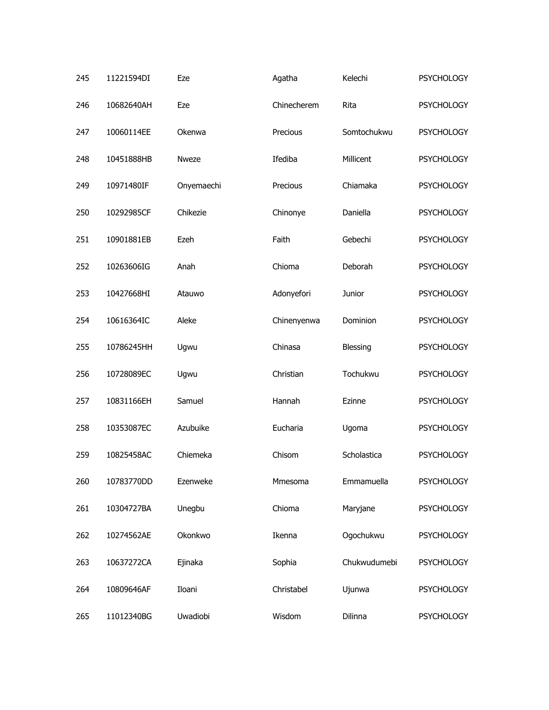| 245 | 11221594DI | Eze        | Agatha      | Kelechi      | <b>PSYCHOLOGY</b> |
|-----|------------|------------|-------------|--------------|-------------------|
| 246 | 10682640AH | Eze        | Chinecherem | Rita         | <b>PSYCHOLOGY</b> |
| 247 | 10060114EE | Okenwa     | Precious    | Somtochukwu  | <b>PSYCHOLOGY</b> |
| 248 | 10451888HB | Nweze      | Ifediba     | Millicent    | <b>PSYCHOLOGY</b> |
| 249 | 10971480IF | Onyemaechi | Precious    | Chiamaka     | <b>PSYCHOLOGY</b> |
| 250 | 10292985CF | Chikezie   | Chinonye    | Daniella     | <b>PSYCHOLOGY</b> |
| 251 | 10901881EB | Ezeh       | Faith       | Gebechi      | <b>PSYCHOLOGY</b> |
| 252 | 10263606IG | Anah       | Chioma      | Deborah      | <b>PSYCHOLOGY</b> |
| 253 | 10427668HI | Atauwo     | Adonyefori  | Junior       | <b>PSYCHOLOGY</b> |
| 254 | 10616364IC | Aleke      | Chinenyenwa | Dominion     | <b>PSYCHOLOGY</b> |
| 255 | 10786245HH | Ugwu       | Chinasa     | Blessing     | <b>PSYCHOLOGY</b> |
| 256 | 10728089EC | Ugwu       | Christian   | Tochukwu     | <b>PSYCHOLOGY</b> |
| 257 | 10831166EH | Samuel     | Hannah      | Ezinne       | <b>PSYCHOLOGY</b> |
| 258 | 10353087EC | Azubuike   | Eucharia    | Ugoma        | <b>PSYCHOLOGY</b> |
| 259 | 10825458AC | Chiemeka   | Chisom      | Scholastica  | <b>PSYCHOLOGY</b> |
| 260 | 10783770DD | Ezenweke   | Mmesoma     | Emmamuella   | <b>PSYCHOLOGY</b> |
| 261 | 10304727BA | Unegbu     | Chioma      | Maryjane     | <b>PSYCHOLOGY</b> |
| 262 | 10274562AE | Okonkwo    | Ikenna      | Ogochukwu    | <b>PSYCHOLOGY</b> |
| 263 | 10637272CA | Ejinaka    | Sophia      | Chukwudumebi | <b>PSYCHOLOGY</b> |
| 264 | 10809646AF | Iloani     | Christabel  | Ujunwa       | <b>PSYCHOLOGY</b> |
| 265 | 11012340BG | Uwadiobi   | Wisdom      | Dilinna      | <b>PSYCHOLOGY</b> |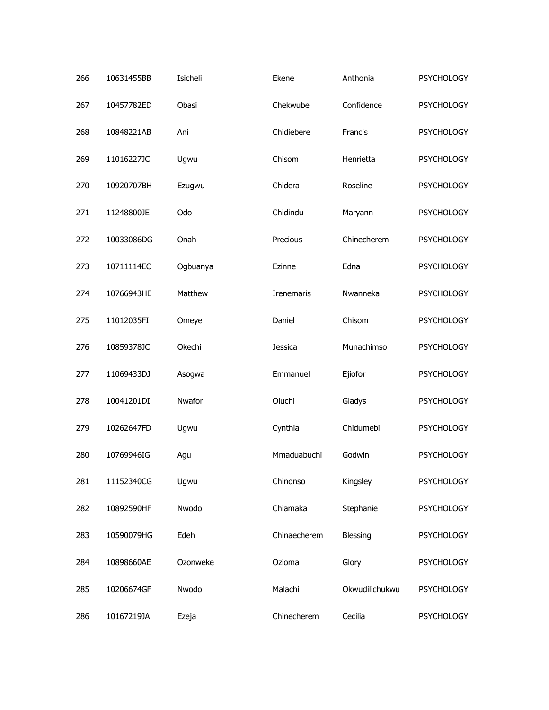| 266 | 10631455BB | Isicheli | Ekene             | Anthonia       | <b>PSYCHOLOGY</b> |
|-----|------------|----------|-------------------|----------------|-------------------|
| 267 | 10457782ED | Obasi    | Chekwube          | Confidence     | <b>PSYCHOLOGY</b> |
| 268 | 10848221AB | Ani      | Chidiebere        | Francis        | <b>PSYCHOLOGY</b> |
| 269 | 11016227JC | Ugwu     | Chisom            | Henrietta      | <b>PSYCHOLOGY</b> |
| 270 | 10920707BH | Ezugwu   | Chidera           | Roseline       | <b>PSYCHOLOGY</b> |
| 271 | 11248800JE | Odo      | Chidindu          | Maryann        | <b>PSYCHOLOGY</b> |
| 272 | 10033086DG | Onah     | Precious          | Chinecherem    | <b>PSYCHOLOGY</b> |
| 273 | 10711114EC | Ogbuanya | Ezinne            | Edna           | <b>PSYCHOLOGY</b> |
| 274 | 10766943HE | Matthew  | <b>Irenemaris</b> | Nwanneka       | <b>PSYCHOLOGY</b> |
| 275 | 11012035FI | Omeye    | Daniel            | Chisom         | <b>PSYCHOLOGY</b> |
| 276 | 10859378JC | Okechi   | Jessica           | Munachimso     | <b>PSYCHOLOGY</b> |
| 277 | 11069433DJ | Asogwa   | Emmanuel          | Ejiofor        | <b>PSYCHOLOGY</b> |
| 278 | 10041201DI | Nwafor   | Oluchi            | Gladys         | <b>PSYCHOLOGY</b> |
| 279 | 10262647FD | Ugwu     | Cynthia           | Chidumebi      | <b>PSYCHOLOGY</b> |
| 280 | 10769946IG | Agu      | Mmaduabuchi       | Godwin         | <b>PSYCHOLOGY</b> |
| 281 | 11152340CG | Ugwu     | Chinonso          | Kingsley       | <b>PSYCHOLOGY</b> |
| 282 | 10892590HF | Nwodo    | Chiamaka          | Stephanie      | <b>PSYCHOLOGY</b> |
| 283 | 10590079HG | Edeh     | Chinaecherem      | Blessing       | <b>PSYCHOLOGY</b> |
| 284 | 10898660AE | Ozonweke | Ozioma            | Glory          | <b>PSYCHOLOGY</b> |
| 285 | 10206674GF | Nwodo    | Malachi           | Okwudilichukwu | <b>PSYCHOLOGY</b> |
| 286 | 10167219JA | Ezeja    | Chinecherem       | Cecilia        | <b>PSYCHOLOGY</b> |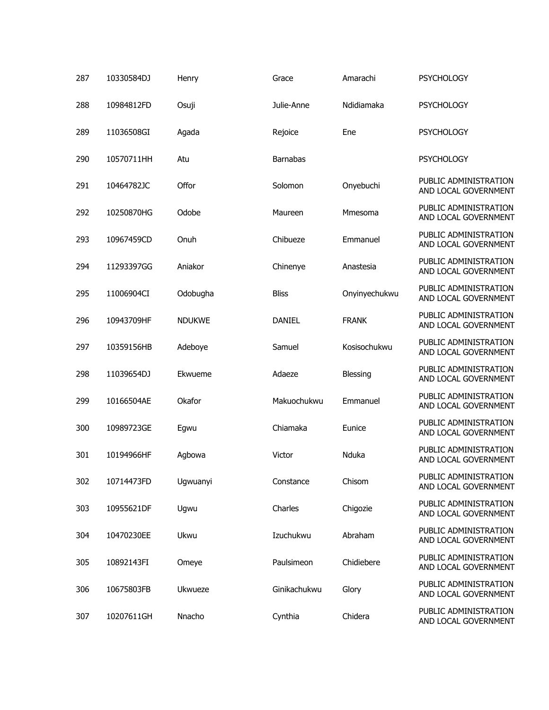| 287 | 10330584DJ | Henry         | Grace           | Amarachi      | <b>PSYCHOLOGY</b>                             |
|-----|------------|---------------|-----------------|---------------|-----------------------------------------------|
| 288 | 10984812FD | Osuji         | Julie-Anne      | Ndidiamaka    | <b>PSYCHOLOGY</b>                             |
| 289 | 11036508GI | Agada         | Rejoice         | Ene           | <b>PSYCHOLOGY</b>                             |
| 290 | 10570711HH | Atu           | <b>Barnabas</b> |               | <b>PSYCHOLOGY</b>                             |
| 291 | 10464782JC | Offor         | Solomon         | Onyebuchi     | PUBLIC ADMINISTRATION<br>AND LOCAL GOVERNMENT |
| 292 | 10250870HG | Odobe         | Maureen         | Mmesoma       | PUBLIC ADMINISTRATION<br>AND LOCAL GOVERNMENT |
| 293 | 10967459CD | Onuh          | Chibueze        | Emmanuel      | PUBLIC ADMINISTRATION<br>AND LOCAL GOVERNMENT |
| 294 | 11293397GG | Aniakor       | Chinenye        | Anastesia     | PUBLIC ADMINISTRATION<br>AND LOCAL GOVERNMENT |
| 295 | 11006904CI | Odobugha      | <b>Bliss</b>    | Onyinyechukwu | PUBLIC ADMINISTRATION<br>AND LOCAL GOVERNMENT |
| 296 | 10943709HF | <b>NDUKWE</b> | <b>DANIEL</b>   | <b>FRANK</b>  | PUBLIC ADMINISTRATION<br>AND LOCAL GOVERNMENT |
| 297 | 10359156HB | Adeboye       | Samuel          | Kosisochukwu  | PUBLIC ADMINISTRATION<br>AND LOCAL GOVERNMENT |
| 298 | 11039654DJ | Ekwueme       | Adaeze          | Blessing      | PUBLIC ADMINISTRATION<br>AND LOCAL GOVERNMENT |
| 299 | 10166504AE | Okafor        | Makuochukwu     | Emmanuel      | PUBLIC ADMINISTRATION<br>AND LOCAL GOVERNMENT |
| 300 | 10989723GE | Egwu          | Chiamaka        | Eunice        | PUBLIC ADMINISTRATION<br>AND LOCAL GOVERNMENT |
| 301 | 10194966HF | Agbowa        | Victor          | Nduka         | PUBLIC ADMINISTRATION<br>AND LOCAL GOVERNMENT |
| 302 | 10714473FD | Ugwuanyi      | Constance       | Chisom        | PUBLIC ADMINISTRATION<br>AND LOCAL GOVERNMENT |
| 303 | 10955621DF | Ugwu          | Charles         | Chigozie      | PUBLIC ADMINISTRATION<br>AND LOCAL GOVERNMENT |
| 304 | 10470230EE | Ukwu          | Izuchukwu       | Abraham       | PUBLIC ADMINISTRATION<br>AND LOCAL GOVERNMENT |
| 305 | 10892143FI | Omeye         | Paulsimeon      | Chidiebere    | PUBLIC ADMINISTRATION<br>AND LOCAL GOVERNMENT |
| 306 | 10675803FB | Ukwueze       | Ginikachukwu    | Glory         | PUBLIC ADMINISTRATION<br>AND LOCAL GOVERNMENT |
| 307 | 10207611GH | Nnacho        | Cynthia         | Chidera       | PUBLIC ADMINISTRATION<br>AND LOCAL GOVERNMENT |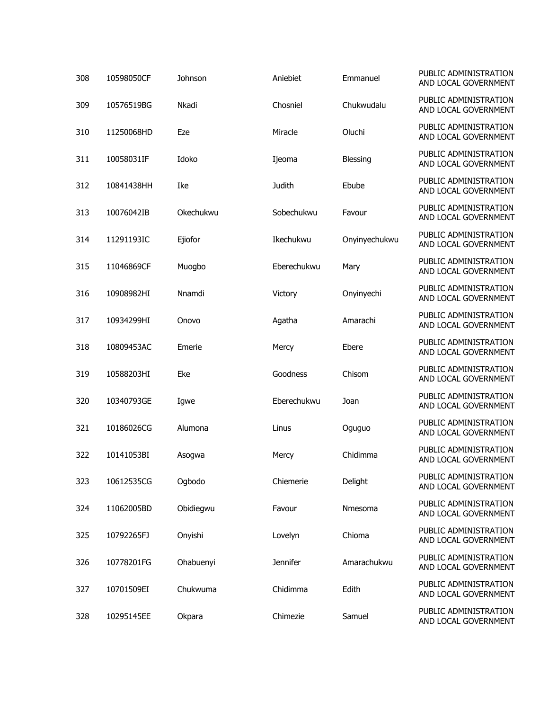| 308 | 10598050CF | Johnson   | Aniebiet        | Emmanuel        | PUBLIC ADMINISTRATION<br>AND LOCAL GOVERNMENT |
|-----|------------|-----------|-----------------|-----------------|-----------------------------------------------|
| 309 | 10576519BG | Nkadi     | Chosniel        | Chukwudalu      | PUBLIC ADMINISTRATION<br>AND LOCAL GOVERNMENT |
| 310 | 11250068HD | Eze       | Miracle         | Oluchi          | PUBLIC ADMINISTRATION<br>AND LOCAL GOVERNMENT |
| 311 | 10058031IF | Idoko     | Ijeoma          | <b>Blessing</b> | PUBLIC ADMINISTRATION<br>AND LOCAL GOVERNMENT |
| 312 | 10841438HH | Ike       | <b>Judith</b>   | Ebube           | PUBLIC ADMINISTRATION<br>AND LOCAL GOVERNMENT |
| 313 | 10076042IB | Okechukwu | Sobechukwu      | Favour          | PUBLIC ADMINISTRATION<br>AND LOCAL GOVERNMENT |
| 314 | 11291193IC | Ejiofor   | Ikechukwu       | Onyinyechukwu   | PUBLIC ADMINISTRATION<br>AND LOCAL GOVERNMENT |
| 315 | 11046869CF | Muogbo    | Eberechukwu     | Mary            | PUBLIC ADMINISTRATION<br>AND LOCAL GOVERNMENT |
| 316 | 10908982HI | Nnamdi    | Victory         | Onyinyechi      | PUBLIC ADMINISTRATION<br>AND LOCAL GOVERNMENT |
| 317 | 10934299HI | Onovo     | Agatha          | Amarachi        | PUBLIC ADMINISTRATION<br>AND LOCAL GOVERNMENT |
| 318 | 10809453AC | Emerie    | Mercy           | Ebere           | PUBLIC ADMINISTRATION<br>AND LOCAL GOVERNMENT |
| 319 | 10588203HI | Eke       | Goodness        | Chisom          | PUBLIC ADMINISTRATION<br>AND LOCAL GOVERNMENT |
| 320 | 10340793GE | Igwe      | Eberechukwu     | Joan            | PUBLIC ADMINISTRATION<br>AND LOCAL GOVERNMENT |
| 321 | 10186026CG | Alumona   | Linus           | Oguguo          | PUBLIC ADMINISTRATION<br>AND LOCAL GOVERNMENT |
| 322 | 10141053BI | Asogwa    | Mercy           | Chidimma        | PUBLIC ADMINISTRATION<br>AND LOCAL GOVERNMENT |
| 323 | 10612535CG | Ogbodo    | Chiemerie       | Delight         | PUBLIC ADMINISTRATION<br>AND LOCAL GOVERNMENT |
| 324 | 11062005BD | Obidiegwu | Favour          | Nmesoma         | PUBLIC ADMINISTRATION<br>AND LOCAL GOVERNMENT |
| 325 | 10792265FJ | Onyishi   | Lovelyn         | Chioma          | PUBLIC ADMINISTRATION<br>AND LOCAL GOVERNMENT |
| 326 | 10778201FG | Ohabuenyi | <b>Jennifer</b> | Amarachukwu     | PUBLIC ADMINISTRATION<br>AND LOCAL GOVERNMENT |
| 327 | 10701509EI | Chukwuma  | Chidimma        | Edith           | PUBLIC ADMINISTRATION<br>AND LOCAL GOVERNMENT |
| 328 | 10295145EE | Okpara    | Chimezie        | Samuel          | PUBLIC ADMINISTRATION<br>AND LOCAL GOVERNMENT |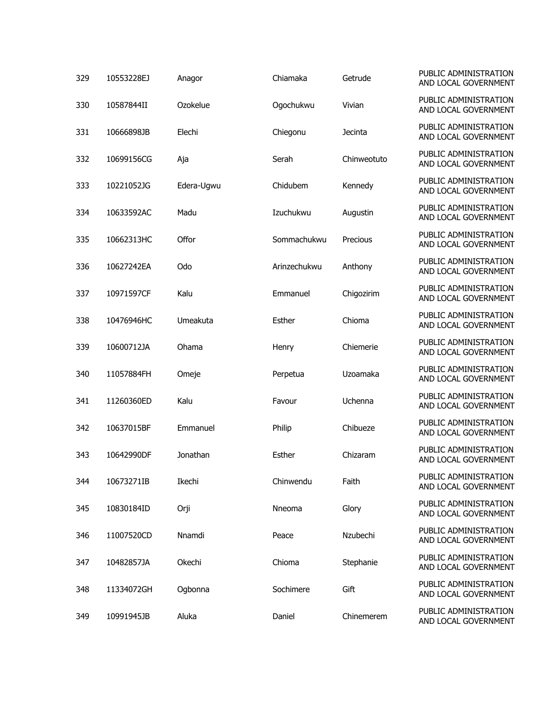| 329 | 10553228EJ | Anagor     | Chiamaka     | Getrude     | PUBLIC ADMINISTRATION<br>AND LOCAL GOVERNMENT |
|-----|------------|------------|--------------|-------------|-----------------------------------------------|
| 330 | 10587844II | Ozokelue   | Ogochukwu    | Vivian      | PUBLIC ADMINISTRATION<br>AND LOCAL GOVERNMENT |
| 331 | 10666898JB | Elechi     | Chiegonu     | Jecinta     | PUBLIC ADMINISTRATION<br>AND LOCAL GOVERNMENT |
| 332 | 10699156CG | Aja        | Serah        | Chinweotuto | PUBLIC ADMINISTRATION<br>AND LOCAL GOVERNMENT |
| 333 | 10221052JG | Edera-Ugwu | Chidubem     | Kennedy     | PUBLIC ADMINISTRATION<br>AND LOCAL GOVERNMENT |
| 334 | 10633592AC | Madu       | Izuchukwu    | Augustin    | PUBLIC ADMINISTRATION<br>AND LOCAL GOVERNMENT |
| 335 | 10662313HC | Offor      | Sommachukwu  | Precious    | PUBLIC ADMINISTRATION<br>AND LOCAL GOVERNMENT |
| 336 | 10627242EA | Odo        | Arinzechukwu | Anthony     | PUBLIC ADMINISTRATION<br>AND LOCAL GOVERNMENT |
| 337 | 10971597CF | Kalu       | Emmanuel     | Chigozirim  | PUBLIC ADMINISTRATION<br>AND LOCAL GOVERNMENT |
| 338 | 10476946HC | Umeakuta   | Esther       | Chioma      | PUBLIC ADMINISTRATION<br>AND LOCAL GOVERNMENT |
| 339 | 10600712JA | Ohama      | Henry        | Chiemerie   | PUBLIC ADMINISTRATION<br>AND LOCAL GOVERNMENT |
| 340 | 11057884FH | Omeje      | Perpetua     | Uzoamaka    | PUBLIC ADMINISTRATION<br>AND LOCAL GOVERNMENT |
| 341 | 11260360ED | Kalu       | Favour       | Uchenna     | PUBLIC ADMINISTRATION<br>AND LOCAL GOVERNMENT |
| 342 | 10637015BF | Emmanuel   | Philip       | Chibueze    | PUBLIC ADMINISTRATION<br>AND LOCAL GOVERNMENT |
| 343 | 10642990DF | Jonathan   | Esther       | Chizaram    | PUBLIC ADMINISTRATION<br>AND LOCAL GOVERNMENT |
| 344 | 10673271IB | Ikechi     | Chinwendu    | Faith       | PUBLIC ADMINISTRATION<br>AND LOCAL GOVERNMENT |
| 345 | 10830184ID | Orji       | Nneoma       | Glory       | PUBLIC ADMINISTRATION<br>AND LOCAL GOVERNMENT |
| 346 | 11007520CD | Nnamdi     | Peace        | Nzubechi    | PUBLIC ADMINISTRATION<br>AND LOCAL GOVERNMENT |
| 347 | 10482857JA | Okechi     | Chioma       | Stephanie   | PUBLIC ADMINISTRATION<br>AND LOCAL GOVERNMENT |
| 348 | 11334072GH | Ogbonna    | Sochimere    | Gift        | PUBLIC ADMINISTRATION<br>AND LOCAL GOVERNMENT |
| 349 | 10991945JB | Aluka      | Daniel       | Chinemerem  | PUBLIC ADMINISTRATION<br>AND LOCAL GOVERNMENT |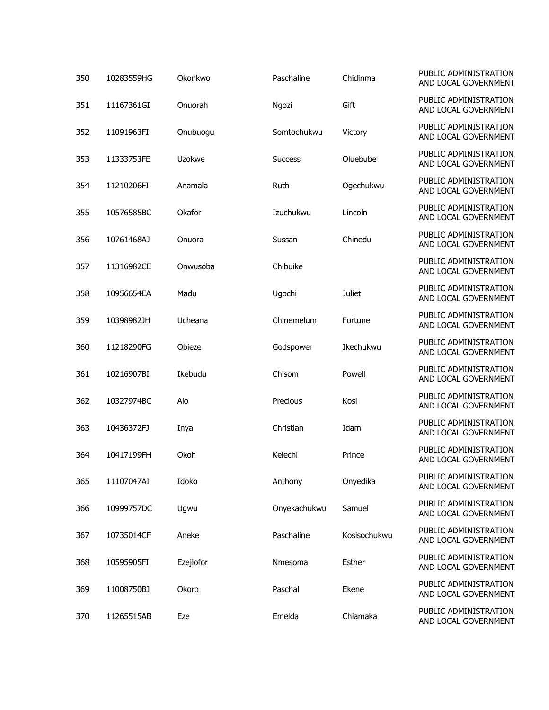| 350 | 10283559HG | Okonkwo   | Paschaline     | Chidinma      | PUBLIC ADMINISTRATION<br>AND LOCAL GOVERNMENT |
|-----|------------|-----------|----------------|---------------|-----------------------------------------------|
| 351 | 11167361GI | Onuorah   | Ngozi          | Gift          | PUBLIC ADMINISTRATION<br>AND LOCAL GOVERNMENT |
| 352 | 11091963FI | Onubuogu  | Somtochukwu    | Victory       | PUBLIC ADMINISTRATION<br>AND LOCAL GOVERNMENT |
| 353 | 11333753FE | Uzokwe    | <b>Success</b> | Oluebube      | PUBLIC ADMINISTRATION<br>AND LOCAL GOVERNMENT |
| 354 | 11210206FI | Anamala   | Ruth           | Ogechukwu     | PUBLIC ADMINISTRATION<br>AND LOCAL GOVERNMENT |
| 355 | 10576585BC | Okafor    | Izuchukwu      | Lincoln       | PUBLIC ADMINISTRATION<br>AND LOCAL GOVERNMENT |
| 356 | 10761468AJ | Onuora    | Sussan         | Chinedu       | PUBLIC ADMINISTRATION<br>AND LOCAL GOVERNMENT |
| 357 | 11316982CE | Onwusoba  | Chibuike       |               | PUBLIC ADMINISTRATION<br>AND LOCAL GOVERNMENT |
| 358 | 10956654EA | Madu      | Ugochi         | <b>Juliet</b> | PUBLIC ADMINISTRATION<br>AND LOCAL GOVERNMENT |
| 359 | 10398982JH | Ucheana   | Chinemelum     | Fortune       | PUBLIC ADMINISTRATION<br>AND LOCAL GOVERNMENT |
| 360 | 11218290FG | Obieze    | Godspower      | Ikechukwu     | PUBLIC ADMINISTRATION<br>AND LOCAL GOVERNMENT |
| 361 | 10216907BI | Ikebudu   | Chisom         | Powell        | PUBLIC ADMINISTRATION<br>AND LOCAL GOVERNMENT |
| 362 | 10327974BC | Alo       | Precious       | Kosi          | PUBLIC ADMINISTRATION<br>AND LOCAL GOVERNMENT |
| 363 | 10436372FJ | Inya      | Christian      | Idam          | PUBLIC ADMINISTRATION<br>AND LOCAL GOVERNMENT |
| 364 | 10417199FH | Okoh      | Kelechi        | Prince        | PUBLIC ADMINISTRATION<br>AND LOCAL GOVERNMENT |
| 365 | 11107047AI | Idoko     | Anthony        | Onyedika      | PUBLIC ADMINISTRATION<br>AND LOCAL GOVERNMENT |
| 366 | 10999757DC | Ugwu      | Onyekachukwu   | Samuel        | PUBLIC ADMINISTRATION<br>AND LOCAL GOVERNMENT |
| 367 | 10735014CF | Aneke     | Paschaline     | Kosisochukwu  | PUBLIC ADMINISTRATION<br>AND LOCAL GOVERNMENT |
| 368 | 10595905FI | Ezejiofor | Nmesoma        | Esther        | PUBLIC ADMINISTRATION<br>AND LOCAL GOVERNMENT |
| 369 | 11008750BJ | Okoro     | Paschal        | Ekene         | PUBLIC ADMINISTRATION<br>AND LOCAL GOVERNMENT |
| 370 | 11265515AB | Eze       | Emelda         | Chiamaka      | PUBLIC ADMINISTRATION<br>AND LOCAL GOVERNMENT |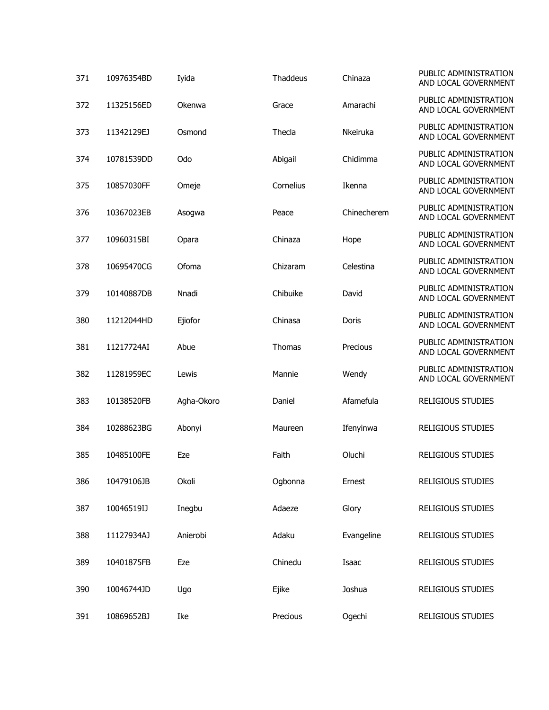| 371 | 10976354BD | Iyida      | Thaddeus  | Chinaza     | PUBLIC ADMINISTRATION<br>AND LOCAL GOVERNMENT |
|-----|------------|------------|-----------|-------------|-----------------------------------------------|
| 372 | 11325156ED | Okenwa     | Grace     | Amarachi    | PUBLIC ADMINISTRATION<br>AND LOCAL GOVERNMENT |
| 373 | 11342129EJ | Osmond     | Thecla    | Nkeiruka    | PUBLIC ADMINISTRATION<br>AND LOCAL GOVERNMENT |
| 374 | 10781539DD | Odo        | Abigail   | Chidimma    | PUBLIC ADMINISTRATION<br>AND LOCAL GOVERNMENT |
| 375 | 10857030FF | Omeje      | Cornelius | Ikenna      | PUBLIC ADMINISTRATION<br>AND LOCAL GOVERNMENT |
| 376 | 10367023EB | Asogwa     | Peace     | Chinecherem | PUBLIC ADMINISTRATION<br>AND LOCAL GOVERNMENT |
| 377 | 10960315BI | Opara      | Chinaza   | Hope        | PUBLIC ADMINISTRATION<br>AND LOCAL GOVERNMENT |
| 378 | 10695470CG | Ofoma      | Chizaram  | Celestina   | PUBLIC ADMINISTRATION<br>AND LOCAL GOVERNMENT |
| 379 | 10140887DB | Nnadi      | Chibuike  | David       | PUBLIC ADMINISTRATION<br>AND LOCAL GOVERNMENT |
| 380 | 11212044HD | Ejiofor    | Chinasa   | Doris       | PUBLIC ADMINISTRATION<br>AND LOCAL GOVERNMENT |
| 381 | 11217724AI | Abue       | Thomas    | Precious    | PUBLIC ADMINISTRATION<br>AND LOCAL GOVERNMENT |
| 382 | 11281959EC | Lewis      | Mannie    | Wendy       | PUBLIC ADMINISTRATION<br>AND LOCAL GOVERNMENT |
| 383 | 10138520FB | Agha-Okoro | Daniel    | Afamefula   | <b>RELIGIOUS STUDIES</b>                      |
| 384 | 10288623BG | Abonyi     | Maureen   | Ifenyinwa   | <b>RELIGIOUS STUDIES</b>                      |
| 385 | 10485100FE | Eze        | Faith     | Oluchi      | <b>RELIGIOUS STUDIES</b>                      |
| 386 | 10479106JB | Okoli      | Ogbonna   | Ernest      | <b>RELIGIOUS STUDIES</b>                      |
| 387 | 10046519IJ | Inegbu     | Adaeze    | Glory       | <b>RELIGIOUS STUDIES</b>                      |
| 388 | 11127934AJ | Anierobi   | Adaku     | Evangeline  | <b>RELIGIOUS STUDIES</b>                      |
| 389 | 10401875FB | Eze        | Chinedu   | Isaac       | <b>RELIGIOUS STUDIES</b>                      |
| 390 | 10046744JD | Ugo        | Ejike     | Joshua      | <b>RELIGIOUS STUDIES</b>                      |
| 391 | 10869652BJ | Ike        | Precious  | Ogechi      | <b>RELIGIOUS STUDIES</b>                      |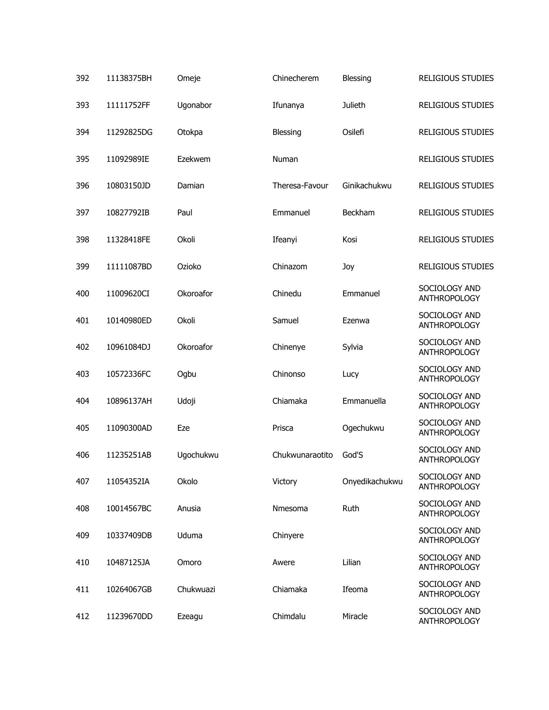| 392 | 11138375BH | Omeje     | Chinecherem     | Blessing       | <b>RELIGIOUS STUDIES</b>             |
|-----|------------|-----------|-----------------|----------------|--------------------------------------|
| 393 | 11111752FF | Ugonabor  | Ifunanya        | Julieth        | <b>RELIGIOUS STUDIES</b>             |
| 394 | 11292825DG | Otokpa    | Blessing        | Osilefi        | <b>RELIGIOUS STUDIES</b>             |
| 395 | 11092989IE | Ezekwem   | Numan           |                | <b>RELIGIOUS STUDIES</b>             |
| 396 | 10803150JD | Damian    | Theresa-Favour  | Ginikachukwu   | <b>RELIGIOUS STUDIES</b>             |
| 397 | 10827792IB | Paul      | Emmanuel        | Beckham        | <b>RELIGIOUS STUDIES</b>             |
| 398 | 11328418FE | Okoli     | Ifeanyi         | Kosi           | <b>RELIGIOUS STUDIES</b>             |
| 399 | 11111087BD | Ozioko    | Chinazom        | Joy            | <b>RELIGIOUS STUDIES</b>             |
| 400 | 11009620CI | Okoroafor | Chinedu         | Emmanuel       | SOCIOLOGY AND<br>ANTHROPOLOGY        |
| 401 | 10140980ED | Okoli     | Samuel          | Ezenwa         | SOCIOLOGY AND<br>ANTHROPOLOGY        |
| 402 | 10961084DJ | Okoroafor | Chinenye        | Sylvia         | SOCIOLOGY AND<br>ANTHROPOLOGY        |
| 403 | 10572336FC | Ogbu      | Chinonso        | Lucy           | SOCIOLOGY AND<br>ANTHROPOLOGY        |
| 404 | 10896137AH | Udoji     | Chiamaka        | Emmanuella     | SOCIOLOGY AND<br><b>ANTHROPOLOGY</b> |
| 405 | 11090300AD | Eze       | Prisca          | Ogechukwu      | SOCIOLOGY AND<br>ANTHROPOLOGY        |
| 406 | 11235251AB | Ugochukwu | Chukwunaraotito | God'S          | SOCIOLOGY AND<br><b>ANTHROPOLOGY</b> |
| 407 | 11054352IA | Okolo     | Victory         | Onyedikachukwu | SOCIOLOGY AND<br>ANTHROPOLOGY        |
| 408 | 10014567BC | Anusia    | Nmesoma         | Ruth           | SOCIOLOGY AND<br>ANTHROPOLOGY        |
| 409 | 10337409DB | Uduma     | Chinyere        |                | SOCIOLOGY AND<br><b>ANTHROPOLOGY</b> |
| 410 | 10487125JA | Omoro     | Awere           | Lilian         | SOCIOLOGY AND<br><b>ANTHROPOLOGY</b> |
| 411 | 10264067GB | Chukwuazi | Chiamaka        | Ifeoma         | SOCIOLOGY AND<br><b>ANTHROPOLOGY</b> |
| 412 | 11239670DD | Ezeagu    | Chimdalu        | Miracle        | SOCIOLOGY AND<br>ANTHROPOLOGY        |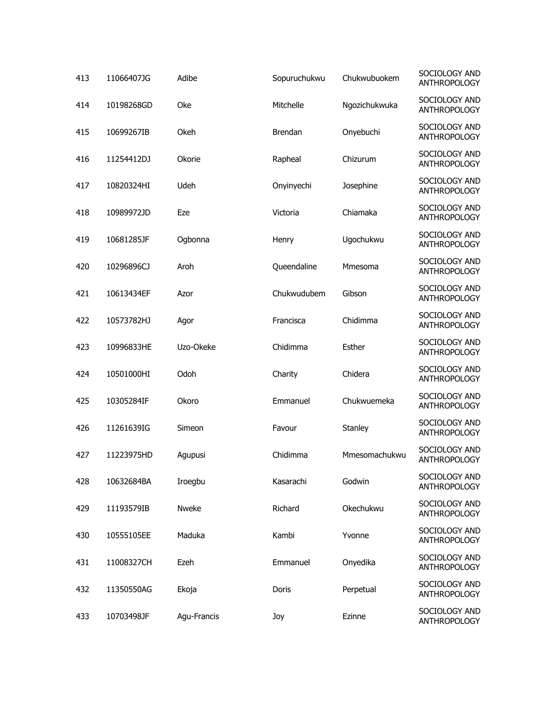| 413 | 11066407JG | Adibe       | Sopuruchukwu | Chukwubuokem  | SOCIOLOGY AND<br><b>ANTHROPOLOGY</b> |
|-----|------------|-------------|--------------|---------------|--------------------------------------|
| 414 | 10198268GD | Oke         | Mitchelle    | Ngozichukwuka | SOCIOLOGY AND<br><b>ANTHROPOLOGY</b> |
| 415 | 10699267IB | Okeh        | Brendan      | Onyebuchi     | SOCIOLOGY AND<br><b>ANTHROPOLOGY</b> |
| 416 | 11254412DJ | Okorie      | Rapheal      | Chizurum      | SOCIOLOGY AND<br><b>ANTHROPOLOGY</b> |
| 417 | 10820324HI | Udeh        | Onyinyechi   | Josephine     | SOCIOLOGY AND<br><b>ANTHROPOLOGY</b> |
| 418 | 10989972JD | Eze         | Victoria     | Chiamaka      | SOCIOLOGY AND<br>ANTHROPOLOGY        |
| 419 | 10681285JF | Ogbonna     | Henry        | Ugochukwu     | SOCIOLOGY AND<br><b>ANTHROPOLOGY</b> |
| 420 | 10296896CJ | Aroh        | Queendaline  | Mmesoma       | SOCIOLOGY AND<br><b>ANTHROPOLOGY</b> |
| 421 | 10613434EF | Azor        | Chukwudubem  | Gibson        | SOCIOLOGY AND<br><b>ANTHROPOLOGY</b> |
| 422 | 10573782HJ | Agor        | Francisca    | Chidimma      | SOCIOLOGY AND<br>ANTHROPOLOGY        |
| 423 | 10996833HE | Uzo-Okeke   | Chidimma     | Esther        | SOCIOLOGY AND<br><b>ANTHROPOLOGY</b> |
| 424 | 10501000HI | Odoh        | Charity      | Chidera       | SOCIOLOGY AND<br>ANTHROPOLOGY        |
| 425 | 10305284IF | Okoro       | Emmanuel     | Chukwuemeka   | SOCIOLOGY AND<br><b>ANTHROPOLOGY</b> |
| 426 | 11261639IG | Simeon      | Favour       | Stanley       | SOCIOLOGY AND<br>ANTHROPOLOGY        |
| 427 | 11223975HD | Agupusi     | Chidimma     | Mmesomachukwu | SOCIOLOGY AND<br><b>ANTHROPOLOGY</b> |
| 428 | 10632684BA | Iroegbu     | Kasarachi    | Godwin        | SOCIOLOGY AND<br><b>ANTHROPOLOGY</b> |
| 429 | 11193579IB | Nweke       | Richard      | Okechukwu     | SOCIOLOGY AND<br><b>ANTHROPOLOGY</b> |
| 430 | 10555105EE | Maduka      | Kambi        | Yvonne        | SOCIOLOGY AND<br><b>ANTHROPOLOGY</b> |
| 431 | 11008327CH | Ezeh        | Emmanuel     | Onyedika      | SOCIOLOGY AND<br><b>ANTHROPOLOGY</b> |
| 432 | 11350550AG | Ekoja       | Doris        | Perpetual     | SOCIOLOGY AND<br><b>ANTHROPOLOGY</b> |
| 433 | 10703498JF | Agu-Francis | Joy          | Ezinne        | SOCIOLOGY AND<br><b>ANTHROPOLOGY</b> |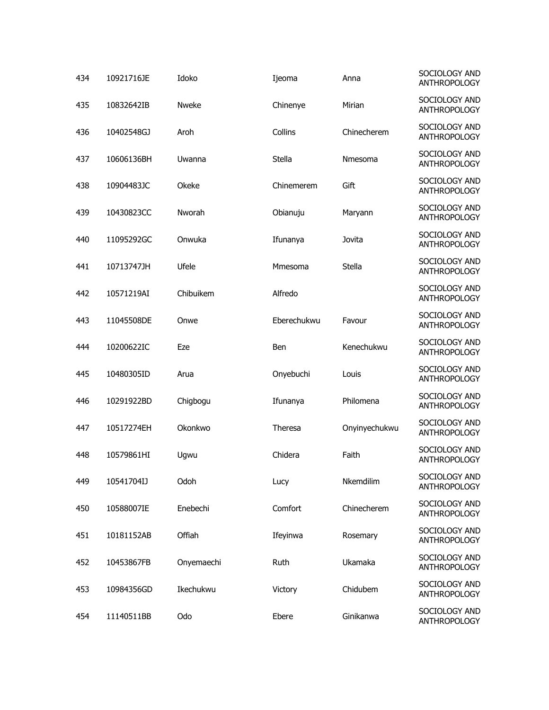| 434 | 10921716JE | Idoko      | Ijeoma      | Anna          | SOCIOLOGY AND<br><b>ANTHROPOLOGY</b> |
|-----|------------|------------|-------------|---------------|--------------------------------------|
| 435 | 10832642IB | Nweke      | Chinenye    | Mirian        | SOCIOLOGY AND<br><b>ANTHROPOLOGY</b> |
| 436 | 10402548GJ | Aroh       | Collins     | Chinecherem   | SOCIOLOGY AND<br><b>ANTHROPOLOGY</b> |
| 437 | 10606136BH | Uwanna     | Stella      | Nmesoma       | SOCIOLOGY AND<br><b>ANTHROPOLOGY</b> |
| 438 | 10904483JC | Okeke      | Chinemerem  | Gift          | SOCIOLOGY AND<br><b>ANTHROPOLOGY</b> |
| 439 | 10430823CC | Nworah     | Obianuju    | Maryann       | SOCIOLOGY AND<br><b>ANTHROPOLOGY</b> |
| 440 | 11095292GC | Onwuka     | Ifunanya    | Jovita        | SOCIOLOGY AND<br><b>ANTHROPOLOGY</b> |
| 441 | 10713747JH | Ufele      | Mmesoma     | Stella        | SOCIOLOGY AND<br><b>ANTHROPOLOGY</b> |
| 442 | 10571219AI | Chibuikem  | Alfredo     |               | SOCIOLOGY AND<br><b>ANTHROPOLOGY</b> |
| 443 | 11045508DE | Onwe       | Eberechukwu | Favour        | SOCIOLOGY AND<br><b>ANTHROPOLOGY</b> |
| 444 | 10200622IC | Eze        | Ben         | Kenechukwu    | SOCIOLOGY AND<br><b>ANTHROPOLOGY</b> |
| 445 | 10480305ID | Arua       | Onyebuchi   | Louis         | SOCIOLOGY AND<br><b>ANTHROPOLOGY</b> |
| 446 | 10291922BD | Chigbogu   | Ifunanya    | Philomena     | SOCIOLOGY AND<br>ANTHROPOLOGY        |
| 447 | 10517274EH | Okonkwo    | Theresa     | Onyinyechukwu | SOCIOLOGY AND<br>ANTHROPOLOGY        |
| 448 | 10579861HI | Ugwu       | Chidera     | Faith         | SOCIOLOGY AND<br><b>ANTHROPOLOGY</b> |
| 449 | 10541704IJ | Odoh       | Lucy        | Nkemdilim     | SOCIOLOGY AND<br><b>ANTHROPOLOGY</b> |
| 450 | 10588007IE | Enebechi   | Comfort     | Chinecherem   | SOCIOLOGY AND<br>ANTHROPOLOGY        |
| 451 | 10181152AB | Offiah     | Ifeyinwa    | Rosemary      | SOCIOLOGY AND<br><b>ANTHROPOLOGY</b> |
| 452 | 10453867FB | Onyemaechi | Ruth        | Ukamaka       | SOCIOLOGY AND<br><b>ANTHROPOLOGY</b> |
| 453 | 10984356GD | Ikechukwu  | Victory     | Chidubem      | SOCIOLOGY AND<br><b>ANTHROPOLOGY</b> |
| 454 | 11140511BB | Odo        | Ebere       | Ginikanwa     | SOCIOLOGY AND<br><b>ANTHROPOLOGY</b> |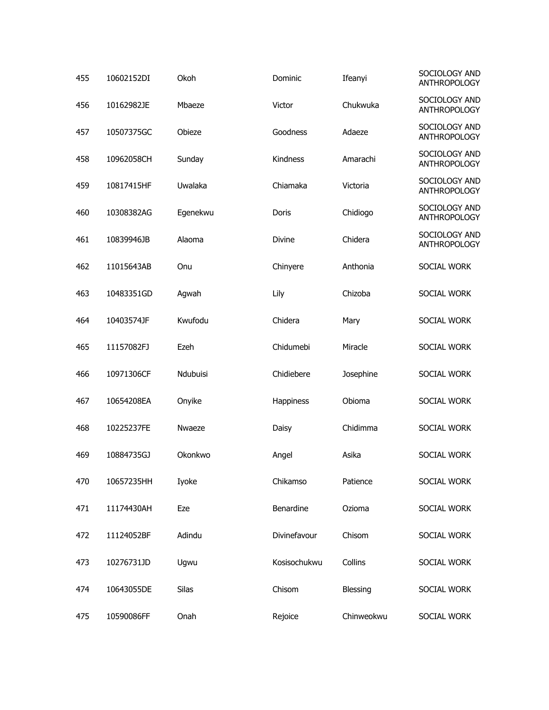| 455 | 10602152DI | Okoh     | Dominic      | Ifeanyi    | SOCIOLOGY AND<br><b>ANTHROPOLOGY</b> |
|-----|------------|----------|--------------|------------|--------------------------------------|
| 456 | 10162982JE | Mbaeze   | Victor       | Chukwuka   | SOCIOLOGY AND<br><b>ANTHROPOLOGY</b> |
| 457 | 10507375GC | Obieze   | Goodness     | Adaeze     | SOCIOLOGY AND<br><b>ANTHROPOLOGY</b> |
| 458 | 10962058CH | Sunday   | Kindness     | Amarachi   | SOCIOLOGY AND<br><b>ANTHROPOLOGY</b> |
| 459 | 10817415HF | Uwalaka  | Chiamaka     | Victoria   | SOCIOLOGY AND<br><b>ANTHROPOLOGY</b> |
| 460 | 10308382AG | Egenekwu | Doris        | Chidiogo   | SOCIOLOGY AND<br><b>ANTHROPOLOGY</b> |
| 461 | 10839946JB | Alaoma   | Divine       | Chidera    | SOCIOLOGY AND<br><b>ANTHROPOLOGY</b> |
| 462 | 11015643AB | Onu      | Chinyere     | Anthonia   | SOCIAL WORK                          |
| 463 | 10483351GD | Agwah    | Lily         | Chizoba    | SOCIAL WORK                          |
| 464 | 10403574JF | Kwufodu  | Chidera      | Mary       | SOCIAL WORK                          |
| 465 | 11157082FJ | Ezeh     | Chidumebi    | Miracle    | SOCIAL WORK                          |
| 466 | 10971306CF | Ndubuisi | Chidiebere   | Josephine  | SOCIAL WORK                          |
| 467 | 10654208EA | Onyike   | Happiness    | Obioma     | SOCIAL WORK                          |
| 468 | 10225237FE | Nwaeze   | Daisy        | Chidimma   | SOCIAL WORK                          |
| 469 | 10884735GJ | Okonkwo  | Angel        | Asika      | SOCIAL WORK                          |
| 470 | 10657235HH | Iyoke    | Chikamso     | Patience   | SOCIAL WORK                          |
| 471 | 11174430AH | Eze      | Benardine    | Ozioma     | SOCIAL WORK                          |
| 472 | 11124052BF | Adindu   | Divinefavour | Chisom     | SOCIAL WORK                          |
| 473 | 10276731JD | Ugwu     | Kosisochukwu | Collins    | SOCIAL WORK                          |
| 474 | 10643055DE | Silas    | Chisom       | Blessing   | SOCIAL WORK                          |
| 475 | 10590086FF | Onah     | Rejoice      | Chinweokwu | SOCIAL WORK                          |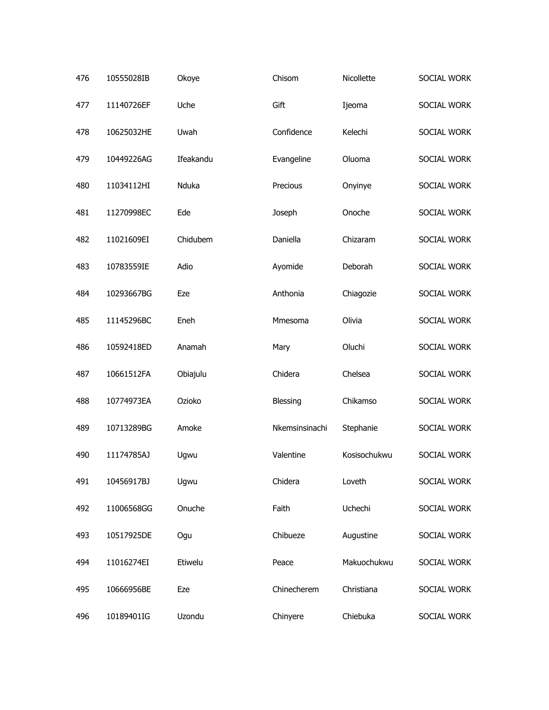| 476 | 10555028IB | Okoye     | Chisom         | Nicollette   | SOCIAL WORK |
|-----|------------|-----------|----------------|--------------|-------------|
| 477 | 11140726EF | Uche      | Gift           | Ijeoma       | SOCIAL WORK |
| 478 | 10625032HE | Uwah      | Confidence     | Kelechi      | SOCIAL WORK |
| 479 | 10449226AG | Ifeakandu | Evangeline     | Oluoma       | SOCIAL WORK |
| 480 | 11034112HI | Nduka     | Precious       | Onyinye      | SOCIAL WORK |
| 481 | 11270998EC | Ede       | Joseph         | Onoche       | SOCIAL WORK |
| 482 | 11021609EI | Chidubem  | Daniella       | Chizaram     | SOCIAL WORK |
| 483 | 10783559IE | Adio      | Ayomide        | Deborah      | SOCIAL WORK |
| 484 | 10293667BG | Eze       | Anthonia       | Chiagozie    | SOCIAL WORK |
| 485 | 11145296BC | Eneh      | Mmesoma        | Olivia       | SOCIAL WORK |
| 486 | 10592418ED | Anamah    | Mary           | Oluchi       | SOCIAL WORK |
| 487 | 10661512FA | Obiajulu  | Chidera        | Chelsea      | SOCIAL WORK |
| 488 | 10774973EA | Ozioko    | Blessing       | Chikamso     | SOCIAL WORK |
| 489 | 10713289BG | Amoke     | Nkemsinsinachi | Stephanie    | SOCIAL WORK |
| 490 | 11174785AJ | Ugwu      | Valentine      | Kosisochukwu | SOCIAL WORK |
| 491 | 10456917BJ | Ugwu      | Chidera        | Loveth       | SOCIAL WORK |
| 492 | 11006568GG | Onuche    | Faith          | Uchechi      | SOCIAL WORK |
| 493 | 10517925DE | Ogu       | Chibueze       | Augustine    | SOCIAL WORK |
| 494 | 11016274EI | Etiwelu   | Peace          | Makuochukwu  | SOCIAL WORK |
| 495 | 10666956BE | Eze       | Chinecherem    | Christiana   | SOCIAL WORK |
| 496 | 10189401IG | Uzondu    | Chinyere       | Chiebuka     | SOCIAL WORK |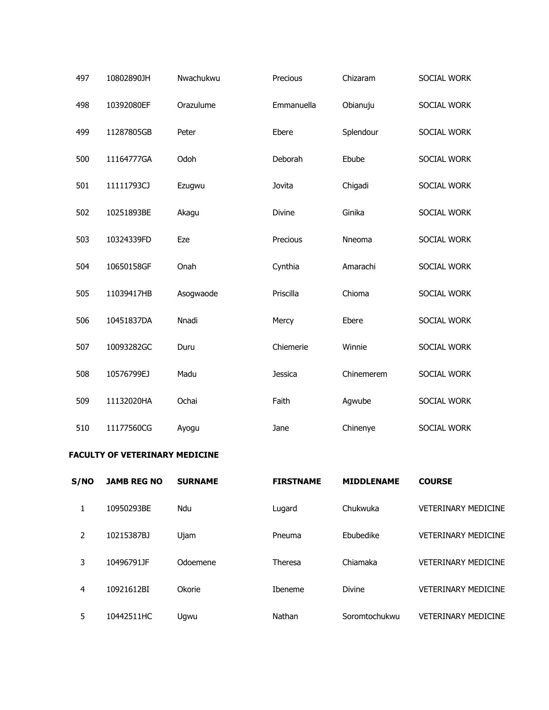| 497 | 10802890JH | Nwachukwu | Precious      | Chizaram   | SOCIAL WORK |
|-----|------------|-----------|---------------|------------|-------------|
| 498 | 10392080EF | Orazulume | Emmanuella    | Obianuju   | SOCIAL WORK |
| 499 | 11287805GB | Peter     | Ebere         | Splendour  | SOCIAL WORK |
| 500 | 11164777GA | Odoh      | Deborah       | Ebube      | SOCIAL WORK |
| 501 | 11111793CJ | Ezugwu    | Jovita        | Chigadi    | SOCIAL WORK |
| 502 | 10251893BE | Akagu     | <b>Divine</b> | Ginika     | SOCIAL WORK |
| 503 | 10324339FD | Eze       | Precious      | Nneoma     | SOCIAL WORK |
| 504 | 10650158GF | Onah      | Cynthia       | Amarachi   | SOCIAL WORK |
| 505 | 11039417HB | Asogwaode | Priscilla     | Chioma     | SOCIAL WORK |
| 506 | 10451837DA | Nnadi     | Mercy         | Ebere      | SOCIAL WORK |
| 507 | 10093282GC | Duru      | Chiemerie     | Winnie     | SOCIAL WORK |
| 508 | 10576799EJ | Madu      | Jessica       | Chinemerem | SOCIAL WORK |
| 509 | 11132020HA | Ochai     | Faith         | Agwube     | SOCIAL WORK |
| 510 | 11177560CG | Ayogu     | Jane          | Chinenye   | SOCIAL WORK |

## **FACULTY OF VETERINARY MEDICINE**

| S/NO | <b>JAMB REG NO</b> | <b>SURNAME</b> | <b>FIRSTNAME</b> | <b>MIDDLENAME</b> | <b>COURSE</b>              |
|------|--------------------|----------------|------------------|-------------------|----------------------------|
|      | 10950293BE         | Ndu            | Lugard           | Chukwuka          | <b>VETERINARY MEDICINE</b> |
| 2    | 10215387BJ         | Ujam           | Pneuma           | Ebubedike         | <b>VETERINARY MEDICINE</b> |
| 3    | 10496791JF         | Odoemene       | Theresa          | Chiamaka          | <b>VETERINARY MEDICINE</b> |
| 4    | 10921612BI         | Okorie         | <b>Ibeneme</b>   | <b>Divine</b>     | <b>VETERINARY MEDICINE</b> |
| 5    | 10442511HC         | Ugwu           | Nathan           | Soromtochukwu     | <b>VETERINARY MEDICINE</b> |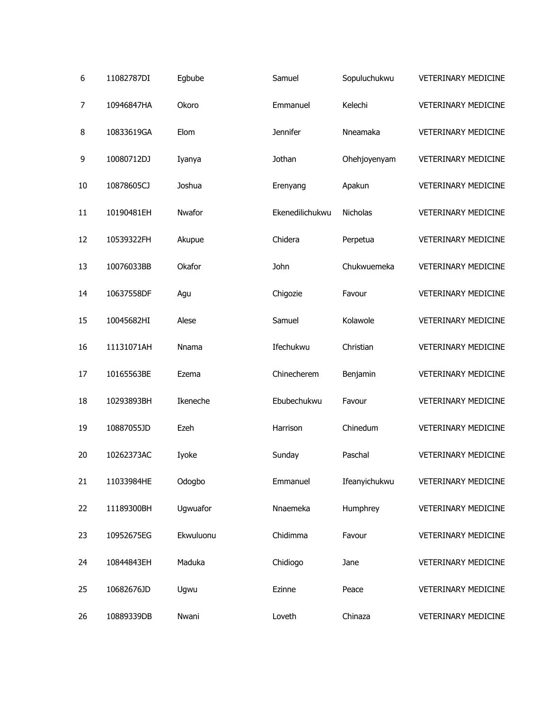| 6  | 11082787DI | Egbube    | Samuel          | Sopuluchukwu  | <b>VETERINARY MEDICINE</b> |
|----|------------|-----------|-----------------|---------------|----------------------------|
| 7  | 10946847HA | Okoro     | Emmanuel        | Kelechi       | <b>VETERINARY MEDICINE</b> |
| 8  | 10833619GA | Elom      | <b>Jennifer</b> | Nneamaka      | <b>VETERINARY MEDICINE</b> |
| 9  | 10080712DJ | Iyanya    | Jothan          | Ohehjoyenyam  | <b>VETERINARY MEDICINE</b> |
| 10 | 10878605CJ | Joshua    | Erenyang        | Apakun        | VETERINARY MEDICINE        |
| 11 | 10190481EH | Nwafor    | Ekenedilichukwu | Nicholas      | <b>VETERINARY MEDICINE</b> |
| 12 | 10539322FH | Akupue    | Chidera         | Perpetua      | <b>VETERINARY MEDICINE</b> |
| 13 | 10076033BB | Okafor    | John            | Chukwuemeka   | <b>VETERINARY MEDICINE</b> |
| 14 | 10637558DF | Agu       | Chigozie        | Favour        | <b>VETERINARY MEDICINE</b> |
| 15 | 10045682HI | Alese     | Samuel          | Kolawole      | <b>VETERINARY MEDICINE</b> |
| 16 | 11131071AH | Nnama     | Ifechukwu       | Christian     | <b>VETERINARY MEDICINE</b> |
| 17 | 10165563BE | Ezema     | Chinecherem     | Benjamin      | <b>VETERINARY MEDICINE</b> |
| 18 | 10293893BH | Ikeneche  | Ebubechukwu     | Favour        | <b>VETERINARY MEDICINE</b> |
| 19 | 10887055JD | Ezeh      | Harrison        | Chinedum      | <b>VETERINARY MEDICINE</b> |
| 20 | 10262373AC | Iyoke     | Sunday          | Paschal       | <b>VETERINARY MEDICINE</b> |
| 21 | 11033984HE | Odogbo    | Emmanuel        | Ifeanyichukwu | VETERINARY MEDICINE        |
| 22 | 11189300BH | Ugwuafor  | Nnaemeka        | Humphrey      | VETERINARY MEDICINE        |
| 23 | 10952675EG | Ekwuluonu | Chidimma        | Favour        | <b>VETERINARY MEDICINE</b> |
| 24 | 10844843EH | Maduka    | Chidiogo        | Jane          | VETERINARY MEDICINE        |
| 25 | 10682676JD | Ugwu      | Ezinne          | Peace         | <b>VETERINARY MEDICINE</b> |
| 26 | 10889339DB | Nwani     | Loveth          | Chinaza       | VETERINARY MEDICINE        |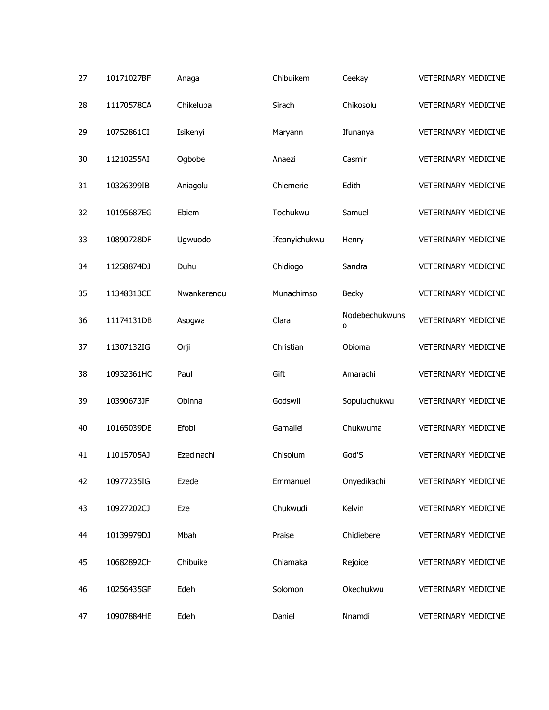| 27 | 10171027BF | Anaga       | Chibuikem     | Ceekay              | <b>VETERINARY MEDICINE</b> |
|----|------------|-------------|---------------|---------------------|----------------------------|
| 28 | 11170578CA | Chikeluba   | Sirach        | Chikosolu           | <b>VETERINARY MEDICINE</b> |
| 29 | 10752861CI | Isikenyi    | Maryann       | Ifunanya            | <b>VETERINARY MEDICINE</b> |
| 30 | 11210255AI | Ogbobe      | Anaezi        | Casmir              | <b>VETERINARY MEDICINE</b> |
| 31 | 10326399IB | Aniagolu    | Chiemerie     | Edith               | <b>VETERINARY MEDICINE</b> |
| 32 | 10195687EG | Ebiem       | Tochukwu      | Samuel              | <b>VETERINARY MEDICINE</b> |
| 33 | 10890728DF | Ugwuodo     | Ifeanyichukwu | Henry               | VETERINARY MEDICINE        |
| 34 | 11258874DJ | Duhu        | Chidiogo      | Sandra              | <b>VETERINARY MEDICINE</b> |
| 35 | 11348313CE | Nwankerendu | Munachimso    | Becky               | <b>VETERINARY MEDICINE</b> |
| 36 | 11174131DB | Asogwa      | Clara         | Nodebechukwuns<br>o | <b>VETERINARY MEDICINE</b> |
| 37 | 11307132IG | Orji        | Christian     | Obioma              | <b>VETERINARY MEDICINE</b> |
| 38 | 10932361HC | Paul        | Gift          | Amarachi            | <b>VETERINARY MEDICINE</b> |
| 39 | 10390673JF | Obinna      | Godswill      | Sopuluchukwu        | VETERINARY MEDICINE        |
| 40 | 10165039DE | Efobi       | Gamaliel      | Chukwuma            | <b>VETERINARY MEDICINE</b> |
| 41 | 11015705AJ | Ezedinachi  | Chisolum      | God'S               | <b>VETERINARY MEDICINE</b> |
| 42 | 10977235IG | Ezede       | Emmanuel      | Onyedikachi         | VETERINARY MEDICINE        |
| 43 | 10927202CJ | Eze         | Chukwudi      | Kelvin              | <b>VETERINARY MEDICINE</b> |
| 44 | 10139979DJ | Mbah        | Praise        | Chidiebere          | VETERINARY MEDICINE        |
| 45 | 10682892CH | Chibuike    | Chiamaka      | Rejoice             | <b>VETERINARY MEDICINE</b> |
| 46 | 10256435GF | Edeh        | Solomon       | Okechukwu           | <b>VETERINARY MEDICINE</b> |
| 47 | 10907884HE | Edeh        | Daniel        | Nnamdi              | VETERINARY MEDICINE        |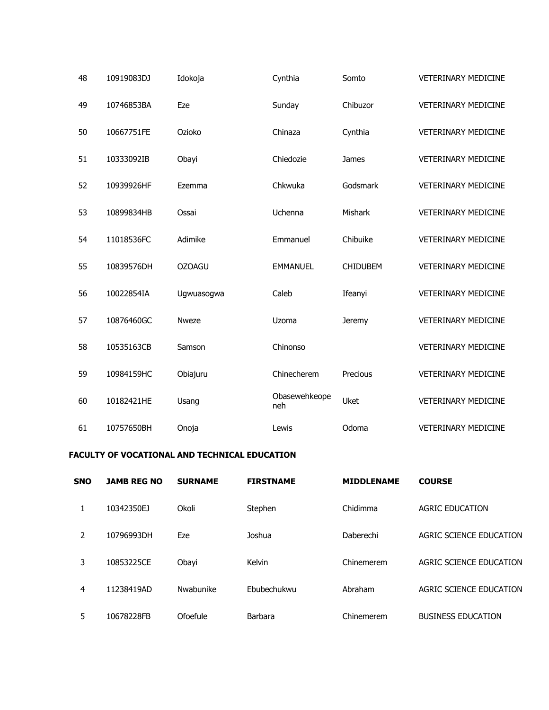| 48 | 10919083DJ | Idokoja       | Cynthia              | Somto           | <b>VETERINARY MEDICINE</b> |
|----|------------|---------------|----------------------|-----------------|----------------------------|
| 49 | 10746853BA | Eze           | Sunday               | Chibuzor        | <b>VETERINARY MEDICINE</b> |
| 50 | 10667751FE | Ozioko        | Chinaza              | Cynthia         | <b>VETERINARY MEDICINE</b> |
| 51 | 10333092IB | Obayi         | Chiedozie            | James           | <b>VETERINARY MEDICINE</b> |
| 52 | 10939926HF | Ezemma        | Chkwuka              | Godsmark        | <b>VETERINARY MEDICINE</b> |
| 53 | 10899834HB | Ossai         | Uchenna              | Mishark         | <b>VETERINARY MEDICINE</b> |
| 54 | 11018536FC | Adimike       | Emmanuel             | Chibuike        | <b>VETERINARY MEDICINE</b> |
| 55 | 10839576DH | <b>OZOAGU</b> | <b>EMMANUEL</b>      | <b>CHIDUBEM</b> | <b>VETERINARY MEDICINE</b> |
| 56 | 10022854IA | Ugwuasogwa    | Caleb                | Ifeanyi         | <b>VETERINARY MEDICINE</b> |
| 57 | 10876460GC | <b>Nweze</b>  | Uzoma                | <b>Jeremy</b>   | <b>VETERINARY MEDICINE</b> |
| 58 | 10535163CB | Samson        | Chinonso             |                 | <b>VETERINARY MEDICINE</b> |
| 59 | 10984159HC | Obiajuru      | Chinecherem          | Precious        | <b>VETERINARY MEDICINE</b> |
| 60 | 10182421HE | Usang         | Obasewehkeope<br>neh | <b>Uket</b>     | <b>VETERINARY MEDICINE</b> |
| 61 | 10757650BH | Onoja         | Lewis                | Odoma           | <b>VETERINARY MEDICINE</b> |

## **FACULTY OF VOCATIONAL AND TECHNICAL EDUCATION**

| <b>SNO</b> | <b>JAMB REG NO</b> | <b>SURNAME</b> | <b>FIRSTNAME</b> | <b>MIDDLENAME</b> | <b>COURSE</b>             |
|------------|--------------------|----------------|------------------|-------------------|---------------------------|
| 1          | 10342350EJ         | Okoli          | Stephen          | Chidimma          | <b>AGRIC EDUCATION</b>    |
| 2          | 10796993DH         | Eze            | Joshua           | Daberechi         | AGRIC SCIENCE EDUCATION   |
| 3          | 10853225CE         | Obayi          | Kelvin           | Chinemerem        | AGRIC SCIENCE EDUCATION   |
| 4          | 11238419AD         | Nwabunike      | Ebubechukwu      | Abraham           | AGRIC SCIENCE EDUCATION   |
| 5          | 10678228FB         | Ofoefule       | Barbara          | Chinemerem        | <b>BUSINESS EDUCATION</b> |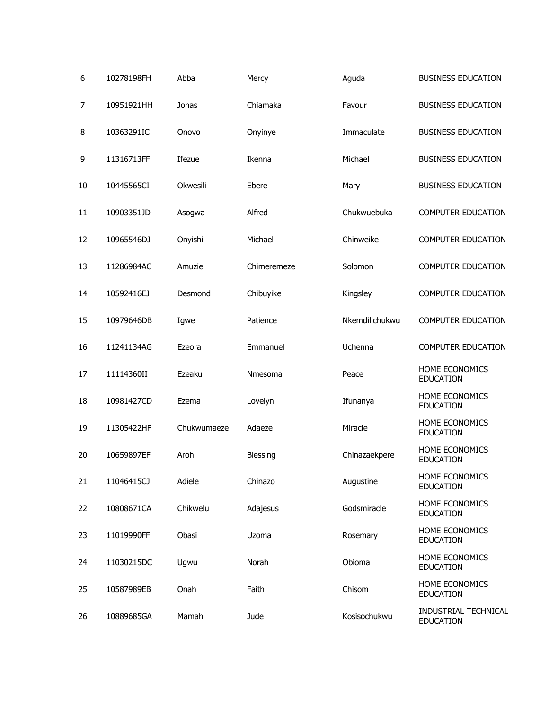| 6  | 10278198FH | Abba        | Mercy          | Aguda          | <b>BUSINESS EDUCATION</b>                |
|----|------------|-------------|----------------|----------------|------------------------------------------|
| 7  | 10951921HH | Jonas       | Chiamaka       | Favour         | <b>BUSINESS EDUCATION</b>                |
| 8  | 10363291IC | Onovo       | Onyinye        | Immaculate     | <b>BUSINESS EDUCATION</b>                |
| 9  | 11316713FF | Ifezue      | Ikenna         | Michael        | <b>BUSINESS EDUCATION</b>                |
| 10 | 10445565CI | Okwesili    | Ebere          | Mary           | <b>BUSINESS EDUCATION</b>                |
| 11 | 10903351JD | Asogwa      | Alfred         | Chukwuebuka    | <b>COMPUTER EDUCATION</b>                |
| 12 | 10965546DJ | Onyishi     | Michael        | Chinweike      | <b>COMPUTER EDUCATION</b>                |
| 13 | 11286984AC | Amuzie      | Chimeremeze    | Solomon        | <b>COMPUTER EDUCATION</b>                |
| 14 | 10592416EJ | Desmond     | Chibuyike      | Kingsley       | <b>COMPUTER EDUCATION</b>                |
| 15 | 10979646DB | Igwe        | Patience       | Nkemdilichukwu | <b>COMPUTER EDUCATION</b>                |
| 16 | 11241134AG | Ezeora      | Emmanuel       | Uchenna        | <b>COMPUTER EDUCATION</b>                |
| 17 | 11114360II | Ezeaku      | <b>Nmesoma</b> | Peace          | HOME ECONOMICS<br><b>EDUCATION</b>       |
| 18 | 10981427CD | Ezema       | Lovelyn        | Ifunanya       | HOME ECONOMICS<br><b>EDUCATION</b>       |
| 19 | 11305422HF | Chukwumaeze | Adaeze         | Miracle        | HOME ECONOMICS<br><b>EDUCATION</b>       |
| 20 | 10659897EF | Aroh        | Blessing       | Chinazaekpere  | HOME ECONOMICS<br><b>EDUCATION</b>       |
| 21 | 11046415CJ | Adiele      | Chinazo        | Augustine      | HOME ECONOMICS<br><b>EDUCATION</b>       |
| 22 | 10808671CA | Chikwelu    | Adajesus       | Godsmiracle    | HOME ECONOMICS<br><b>EDUCATION</b>       |
| 23 | 11019990FF | Obasi       | Uzoma          | Rosemary       | HOME ECONOMICS<br><b>EDUCATION</b>       |
| 24 | 11030215DC | Ugwu        | Norah          | Obioma         | HOME ECONOMICS<br><b>EDUCATION</b>       |
| 25 | 10587989EB | Onah        | Faith          | Chisom         | HOME ECONOMICS<br><b>EDUCATION</b>       |
| 26 | 10889685GA | Mamah       | Jude           | Kosisochukwu   | INDUSTRIAL TECHNICAL<br><b>EDUCATION</b> |